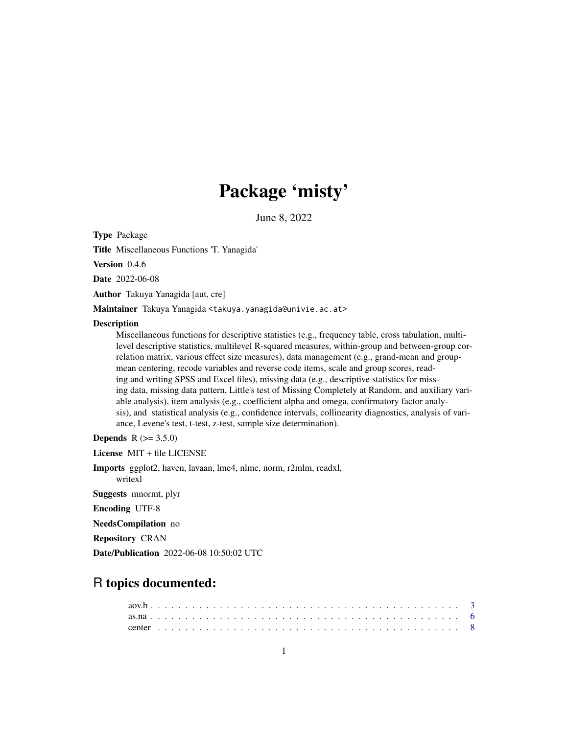# Package 'misty'

June 8, 2022

Type Package

Title Miscellaneous Functions 'T. Yanagida'

Version 0.4.6

Date 2022-06-08

Author Takuya Yanagida [aut, cre]

Maintainer Takuya Yanagida <takuya.yanagida@univie.ac.at>

# **Description**

Miscellaneous functions for descriptive statistics (e.g., frequency table, cross tabulation, multilevel descriptive statistics, multilevel R-squared measures, within-group and between-group correlation matrix, various effect size measures), data management (e.g., grand-mean and groupmean centering, recode variables and reverse code items, scale and group scores, reading and writing SPSS and Excel files), missing data (e.g., descriptive statistics for missing data, missing data pattern, Little's test of Missing Completely at Random, and auxiliary variable analysis), item analysis (e.g., coefficient alpha and omega, confirmatory factor analysis), and statistical analysis (e.g., confidence intervals, collinearity diagnostics, analysis of variance, Levene's test, t-test, z-test, sample size determination).

**Depends** R  $(>= 3.5.0)$ 

License MIT + file LICENSE

Imports ggplot2, haven, lavaan, lme4, nlme, norm, r2mlm, readxl, writexl

Suggests mnormt, plyr

Encoding UTF-8

NeedsCompilation no

Repository CRAN

Date/Publication 2022-06-08 10:50:02 UTC

# R topics documented: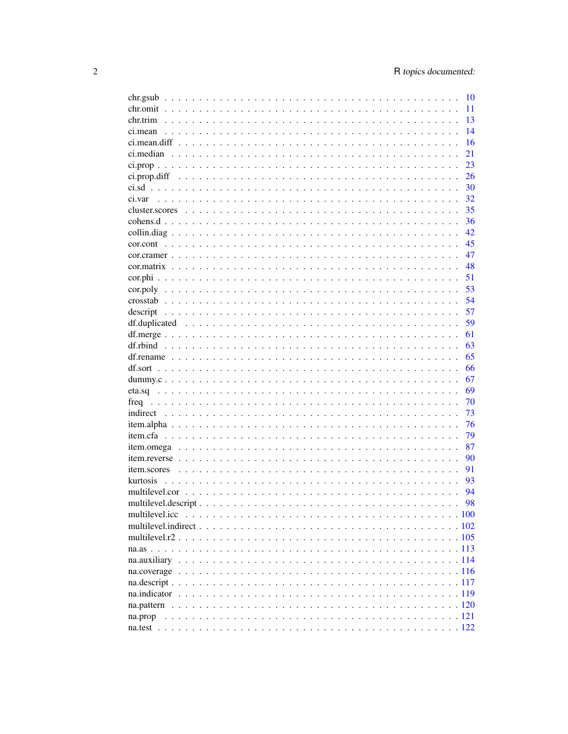| chr.gsub  | 10 |
|-----------|----|
|           | 11 |
| chr.trim  | 13 |
|           | 14 |
|           | 16 |
|           | 21 |
|           | 23 |
|           | 26 |
|           | 30 |
| ci.var    | 32 |
|           | 35 |
|           | 36 |
|           | 42 |
|           | 45 |
|           | 47 |
|           | 48 |
|           | 51 |
|           | 53 |
| $\csc{3}$ | 54 |
| descript  | 57 |
|           | 59 |
|           | 61 |
|           | 63 |
|           | 65 |
|           | 66 |
|           | 67 |
|           | 69 |
|           | 70 |
|           | 73 |
|           | 76 |
|           | 79 |
|           | 87 |
|           | 90 |
|           | 91 |
| kurtosis  | 93 |
|           | 94 |
|           | 98 |
|           |    |
|           |    |
|           |    |
|           |    |
|           |    |
|           |    |
|           |    |
|           |    |
|           |    |
|           |    |
|           |    |
|           |    |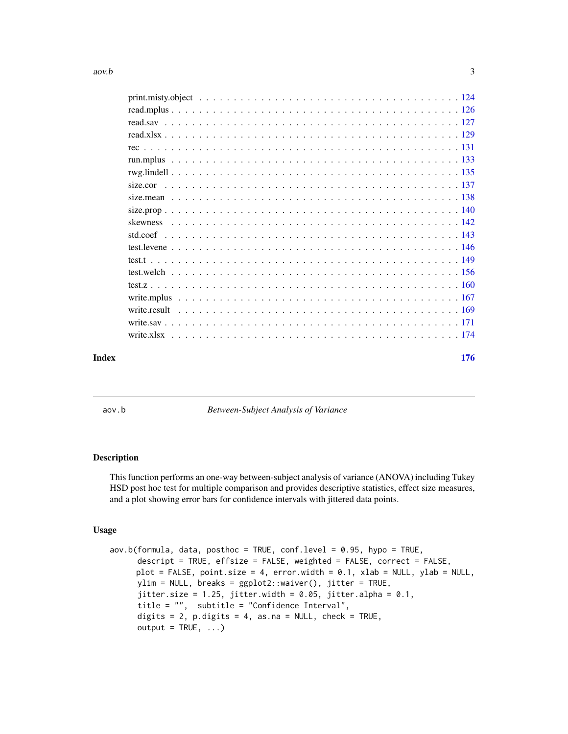<span id="page-2-0"></span>

| Index | 176 |
|-------|-----|

aov.b *Between-Subject Analysis of Variance*

# Description

This function performs an one-way between-subject analysis of variance (ANOVA) including Tukey HSD post hoc test for multiple comparison and provides descriptive statistics, effect size measures, and a plot showing error bars for confidence intervals with jittered data points.

# Usage

```
aov.b(formula, data, posthoc = TRUE, conf.level = 0.95, hypo = TRUE,
     descript = TRUE, effsize = FALSE, weighted = FALSE, correct = FALSE,
     plot = FALSE, point.size = 4, error.width = 0.1, xlab = NULL, ylab = NULL,
     ylim = NULL, breaks = ggplot2::waiver(), jitter = TRUE,
     jitter.size = 1.25, jitter.width = 0.05, jitter.alpha = 0.1,
     title = "", subtitle = "Confidence Interval",
     digits = 2, p.digits = 4, as.na = NULL, check = TRUE,
     output = TRUE, ...)
```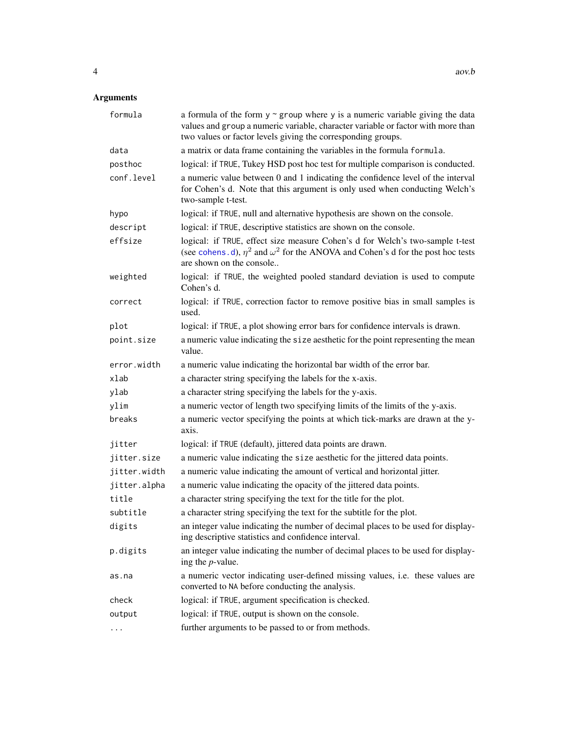| formula      | a formula of the form $y \sim g$ roup where y is a numeric variable giving the data<br>values and group a numeric variable, character variable or factor with more than<br>two values or factor levels giving the corresponding groups. |
|--------------|-----------------------------------------------------------------------------------------------------------------------------------------------------------------------------------------------------------------------------------------|
| data         | a matrix or data frame containing the variables in the formula formula.                                                                                                                                                                 |
| posthoc      | logical: if TRUE, Tukey HSD post hoc test for multiple comparison is conducted.                                                                                                                                                         |
| conf.level   | a numeric value between 0 and 1 indicating the confidence level of the interval<br>for Cohen's d. Note that this argument is only used when conducting Welch's<br>two-sample t-test.                                                    |
| hypo         | logical: if TRUE, null and alternative hypothesis are shown on the console.                                                                                                                                                             |
| descript     | logical: if TRUE, descriptive statistics are shown on the console.                                                                                                                                                                      |
| effsize      | logical: if TRUE, effect size measure Cohen's d for Welch's two-sample t-test<br>(see cohens. d), $\eta^2$ and $\omega^2$ for the ANOVA and Cohen's d for the post hoc tests<br>are shown on the console                                |
| weighted     | logical: if TRUE, the weighted pooled standard deviation is used to compute<br>Cohen's d.                                                                                                                                               |
| correct      | logical: if TRUE, correction factor to remove positive bias in small samples is<br>used.                                                                                                                                                |
| plot         | logical: if TRUE, a plot showing error bars for confidence intervals is drawn.                                                                                                                                                          |
| point.size   | a numeric value indicating the size aesthetic for the point representing the mean<br>value.                                                                                                                                             |
| error.width  | a numeric value indicating the horizontal bar width of the error bar.                                                                                                                                                                   |
| xlab         | a character string specifying the labels for the x-axis.                                                                                                                                                                                |
| ylab         | a character string specifying the labels for the y-axis.                                                                                                                                                                                |
| ylim         | a numeric vector of length two specifying limits of the limits of the y-axis.                                                                                                                                                           |
| breaks       | a numeric vector specifying the points at which tick-marks are drawn at the y-<br>axis.                                                                                                                                                 |
| jitter       | logical: if TRUE (default), jittered data points are drawn.                                                                                                                                                                             |
| jitter.size  | a numeric value indicating the size aesthetic for the jittered data points.                                                                                                                                                             |
| jitter.width | a numeric value indicating the amount of vertical and horizontal jitter.                                                                                                                                                                |
| jitter.alpha | a numeric value indicating the opacity of the jittered data points.                                                                                                                                                                     |
| title        | a character string specifying the text for the title for the plot.                                                                                                                                                                      |
| subtitle     | a character string specifying the text for the subtitle for the plot.                                                                                                                                                                   |
| digits       | an integer value indicating the number of decimal places to be used for display-<br>ing descriptive statistics and confidence interval.                                                                                                 |
| p.digits     | an integer value indicating the number of decimal places to be used for display-<br>ing the $p$ -value.                                                                                                                                 |
| as.na        | a numeric vector indicating user-defined missing values, i.e. these values are<br>converted to NA before conducting the analysis.                                                                                                       |
| check        | logical: if TRUE, argument specification is checked.                                                                                                                                                                                    |
| output       | logical: if TRUE, output is shown on the console.                                                                                                                                                                                       |
|              | further arguments to be passed to or from methods.                                                                                                                                                                                      |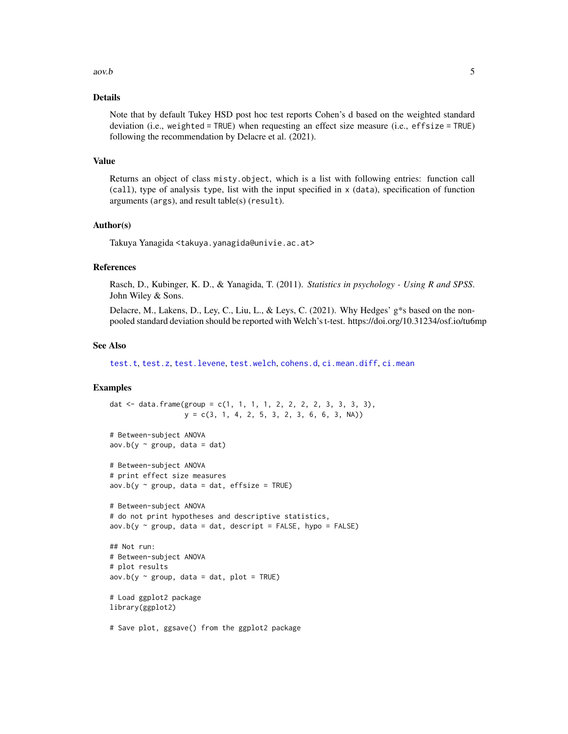#### $aov.b$  5

# Details

Note that by default Tukey HSD post hoc test reports Cohen's d based on the weighted standard deviation (i.e., weighted = TRUE) when requesting an effect size measure (i.e., effsize = TRUE) following the recommendation by Delacre et al. (2021).

#### Value

Returns an object of class misty.object, which is a list with following entries: function call (call), type of analysis type, list with the input specified in x (data), specification of function arguments (args), and result table(s) (result).

# Author(s)

Takuya Yanagida <takuya.yanagida@univie.ac.at>

# References

Rasch, D., Kubinger, K. D., & Yanagida, T. (2011). *Statistics in psychology - Using R and SPSS*. John Wiley & Sons.

Delacre, M., Lakens, D., Ley, C., Liu, L., & Leys, C. (2021). Why Hedges' g\*s based on the nonpooled standard deviation should be reported with Welch's t-test. https://doi.org/10.31234/osf.io/tu6mp

# See Also

[test.t](#page-148-1), [test.z](#page-159-1), [test.levene](#page-145-1), [test.welch](#page-155-1), [cohens.d](#page-35-1), [ci.mean.diff](#page-15-1), [ci.mean](#page-13-1)

# Examples

```
y = c(3, 1, 4, 2, 5, 3, 2, 3, 6, 6, 3, NA)# Between-subject ANOVA
aov.b(y \sim group, data = dat)# Between-subject ANOVA
# print effect size measures
aov.b(y \sim group, data = dat, effsize = TRUE)# Between-subject ANOVA
# do not print hypotheses and descriptive statistics,
aov.b(y \sim group, data = dat, descriptor = FALSE, hypo = FALSE)## Not run:
# Between-subject ANOVA
# plot results
aov.b(y \sim group, data = dat, plot = TRUE)# Load ggplot2 package
library(ggplot2)
```
dat <- data.frame(group = c(1, 1, 1, 1, 2, 2, 2, 2, 3, 3, 3, 3),

# Save plot, ggsave() from the ggplot2 package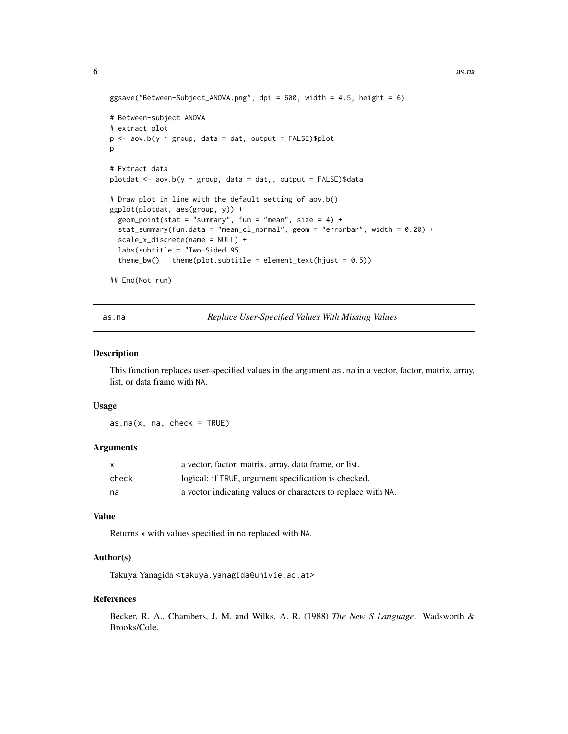```
ggsave("Between-Subject_ANOVA.png", dpi = 600, width = 4.5, height = 6)
# Between-subject ANOVA
# extract plot
p \le - aov.b(y \sim group, data = dat, output = FALSE)$plot
p
# Extract data
plotdat <- aov.b(y ~ group, data = dat,, output = FALSE)$data
# Draw plot in line with the default setting of aov.b()
ggplot(plotdat, aes(group, y)) +
 geom_point(stat = "summary", fun = "mean", size = 4) +
 stat_summary(fun.data = "mean_cl_normal", geom = "errorbar", width = 0.20) +
 scale_x_discrete(name = NULL) +
 labs(subtitle = "Two-Sided 95
 theme_bw() + theme(plot.subtitle = element_text(hjust = 0.5))
## End(Not run)
```
as.na *Replace User-Specified Values With Missing Values*

#### Description

This function replaces user-specified values in the argument as.na in a vector, factor, matrix, array, list, or data frame with NA.

#### Usage

 $as.na(x, na, check = TRUE)$ 

# Arguments

| $\mathsf{x}$ | a vector, factor, matrix, array, data frame, or list.        |
|--------------|--------------------------------------------------------------|
| check        | logical: if TRUE, argument specification is checked.         |
| na           | a vector indicating values or characters to replace with NA. |

# Value

Returns x with values specified in na replaced with NA.

# Author(s)

Takuya Yanagida <takuya.yanagida@univie.ac.at>

#### References

Becker, R. A., Chambers, J. M. and Wilks, A. R. (1988) *The New S Language*. Wadsworth & Brooks/Cole.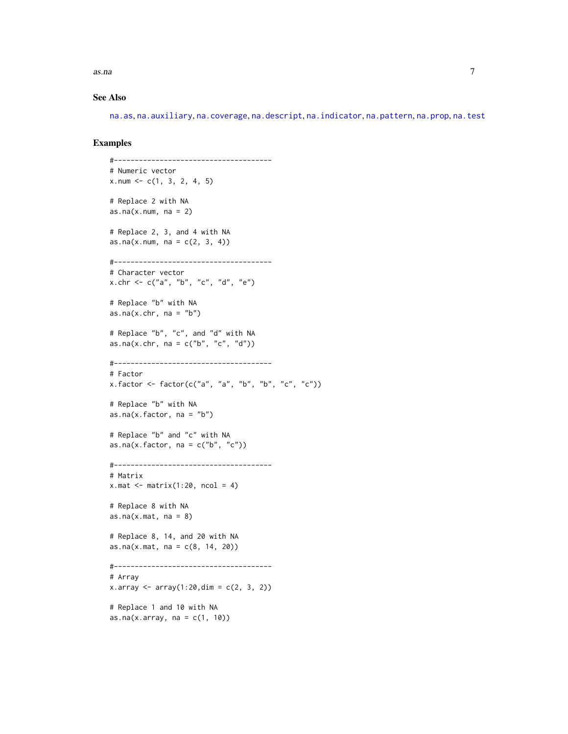$\alpha$ s.na  $\alpha$ 

# See Also

[na.as](#page-112-1), [na.auxiliary](#page-113-1), [na.coverage](#page-115-1), [na.descript](#page-116-1), [na.indicator](#page-118-1), [na.pattern](#page-119-1), [na.prop](#page-120-1), [na.test](#page-121-1)

```
#--------------------------------------
# Numeric vector
x.num \leq c(1, 3, 2, 4, 5)# Replace 2 with NA
as.na(x.num, na = 2)# Replace 2, 3, and 4 with NA
as.na(x.num, na = c(2, 3, 4))#--------------------------------------
# Character vector
x.chr <- c("a", "b", "c", "d", "e")
# Replace "b" with NA
as.na(x.chr, na = "b")# Replace "b", "c", and "d" with NA
as.na(x-chr, na = c("b", "c", "d"))#--------------------------------------
# Factor
x.factor <- factor(c("a", "a", "b", "b", "c", "c"))
# Replace "b" with NA
as.na(x.factor, na = "b")# Replace "b" and "c" with NA
as.na(x.factor, na = c("b", "c"))#--------------------------------------
# Matrix
x.mac < - matrix(1:20, ncol = 4)# Replace 8 with NA
as.na(x.\text{mat},\text{na} = 8)# Replace 8, 14, and 20 with NA
as.na(x.\text{mat},\text{na} = c(8, 14, 20))#--------------------------------------
# Array
x.array \leftarrow array(1:20, \dim = c(2, 3, 2))# Replace 1 and 10 with NA
as.na(x \cdot \text{array}, \text{na} = c(1, 10))
```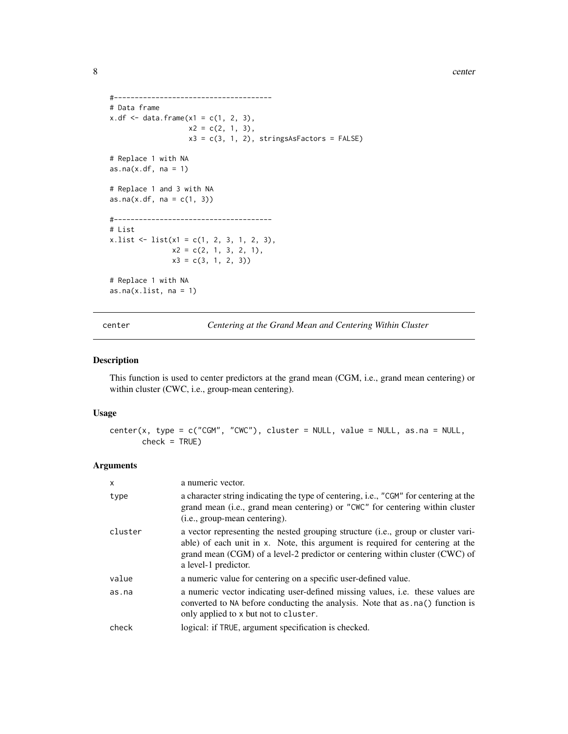<span id="page-7-0"></span>8 center and the second second second second second second second second second second second second second second second second second second second second second second second second second second second second second se

```
#--------------------------------------
# Data frame
x.df \leq data. frame(x1 = c(1, 2, 3),
                   x2 = c(2, 1, 3),x3 = c(3, 1, 2), stringsAsFactors = FALSE)
# Replace 1 with NA
as.na(x.df, na = 1)# Replace 1 and 3 with NA
as.na(x.df, na = c(1, 3))#--------------------------------------
# List
x . list <- list(<math>x1 = c(1, 2, 3, 1, 2, 3),
               x2 = c(2, 1, 3, 2, 1),x3 = c(3, 1, 2, 3)# Replace 1 with NA
as.na(x.list, na = 1)
```
center *Centering at the Grand Mean and Centering Within Cluster*

# Description

This function is used to center predictors at the grand mean (CGM, i.e., grand mean centering) or within cluster (CWC, i.e., group-mean centering).

# Usage

```
center(x, type = c("CGM", "CWC"), cluster = NULL, value = NULL, as.na = NULL,check = TRUE)
```

| x       | a numeric vector.                                                                                                                                                                                                                                                          |
|---------|----------------------------------------------------------------------------------------------------------------------------------------------------------------------------------------------------------------------------------------------------------------------------|
| type    | a character string indicating the type of centering, i.e., "CGM" for centering at the<br>grand mean (i.e., grand mean centering) or "CWC" for centering within cluster<br>(i.e., group-mean centering).                                                                    |
| cluster | a vector representing the nested grouping structure (i.e., group or cluster vari-<br>able) of each unit in x. Note, this argument is required for centering at the<br>grand mean (CGM) of a level-2 predictor or centering within cluster (CWC) of<br>a level-1 predictor. |
| value   | a numeric value for centering on a specific user-defined value.                                                                                                                                                                                                            |
| as.na   | a numeric vector indicating user-defined missing values, <i>i.e.</i> these values are<br>converted to NA before conducting the analysis. Note that as . na() function is<br>only applied to x but not to cluster.                                                          |
| check   | logical: if TRUE, argument specification is checked.                                                                                                                                                                                                                       |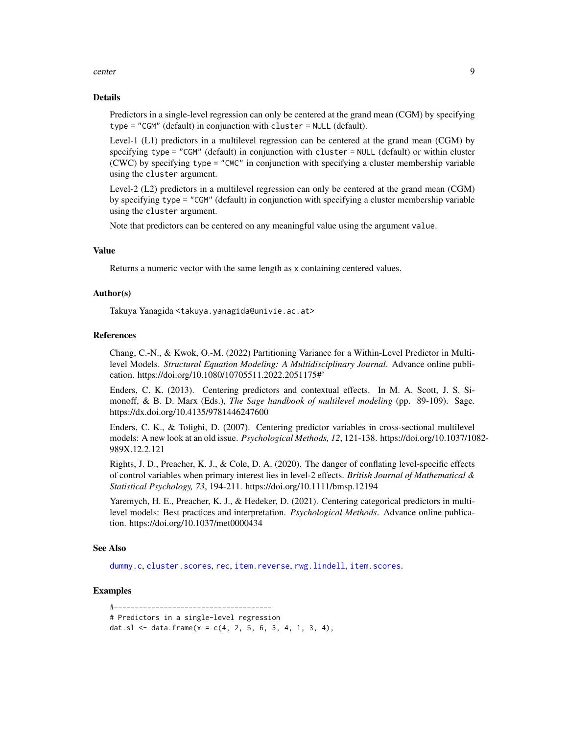#### center 9

# Details

Predictors in a single-level regression can only be centered at the grand mean (CGM) by specifying type = "CGM" (default) in conjunction with cluster = NULL (default).

Level-1 (L1) predictors in a multilevel regression can be centered at the grand mean (CGM) by specifying type = "CGM" (default) in conjunction with cluster = NULL (default) or within cluster (CWC) by specifying type = "CWC" in conjunction with specifying a cluster membership variable using the cluster argument.

Level-2 (L2) predictors in a multilevel regression can only be centered at the grand mean (CGM) by specifying type = "CGM" (default) in conjunction with specifying a cluster membership variable using the cluster argument.

Note that predictors can be centered on any meaningful value using the argument value.

# Value

Returns a numeric vector with the same length as x containing centered values.

#### Author(s)

Takuya Yanagida <takuya.yanagida@univie.ac.at>

# References

Chang, C.-N., & Kwok, O.-M. (2022) Partitioning Variance for a Within-Level Predictor in Multilevel Models. *Structural Equation Modeling: A Multidisciplinary Journal*. Advance online publication. https://doi.org/10.1080/10705511.2022.2051175#'

Enders, C. K. (2013). Centering predictors and contextual effects. In M. A. Scott, J. S. Simonoff, & B. D. Marx (Eds.), *The Sage handbook of multilevel modeling* (pp. 89-109). Sage. https://dx.doi.org/10.4135/9781446247600

Enders, C. K., & Tofighi, D. (2007). Centering predictor variables in cross-sectional multilevel models: A new look at an old issue. *Psychological Methods, 12*, 121-138. https://doi.org/10.1037/1082- 989X.12.2.121

Rights, J. D., Preacher, K. J., & Cole, D. A. (2020). The danger of conflating level-specific effects of control variables when primary interest lies in level-2 effects. *British Journal of Mathematical & Statistical Psychology, 73*, 194-211. https://doi.org/10.1111/bmsp.12194

Yaremych, H. E., Preacher, K. J., & Hedeker, D. (2021). Centering categorical predictors in multilevel models: Best practices and interpretation. *Psychological Methods*. Advance online publication. https://doi.org/10.1037/met0000434

# See Also

[dummy.c](#page-66-1), [cluster.scores](#page-34-1), [rec](#page-130-1), [item.reverse](#page-89-1), [rwg.lindell](#page-134-1), [item.scores](#page-90-1).

# Examples

#-------------------------------------- # Predictors in a single-level regression dat.sl <- data.frame( $x = c(4, 2, 5, 6, 3, 4, 1, 3, 4)$ ,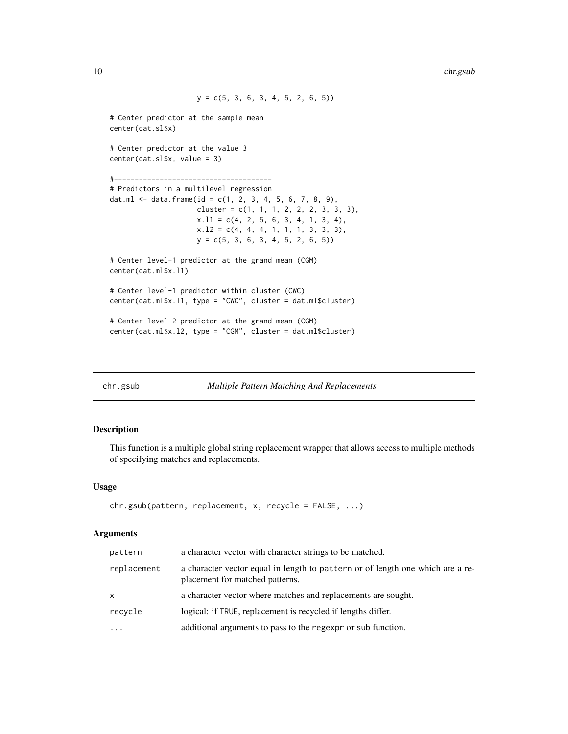```
y = c(5, 3, 6, 3, 4, 5, 2, 6, 5))# Center predictor at the sample mean
center(dat.sl$x)
# Center predictor at the value 3
center(dat.sl$x, value = 3)
#--------------------------------------
# Predictors in a multilevel regression
dat.ml <- data.frame(id = c(1, 2, 3, 4, 5, 6, 7, 8, 9),
                     cluster = c(1, 1, 1, 2, 2, 2, 3, 3, 3),
                     x.11 = c(4, 2, 5, 6, 3, 4, 1, 3, 4),x.12 = c(4, 4, 4, 1, 1, 1, 3, 3, 3),
                     y = c(5, 3, 6, 3, 4, 5, 2, 6, 5))
# Center level-1 predictor at the grand mean (CGM)
center(dat.ml$x.l1)
# Center level-1 predictor within cluster (CWC)
center(dat.ml$x.l1, type = "CWC", cluster = dat.ml$cluster)
# Center level-2 predictor at the grand mean (CGM)
center(dat.ml$x.l2, type = "CGM", cluster = dat.ml$cluster)
```
<span id="page-9-1"></span>

chr.gsub *Multiple Pattern Matching And Replacements*

# Description

This function is a multiple global string replacement wrapper that allows access to multiple methods of specifying matches and replacements.

# Usage

```
chr.gsub(pattern, replacement, x, recycle = FALSE, ...)
```

| pattern           | a character vector with character strings to be matched.                                                          |
|-------------------|-------------------------------------------------------------------------------------------------------------------|
| replacement       | a character vector equal in length to pattern or of length one which are a re-<br>placement for matched patterns. |
| X                 | a character vector where matches and replacements are sought.                                                     |
| recycle           | logical: if TRUE, replacement is recycled if lengths differ.                                                      |
| $\cdot\cdot\cdot$ | additional arguments to pass to the regexpr or sub function.                                                      |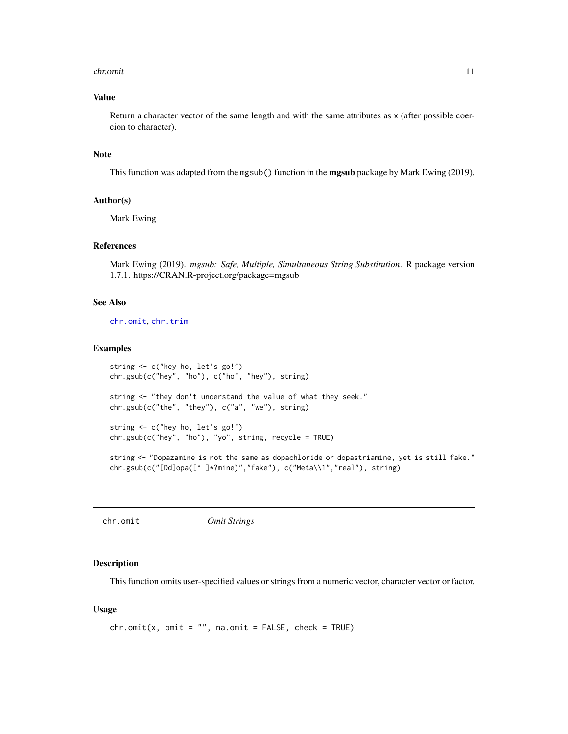#### <span id="page-10-0"></span>chr.omit 11

# Value

Return a character vector of the same length and with the same attributes as x (after possible coercion to character).

# Note

This function was adapted from the mgsub() function in the **mgsub** package by Mark Ewing (2019).

# Author(s)

Mark Ewing

# References

Mark Ewing (2019). *mgsub: Safe, Multiple, Simultaneous String Substitution*. R package version 1.7.1. https://CRAN.R-project.org/package=mgsub

# See Also

[chr.omit](#page-10-1), [chr.trim](#page-12-1)

#### Examples

```
string <- c("hey ho, let's go!")
chr.gsub(c("hey", "ho"), c("ho", "hey"), string)
string <- "they don't understand the value of what they seek."
chr.gsub(c("the", "they"), c("a", "we"), string)
string <- c("hey ho, let's go!")
chr.gsub(c("hey", "ho"), "yo", string, recycle = TRUE)
```
string <- "Dopazamine is not the same as dopachloride or dopastriamine, yet is still fake." chr.gsub(c("[Dd]opa([^ ]\*?mine)","fake"), c("Meta\\1","real"), string)

<span id="page-10-1"></span>

#### Description

This function omits user-specified values or strings from a numeric vector, character vector or factor.

# Usage

```
chr.omit(x, omit = "", na.omit = FALSE, check = TRUE)
```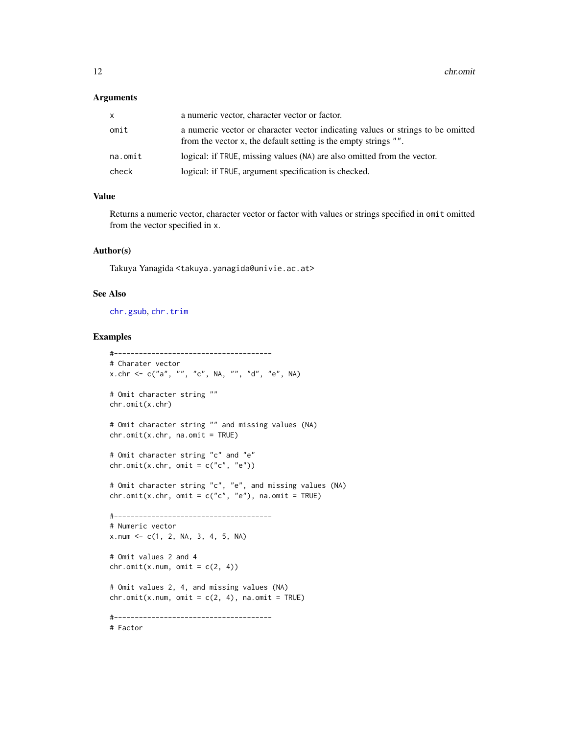# Arguments

| x.      | a numeric vector, character vector or factor.                                                                                                      |
|---------|----------------------------------------------------------------------------------------------------------------------------------------------------|
| omit    | a numeric vector or character vector indicating values or strings to be omitted<br>from the vector x, the default setting is the empty strings "". |
| na.omit | logical: if TRUE, missing values (NA) are also omitted from the vector.                                                                            |
| check   | logical: if TRUE, argument specification is checked.                                                                                               |

# Value

Returns a numeric vector, character vector or factor with values or strings specified in omit omitted from the vector specified in x.

# Author(s)

Takuya Yanagida <takuya.yanagida@univie.ac.at>

# See Also

[chr.gsub](#page-9-1), [chr.trim](#page-12-1)

```
#--------------------------------------
# Charater vector
x.chr <- c("a", "", "c", NA, "", "d", "e", NA)
# Omit character string ""
chr.omit(x.chr)
# Omit character string "" and missing values (NA)
chr.omit(x.chr, na omit = TRUE)# Omit character string "c" and "e"
chr.omit(x.chr, omit = c("c", "e"))# Omit character string "c", "e", and missing values (NA)
chr.omit(x.chr, omit = c("c", "e"), na.omit = TRUE)
#--------------------------------------
# Numeric vector
x.num <- c(1, 2, NA, 3, 4, 5, NA)
# Omit values 2 and 4
chr.omit(x.num, omit = c(2, 4))# Omit values 2, 4, and missing values (NA)
chr.omit(x.num, omit = c(2, 4), na.omit = TRUE)#--------------------------------------
# Factor
```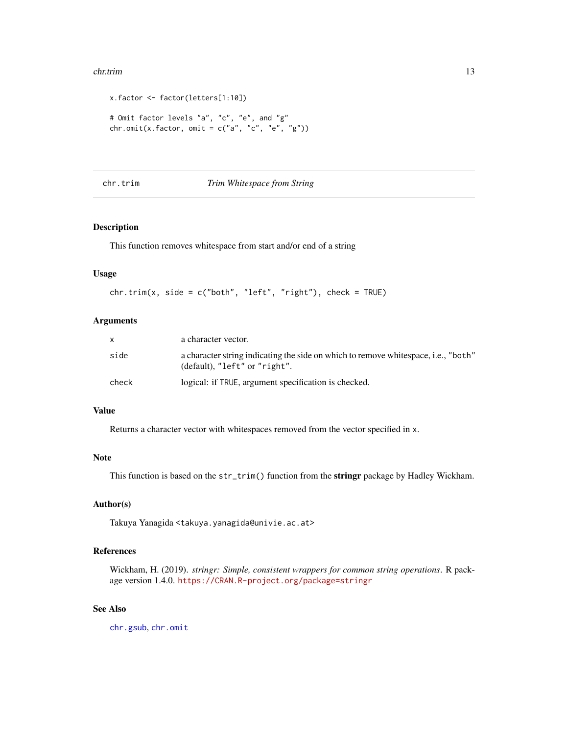#### <span id="page-12-0"></span>chr.trim 13

```
x.factor <- factor(letters[1:10])
# Omit factor levels "a", "c", "e", and "g"
chr.omit(x.factor, omit = c("a", "c", "e", "g"))
```
# <span id="page-12-1"></span>chr.trim *Trim Whitespace from String*

# Description

This function removes whitespace from start and/or end of a string

#### Usage

```
chr.time(x, side = c("both", "left", "right"), check = TRUE)
```
# Arguments

| X.    | a character vector.                                                                                                 |
|-------|---------------------------------------------------------------------------------------------------------------------|
| side  | a character string indicating the side on which to remove whitespace, i.e., "both"<br>(default), "left" or "right". |
| check | logical: if TRUE, argument specification is checked.                                                                |

# Value

Returns a character vector with whitespaces removed from the vector specified in x.

# Note

This function is based on the str\_trim() function from the stringr package by Hadley Wickham.

# Author(s)

Takuya Yanagida <takuya.yanagida@univie.ac.at>

# References

Wickham, H. (2019). *stringr: Simple, consistent wrappers for common string operations*. R package version 1.4.0. <https://CRAN.R-project.org/package=stringr>

# See Also

[chr.gsub](#page-9-1), [chr.omit](#page-10-1)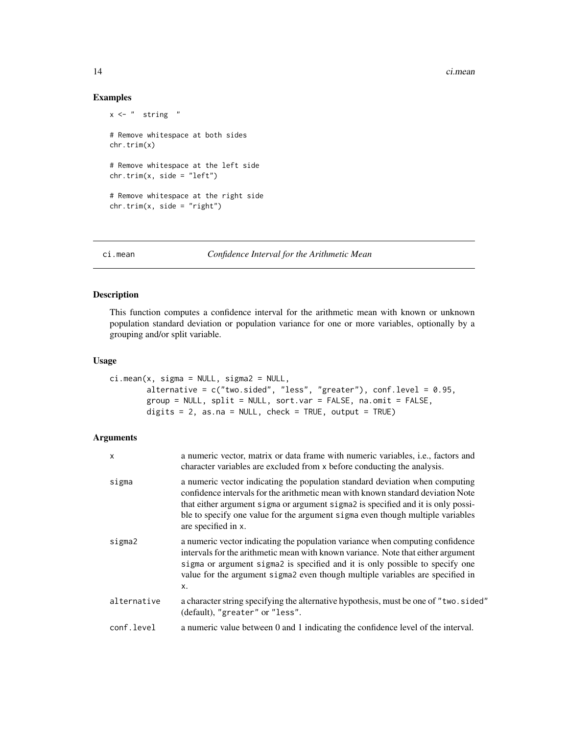14 ci.mean

# Examples

```
x \leq - " string "
# Remove whitespace at both sides
chr.trim(x)
# Remove whitespace at the left side
chr.time(x, side = "left")# Remove whitespace at the right side
chr.time(x, side = "right")
```
<span id="page-13-1"></span>ci.mean *Confidence Interval for the Arithmetic Mean*

# Description

This function computes a confidence interval for the arithmetic mean with known or unknown population standard deviation or population variance for one or more variables, optionally by a grouping and/or split variable.

# Usage

```
ci.mean(x, sigma = NULL, sigma2 = NULL,
        alternative = c("two.sided", "less", "greater"), conf.level = 0.95,
        group = NULL, split = NULL, sort.var = FALSE, na.omit = FALSE,
        digits = 2, as.na = NULL, check = TRUE, output = TRUE)
```

| X           | a numeric vector, matrix or data frame with numeric variables, <i>i.e.</i> , factors and<br>character variables are excluded from x before conducting the analysis.                                                                                                                                                                                          |
|-------------|--------------------------------------------------------------------------------------------------------------------------------------------------------------------------------------------------------------------------------------------------------------------------------------------------------------------------------------------------------------|
| sigma       | a numeric vector indicating the population standard deviation when computing<br>confidence intervals for the arithmetic mean with known standard deviation Note<br>that either argument sigma or argument sigmal is specified and it is only possi-<br>ble to specify one value for the argument sigma even though multiple variables<br>are specified in x. |
| sigma2      | a numeric vector indicating the population variance when computing confidence<br>intervals for the arithmetic mean with known variance. Note that either argument<br>sigma or argument sigma2 is specified and it is only possible to specify one<br>value for the argument sigma2 even though multiple variables are specified in<br>X.                     |
| alternative | a character string specifying the alternative hypothesis, must be one of "two.sided"<br>(default), "greater" or "less".                                                                                                                                                                                                                                      |
| conf.level  | a numeric value between 0 and 1 indicating the confidence level of the interval.                                                                                                                                                                                                                                                                             |

<span id="page-13-0"></span>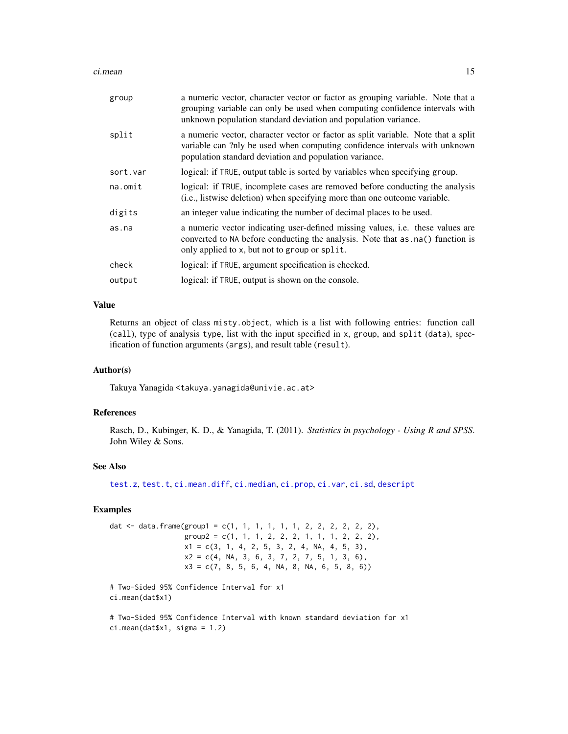#### ci.mean 15

| group    | a numeric vector, character vector or factor as grouping variable. Note that a<br>grouping variable can only be used when computing confidence intervals with<br>unknown population standard deviation and population variance. |
|----------|---------------------------------------------------------------------------------------------------------------------------------------------------------------------------------------------------------------------------------|
| split    | a numeric vector, character vector or factor as split variable. Note that a split<br>variable can ?nly be used when computing confidence intervals with unknown<br>population standard deviation and population variance.       |
| sort.var | logical: if TRUE, output table is sorted by variables when specifying group.                                                                                                                                                    |
| na.omit  | logical: if TRUE, incomplete cases are removed before conducting the analysis<br>(i.e., listwise deletion) when specifying more than one outcome variable.                                                                      |
| digits   | an integer value indicating the number of decimal places to be used.                                                                                                                                                            |
| as.na    | a numeric vector indicating user-defined missing values, <i>i.e.</i> these values are<br>converted to NA before conducting the analysis. Note that as . na() function is<br>only applied to x, but not to group or split.       |
| check    | logical: if TRUE, argument specification is checked.                                                                                                                                                                            |
| output   | logical: if TRUE, output is shown on the console.                                                                                                                                                                               |

# Value

Returns an object of class misty.object, which is a list with following entries: function call (call), type of analysis type, list with the input specified in x, group, and split (data), specification of function arguments (args), and result table (result).

# Author(s)

Takuya Yanagida <takuya.yanagida@univie.ac.at>

# References

Rasch, D., Kubinger, K. D., & Yanagida, T. (2011). *Statistics in psychology - Using R and SPSS*. John Wiley & Sons.

# See Also

[test.z](#page-159-1), [test.t](#page-148-1), [ci.mean.diff](#page-15-1), [ci.median](#page-20-1), [ci.prop](#page-22-1), [ci.var](#page-31-1), [ci.sd](#page-29-1), [descript](#page-56-1)

# Examples

dat  $\leq$  data.frame(group1 = c(1, 1, 1, 1, 1, 1, 2, 2, 2, 2, 2, 2),  $group2 = c(1, 1, 1, 2, 2, 2, 1, 1, 1, 2, 2, 2),$  $x1 = c(3, 1, 4, 2, 5, 3, 2, 4, NA, 4, 5, 3),$  $x2 = c(4, NA, 3, 6, 3, 7, 2, 7, 5, 1, 3, 6),$  $x3 = c(7, 8, 5, 6, 4, NA, 8, NA, 6, 5, 8, 6))$ 

# Two-Sided 95% Confidence Interval for x1 ci.mean(dat\$x1)

# Two-Sided 95% Confidence Interval with known standard deviation for x1 ci.mean(dat\$x1, sigma = 1.2)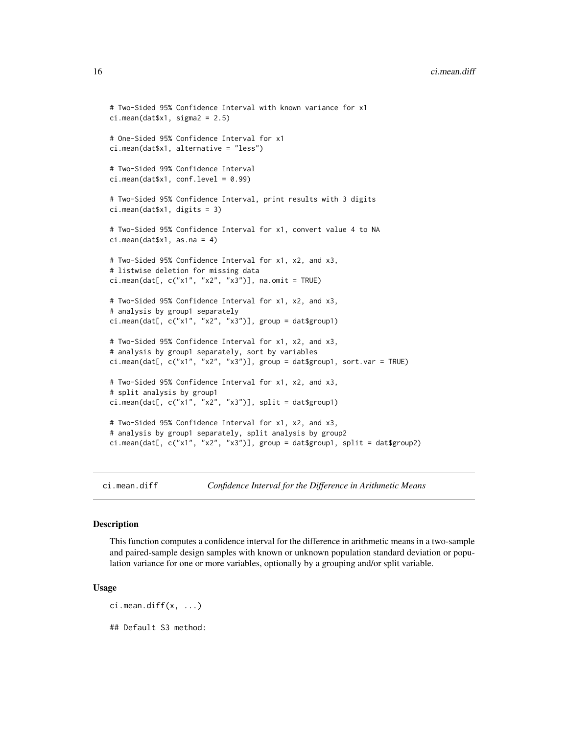```
# Two-Sided 95% Confidence Interval with known variance for x1
ci.mean(dat$x1, sigma2 = 2.5)
# One-Sided 95% Confidence Interval for x1
ci.mean(dat$x1, alternative = "less")
# Two-Sided 99% Confidence Interval
ci.mean(data $x1, conf.level = 0.99)# Two-Sided 95% Confidence Interval, print results with 3 digits
ci.mean(dat$x1, digits = 3)
# Two-Sided 95% Confidence Interval for x1, convert value 4 to NA
ci.mean(dat$x1, as.na = 4)
# Two-Sided 95% Confidence Interval for x1, x2, and x3,
# listwise deletion for missing data
ci.mean(dat[, c("x1", "x2", "x3")], na.omit = TRUE)
# Two-Sided 95% Confidence Interval for x1, x2, and x3,
# analysis by group1 separately
ci.mean(dat[, c("x1", "x2", "x3")], group = dat$group1)
# Two-Sided 95% Confidence Interval for x1, x2, and x3,
# analysis by group1 separately, sort by variables
ci.mean(dat[, c("x1", "x2", "x3")], group = dat$group1, sort.var = TRUE)
# Two-Sided 95% Confidence Interval for x1, x2, and x3,
# split analysis by group1
ci.mean(dat[, c("x1", "x2", "x3")], split = dat$group1)# Two-Sided 95% Confidence Interval for x1, x2, and x3,
# analysis by group1 separately, split analysis by group2
ci.mean(dat[, c("x1", "x2", "x3")], group = dat$group1, split = dat$group2)
```
<span id="page-15-1"></span>ci.mean.diff *Confidence Interval for the Difference in Arithmetic Means*

# **Description**

This function computes a confidence interval for the difference in arithmetic means in a two-sample and paired-sample design samples with known or unknown population standard deviation or population variance for one or more variables, optionally by a grouping and/or split variable.

#### Usage

 $ci.$ mean.diff $(x, \ldots)$ 

## Default S3 method: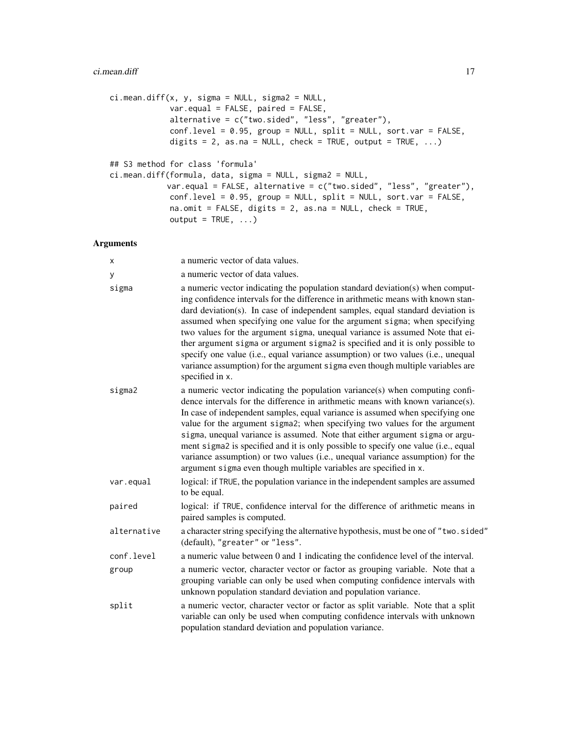```
ci.mean.diff(x, y, sigma = NULL, sigma2 = NULL,
            var.equal = FALSE, paired = FALSE,
             alternative = c("two-sided", "less", "greater"),conf.level = 0.95, group = NULL, split = NULL, sort.var = FALSE,
             digits = 2, as.na = NULL, check = TRUE, output = TRUE, \ldots)
## S3 method for class 'formula'
ci.mean.diff(formula, data, sigma = NULL, sigma2 = NULL,
            var.equal = FALSE, alternative = c("two.sided", "less", "greater"),
            conf. level = 0.95, group = NULL, split = NULL, sort.var = FALSE,
             na.omit = FALSE, digits = 2, as.na = NULL, check = TRUE,
             output = TRUE, ...)
```

| х           | a numeric vector of data values.                                                                                                                                                                                                                                                                                                                                                                                                                                                                                                                                                                                                                                                            |
|-------------|---------------------------------------------------------------------------------------------------------------------------------------------------------------------------------------------------------------------------------------------------------------------------------------------------------------------------------------------------------------------------------------------------------------------------------------------------------------------------------------------------------------------------------------------------------------------------------------------------------------------------------------------------------------------------------------------|
| y           | a numeric vector of data values.                                                                                                                                                                                                                                                                                                                                                                                                                                                                                                                                                                                                                                                            |
| sigma       | a numeric vector indicating the population standard deviation(s) when comput-<br>ing confidence intervals for the difference in arithmetic means with known stan-<br>dard deviation(s). In case of independent samples, equal standard deviation is<br>assumed when specifying one value for the argument sigma; when specifying<br>two values for the argument sigma, unequal variance is assumed Note that ei-<br>ther argument sigma or argument sigma2 is specified and it is only possible to<br>specify one value (i.e., equal variance assumption) or two values (i.e., unequal<br>variance assumption) for the argument sigma even though multiple variables are<br>specified in x. |
| sigma2      | a numeric vector indicating the population variance(s) when computing confi-<br>dence intervals for the difference in arithmetic means with known variance(s).<br>In case of independent samples, equal variance is assumed when specifying one<br>value for the argument sigma2; when specifying two values for the argument<br>sigma, unequal variance is assumed. Note that either argument sigma or argu-<br>ment sigma2 is specified and it is only possible to specify one value (i.e., equal<br>variance assumption) or two values (i.e., unequal variance assumption) for the<br>argument sigma even though multiple variables are specified in x.                                  |
| var.equal   | logical: if TRUE, the population variance in the independent samples are assumed<br>to be equal.                                                                                                                                                                                                                                                                                                                                                                                                                                                                                                                                                                                            |
| paired      | logical: if TRUE, confidence interval for the difference of arithmetic means in<br>paired samples is computed.                                                                                                                                                                                                                                                                                                                                                                                                                                                                                                                                                                              |
| alternative | a character string specifying the alternative hypothesis, must be one of "two.sided"<br>(default), "greater" or "less".                                                                                                                                                                                                                                                                                                                                                                                                                                                                                                                                                                     |
| conf.level  | a numeric value between 0 and 1 indicating the confidence level of the interval.                                                                                                                                                                                                                                                                                                                                                                                                                                                                                                                                                                                                            |
| group       | a numeric vector, character vector or factor as grouping variable. Note that a<br>grouping variable can only be used when computing confidence intervals with<br>unknown population standard deviation and population variance.                                                                                                                                                                                                                                                                                                                                                                                                                                                             |
| split       | a numeric vector, character vector or factor as split variable. Note that a split<br>variable can only be used when computing confidence intervals with unknown<br>population standard deviation and population variance.                                                                                                                                                                                                                                                                                                                                                                                                                                                                   |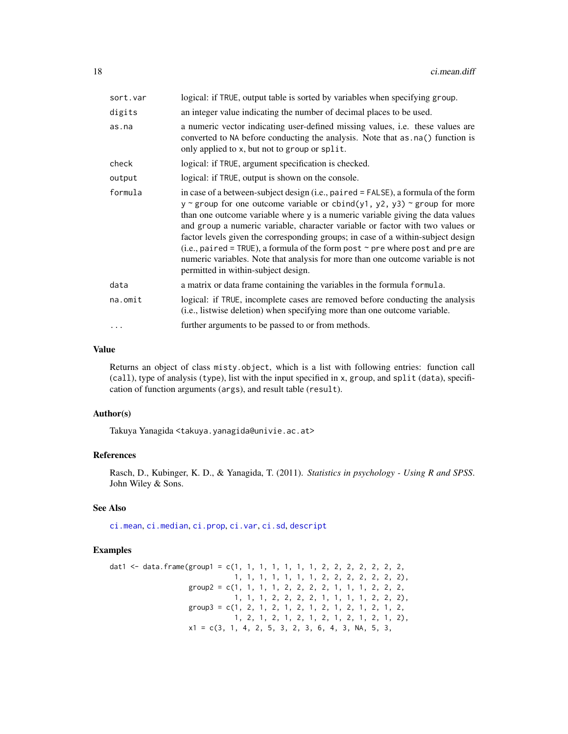| sort.var | logical: if TRUE, output table is sorted by variables when specifying group.                                                                                                                                                                                                                                                                                                                                                                                                                                                                                                                                                                    |
|----------|-------------------------------------------------------------------------------------------------------------------------------------------------------------------------------------------------------------------------------------------------------------------------------------------------------------------------------------------------------------------------------------------------------------------------------------------------------------------------------------------------------------------------------------------------------------------------------------------------------------------------------------------------|
| digits   | an integer value indicating the number of decimal places to be used.                                                                                                                                                                                                                                                                                                                                                                                                                                                                                                                                                                            |
| as.na    | a numeric vector indicating user-defined missing values, <i>i.e.</i> these values are<br>converted to NA before conducting the analysis. Note that as . na() function is<br>only applied to x, but not to group or split.                                                                                                                                                                                                                                                                                                                                                                                                                       |
| check    | logical: if TRUE, argument specification is checked.                                                                                                                                                                                                                                                                                                                                                                                                                                                                                                                                                                                            |
| output   | logical: if TRUE, output is shown on the console.                                                                                                                                                                                                                                                                                                                                                                                                                                                                                                                                                                                               |
| formula  | in case of a between-subject design (i.e., paired = FALSE), a formula of the form<br>$y \sim$ group for one outcome variable or cbind(y1, y2, y3) $\sim$ group for more<br>than one outcome variable where y is a numeric variable giving the data values<br>and group a numeric variable, character variable or factor with two values or<br>factor levels given the corresponding groups; in case of a within-subject design<br>(i.e., paired = TRUE), a formula of the form post $\sim$ pre where post and pre are<br>numeric variables. Note that analysis for more than one outcome variable is not<br>permitted in within-subject design. |
| data     | a matrix or data frame containing the variables in the formula formula.                                                                                                                                                                                                                                                                                                                                                                                                                                                                                                                                                                         |
| na.omit  | logical: if TRUE, incomplete cases are removed before conducting the analysis<br>(i.e., listwise deletion) when specifying more than one outcome variable.                                                                                                                                                                                                                                                                                                                                                                                                                                                                                      |
| .        | further arguments to be passed to or from methods.                                                                                                                                                                                                                                                                                                                                                                                                                                                                                                                                                                                              |

#### Value

Returns an object of class misty.object, which is a list with following entries: function call (call), type of analysis (type), list with the input specified in x, group, and split (data), specification of function arguments (args), and result table (result).

# Author(s)

Takuya Yanagida <takuya.yanagida@univie.ac.at>

# References

Rasch, D., Kubinger, K. D., & Yanagida, T. (2011). *Statistics in psychology - Using R and SPSS*. John Wiley & Sons.

# See Also

[ci.mean](#page-13-1), [ci.median](#page-20-1), [ci.prop](#page-22-1), [ci.var](#page-31-1), [ci.sd](#page-29-1), [descript](#page-56-1)

```
dat1 <- data.frame(group1 = c(1, 1, 1, 1, 1, 1, 1, 2, 2, 2, 2, 2, 2, 2, 2)1, 1, 1, 1, 1, 1, 1, 2, 2, 2, 2, 2, 2, 2),
                   group2 = c(1, 1, 1, 1, 2, 2, 2, 2, 1, 1, 1, 2, 2, 2,
                              1, 1, 1, 2, 2, 2, 2, 1, 1, 1, 1, 2, 2, 2),
                   group3 = c(1, 2, 1, 2, 1, 2, 1, 2, 1, 2, 1, 2, 1, 2,1, 2, 1, 2, 1, 2, 1, 2, 1, 2, 1, 2, 1, 2),
                   x1 = c(3, 1, 4, 2, 5, 3, 2, 3, 6, 4, 3, NA, 5, 3,
```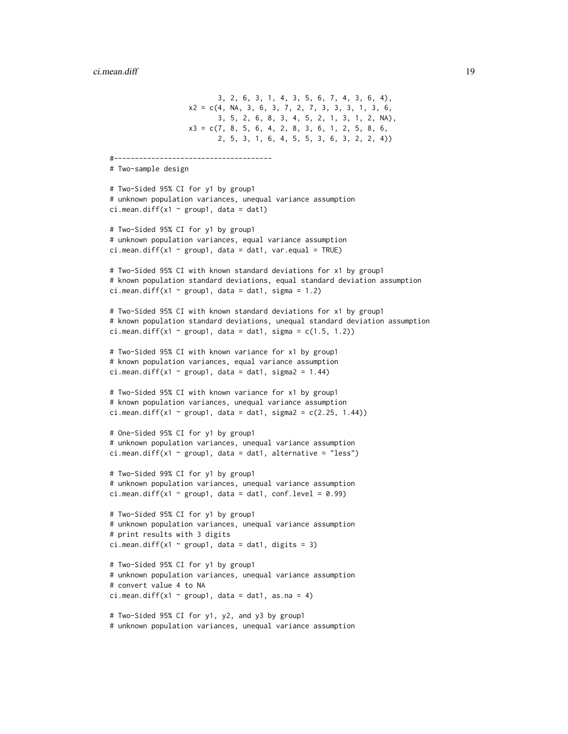```
3, 2, 6, 3, 1, 4, 3, 5, 6, 7, 4, 3, 6, 4),
                   x2 = c(4, NA, 3, 6, 3, 7, 2, 7, 3, 3, 3, 1, 3, 6,3, 5, 2, 6, 8, 3, 4, 5, 2, 1, 3, 1, 2, NA),
                   x3 = c(7, 8, 5, 6, 4, 2, 8, 3, 6, 1, 2, 5, 8, 6,2, 5, 3, 1, 6, 4, 5, 5, 3, 6, 3, 2, 2, 4))
#--------------------------------------
# Two-sample design
# Two-Sided 95% CI for y1 by group1
# unknown population variances, unequal variance assumption
ci.mean.diff(x1 \sim group1, data = dat1)
# Two-Sided 95% CI for y1 by group1
# unknown population variances, equal variance assumption
ci.mean.diff(x1 \sim group1, data = dat1, var.equal = TRUE)
# Two-Sided 95% CI with known standard deviations for x1 by group1
# known population standard deviations, equal standard deviation assumption
ci.mean.diff(x1 \sim group1, data = dat1, sigma = 1.2)
# Two-Sided 95% CI with known standard deviations for x1 by group1
# known population standard deviations, unequal standard deviation assumption
ci.mean.diff(x1 \sim group1, data = dat1, sigma = c(1.5, 1.2))
# Two-Sided 95% CI with known variance for x1 by group1
# known population variances, equal variance assumption
ci.mean.diff(x1 \sim group1, data = dat1, sigma2 = 1.44)
# Two-Sided 95% CI with known variance for x1 by group1
# known population variances, unequal variance assumption
ci.mean.diff(x1 \sim group1, data = dat1, sigma2 = c(2.25, 1.44))
# One-Sided 95% CI for y1 by group1
# unknown population variances, unequal variance assumption
ci.mean.diff(x1 \sim group1, data = dat1, alternative = "less")
# Two-Sided 99% CI for y1 by group1
# unknown population variances, unequal variance assumption
ci.mean.diff(x1 \sim group1, data = dat1, conf.level = 0.99)
# Two-Sided 95% CI for y1 by group1
# unknown population variances, unequal variance assumption
# print results with 3 digits
ci.mean.diff(x1 \sim group1, data = dat1, digits = 3)
# Two-Sided 95% CI for y1 by group1
# unknown population variances, unequal variance assumption
# convert value 4 to NA
ci.mean.diff(x1 \sim group1, data = dat1, as.na = 4)
# Two-Sided 95% CI for y1, y2, and y3 by group1
# unknown population variances, unequal variance assumption
```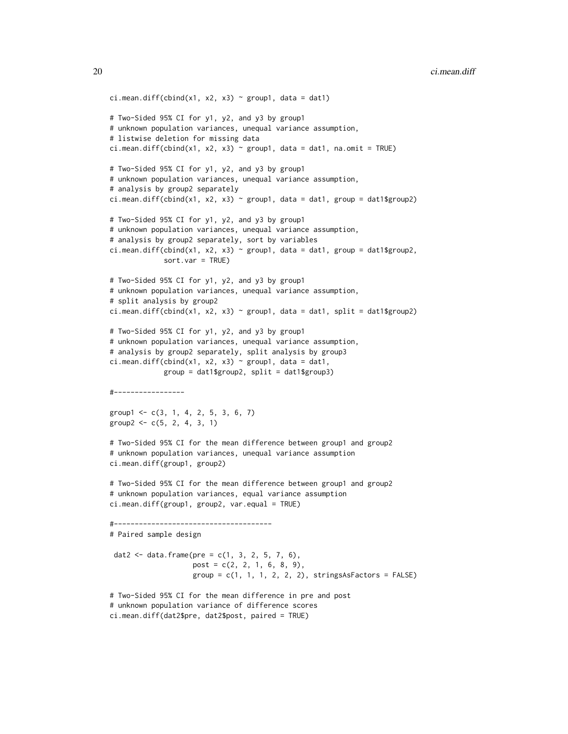```
ci.mean.diff(cbind(x1, x2, x3) ~ group1, data = dat1)
# Two-Sided 95% CI for y1, y2, and y3 by group1
# unknown population variances, unequal variance assumption,
# listwise deletion for missing data
ci.mean.diff(cbind(x1, x2, x3) \sim group1, data = dat1, na.omit = TRUE)
# Two-Sided 95% CI for y1, y2, and y3 by group1
# unknown population variances, unequal variance assumption,
# analysis by group2 separately
ci.mean.diff(cbind(x1, x2, x3) ~ group1, data = dat1, group = dat1$group2)
# Two-Sided 95% CI for y1, y2, and y3 by group1
# unknown population variances, unequal variance assumption,
# analysis by group2 separately, sort by variables
ci.mean.diff(cbind(x1, x2, x3) ~ group1, data = dat1, group = dat1$group2,
             sort.var = TRUE)
# Two-Sided 95% CI for y1, y2, and y3 by group1
# unknown population variances, unequal variance assumption,
# split analysis by group2
ci.mean.diff(cbind(x1, x2, x3) ~ group1, data = dat1, split = dat1$group2)
# Two-Sided 95% CI for y1, y2, and y3 by group1
# unknown population variances, unequal variance assumption,
# analysis by group2 separately, split analysis by group3
ci.mean.diff(cbind(x1, x2, x3) ~ group1, data = dat1,
             group = dat1$group2, split = dat1$group3)
#-----------------
group1 < -c(3, 1, 4, 2, 5, 3, 6, 7)group2 < -c(5, 2, 4, 3, 1)# Two-Sided 95% CI for the mean difference between group1 and group2
# unknown population variances, unequal variance assumption
ci.mean.diff(group1, group2)
# Two-Sided 95% CI for the mean difference between group1 and group2
# unknown population variances, equal variance assumption
ci.mean.diff(group1, group2, var.equal = TRUE)
#--------------------------------------
# Paired sample design
 dat2 <- data.frame(pre = c(1, 3, 2, 5, 7, 6),
                    post = c(2, 2, 1, 6, 8, 9),group = c(1, 1, 1, 2, 2, 2), stringsAsFactors = FALSE)# Two-Sided 95% CI for the mean difference in pre and post
# unknown population variance of difference scores
ci.mean.diff(dat2$pre, dat2$post, paired = TRUE)
```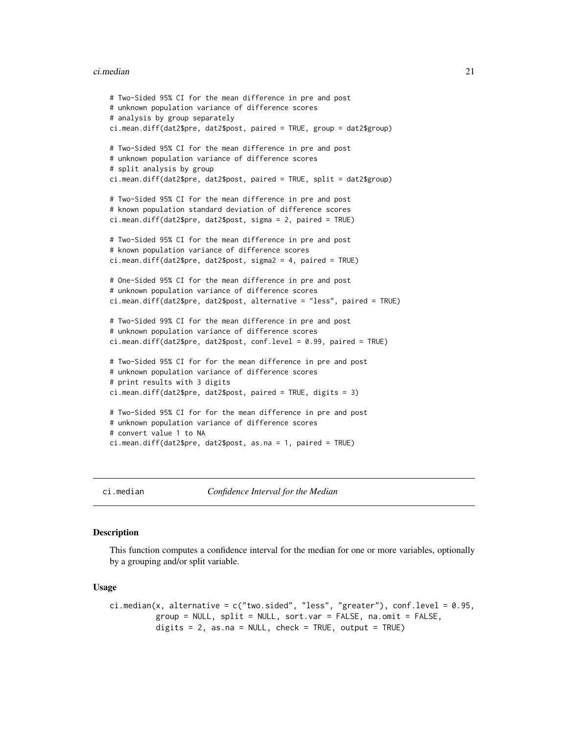#### <span id="page-20-0"></span>ci.median 21

```
# Two-Sided 95% CI for the mean difference in pre and post
# unknown population variance of difference scores
# analysis by group separately
ci.mean.diff(dat2$pre, dat2$post, paired = TRUE, group = dat2$group)
# Two-Sided 95% CI for the mean difference in pre and post
# unknown population variance of difference scores
# split analysis by group
ci.mean.diff(dat2$pre, dat2$post, paired = TRUE, split = dat2$group)
# Two-Sided 95% CI for the mean difference in pre and post
# known population standard deviation of difference scores
ci.mean.diff(dat2$pre, dat2$post, sigma = 2, paired = TRUE)
# Two-Sided 95% CI for the mean difference in pre and post
# known population variance of difference scores
ci.mean.diff(dat2$pre, dat2$post, sigma2 = 4, paired = TRUE)
# One-Sided 95% CI for the mean difference in pre and post
# unknown population variance of difference scores
ci.mean.diff(dat2$pre, dat2$post, alternative = "less", paired = TRUE)
# Two-Sided 99% CI for the mean difference in pre and post
# unknown population variance of difference scores
ci.mean.diff(dat2$pre, dat2$post, conf.level = 0.99, paired = TRUE)
# Two-Sided 95% CI for for the mean difference in pre and post
# unknown population variance of difference scores
# print results with 3 digits
ci.mean.diff(dat2$pre, dat2$post, paired = TRUE, digits = 3)
# Two-Sided 95% CI for for the mean difference in pre and post
# unknown population variance of difference scores
# convert value 1 to NA
ci.mean.diff(dat2$pre, dat2$post, as.na = 1, paired = TRUE)
```
<span id="page-20-1"></span>ci.median *Confidence Interval for the Median*

#### **Description**

This function computes a confidence interval for the median for one or more variables, optionally by a grouping and/or split variable.

#### Usage

```
ci.median(x, alternative = c("two(sided", "less", "greater"), conf. level = 0.95,group = NULL, split = NULL, sort.var = FALSE, na.omit = FALSE,
          digits = 2, as.na = NULL, check = TRUE, output = TRUE)
```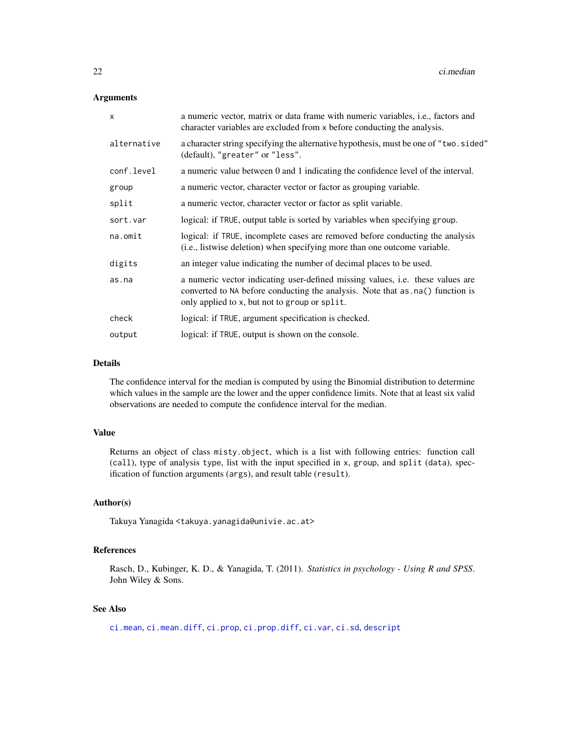# Arguments

| a numeric vector, matrix or data frame with numeric variables, <i>i.e.</i> , factors and<br>character variables are excluded from x before conducting the analysis.                                                |
|--------------------------------------------------------------------------------------------------------------------------------------------------------------------------------------------------------------------|
| a character string specifying the alternative hypothesis, must be one of "two. sided"<br>(default), "greater" or "less".                                                                                           |
| a numeric value between 0 and 1 indicating the confidence level of the interval.                                                                                                                                   |
| a numeric vector, character vector or factor as grouping variable.                                                                                                                                                 |
| a numeric vector, character vector or factor as split variable.                                                                                                                                                    |
| logical: if TRUE, output table is sorted by variables when specifying group.                                                                                                                                       |
| logical: if TRUE, incomplete cases are removed before conducting the analysis<br>(i.e., listwise deletion) when specifying more than one outcome variable.                                                         |
| an integer value indicating the number of decimal places to be used.                                                                                                                                               |
| a numeric vector indicating user-defined missing values, i.e. these values are<br>converted to NA before conducting the analysis. Note that as . na() function is<br>only applied to x, but not to group or split. |
| logical: if TRUE, argument specification is checked.                                                                                                                                                               |
| logical: if TRUE, output is shown on the console.                                                                                                                                                                  |
|                                                                                                                                                                                                                    |

# Details

The confidence interval for the median is computed by using the Binomial distribution to determine which values in the sample are the lower and the upper confidence limits. Note that at least six valid observations are needed to compute the confidence interval for the median.

# Value

Returns an object of class misty.object, which is a list with following entries: function call (call), type of analysis type, list with the input specified in x, group, and split (data), specification of function arguments (args), and result table (result).

# Author(s)

Takuya Yanagida <takuya.yanagida@univie.ac.at>

# References

Rasch, D., Kubinger, K. D., & Yanagida, T. (2011). *Statistics in psychology - Using R and SPSS*. John Wiley & Sons.

# See Also

[ci.mean](#page-13-1), [ci.mean.diff](#page-15-1), [ci.prop](#page-22-1), [ci.prop.diff](#page-25-1), [ci.var](#page-31-1), [ci.sd](#page-29-1), [descript](#page-56-1)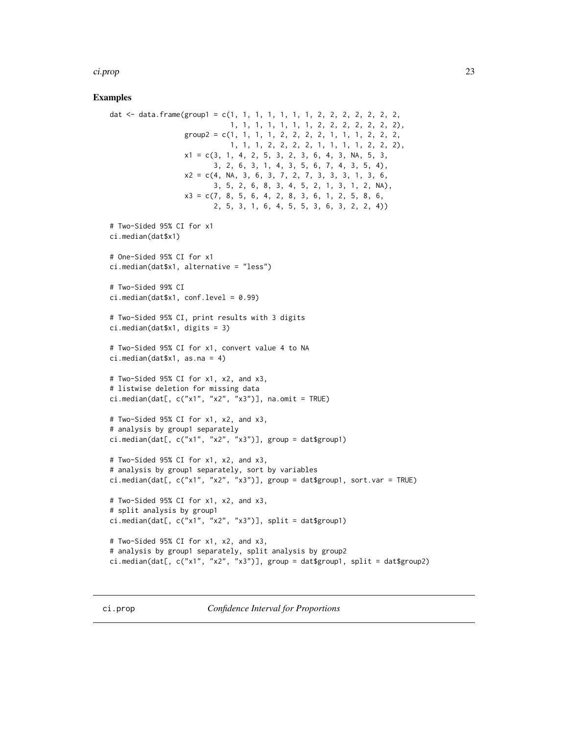#### <span id="page-22-0"></span>ci.prop 23

# Examples

```
dat <- data.frame(group1 = c(1, 1, 1, 1, 1, 1, 1, 2, 2, 2, 2, 2, 2, 2,
                             1, 1, 1, 1, 1, 1, 1, 2, 2, 2, 2, 2, 2, 2),
                  group2 = c(1, 1, 1, 1, 2, 2, 2, 2, 1, 1, 1, 2, 2, 2,
                             1, 1, 1, 2, 2, 2, 2, 1, 1, 1, 1, 2, 2, 2),
                  x1 = c(3, 1, 4, 2, 5, 3, 2, 3, 6, 4, 3, NA, 5, 3,3, 2, 6, 3, 1, 4, 3, 5, 6, 7, 4, 3, 5, 4),
                  x2 = c(4, NA, 3, 6, 3, 7, 2, 7, 3, 3, 3, 1, 3, 6,3, 5, 2, 6, 8, 3, 4, 5, 2, 1, 3, 1, 2, NA),
                  x3 = c(7, 8, 5, 6, 4, 2, 8, 3, 6, 1, 2, 5, 8, 6,2, 5, 3, 1, 6, 4, 5, 5, 3, 6, 3, 2, 2, 4))
# Two-Sided 95% CI for x1
ci.median(dat$x1)
# One-Sided 95% CI for x1
ci.median(dat$x1, alternative = "less")
# Two-Sided 99% CI
ci.median(data$x1, conf.level = <math>0.99</math>)# Two-Sided 95% CI, print results with 3 digits
ci.median(dat$x1, digits = 3)
# Two-Sided 95% CI for x1, convert value 4 to NA
ci.median(dat$x1, as.na = 4)
# Two-Sided 95% CI for x1, x2, and x3,
# listwise deletion for missing data
ci.median(dat[, c("x1", "x2", "x3")], na.omit = TRUE)
# Two-Sided 95% CI for x1, x2, and x3,
# analysis by group1 separately
ci.median(dat[, c("x1", "x2", "x3")], group = dat$group1)
# Two-Sided 95% CI for x1, x2, and x3,
# analysis by group1 separately, sort by variables
ci.median(dat[, c("x1", "x2", "x3")], group = dat$group1, sort.var = TRUE)
# Two-Sided 95% CI for x1, x2, and x3,
# split analysis by group1
ci.median(dat[, c("x1", "x2", "x3")], split = dat$group1)
# Two-Sided 95% CI for x1, x2, and x3,
# analysis by group1 separately, split analysis by group2
ci.median(dat[, c("x1", "x2", "x3")], group = dat$group1, split = dat$group2)
```
<span id="page-22-1"></span>ci.prop *Confidence Interval for Proportions*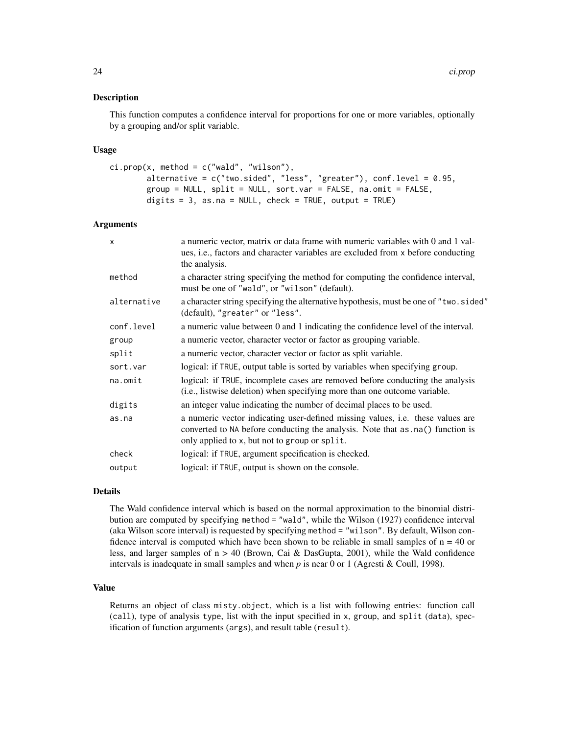# Description

This function computes a confidence interval for proportions for one or more variables, optionally by a grouping and/or split variable.

# Usage

```
ci.prop(x, method = c("wald", "wilson"),alternative = c("two.sided", "less", "greater"), conf.level = 0.95,
       group = NULL, split = NULL, sort.var = FALSE, na.omit = FALSE,
       digits = 3, as.na = NULL, check = TRUE, output = TRUE)
```
# Arguments

| $\mathsf{x}$ | a numeric vector, matrix or data frame with numeric variables with 0 and 1 val-<br>ues, i.e., factors and character variables are excluded from x before conducting<br>the analysis.                               |
|--------------|--------------------------------------------------------------------------------------------------------------------------------------------------------------------------------------------------------------------|
| method       | a character string specifying the method for computing the confidence interval,<br>must be one of "wald", or "wilson" (default).                                                                                   |
| alternative  | a character string specifying the alternative hypothesis, must be one of "two.sided"<br>(default), "greater" or "less".                                                                                            |
| conf.level   | a numeric value between 0 and 1 indicating the confidence level of the interval.                                                                                                                                   |
| group        | a numeric vector, character vector or factor as grouping variable.                                                                                                                                                 |
| split        | a numeric vector, character vector or factor as split variable.                                                                                                                                                    |
| sort.var     | logical: if TRUE, output table is sorted by variables when specifying group.                                                                                                                                       |
| na.omit      | logical: if TRUE, incomplete cases are removed before conducting the analysis<br>(i.e., listwise deletion) when specifying more than one outcome variable.                                                         |
| digits       | an integer value indicating the number of decimal places to be used.                                                                                                                                               |
| as.na        | a numeric vector indicating user-defined missing values, i.e. these values are<br>converted to NA before conducting the analysis. Note that as . na() function is<br>only applied to x, but not to group or split. |
| check        | logical: if TRUE, argument specification is checked.                                                                                                                                                               |
| output       | logical: if TRUE, output is shown on the console.                                                                                                                                                                  |

# Details

The Wald confidence interval which is based on the normal approximation to the binomial distribution are computed by specifying method = "wald", while the Wilson (1927) confidence interval (aka Wilson score interval) is requested by specifying method = "wilson". By default, Wilson confidence interval is computed which have been shown to be reliable in small samples of  $n = 40$  or less, and larger samples of  $n > 40$  (Brown, Cai & DasGupta, 2001), while the Wald confidence intervals is inadequate in small samples and when *p* is near 0 or 1 (Agresti & Coull, 1998).

# Value

Returns an object of class misty.object, which is a list with following entries: function call (call), type of analysis type, list with the input specified in x, group, and split (data), specification of function arguments (args), and result table (result).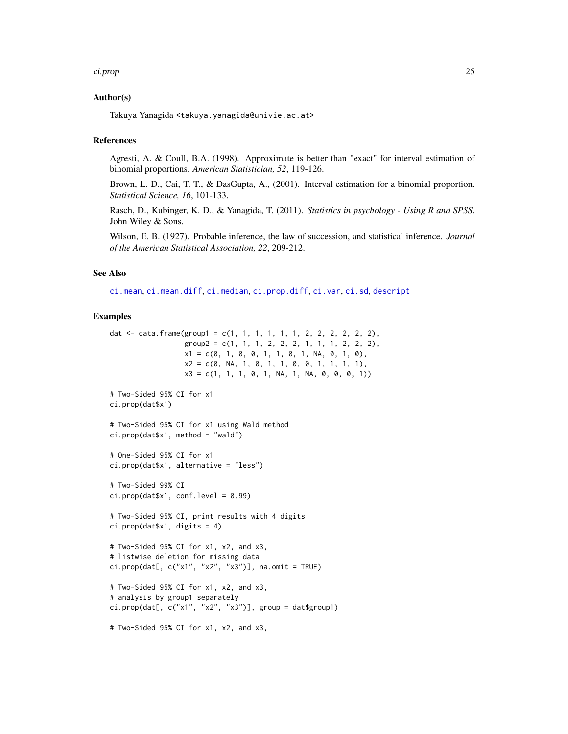#### ci.prop 25

# Author(s)

Takuya Yanagida <takuya.yanagida@univie.ac.at>

# **References**

Agresti, A. & Coull, B.A. (1998). Approximate is better than "exact" for interval estimation of binomial proportions. *American Statistician, 52*, 119-126.

Brown, L. D., Cai, T. T., & DasGupta, A., (2001). Interval estimation for a binomial proportion. *Statistical Science, 16*, 101-133.

Rasch, D., Kubinger, K. D., & Yanagida, T. (2011). *Statistics in psychology - Using R and SPSS*. John Wiley & Sons.

Wilson, E. B. (1927). Probable inference, the law of succession, and statistical inference. *Journal of the American Statistical Association, 22*, 209-212.

# See Also

[ci.mean](#page-13-1), [ci.mean.diff](#page-15-1), [ci.median](#page-20-1), [ci.prop.diff](#page-25-1), [ci.var](#page-31-1), [ci.sd](#page-29-1), [descript](#page-56-1)

```
dat \le data.frame(group1 = c(1, 1, 1, 1, 1, 1, 2, 2, 2, 2, 2),
                  group2 = c(1, 1, 1, 2, 2, 2, 1, 1, 1, 2, 2, 2),x1 = c(0, 1, 0, 0, 1, 1, 0, 1, NA, 0, 1, 0),x2 = c(0, NA, 1, 0, 1, 1, 0, 0, 1, 1, 1, 1),x3 = c(1, 1, 1, 0, 1, NA, 1, NA, 0, 0, 0, 1))# Two-Sided 95% CI for x1
ci.prop(dat$x1)
# Two-Sided 95% CI for x1 using Wald method
ci.prop(data $x1, method = "wald")# One-Sided 95% CI for x1
ci.prop(dat$x1, alternative = "less")
# Two-Sided 99% CI
ci.prop(data$x1, conf.level = <math>0.99</math>)# Two-Sided 95% CI, print results with 4 digits
ci.prop(dat$x1, digits = 4)
# Two-Sided 95% CI for x1, x2, and x3,
# listwise deletion for missing data
ci.prop(dat[, c("x1", "x2", "x3")], na.omit = TRUE)
# Two-Sided 95% CI for x1, x2, and x3,
# analysis by group1 separately
ci.prop(dat[, c("x1", "x2", "x3")], group = dat$group1)
# Two-Sided 95% CI for x1, x2, and x3,
```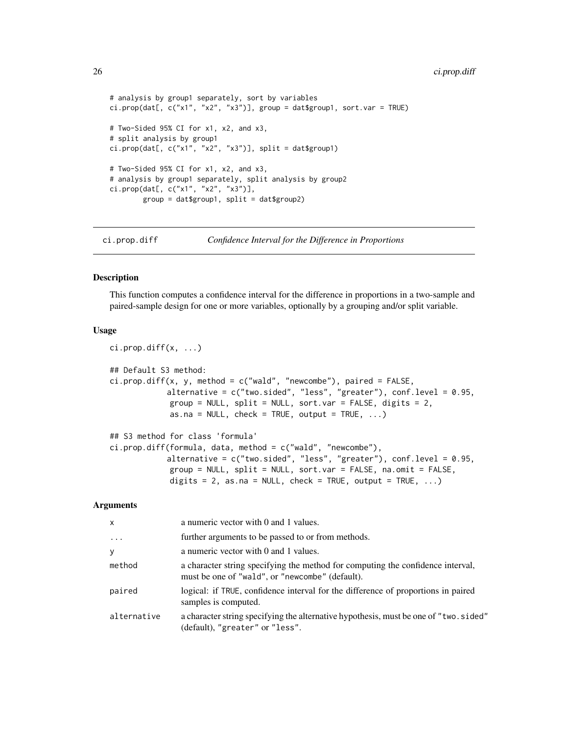```
# analysis by group1 separately, sort by variables
ci.prop(dat[, c("x1", "x2", "x3")], group = dat$group1, sort.var = TRUE)
# Two-Sided 95% CI for x1, x2, and x3,
# split analysis by group1
ci.prop(dat[, c("x1", "x2", "x3")], split = dat$group1)
# Two-Sided 95% CI for x1, x2, and x3,
# analysis by group1 separately, split analysis by group2
ci.prop(dat[, c("x1", "x2", "x3")],
        group = dat$group1, split = dat$group2)
```
<span id="page-25-1"></span>ci.prop.diff *Confidence Interval for the Difference in Proportions*

#### Description

This function computes a confidence interval for the difference in proportions in a two-sample and paired-sample design for one or more variables, optionally by a grouping and/or split variable.

# Usage

```
ci.prop.diff(x, ...)
## Default S3 method:
ci.prop.diff(x, y, method = c("wald", "newcombe"), paired = FALSE,alternative = c("two.sided", "less", "greater"), conf.level = 0.95,
             group = NULL, split = NULL, sort.var = FALSE, digits = 2,
             as.na = NULL, check = TRUE, output = TRUE, \ldots)
## S3 method for class 'formula'
ci.prop.diff(formula, data, method = c("wald", "newcombe"),
            alternative = c("two-sided", "less", "greater"), conf. level = 0.95,group = NULL, split = NULL, sort.var = FALSE, na.omit = FALSE,
             digits = 2, as.na = NULL, check = TRUE, output = TRUE, \ldots)
```

| $\mathsf{x}$ | a numeric vector with 0 and 1 values.                                                                                              |
|--------------|------------------------------------------------------------------------------------------------------------------------------------|
| $\ddots$     | further arguments to be passed to or from methods.                                                                                 |
| У            | a numeric vector with 0 and 1 values.                                                                                              |
| method       | a character string specifying the method for computing the confidence interval,<br>must be one of "wald", or "newcombe" (default). |
| paired       | logical: if TRUE, confidence interval for the difference of proportions in paired<br>samples is computed.                          |
| alternative  | a character string specifying the alternative hypothesis, must be one of "two. sided"<br>(default), "greater" or "less".           |

<span id="page-25-0"></span>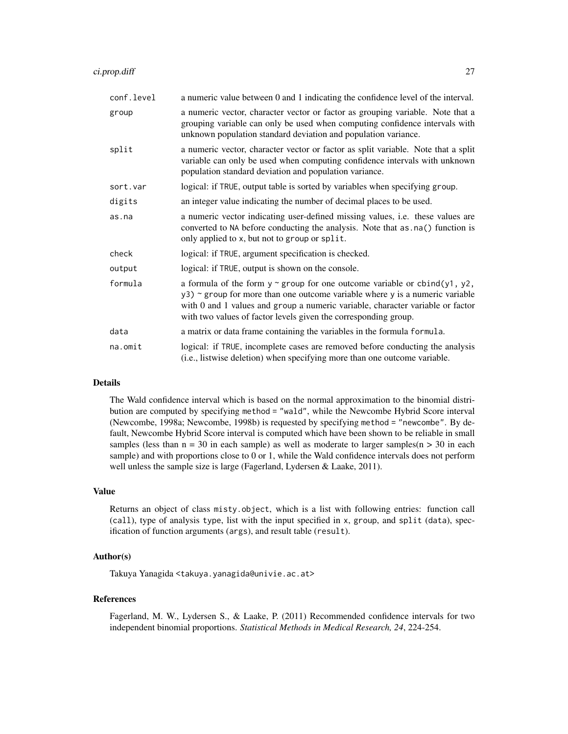| conf.level | a numeric value between 0 and 1 indicating the confidence level of the interval.                                                                                                                                                                                                                                       |
|------------|------------------------------------------------------------------------------------------------------------------------------------------------------------------------------------------------------------------------------------------------------------------------------------------------------------------------|
| group      | a numeric vector, character vector or factor as grouping variable. Note that a<br>grouping variable can only be used when computing confidence intervals with<br>unknown population standard deviation and population variance.                                                                                        |
| split      | a numeric vector, character vector or factor as split variable. Note that a split<br>variable can only be used when computing confidence intervals with unknown<br>population standard deviation and population variance.                                                                                              |
| sort.var   | logical: if TRUE, output table is sorted by variables when specifying group.                                                                                                                                                                                                                                           |
| digits     | an integer value indicating the number of decimal places to be used.                                                                                                                                                                                                                                                   |
| as.na      | a numeric vector indicating user-defined missing values, i.e. these values are<br>converted to NA before conducting the analysis. Note that as . na() function is<br>only applied to x, but not to group or split.                                                                                                     |
| check      | logical: if TRUE, argument specification is checked.                                                                                                                                                                                                                                                                   |
| output     | logical: if TRUE, output is shown on the console.                                                                                                                                                                                                                                                                      |
| formula    | a formula of the form $y \sim$ group for one outcome variable or cbind(y1, y2,<br>$y3$ ) ~ group for more than one outcome variable where y is a numeric variable<br>with 0 and 1 values and group a numeric variable, character variable or factor<br>with two values of factor levels given the corresponding group. |
| data       | a matrix or data frame containing the variables in the formula formula.                                                                                                                                                                                                                                                |
| na.omit    | logical: if TRUE, incomplete cases are removed before conducting the analysis<br>(i.e., listwise deletion) when specifying more than one outcome variable.                                                                                                                                                             |

# Details

The Wald confidence interval which is based on the normal approximation to the binomial distribution are computed by specifying method = "wald", while the Newcombe Hybrid Score interval (Newcombe, 1998a; Newcombe, 1998b) is requested by specifying method = "newcombe". By default, Newcombe Hybrid Score interval is computed which have been shown to be reliable in small samples (less than  $n = 30$  in each sample) as well as moderate to larger samples( $n > 30$  in each sample) and with proportions close to 0 or 1, while the Wald confidence intervals does not perform well unless the sample size is large (Fagerland, Lydersen & Laake, 2011).

# Value

Returns an object of class misty.object, which is a list with following entries: function call (call), type of analysis type, list with the input specified in x, group, and split (data), specification of function arguments (args), and result table (result).

# Author(s)

Takuya Yanagida <takuya.yanagida@univie.ac.at>

# References

Fagerland, M. W., Lydersen S., & Laake, P. (2011) Recommended confidence intervals for two independent binomial proportions. *Statistical Methods in Medical Research, 24*, 224-254.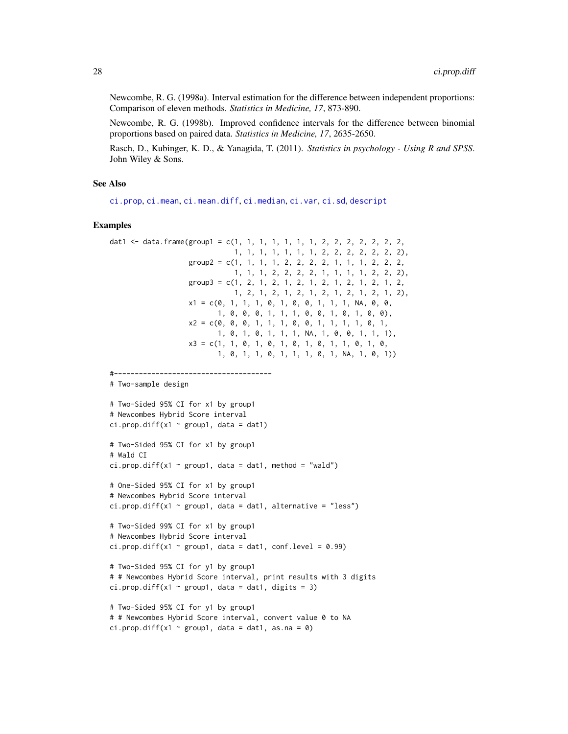Newcombe, R. G. (1998a). Interval estimation for the difference between independent proportions: Comparison of eleven methods. *Statistics in Medicine, 17*, 873-890.

Newcombe, R. G. (1998b). Improved confidence intervals for the difference between binomial proportions based on paired data. *Statistics in Medicine, 17*, 2635-2650.

Rasch, D., Kubinger, K. D., & Yanagida, T. (2011). *Statistics in psychology - Using R and SPSS*. John Wiley & Sons.

# See Also

[ci.prop](#page-22-1), [ci.mean](#page-13-1), [ci.mean.diff](#page-15-1), [ci.median](#page-20-1), [ci.var](#page-31-1), [ci.sd](#page-29-1), [descript](#page-56-1)

```
dat1 \le data.frame(group1 = c(1, 1, 1, 1, 1, 1, 1, 2, 2, 2, 2, 2, 2, 2, 2,
                             1, 1, 1, 1, 1, 1, 1, 2, 2, 2, 2, 2, 2, 2),
                   group2 = c(1, 1, 1, 1, 2, 2, 2, 2, 1, 1, 1, 2, 2, 2,
                             1, 1, 1, 2, 2, 2, 2, 1, 1, 1, 1, 2, 2, 2),
                   group3 = c(1, 2, 1, 2, 1, 2, 1, 2, 1, 2, 1, 2, 1, 2,1, 2, 1, 2, 1, 2, 1, 2, 1, 2, 1, 2, 1, 2),
                   x1 = c(0, 1, 1, 1, 0, 1, 0, 0, 1, 1, 1, NA, 0, 0,
                          1, 0, 0, 0, 1, 1, 1, 0, 0, 1, 0, 1, 0, 0),
                   x2 = c(0, 0, 0, 1, 1, 1, 0, 0, 1, 1, 1, 0, 1,1, 0, 1, 0, 1, 1, 1, NA, 1, 0, 0, 1, 1, 1),
                   x3 = c(1, 1, 0, 1, 0, 1, 0, 1, 0, 1, 0, 1, 1, 0, 1, 0,1, 0, 1, 1, 0, 1, 1, 1, 0, 1, NA, 1, 0, 1))
#--------------------------------------
# Two-sample design
# Two-Sided 95% CI for x1 by group1
```

```
# Newcombes Hybrid Score interval
ci.prop.diff(x1 \sim group1, data = dat1)
# Two-Sided 95% CI for x1 by group1
# Wald CI
ci.prop.diff(x1 \sim group1, data = dat1, method = "wald")
# One-Sided 95% CI for x1 by group1
# Newcombes Hybrid Score interval
ci.prop.diff(x1 \sim group1, data = dat1, alternative = "less")
# Two-Sided 99% CI for x1 by group1
# Newcombes Hybrid Score interval
ci.prop.diff(x1 \sim group1, data = dat1, conf.level = 0.99)
# Two-Sided 95% CI for y1 by group1
```

```
# # Newcombes Hybrid Score interval, print results with 3 digits
ci.prop.diff(x1 \sim group1, data = dat1, digits = 3)
```

```
# Two-Sided 95% CI for y1 by group1
# # Newcombes Hybrid Score interval, convert value 0 to NA
ci.prop.diff(x1 \sim group1, data = dat1, as.na = 0)
```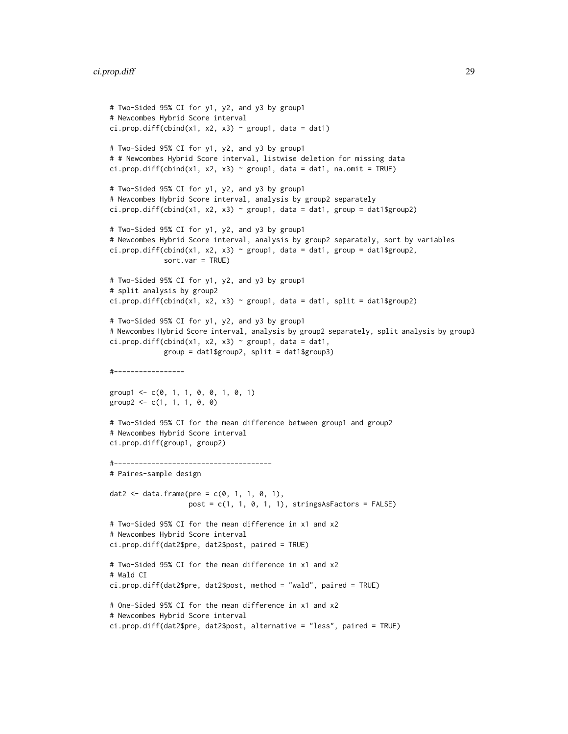# ci.prop.diff 29

```
# Two-Sided 95% CI for y1, y2, and y3 by group1
# Newcombes Hybrid Score interval
ci.prop.diff(cbind(x1, x2, x3) \sim group1, data = dat1)
# Two-Sided 95% CI for y1, y2, and y3 by group1
# # Newcombes Hybrid Score interval, listwise deletion for missing data
ci.prop.diff(cbind(x1, x2, x3) \sim group1, data = dat1, na.omit = TRUE)
# Two-Sided 95% CI for y1, y2, and y3 by group1
# Newcombes Hybrid Score interval, analysis by group2 separately
ci.prop.diff(cbind(x1, x2, x3) \sim group1, data = dat1, group = dat1$group2)
# Two-Sided 95% CI for y1, y2, and y3 by group1
# Newcombes Hybrid Score interval, analysis by group2 separately, sort by variables
ci.prop.diff(cbind(x1, x2, x3) \sim group1, data = dat1, group = dat1$group2,
             sort.var = TRUE)
# Two-Sided 95% CI for y1, y2, and y3 by group1
# split analysis by group2
ci.prop.diff(cbind(x1, x2, x3) \sim group1, data = dat1, split = dat1$group2)
# Two-Sided 95% CI for y1, y2, and y3 by group1
# Newcombes Hybrid Score interval, analysis by group2 separately, split analysis by group3
ci.prop.diff(cbind(x1, x2, x3) \sim group1, data = dat1,
             group = dat1$group2, split = dat1$group3)
#-----------------
group1 <- c(0, 1, 1, 0, 0, 1, 0, 1)
group2 < -c(1, 1, 1, 0, 0)# Two-Sided 95% CI for the mean difference between group1 and group2
# Newcombes Hybrid Score interval
ci.prop.diff(group1, group2)
#--------------------------------------
# Paires-sample design
dat2 <- data.frame(pre = c(0, 1, 1, 0, 1),
                   post = c(1, 1, 0, 1, 1), stringsAsFactors = FALSE)
# Two-Sided 95% CI for the mean difference in x1 and x2
# Newcombes Hybrid Score interval
ci.prop.diff(dat2$pre, dat2$post, paired = TRUE)
# Two-Sided 95% CI for the mean difference in x1 and x2
# Wald CI
ci.prop.diff(dat2$pre, dat2$post, method = "wald", paired = TRUE)
# One-Sided 95% CI for the mean difference in x1 and x2
# Newcombes Hybrid Score interval
ci.prop.diff(dat2$pre, dat2$post, alternative = "less", paired = TRUE)
```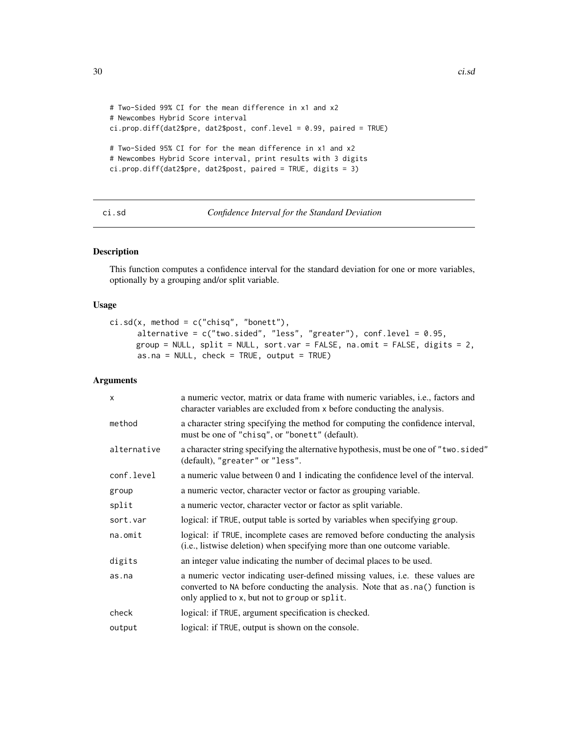```
# Two-Sided 99% CI for the mean difference in x1 and x2
# Newcombes Hybrid Score interval
ci.prop.diff(dat2$pre, dat2$post, conf.level = 0.99, paired = TRUE)
# Two-Sided 95% CI for for the mean difference in x1 and x2
# Newcombes Hybrid Score interval, print results with 3 digits
ci.prop.diff(dat2$pre, dat2$post, paired = TRUE, digits = 3)
```
<span id="page-29-1"></span>

# ci.sd *Confidence Interval for the Standard Deviation*

# Description

This function computes a confidence interval for the standard deviation for one or more variables, optionally by a grouping and/or split variable.

# Usage

```
ci.sd(x, method = c("chisq", "bonett"),alternative = c("two.sided", "less", "greater"), conf.level = 0.95,
     group = NULL, split = NULL, sort.var = FALSE, na.omit = FALSE, digits = 2,
      as.na = NULL, check = TRUE, output = TRUE)
```

| $\mathsf{x}$ | a numeric vector, matrix or data frame with numeric variables, i.e., factors and<br>character variables are excluded from x before conducting the analysis.                                                        |
|--------------|--------------------------------------------------------------------------------------------------------------------------------------------------------------------------------------------------------------------|
| method       | a character string specifying the method for computing the confidence interval,<br>must be one of "chisq", or "bonett" (default).                                                                                  |
| alternative  | a character string specifying the alternative hypothesis, must be one of "two.sided"<br>(default), "greater" or "less".                                                                                            |
| conf.level   | a numeric value between 0 and 1 indicating the confidence level of the interval.                                                                                                                                   |
| group        | a numeric vector, character vector or factor as grouping variable.                                                                                                                                                 |
| split        | a numeric vector, character vector or factor as split variable.                                                                                                                                                    |
| sort.var     | logical: if TRUE, output table is sorted by variables when specifying group.                                                                                                                                       |
| na.omit      | logical: if TRUE, incomplete cases are removed before conducting the analysis<br>(i.e., listwise deletion) when specifying more than one outcome variable.                                                         |
| digits       | an integer value indicating the number of decimal places to be used.                                                                                                                                               |
| as.na        | a numeric vector indicating user-defined missing values, i.e. these values are<br>converted to NA before conducting the analysis. Note that as . na() function is<br>only applied to x, but not to group or split. |
| check        | logical: if TRUE, argument specification is checked.                                                                                                                                                               |
| output       | logical: if TRUE, output is shown on the console.                                                                                                                                                                  |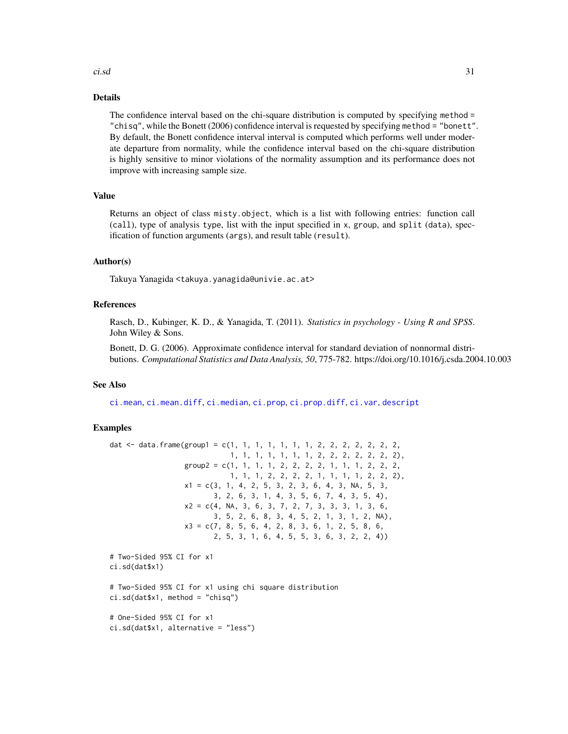#### ci.sd 31

# Details

The confidence interval based on the chi-square distribution is computed by specifying method = "chisq", while the Bonett (2006) confidence interval is requested by specifying method = "bonett". By default, the Bonett confidence interval interval is computed which performs well under moderate departure from normality, while the confidence interval based on the chi-square distribution is highly sensitive to minor violations of the normality assumption and its performance does not improve with increasing sample size.

# Value

Returns an object of class misty.object, which is a list with following entries: function call (call), type of analysis type, list with the input specified in x, group, and split (data), specification of function arguments (args), and result table (result).

# Author(s)

Takuya Yanagida <takuya.yanagida@univie.ac.at>

# References

Rasch, D., Kubinger, K. D., & Yanagida, T. (2011). *Statistics in psychology - Using R and SPSS*. John Wiley & Sons.

Bonett, D. G. (2006). Approximate confidence interval for standard deviation of nonnormal distributions. *Computational Statistics and Data Analysis, 50*, 775-782. https://doi.org/10.1016/j.csda.2004.10.003

# See Also

[ci.mean](#page-13-1), [ci.mean.diff](#page-15-1), [ci.median](#page-20-1), [ci.prop](#page-22-1), [ci.prop.diff](#page-25-1), [ci.var](#page-31-1), [descript](#page-56-1)

```
dat \le data.frame(group1 = c(1, 1, 1, 1, 1, 1, 1, 2, 2, 2, 2, 2, 2, 2,
                             1, 1, 1, 1, 1, 1, 1, 2, 2, 2, 2, 2, 2, 2),
                  group2 = c(1, 1, 1, 1, 2, 2, 2, 1, 1, 1, 2, 2, 2, 2, 2)1, 1, 1, 2, 2, 2, 2, 1, 1, 1, 1, 2, 2, 2),
                  x1 = c(3, 1, 4, 2, 5, 3, 2, 3, 6, 4, 3, NA, 5, 3,3, 2, 6, 3, 1, 4, 3, 5, 6, 7, 4, 3, 5, 4),
                  x2 = c(4, NA, 3, 6, 3, 7, 2, 7, 3, 3, 3, 1, 3, 6,3, 5, 2, 6, 8, 3, 4, 5, 2, 1, 3, 1, 2, NA),
                  x3 = c(7, 8, 5, 6, 4, 2, 8, 3, 6, 1, 2, 5, 8, 6,2, 5, 3, 1, 6, 4, 5, 5, 3, 6, 3, 2, 2, 4))
# Two-Sided 95% CI for x1
ci.sd(dat$x1)
# Two-Sided 95% CI for x1 using chi square distribution
ci.sd(data$x1, method = "chisq")# One-Sided 95% CI for x1
ci.sd(dat$x1, alternative = "less")
```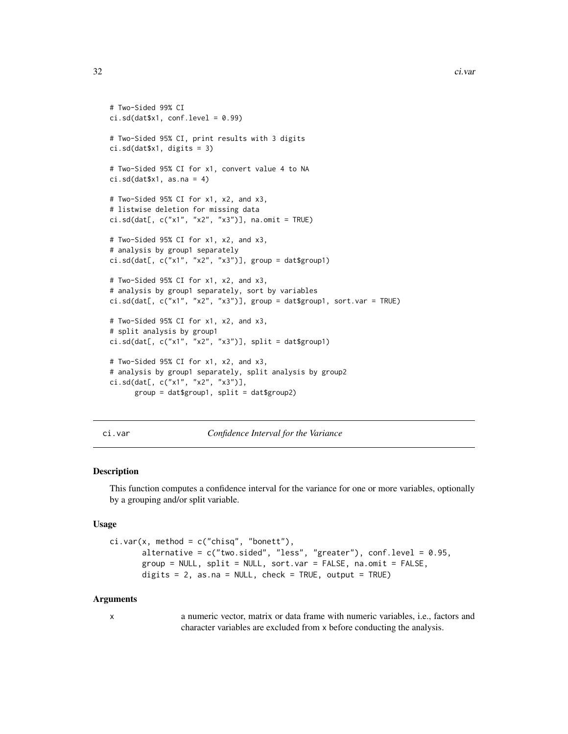```
# Two-Sided 99% CI
ci.sd(data$x1, conf.level = <math>0.99</math>)# Two-Sided 95% CI, print results with 3 digits
ci.sd(dat$x1, digits = 3)
# Two-Sided 95% CI for x1, convert value 4 to NA
ci.sd(data$x1, as.na = 4)# Two-Sided 95% CI for x1, x2, and x3,
# listwise deletion for missing data
ci.sd(dat[, c("x1", "x2", "x3")], na.omit = TRUE)
# Two-Sided 95% CI for x1, x2, and x3,
# analysis by group1 separately
ci.sd(data[, c("x1", "x2", "x3")], group = dat$group1)# Two-Sided 95% CI for x1, x2, and x3,
# analysis by group1 separately, sort by variables
ci.sd(data[, c("x1", "x2", "x3")], group = dat$group1, sort.var = TRUE)# Two-Sided 95% CI for x1, x2, and x3,
# split analysis by group1
ci.sd(dat[, c("x1", "x2", "x3")], split = dat$group1)
# Two-Sided 95% CI for x1, x2, and x3,
# analysis by group1 separately, split analysis by group2
ci.sd(dat[, c("x1", "x2", "x3")],
      group = dat$group1, split = dat$group2)
```
<span id="page-31-1"></span>ci.var *Confidence Interval for the Variance*

#### Description

This function computes a confidence interval for the variance for one or more variables, optionally by a grouping and/or split variable.

# Usage

```
ci.var(x, method = c("chisq", "bonett"),alternative = c("two.sided", "less", "greater"), conf.level = 0.95,group = NULL, split = NULL, sort.var = FALSE, na.omit = FALSE,
       digits = 2, as.na = NULL, check = TRUE, output = TRUE)
```
#### Arguments

x a numeric vector, matrix or data frame with numeric variables, i.e., factors and character variables are excluded from x before conducting the analysis.

<span id="page-31-0"></span>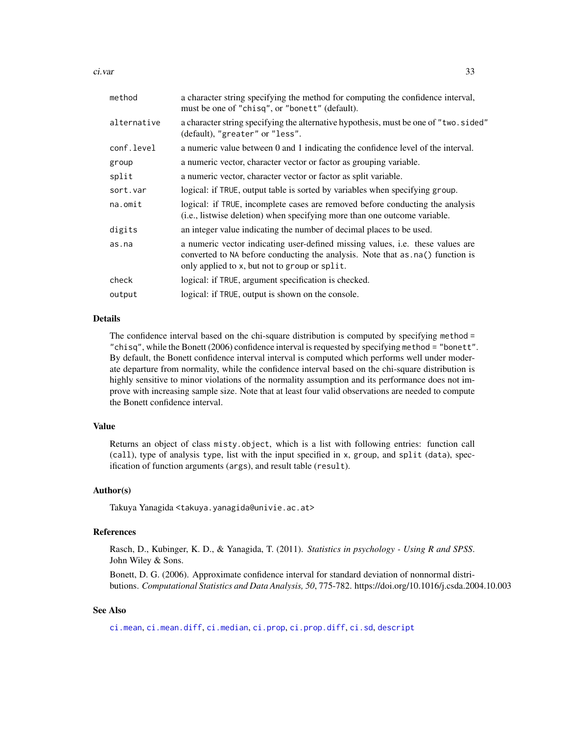ci.var 33

| method      | a character string specifying the method for computing the confidence interval,<br>must be one of "chisq", or "bonett" (default).                                                                                  |
|-------------|--------------------------------------------------------------------------------------------------------------------------------------------------------------------------------------------------------------------|
| alternative | a character string specifying the alternative hypothesis, must be one of "two.sided"<br>(default), "greater" or "less".                                                                                            |
| conf.level  | a numeric value between 0 and 1 indicating the confidence level of the interval.                                                                                                                                   |
| group       | a numeric vector, character vector or factor as grouping variable.                                                                                                                                                 |
| split       | a numeric vector, character vector or factor as split variable.                                                                                                                                                    |
| sort.var    | logical: if TRUE, output table is sorted by variables when specifying group.                                                                                                                                       |
| $na.$ omit  | logical: if TRUE, incomplete cases are removed before conducting the analysis<br>(i.e., listwise deletion) when specifying more than one outcome variable.                                                         |
| digits      | an integer value indicating the number of decimal places to be used.                                                                                                                                               |
| as.na       | a numeric vector indicating user-defined missing values, i.e. these values are<br>converted to NA before conducting the analysis. Note that as . na() function is<br>only applied to x, but not to group or split. |
| check       | logical: if TRUE, argument specification is checked.                                                                                                                                                               |
| output      | logical: if TRUE, output is shown on the console.                                                                                                                                                                  |
|             |                                                                                                                                                                                                                    |

# Details

The confidence interval based on the chi-square distribution is computed by specifying method = "chisq", while the Bonett (2006) confidence interval is requested by specifying method = "bonett". By default, the Bonett confidence interval interval is computed which performs well under moderate departure from normality, while the confidence interval based on the chi-square distribution is highly sensitive to minor violations of the normality assumption and its performance does not improve with increasing sample size. Note that at least four valid observations are needed to compute the Bonett confidence interval.

# Value

Returns an object of class misty.object, which is a list with following entries: function call (call), type of analysis type, list with the input specified in x, group, and split (data), specification of function arguments (args), and result table (result).

# Author(s)

Takuya Yanagida <takuya.yanagida@univie.ac.at>

#### References

Rasch, D., Kubinger, K. D., & Yanagida, T. (2011). *Statistics in psychology - Using R and SPSS*. John Wiley & Sons.

Bonett, D. G. (2006). Approximate confidence interval for standard deviation of nonnormal distributions. *Computational Statistics and Data Analysis, 50*, 775-782. https://doi.org/10.1016/j.csda.2004.10.003

# See Also

[ci.mean](#page-13-1), [ci.mean.diff](#page-15-1), [ci.median](#page-20-1), [ci.prop](#page-22-1), [ci.prop.diff](#page-25-1), [ci.sd](#page-29-1), [descript](#page-56-1)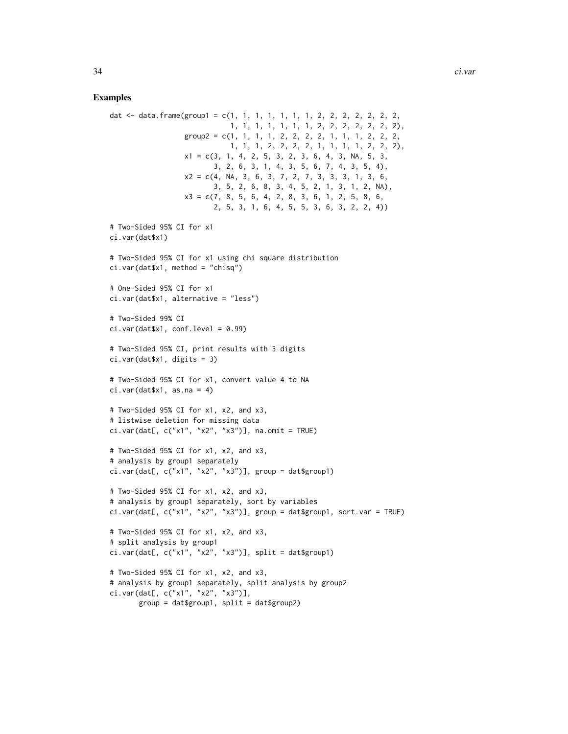```
dat <- data.frame(group1 = c(1, 1, 1, 1, 1, 1, 1, 2, 2, 2, 2, 2, 2, 2,
                            1, 1, 1, 1, 1, 1, 1, 2, 2, 2, 2, 2, 2, 2),
                  group2 = c(1, 1, 1, 1, 2, 2, 2, 2, 1, 1, 1, 2, 2, 2, 2, 2)1, 1, 1, 2, 2, 2, 2, 1, 1, 1, 1, 2, 2, 2),
                  x1 = c(3, 1, 4, 2, 5, 3, 2, 3, 6, 4, 3, NA, 5, 3,3, 2, 6, 3, 1, 4, 3, 5, 6, 7, 4, 3, 5, 4),
                  x2 = c(4, NA, 3, 6, 3, 7, 2, 7, 3, 3, 3, 1, 3, 6,3, 5, 2, 6, 8, 3, 4, 5, 2, 1, 3, 1, 2, NA),
                  x3 = c(7, 8, 5, 6, 4, 2, 8, 3, 6, 1, 2, 5, 8, 6,
                         2, 5, 3, 1, 6, 4, 5, 5, 3, 6, 3, 2, 2, 4))
# Two-Sided 95% CI for x1
ci.var(dat$x1)
# Two-Sided 95% CI for x1 using chi square distribution
ci.var(dat$x1, method = "chisq")
# One-Sided 95% CI for x1
ci.var(dat$x1, alternative = "less")
# Two-Sided 99% CI
ci.var(data$x1, conf.level = <math>0.99</math>)# Two-Sided 95% CI, print results with 3 digits
ci.var(dat$x1, digits = 3)
# Two-Sided 95% CI for x1, convert value 4 to NA
ci.var(data$x1, as.na = 4)# Two-Sided 95% CI for x1, x2, and x3,
# listwise deletion for missing data
ci.var(dat[, c("x1", "x2", "x3")], na.omit = TRUE)
# Two-Sided 95% CI for x1, x2, and x3,
# analysis by group1 separately
ci.var(dat[, c("x1", "x2", "x3")], group = dat$group1)
# Two-Sided 95% CI for x1, x2, and x3,
# analysis by group1 separately, sort by variables
ci.var(data[, c("x1", "x2", "x3")], group = data5group, sort.var = TRUE)# Two-Sided 95% CI for x1, x2, and x3,
# split analysis by group1
ci.var(dat[, c("x1", "x2", "x3")], split = dat$group1)
# Two-Sided 95% CI for x1, x2, and x3,
# analysis by group1 separately, split analysis by group2
ci.var(dat[, c("x1", "x2", "x3")],
       group = dat$group1, split = dat$group2)
```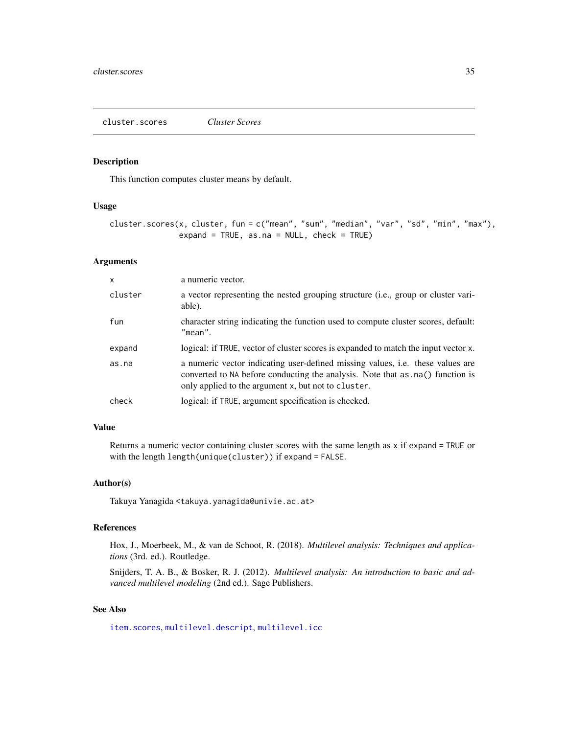# <span id="page-34-1"></span><span id="page-34-0"></span>Description

This function computes cluster means by default.

# Usage

```
cluster.scores(x, cluster, fun = c("mean", "sum", "median", "var", "sd", "min", "max"),
               expand = TRUE, as.na = NULL, check = TRUE)
```
#### Arguments

| $\mathsf{x}$ | a numeric vector.                                                                                                                                                                                                               |
|--------------|---------------------------------------------------------------------------------------------------------------------------------------------------------------------------------------------------------------------------------|
| cluster      | a vector representing the nested grouping structure (i.e., group or cluster vari-<br>able).                                                                                                                                     |
| fun          | character string indicating the function used to compute cluster scores, default:<br>$"$ mean".                                                                                                                                 |
| expand       | logical: if TRUE, vector of cluster scores is expanded to match the input vector x.                                                                                                                                             |
| as.na        | a numeric vector indicating user-defined missing values, <i>i.e.</i> these values are<br>converted to NA before conducting the analysis. Note that as . na() function is<br>only applied to the argument x, but not to cluster. |
| check        | logical: if TRUE, argument specification is checked.                                                                                                                                                                            |

# Value

Returns a numeric vector containing cluster scores with the same length as x if expand = TRUE or with the length length(unique(cluster)) if expand = FALSE.

#### Author(s)

Takuya Yanagida <takuya.yanagida@univie.ac.at>

# References

Hox, J., Moerbeek, M., & van de Schoot, R. (2018). *Multilevel analysis: Techniques and applications* (3rd. ed.). Routledge.

Snijders, T. A. B., & Bosker, R. J. (2012). *Multilevel analysis: An introduction to basic and advanced multilevel modeling* (2nd ed.). Sage Publishers.

# See Also

[item.scores](#page-90-1), [multilevel.descript](#page-97-1), [multilevel.icc](#page-99-1)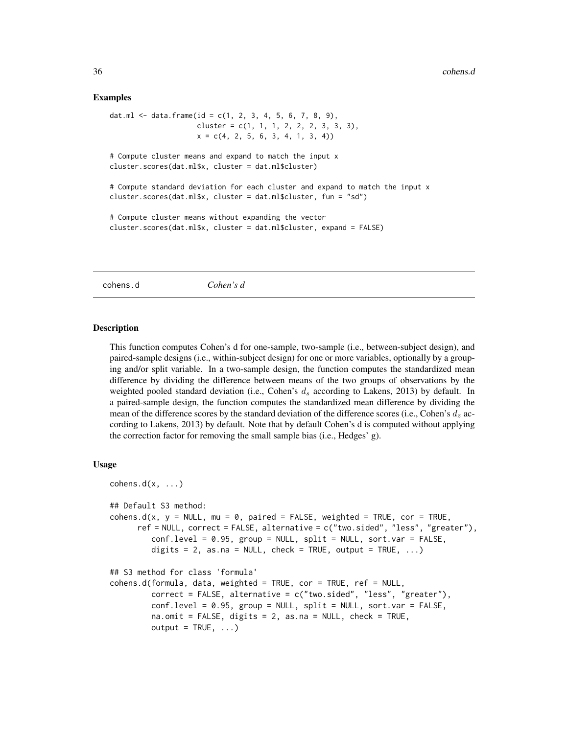# Examples

```
dat.ml <- data.frame(id = c(1, 2, 3, 4, 5, 6, 7, 8, 9),
                    cluster = c(1, 1, 1, 2, 2, 2, 3, 3, 3),
                    x = c(4, 2, 5, 6, 3, 4, 1, 3, 4)# Compute cluster means and expand to match the input x
cluster.scores(dat.ml$x, cluster = dat.ml$cluster)
# Compute standard deviation for each cluster and expand to match the input x
cluster.scores(dat.ml$x, cluster = dat.ml$cluster, fun = "sd")
# Compute cluster means without expanding the vector
cluster.scores(dat.ml$x, cluster = dat.ml$cluster, expand = FALSE)
```
<span id="page-35-1"></span>cohens.d *Cohen's d*

#### **Description**

This function computes Cohen's d for one-sample, two-sample (i.e., between-subject design), and paired-sample designs (i.e., within-subject design) for one or more variables, optionally by a grouping and/or split variable. In a two-sample design, the function computes the standardized mean difference by dividing the difference between means of the two groups of observations by the weighted pooled standard deviation (i.e., Cohen's  $d_s$  according to Lakens, 2013) by default. In a paired-sample design, the function computes the standardized mean difference by dividing the mean of the difference scores by the standard deviation of the difference scores (i.e., Cohen's  $d_z$  according to Lakens, 2013) by default. Note that by default Cohen's d is computed without applying the correction factor for removing the small sample bias (i.e., Hedges' g).

#### Usage

```
cohens.d(x, \ldots)## Default S3 method:
cohens.d(x, y = NULL, mu = 0, paired = FALSE, weighted = TRUE, cor = TRUE,
      ref = NULL, correct = FALSE, alternative = c("two.sided", "less", "greater"),
         conf.level = 0.95, group = NULL, split = NULL, sort.var = FALSE,
         digits = 2, as.na = NULL, check = TRUE, output = TRUE, \ldots)
## S3 method for class 'formula'
cohens.d(formula, data, weighted = TRUE, cor = TRUE, ref = NULL,
         correct = FALSE, alternative = c("two-sided", "less", "greater"),conf.level = 0.95, group = NULL, split = NULL, sort.var = FALSE,
         na.omit = FALSE, digits = 2, as.na = NULL, check = TRUE,
         output = TRUE, ...
```
<span id="page-35-0"></span>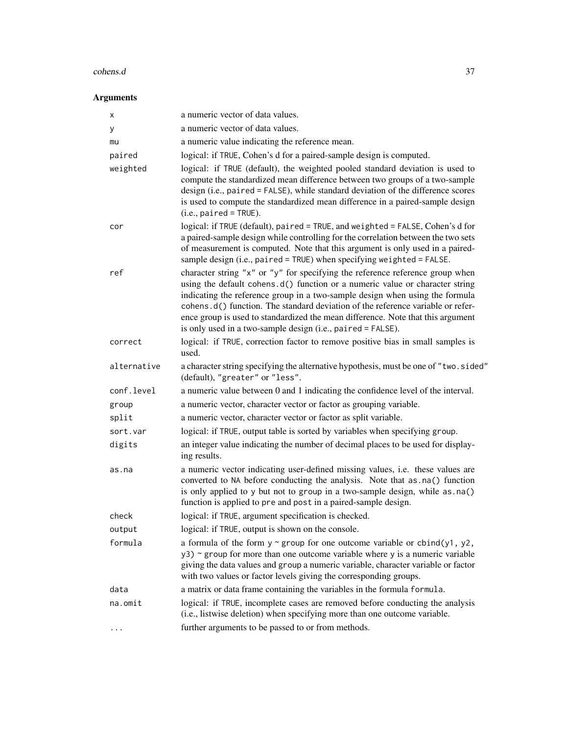#### cohens.d 37

| х           | a numeric vector of data values.                                                                                                                                                                                                                                                                                                                                                                                                                                                   |
|-------------|------------------------------------------------------------------------------------------------------------------------------------------------------------------------------------------------------------------------------------------------------------------------------------------------------------------------------------------------------------------------------------------------------------------------------------------------------------------------------------|
| у           | a numeric vector of data values.                                                                                                                                                                                                                                                                                                                                                                                                                                                   |
| mu          | a numeric value indicating the reference mean.                                                                                                                                                                                                                                                                                                                                                                                                                                     |
| paired      | logical: if TRUE, Cohen's d for a paired-sample design is computed.                                                                                                                                                                                                                                                                                                                                                                                                                |
| weighted    | logical: if TRUE (default), the weighted pooled standard deviation is used to<br>compute the standardized mean difference between two groups of a two-sample<br>design (i.e., paired = FALSE), while standard deviation of the difference scores<br>is used to compute the standardized mean difference in a paired-sample design<br>$(i.e., paired = TRUE).$                                                                                                                      |
| cor         | logical: if TRUE (default), paired = TRUE, and weighted = FALSE, Cohen's d for<br>a paired-sample design while controlling for the correlation between the two sets<br>of measurement is computed. Note that this argument is only used in a paired-<br>sample design (i.e., paired = $TRUE$ ) when specifying weighted = $FALSE.$                                                                                                                                                 |
| ref         | character string "x" or "y" for specifying the reference reference group when<br>using the default cohens.d() function or a numeric value or character string<br>indicating the reference group in a two-sample design when using the formula<br>cohens.d() function. The standard deviation of the reference variable or refer-<br>ence group is used to standardized the mean difference. Note that this argument<br>is only used in a two-sample design (i.e., paired = FALSE). |
| correct     | logical: if TRUE, correction factor to remove positive bias in small samples is<br>used.                                                                                                                                                                                                                                                                                                                                                                                           |
| alternative | a character string specifying the alternative hypothesis, must be one of "two.sided"<br>(default), "greater" or "less".                                                                                                                                                                                                                                                                                                                                                            |
| conf.level  | a numeric value between 0 and 1 indicating the confidence level of the interval.                                                                                                                                                                                                                                                                                                                                                                                                   |
| group       | a numeric vector, character vector or factor as grouping variable.                                                                                                                                                                                                                                                                                                                                                                                                                 |
| split       | a numeric vector, character vector or factor as split variable.                                                                                                                                                                                                                                                                                                                                                                                                                    |
| sort.var    | logical: if TRUE, output table is sorted by variables when specifying group.                                                                                                                                                                                                                                                                                                                                                                                                       |
| digits      | an integer value indicating the number of decimal places to be used for display-<br>ing results.                                                                                                                                                                                                                                                                                                                                                                                   |
| as.na       | a numeric vector indicating user-defined missing values, i.e. these values are<br>converted to NA before conducting the analysis. Note that as .na() function<br>is only applied to y but not to group in a two-sample design, while as . na()<br>function is applied to pre and post in a paired-sample design.                                                                                                                                                                   |
| check       | logical: if TRUE, argument specification is checked.                                                                                                                                                                                                                                                                                                                                                                                                                               |
| output      | logical: if TRUE, output is shown on the console.                                                                                                                                                                                                                                                                                                                                                                                                                                  |
| formula     | a formula of the form $y \sim$ group for one outcome variable or cbind(y1, y2,<br>$y3$ ) ~ group for more than one outcome variable where y is a numeric variable<br>giving the data values and group a numeric variable, character variable or factor<br>with two values or factor levels giving the corresponding groups.                                                                                                                                                        |
| data        | a matrix or data frame containing the variables in the formula formula.                                                                                                                                                                                                                                                                                                                                                                                                            |
| na.omit     | logical: if TRUE, incomplete cases are removed before conducting the analysis<br>(i.e., listwise deletion) when specifying more than one outcome variable.                                                                                                                                                                                                                                                                                                                         |
|             | further arguments to be passed to or from methods.                                                                                                                                                                                                                                                                                                                                                                                                                                 |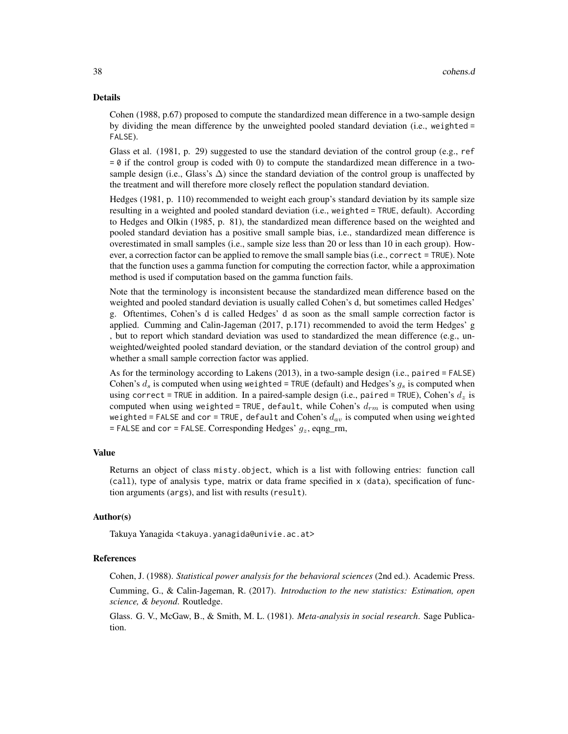### Details

Cohen (1988, p.67) proposed to compute the standardized mean difference in a two-sample design by dividing the mean difference by the unweighted pooled standard deviation (i.e., weighted = FALSE).

Glass et al. (1981, p. 29) suggested to use the standard deviation of the control group (e.g., ref  $= 0$  if the control group is coded with 0) to compute the standardized mean difference in a twosample design (i.e., Glass's  $\Delta$ ) since the standard deviation of the control group is unaffected by the treatment and will therefore more closely reflect the population standard deviation.

Hedges (1981, p. 110) recommended to weight each group's standard deviation by its sample size resulting in a weighted and pooled standard deviation (i.e., weighted = TRUE, default). According to Hedges and Olkin (1985, p. 81), the standardized mean difference based on the weighted and pooled standard deviation has a positive small sample bias, i.e., standardized mean difference is overestimated in small samples (i.e., sample size less than 20 or less than 10 in each group). However, a correction factor can be applied to remove the small sample bias (i.e., correct = TRUE). Note that the function uses a gamma function for computing the correction factor, while a approximation method is used if computation based on the gamma function fails.

Note that the terminology is inconsistent because the standardized mean difference based on the weighted and pooled standard deviation is usually called Cohen's d, but sometimes called Hedges' g. Oftentimes, Cohen's d is called Hedges' d as soon as the small sample correction factor is applied. Cumming and Calin-Jageman (2017, p.171) recommended to avoid the term Hedges' g , but to report which standard deviation was used to standardized the mean difference (e.g., unweighted/weighted pooled standard deviation, or the standard deviation of the control group) and whether a small sample correction factor was applied.

As for the terminology according to Lakens (2013), in a two-sample design (i.e., paired = FALSE) Cohen's  $d_s$  is computed when using weighted = TRUE (default) and Hedges's  $g_s$  is computed when using correct = TRUE in addition. In a paired-sample design (i.e., paired = TRUE), Cohen's  $d_z$  is computed when using weighted = TRUE, default, while Cohen's  $d_{rm}$  is computed when using weighted = FALSE and cor = TRUE, default and Cohen's  $d_{av}$  is computed when using weighted = FALSE and cor = FALSE. Corresponding Hedges'  $g_z$ , eqng\_rm,

### Value

Returns an object of class misty.object, which is a list with following entries: function call (call), type of analysis type, matrix or data frame specified in x (data), specification of function arguments (args), and list with results (result).

### Author(s)

Takuya Yanagida <takuya.yanagida@univie.ac.at>

#### References

Cohen, J. (1988). *Statistical power analysis for the behavioral sciences* (2nd ed.). Academic Press.

Cumming, G., & Calin-Jageman, R. (2017). *Introduction to the new statistics: Estimation, open science, & beyond*. Routledge.

Glass. G. V., McGaw, B., & Smith, M. L. (1981). *Meta-analysis in social research*. Sage Publication.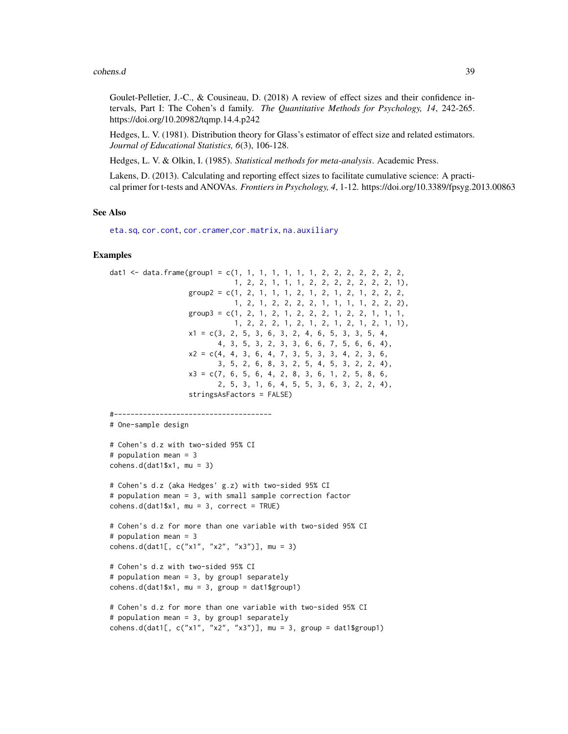#### cohens.d 39

Goulet-Pelletier, J.-C., & Cousineau, D. (2018) A review of effect sizes and their confidence intervals, Part I: The Cohen's d family. *The Quantitative Methods for Psychology, 14*, 242-265. https://doi.org/10.20982/tqmp.14.4.p242

Hedges, L. V. (1981). Distribution theory for Glass's estimator of effect size and related estimators. *Journal of Educational Statistics, 6*(3), 106-128.

Hedges, L. V. & Olkin, I. (1985). *Statistical methods for meta-analysis*. Academic Press.

Lakens, D. (2013). Calculating and reporting effect sizes to facilitate cumulative science: A practical primer for t-tests and ANOVAs. *Frontiers in Psychology, 4*, 1-12. https://doi.org/10.3389/fpsyg.2013.00863

### See Also

[eta.sq](#page-68-0), [cor.cont](#page-44-0), [cor.cramer](#page-46-0),[cor.matrix](#page-47-0), [na.auxiliary](#page-113-0)

```
dat1 <- data.frame(group1 = c(1, 1, 1, 1, 1, 1, 1, 2, 2, 2, 2, 2, 2, 2,
                             1, 2, 2, 1, 1, 1, 2, 2, 2, 2, 2, 2, 2, 1),
                   group2 = c(1, 2, 1, 1, 1, 2, 1, 2, 1, 2, 1, 2, 2, 2,1, 2, 1, 2, 2, 2, 2, 1, 1, 1, 1, 2, 2, 2),
                   group3 = c(1, 2, 1, 2, 1, 2, 2, 2, 1, 2, 2, 1, 1, 1, 1,1, 2, 2, 2, 1, 2, 1, 2, 1, 2, 1, 2, 1, 1),
                   x1 = c(3, 2, 5, 3, 6, 3, 2, 4, 6, 5, 3, 3, 5, 4,
                          4, 3, 5, 3, 2, 3, 3, 6, 6, 7, 5, 6, 6, 4),
                   x2 = c(4, 4, 3, 6, 4, 7, 3, 5, 3, 3, 4, 2, 3, 6,3, 5, 2, 6, 8, 3, 2, 5, 4, 5, 3, 2, 2, 4),
                   x3 = c(7, 6, 5, 6, 4, 2, 8, 3, 6, 1, 2, 5, 8, 6,2, 5, 3, 1, 6, 4, 5, 5, 3, 6, 3, 2, 2, 4),
                   stringsAsFactors = FALSE)
#--------------------------------------
# One-sample design
# Cohen's d.z with two-sided 95% CI
# population mean = 3
cohens.d(data1$x1, mu = 3)
# Cohen's d.z (aka Hedges' g.z) with two-sided 95% CI
# population mean = 3, with small sample correction factor
cohens.d(data1$x1, mu = 3, correct = TRUE)
# Cohen's d.z for more than one variable with two-sided 95% CI
# population mean = 3
cohens.d(dat1[, c("x1", "x2", "x3")], mu = 3)
# Cohen's d.z with two-sided 95% CI
# population mean = 3, by group1 separately
cohens.d(dat1$x1, mu = 3, group = dat1$group1)
# Cohen's d.z for more than one variable with two-sided 95% CI
# population mean = 3, by group1 separately
cohens.d(dat1[, c("x1", "x2", "x3")], mu = 3, group = dat1$group1)
```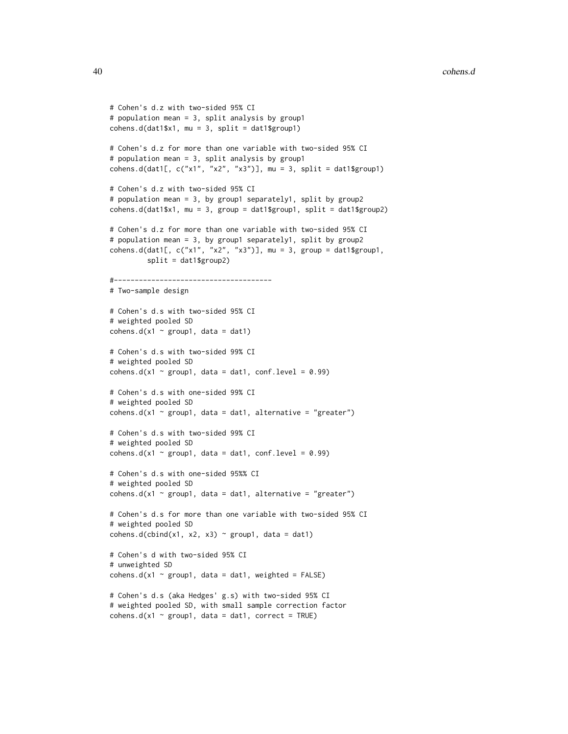```
# Cohen's d.z with two-sided 95% CI
# population mean = 3, split analysis by group1
cohens.d(dat1$x1, mu = 3, split = dat1$group1)
# Cohen's d.z for more than one variable with two-sided 95% CI
# population mean = 3, split analysis by group1
cohens.d(dat1[, c("x1", "x2", "x3")], mu = 3, split = dat1$group1)
# Cohen's d.z with two-sided 95% CI
# population mean = 3, by group1 separately1, split by group2
cohens.d(dat1$x1, mu = 3, group = dat1$group1, split = dat1$group2)
# Cohen's d.z for more than one variable with two-sided 95% CI
# population mean = 3, by group1 separately1, split by group2
cohens.d(dat1[, c("x1", "x2", "x3")], mu = 3, group = dat1$group1,
         split = dat1$group2)
#--------------------------------------
# Two-sample design
# Cohen's d.s with two-sided 95% CI
# weighted pooled SD
cohens.d(x1 \sim group1, data = dat1)
# Cohen's d.s with two-sided 99% CI
# weighted pooled SD
cohens.d(x1 \sim group1, data = dat1, conf.level = 0.99)
# Cohen's d.s with one-sided 99% CI
# weighted pooled SD
cohens.d(x1 \sim group1, data = dat1, alternative = "greater")
# Cohen's d.s with two-sided 99% CI
# weighted pooled SD
cohens.d(x1 \sim group1, data = dat1, conf.level = 0.99)
# Cohen's d.s with one-sided 95%% CI
# weighted pooled SD
cohens.d(x1 \sim group1, data = dat1, alternative = "greater")
# Cohen's d.s for more than one variable with two-sided 95% CI
# weighted pooled SD
cohens.d(cbind(x1, x2, x3) \sim group1, data = dat1)
# Cohen's d with two-sided 95% CI
# unweighted SD
cohens.d(x1 \sim group1, data = dat1, weighted = FALSE)
# Cohen's d.s (aka Hedges' g.s) with two-sided 95% CI
# weighted pooled SD, with small sample correction factor
cohens.d(x1 \sim group1, data = dat1, correct = TRUE)
```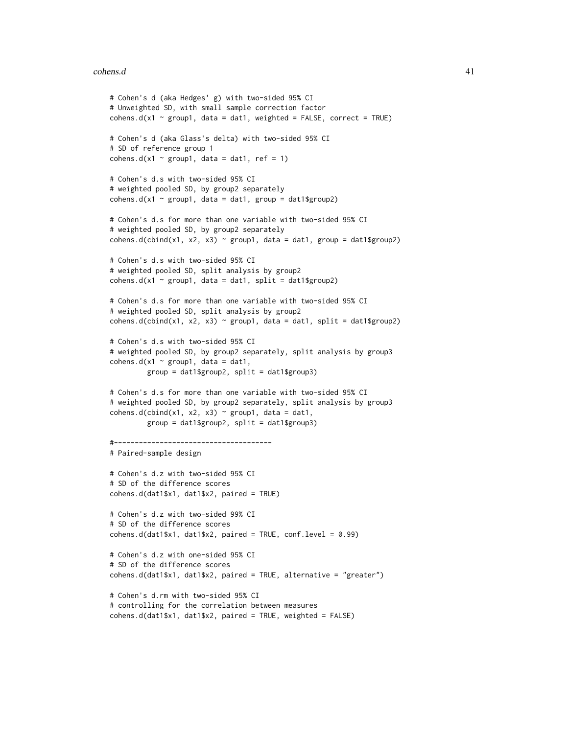#### cohens.d 41

```
# Cohen's d (aka Hedges' g) with two-sided 95% CI
# Unweighted SD, with small sample correction factor
cohens.d(x1 \sim group1, data = dat1, weighted = FALSE, correct = TRUE)
# Cohen's d (aka Glass's delta) with two-sided 95% CI
# SD of reference group 1
cohens.d(x1 \sim group1, data = dat1, ref = 1)
# Cohen's d.s with two-sided 95% CI
# weighted pooled SD, by group2 separately
cohens.d(x1 \sim group1, data = dat1, group = dat1$group2)
# Cohen's d.s for more than one variable with two-sided 95% CI
# weighted pooled SD, by group2 separately
cohens.d(cbind(x1, x2, x3) ~ group1, data = dat1, group = dat1$group2)
# Cohen's d.s with two-sided 95% CI
# weighted pooled SD, split analysis by group2
cohens.d(x1 \sim group1, data = dat1, split = dat1$group2)
# Cohen's d.s for more than one variable with two-sided 95% CI
# weighted pooled SD, split analysis by group2
cohens.d(cbind(x1, x2, x3) ~ group1, data = dat1, split = dat1$group2)
# Cohen's d.s with two-sided 95% CI
# weighted pooled SD, by group2 separately, split analysis by group3
cohens.d(x1 \sim \text{group1}, data = dat1,
         group = dat1$group2, split = dat1$group3)
# Cohen's d.s for more than one variable with two-sided 95% CI
# weighted pooled SD, by group2 separately, split analysis by group3
cohens.d(cbind(x1, x2, x3) \sim group1, data = dat1,
         group = dat1$group2, split = dat1$group3)
#--------------------------------------
# Paired-sample design
# Cohen's d.z with two-sided 95% CI
# SD of the difference scores
cohens.d(dat1$x1, dat1$x2, paired = TRUE)
# Cohen's d.z with two-sided 99% CI
# SD of the difference scores
cohens.d(data1$x1, dat1$x2, paired = TRUE, conf.level = <math>0.99</math>)# Cohen's d.z with one-sided 95% CI
# SD of the difference scores
cohens.d(dat1$x1, dat1$x2, paired = TRUE, alternative = "greater")
# Cohen's d.rm with two-sided 95% CI
# controlling for the correlation between measures
cohens.d(dat1$x1, dat1$x2, paired = TRUE, weighted = FALSE)
```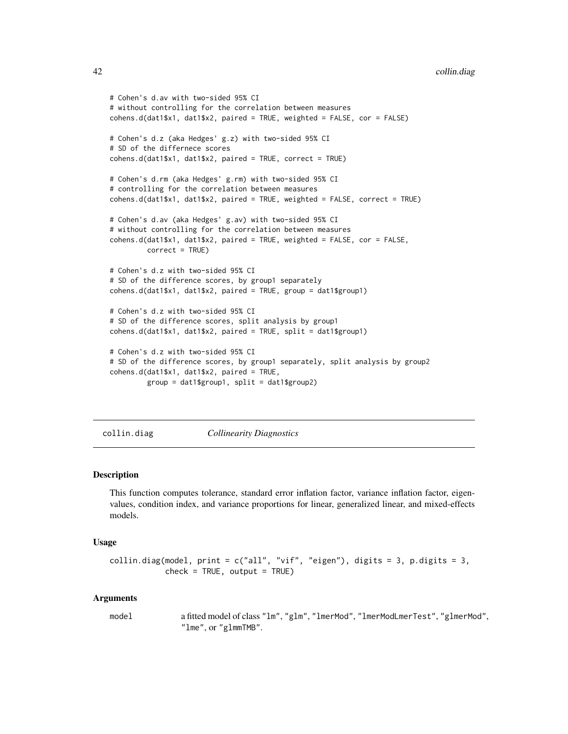```
# Cohen's d.av with two-sided 95% CI
# without controlling for the correlation between measures
cohens.d(dat1$x1, dat1$x2, paired = TRUE, weighted = FALSE, cor = FALSE)
# Cohen's d.z (aka Hedges' g.z) with two-sided 95% CI
# SD of the differnece scores
cohens.d(dat1$x1, dat1$x2, paired = TRUE, correct = TRUE)
# Cohen's d.rm (aka Hedges' g.rm) with two-sided 95% CI
# controlling for the correlation between measures
cohens.d(dat1$x1, dat1$x2, paired = TRUE, weighted = FALSE, correct = TRUE)
# Cohen's d.av (aka Hedges' g.av) with two-sided 95% CI
# without controlling for the correlation between measures
cohens.d(dat1$x1, dat1$x2, paired = TRUE, weighted = FALSE, cor = FALSE,
         correct = TRUE)
# Cohen's d.z with two-sided 95% CI
# SD of the difference scores, by group1 separately
cohens.d(dat1$x1, dat1$x2, paired = TRUE, group = dat1$group1)
# Cohen's d.z with two-sided 95% CI
# SD of the difference scores, split analysis by group1
cohens.d(dat1$x1, dat1$x2, paired = TRUE, split = dat1$group1)
# Cohen's d.z with two-sided 95% CI
# SD of the difference scores, by group1 separately, split analysis by group2
cohens.d(dat1$x1, dat1$x2, paired = TRUE,
         group = dat1$group1, split = dat1$group2)
```
collin.diag *Collinearity Diagnostics*

## Description

This function computes tolerance, standard error inflation factor, variance inflation factor, eigenvalues, condition index, and variance proportions for linear, generalized linear, and mixed-effects models.

#### Usage

```
collin.diag(model, print = c("all", "vif", "eigen"), digits = 3, p.digits = 3,
           check = TRUE, output = TRUE
```
#### Arguments

model a fitted model of class "lm", "glm", "lmerMod", "lmerModLmerTest", "glmerMod", "lme", or "glmmTMB".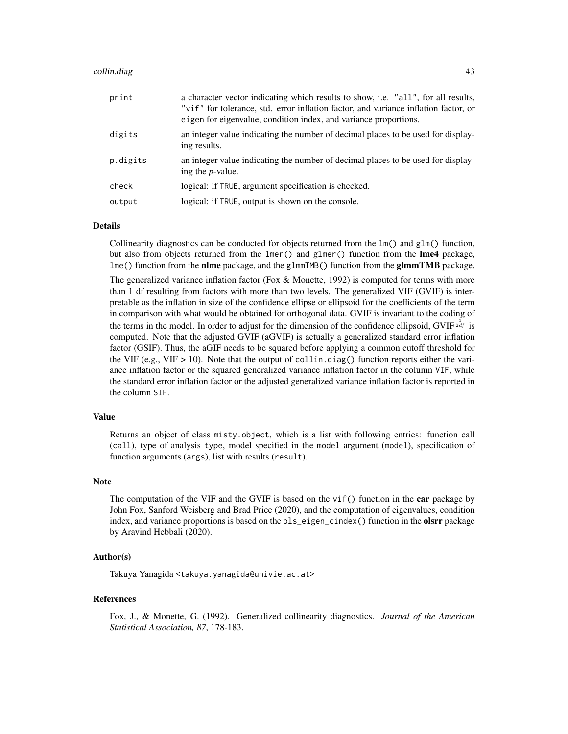#### collin.diag 43

| print    | a character vector indicating which results to show, i.e. "all", for all results,<br>"vif" for tolerance, std. error inflation factor, and variance inflation factor, or<br>eigen for eigenvalue, condition index, and variance proportions. |
|----------|----------------------------------------------------------------------------------------------------------------------------------------------------------------------------------------------------------------------------------------------|
| digits   | an integer value indicating the number of decimal places to be used for display-<br>ing results.                                                                                                                                             |
| p.digits | an integer value indicating the number of decimal places to be used for display-<br>ing the <i>p</i> -value.                                                                                                                                 |
| check    | logical: if TRUE, argument specification is checked.                                                                                                                                                                                         |
| output   | logical: if TRUE, output is shown on the console.                                                                                                                                                                                            |
|          |                                                                                                                                                                                                                                              |

## Details

Collinearity diagnostics can be conducted for objects returned from the  $lm()$  and  $glm()$  function, but also from objects returned from the lmer() and glmer() function from the lme4 package, lme() function from the **nlme** package, and the glmmTMB() function from the **glmmTMB** package.

The generalized variance inflation factor (Fox & Monette, 1992) is computed for terms with more than 1 df resulting from factors with more than two levels. The generalized VIF (GVIF) is interpretable as the inflation in size of the confidence ellipse or ellipsoid for the coefficients of the term in comparison with what would be obtained for orthogonal data. GVIF is invariant to the coding of the terms in the model. In order to adjust for the dimension of the confidence ellipsoid, GVIF $\frac{1}{2df}$  is computed. Note that the adjusted GVIF (aGVIF) is actually a generalized standard error inflation factor (GSIF). Thus, the aGIF needs to be squared before applying a common cutoff threshold for the VIF (e.g., VIF  $> 10$ ). Note that the output of collin.diag() function reports either the variance inflation factor or the squared generalized variance inflation factor in the column VIF, while the standard error inflation factor or the adjusted generalized variance inflation factor is reported in the column SIF.

## Value

Returns an object of class misty.object, which is a list with following entries: function call (call), type of analysis type, model specified in the model argument (model), specification of function arguments (args), list with results (result).

#### Note

The computation of the VIF and the GVIF is based on the vi $f()$  function in the car package by John Fox, Sanford Weisberg and Brad Price (2020), and the computation of eigenvalues, condition index, and variance proportions is based on the ols\_eigen\_cindex() function in the **olsrr** package by Aravind Hebbali (2020).

#### Author(s)

Takuya Yanagida <takuya.yanagida@univie.ac.at>

#### References

Fox, J., & Monette, G. (1992). Generalized collinearity diagnostics. *Journal of the American Statistical Association, 87*, 178-183.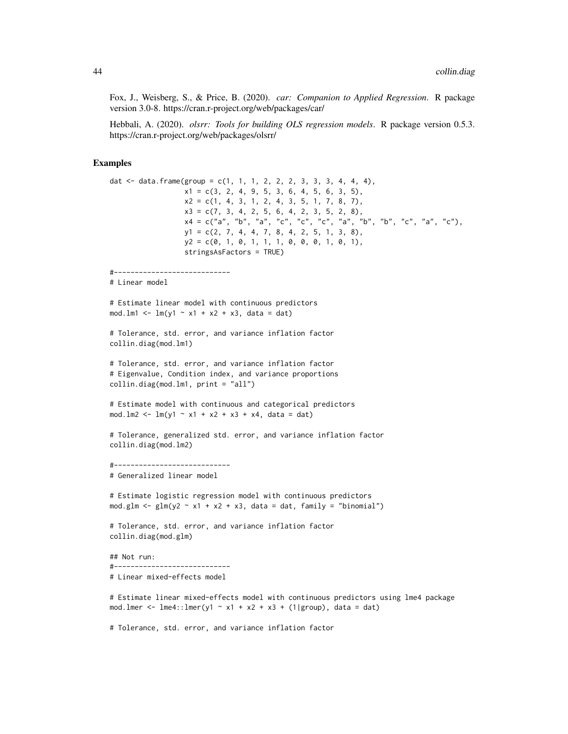Fox, J., Weisberg, S., & Price, B. (2020). *car: Companion to Applied Regression*. R package version 3.0-8. https://cran.r-project.org/web/packages/car/

Hebbali, A. (2020). *olsrr: Tools for building OLS regression models*. R package version 0.5.3. https://cran.r-project.org/web/packages/olsrr/

```
dat \le data.frame(group = c(1, 1, 1, 2, 2, 2, 3, 3, 3, 4, 4, 4),
                  x1 = c(3, 2, 4, 9, 5, 3, 6, 4, 5, 6, 3, 5),x2 = c(1, 4, 3, 1, 2, 4, 3, 5, 1, 7, 8, 7),x3 = c(7, 3, 4, 2, 5, 6, 4, 2, 3, 5, 2, 8),x4 = c("a", "b", "a", "c", "c", "c", "a", "b", "b", "c", "a", "c"),
                  y1 = c(2, 7, 4, 4, 7, 8, 4, 2, 5, 1, 3, 8),y2 = c(0, 1, 0, 1, 1, 1, 0, 0, 0, 1, 0, 1),stringsAsFactors = TRUE)
#----------------------------
# Linear model
# Estimate linear model with continuous predictors
mod.lm1 <- lm(y1 - x1 + x2 + x3), data = dat)
# Tolerance, std. error, and variance inflation factor
collin.diag(mod.lm1)
# Tolerance, std. error, and variance inflation factor
# Eigenvalue, Condition index, and variance proportions
collin.diag(mod.lm1, print = "all")
# Estimate model with continuous and categorical predictors
mod.lm2 <- lm(y1 - x1 + x2 + x3 + x4, data = dat)
# Tolerance, generalized std. error, and variance inflation factor
collin.diag(mod.lm2)
#----------------------------
# Generalized linear model
# Estimate logistic regression model with continuous predictors
mod.glm \leq glm(y2 \sim x1 + x2 + x3, data = dat, family = "binomial")
# Tolerance, std. error, and variance inflation factor
collin.diag(mod.glm)
## Not run:
#----------------------------
# Linear mixed-effects model
# Estimate linear mixed-effects model with continuous predictors using lme4 package
mod.lmer <- lme4::lmer(y1 ~ x1 + x2 + x3 + (1|group), data = dat)
# Tolerance, std. error, and variance inflation factor
```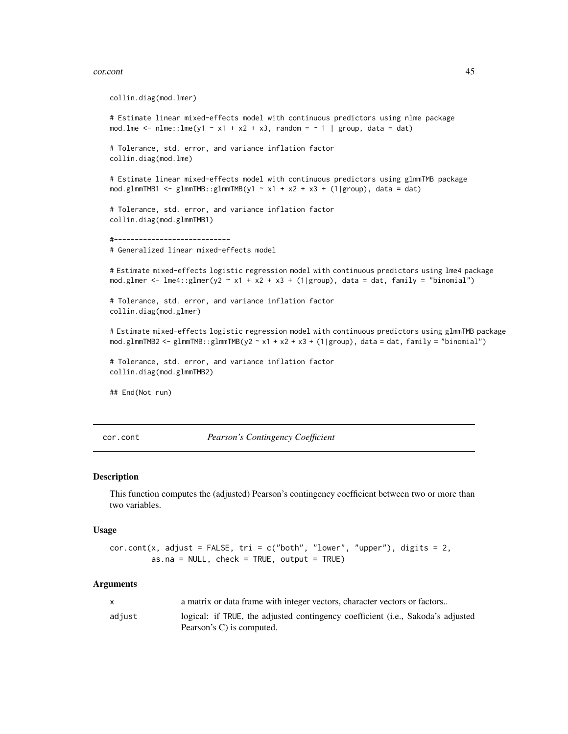#### cor.cont 45

```
collin.diag(mod.lmer)
# Estimate linear mixed-effects model with continuous predictors using nlme package
mod.lme <- nlme::lm( y1 - x1 + x2 + x3, random = - 1 | group, data = dat)
# Tolerance, std. error, and variance inflation factor
collin.diag(mod.lme)
# Estimate linear mixed-effects model with continuous predictors using glmmTMB package
mod.glmmTMB1 <- glmmTMB::glmmTMB(y1 ~ x1 + x2 + x3 + (1|group), data = dat)
# Tolerance, std. error, and variance inflation factor
collin.diag(mod.glmmTMB1)
#----------------------------
# Generalized linear mixed-effects model
# Estimate mixed-effects logistic regression model with continuous predictors using lme4 package
mod.glmer <- lme4::glmer(y2 ~ x1 + x2 + x3 + (1|group), data = dat, family = "binomial")
# Tolerance, std. error, and variance inflation factor
collin.diag(mod.glmer)
# Estimate mixed-effects logistic regression model with continuous predictors using glmmTMB package
mod.glmmTMB2 <- glmmTMB::glmmTMB(y2 \sim x1 + x2 + x3 + (1|group), data = dat, family = "binomial")
# Tolerance, std. error, and variance inflation factor
collin.diag(mod.glmmTMB2)
## End(Not run)
```
<span id="page-44-0"></span>cor.cont *Pearson's Contingency Coefficient*

### Description

This function computes the (adjusted) Pearson's contingency coefficient between two or more than two variables.

#### Usage

```
cor.cont(x, adjust = FALSE, tri = c("both", "lower", "upper"), digits = 2,as.na = NULL, check = TRUE, output = TRUE)
```

|        | a matrix or data frame with integer vectors, character vectors or factors                                    |
|--------|--------------------------------------------------------------------------------------------------------------|
| adiust | logical: if TRUE, the adjusted contingency coefficient (i.e., Sakoda's adjusted<br>Pearson's C) is computed. |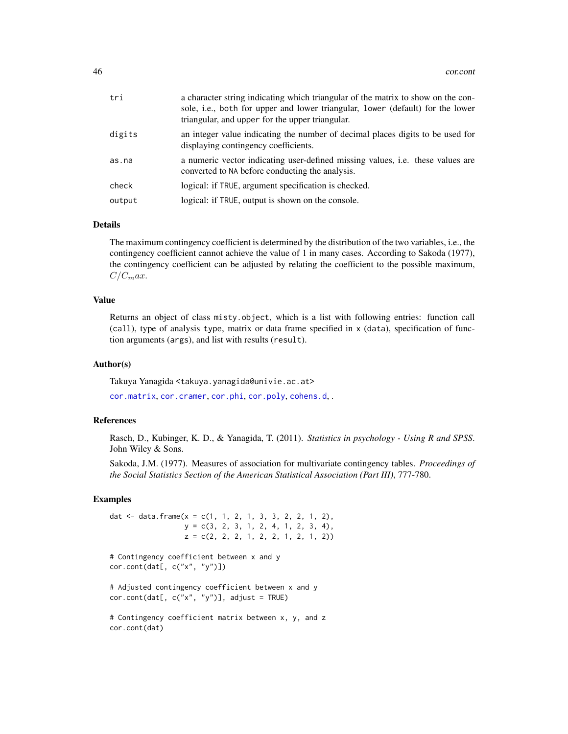| tri    | a character string indicating which triangular of the matrix to show on the con-<br>sole, i.e., both for upper and lower triangular, lower (default) for the lower<br>triangular, and upper for the upper triangular. |
|--------|-----------------------------------------------------------------------------------------------------------------------------------------------------------------------------------------------------------------------|
| digits | an integer value indicating the number of decimal places digits to be used for<br>displaying contingency coefficients.                                                                                                |
| as.na  | a numeric vector indicating user-defined missing values, <i>i.e.</i> these values are<br>converted to NA before conducting the analysis.                                                                              |
| check  | logical: if TRUE, argument specification is checked.                                                                                                                                                                  |
| output | logical: if TRUE, output is shown on the console.                                                                                                                                                                     |

## Details

The maximum contingency coefficient is determined by the distribution of the two variables, i.e., the contingency coefficient cannot achieve the value of 1 in many cases. According to Sakoda (1977), the contingency coefficient can be adjusted by relating the coefficient to the possible maximum,  $C/C_{max}$ .

## Value

Returns an object of class misty.object, which is a list with following entries: function call (call), type of analysis type, matrix or data frame specified in x (data), specification of function arguments (args), and list with results (result).

#### Author(s)

Takuya Yanagida <takuya.yanagida@univie.ac.at>

[cor.matrix](#page-47-0), [cor.cramer](#page-46-0), [cor.phi](#page-50-0), [cor.poly](#page-52-0), [cohens.d](#page-35-0), .

## References

Rasch, D., Kubinger, K. D., & Yanagida, T. (2011). *Statistics in psychology - Using R and SPSS*. John Wiley & Sons.

Sakoda, J.M. (1977). Measures of association for multivariate contingency tables. *Proceedings of the Social Statistics Section of the American Statistical Association (Part III)*, 777-780.

```
dat \leq data.frame(x = c(1, 1, 2, 1, 3, 3, 2, 2, 1, 2),
                  y = c(3, 2, 3, 1, 2, 4, 1, 2, 3, 4),
                  z = c(2, 2, 2, 1, 2, 2, 1, 2, 1, 2))# Contingency coefficient between x and y
cor.cont(data[, c("x", "y")])# Adjusted contingency coefficient between x and y
cor.cont(data[, c("x", "y")], adjust = TRUE)# Contingency coefficient matrix between x, y, and z
cor.cont(dat)
```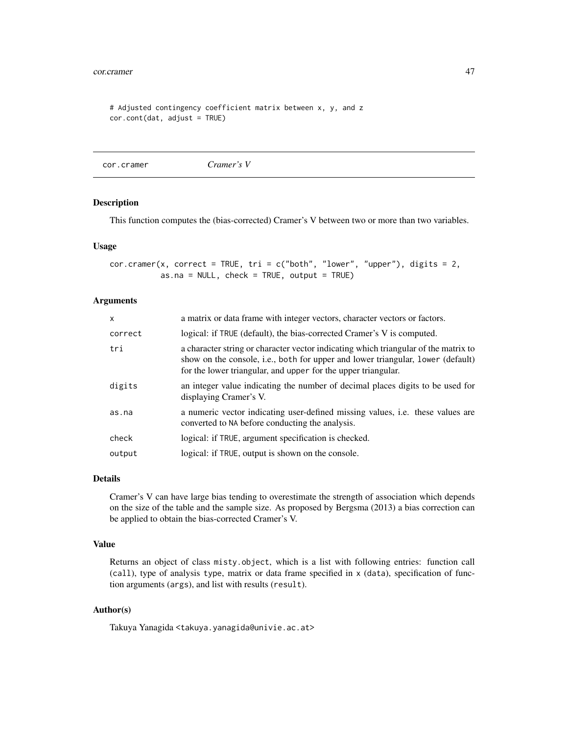#### cor.cramer 47

```
# Adjusted contingency coefficient matrix between x, y, and z
cor.cont(dat, adjust = TRUE)
```
<span id="page-46-0"></span>cor.cramer *Cramer's V*

### Description

This function computes the (bias-corrected) Cramer's V between two or more than two variables.

#### Usage

```
cor.cramer(x, correct = TRUE, tri = c("both", "lower", "upper"), digits = 2,as.na = NULL, check = TRUE, output = TRUE)
```
### Arguments

| $\mathsf{x}$ | a matrix or data frame with integer vectors, character vectors or factors.                                                                                                                                                              |
|--------------|-----------------------------------------------------------------------------------------------------------------------------------------------------------------------------------------------------------------------------------------|
| correct      | logical: if TRUE (default), the bias-corrected Cramer's V is computed.                                                                                                                                                                  |
| tri          | a character string or character vector indicating which triangular of the matrix to<br>show on the console, i.e., both for upper and lower triangular, lower (default)<br>for the lower triangular, and upper for the upper triangular. |
| digits       | an integer value indicating the number of decimal places digits to be used for<br>displaying Cramer's V.                                                                                                                                |
| as.na        | a numeric vector indicating user-defined missing values, <i>i.e.</i> these values are<br>converted to NA before conducting the analysis.                                                                                                |
| check        | logical: if TRUE, argument specification is checked.                                                                                                                                                                                    |
| output       | logical: if TRUE, output is shown on the console.                                                                                                                                                                                       |

### Details

Cramer's V can have large bias tending to overestimate the strength of association which depends on the size of the table and the sample size. As proposed by Bergsma (2013) a bias correction can be applied to obtain the bias-corrected Cramer's V.

## Value

Returns an object of class misty.object, which is a list with following entries: function call (call), type of analysis type, matrix or data frame specified in x (data), specification of function arguments (args), and list with results (result).

## Author(s)

Takuya Yanagida <takuya.yanagida@univie.ac.at>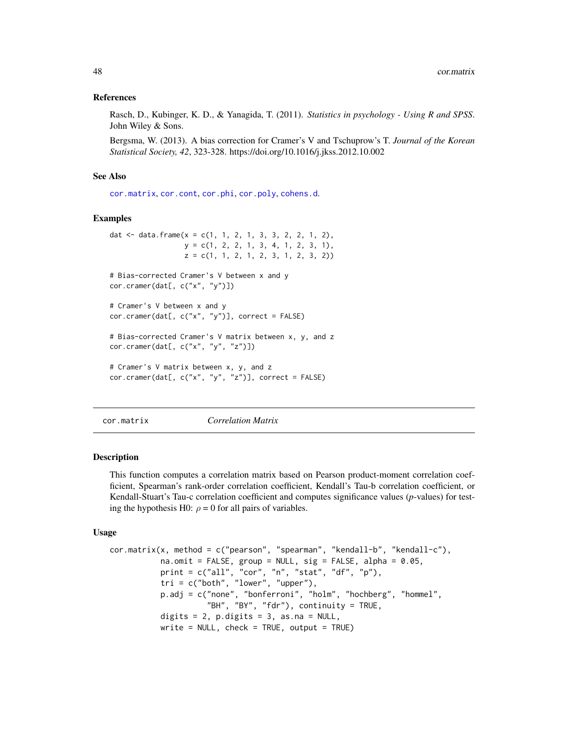#### References

Rasch, D., Kubinger, K. D., & Yanagida, T. (2011). *Statistics in psychology - Using R and SPSS*. John Wiley & Sons.

Bergsma, W. (2013). A bias correction for Cramer's V and Tschuprow's T. *Journal of the Korean Statistical Society, 42*, 323-328. https://doi.org/10.1016/j.jkss.2012.10.002

#### See Also

[cor.matrix](#page-47-0), [cor.cont](#page-44-0), [cor.phi](#page-50-0), [cor.poly](#page-52-0), [cohens.d](#page-35-0).

# Examples

```
dat <- data.frame(x = c(1, 1, 2, 1, 3, 3, 2, 2, 1, 2),
                 y = c(1, 2, 2, 1, 3, 4, 1, 2, 3, 1),z = c(1, 1, 2, 1, 2, 3, 1, 2, 3, 2))# Bias-corrected Cramer's V between x and y
cor.cramer(dat[, c("x", "y")])
# Cramer's V between x and y
cor.cramer(dat[, c("x", "y")], correct = FALSE)
# Bias-corrected Cramer's V matrix between x, y, and z
cor.cramer(dat[, c("x", "y", "z")])
# Cramer's V matrix between x, y, and z
cor.cramer(data[, c("x", "y", "z")], correct = FALSE)
```
<span id="page-47-0"></span>cor.matrix *Correlation Matrix*

### Description

This function computes a correlation matrix based on Pearson product-moment correlation coefficient, Spearman's rank-order correlation coefficient, Kendall's Tau-b correlation coefficient, or Kendall-Stuart's Tau-c correlation coefficient and computes significance values (*p*-values) for testing the hypothesis H0:  $\rho = 0$  for all pairs of variables.

#### Usage

```
cor.matrix(x, method = c("pearson", "spearman", "kendall-b", "kendall-c"),
           na.omit = FALSE, group = NULL, sig = FALSE, alpha = 0.05,
           print = c("all", "cor", "n", "stat", "df", "p"),
           tri = c("both", "lower", "upper"),p.adj = c("none", "bonferroni", "holm", "hochberg", "hommel",
                     "BH", "BY", "fdr"), continuity = TRUE,
          digits = 2, p.digits = 3, as.na = NULL,
          write = NULL, check = TRUE, output = TRUE)
```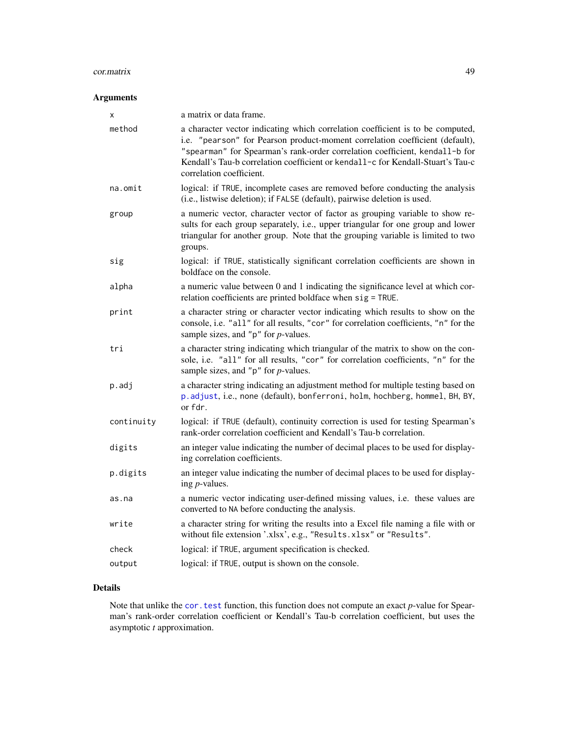#### cor.matrix 49

# Arguments

| X          | a matrix or data frame.                                                                                                                                                                                                                                                                                                                                      |
|------------|--------------------------------------------------------------------------------------------------------------------------------------------------------------------------------------------------------------------------------------------------------------------------------------------------------------------------------------------------------------|
| method     | a character vector indicating which correlation coefficient is to be computed,<br>i.e. "pearson" for Pearson product-moment correlation coefficient (default),<br>"spearman" for Spearman's rank-order correlation coefficient, kendall-b for<br>Kendall's Tau-b correlation coefficient or kendall-c for Kendall-Stuart's Tau-c<br>correlation coefficient. |
| na.omit    | logical: if TRUE, incomplete cases are removed before conducting the analysis<br>(i.e., listwise deletion); if FALSE (default), pairwise deletion is used.                                                                                                                                                                                                   |
| group      | a numeric vector, character vector of factor as grouping variable to show re-<br>sults for each group separately, i.e., upper triangular for one group and lower<br>triangular for another group. Note that the grouping variable is limited to two<br>groups.                                                                                               |
| sig        | logical: if TRUE, statistically significant correlation coefficients are shown in<br>boldface on the console.                                                                                                                                                                                                                                                |
| alpha      | a numeric value between 0 and 1 indicating the significance level at which cor-<br>relation coefficients are printed boldface when sig = TRUE.                                                                                                                                                                                                               |
| print      | a character string or character vector indicating which results to show on the<br>console, i.e. "all" for all results, "cor" for correlation coefficients, "n" for the<br>sample sizes, and " $p$ " for $p$ -values.                                                                                                                                         |
| tri        | a character string indicating which triangular of the matrix to show on the con-<br>sole, i.e. "all" for all results, "cor" for correlation coefficients, "n" for the<br>sample sizes, and " $p$ " for $p$ -values.                                                                                                                                          |
| p.adj      | a character string indicating an adjustment method for multiple testing based on<br>p.adjust, i.e., none (default), bonferroni, holm, hochberg, hommel, BH, BY,<br>or fdr.                                                                                                                                                                                   |
| continuity | logical: if TRUE (default), continuity correction is used for testing Spearman's<br>rank-order correlation coefficient and Kendall's Tau-b correlation.                                                                                                                                                                                                      |
| digits     | an integer value indicating the number of decimal places to be used for display-<br>ing correlation coefficients.                                                                                                                                                                                                                                            |
| p.digits   | an integer value indicating the number of decimal places to be used for display-<br>ing <i>p</i> -values.                                                                                                                                                                                                                                                    |
| as.na      | a numeric vector indicating user-defined missing values, i.e. these values are<br>converted to NA before conducting the analysis.                                                                                                                                                                                                                            |
| write      | a character string for writing the results into a Excel file naming a file with or<br>without file extension '.xlsx', e.g., "Results.xlsx" or "Results".                                                                                                                                                                                                     |
| check      | logical: if TRUE, argument specification is checked.                                                                                                                                                                                                                                                                                                         |
| output     | logical: if TRUE, output is shown on the console.                                                                                                                                                                                                                                                                                                            |

# Details

Note that unlike the [cor.test](#page-0-0) function, this function does not compute an exact *p*-value for Spearman's rank-order correlation coefficient or Kendall's Tau-b correlation coefficient, but uses the asymptotic *t* approximation.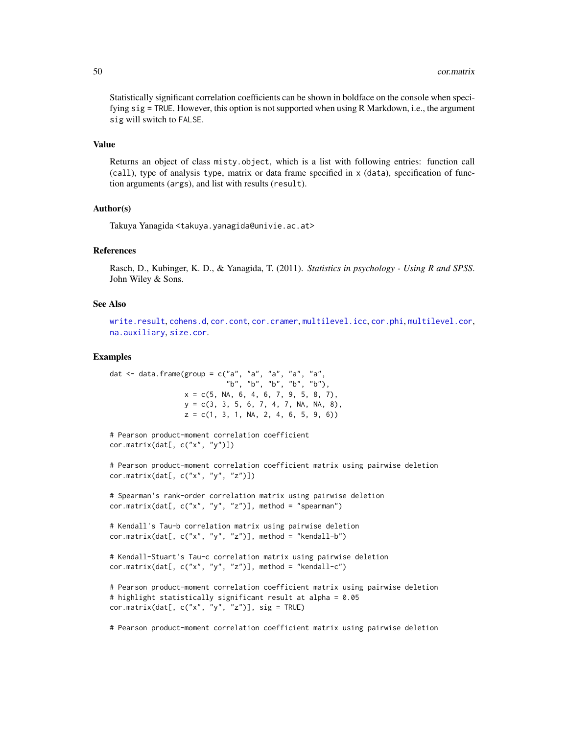Statistically significant correlation coefficients can be shown in boldface on the console when specifying sig = TRUE. However, this option is not supported when using R Markdown, i.e., the argument sig will switch to FALSE.

### Value

Returns an object of class misty.object, which is a list with following entries: function call (call), type of analysis type, matrix or data frame specified in x (data), specification of function arguments (args), and list with results (result).

### Author(s)

Takuya Yanagida <takuya.yanagida@univie.ac.at>

## References

Rasch, D., Kubinger, K. D., & Yanagida, T. (2011). *Statistics in psychology - Using R and SPSS*. John Wiley & Sons.

### See Also

```
write.result, cohens.d, cor.cont, cor.cramer, multilevel.icc, cor.phi, multilevel.cor,
na.auxiliary, size.cor.
```
### Examples

dat  $\le$  data.frame(group = c("a", "a", "a", "a", "a", "b", "b", "b", "b", "b"),  $x = c(5, NA, 6, 4, 6, 7, 9, 5, 8, 7),$  $y = c(3, 3, 5, 6, 7, 4, 7, NA, NA, 8),$  $z = c(1, 3, 1, NA, 2, 4, 6, 5, 9, 6)$ 

```
# Pearson product-moment correlation coefficient
cor.matrix(dat[, c("x", "y")])
```
# Pearson product-moment correlation coefficient matrix using pairwise deletion cor.matrix(dat[, c("x", "y", "z")])

# Spearman's rank-order correlation matrix using pairwise deletion cor.matrix(dat[,  $c("x", "y", "z")$ ], method = "spearman")

# Kendall's Tau-b correlation matrix using pairwise deletion cor.matrix(dat[, c("x", "y", "z")], method = "kendall-b")

```
# Kendall-Stuart's Tau-c correlation matrix using pairwise deletion
cor.matrix(dat[, c("x", "y", "z")], method = "kendall-c")
```

```
# Pearson product-moment correlation coefficient matrix using pairwise deletion
# highlight statistically significant result at alpha = 0.05
cor.matrix(data[, c("x", "y", "z")], sig = TRUE)
```
# Pearson product-moment correlation coefficient matrix using pairwise deletion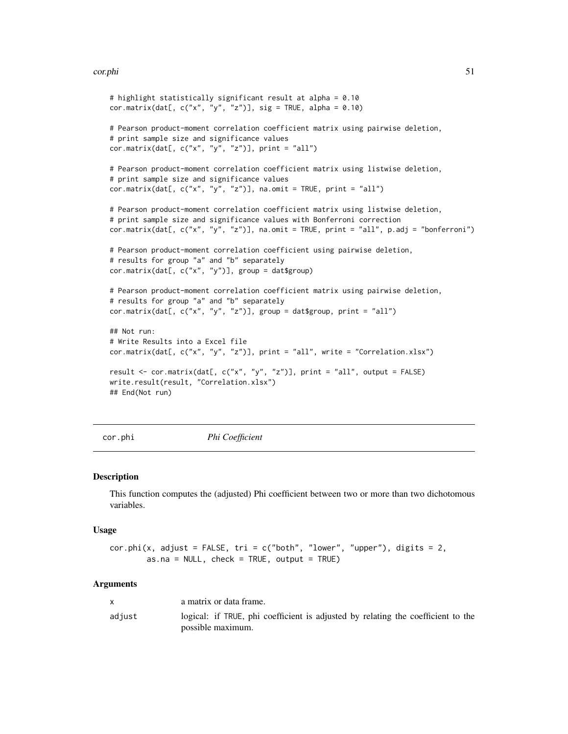#### cor.phi 51

```
# highlight statistically significant result at alpha = 0.10
cor.matrix(dat[, c("x", "y", "z")], sig = TRUE, alpha = 0.10)
# Pearson product-moment correlation coefficient matrix using pairwise deletion,
# print sample size and significance values
cor.matrix(dat[, c("x", "y", "z")], print = "all")# Pearson product-moment correlation coefficient matrix using listwise deletion,
# print sample size and significance values
cor.matrix(data[, c("x", "y", "z")], na omit = TRUE, print = "all")# Pearson product-moment correlation coefficient matrix using listwise deletion,
# print sample size and significance values with Bonferroni correction
cor.matrix(dat[, c("x", "y", "z")], na.omit = TRUE, print = "all", p.adj = "bonferroni")
# Pearson product-moment correlation coefficient using pairwise deletion,
# results for group "a" and "b" separately
cor.matrix(dat[, c("x", "y")], group = dat$group)
# Pearson product-moment correlation coefficient matrix using pairwise deletion,
# results for group "a" and "b" separately
cor.matrix(dat[, c("x", "y", "z")], group = dat$group, print = "all")
## Not run:
# Write Results into a Excel file
cor.matrix(dat[, c("x", "y", "z")], print = "all", write = "Correlation.xlsx")
result <- cor.matrix(dat[, c("x", "y", "z")], print = "all", output = FALSE)
write.result(result, "Correlation.xlsx")
## End(Not run)
```
<span id="page-50-0"></span>

cor.phi *Phi Coefficient*

#### **Description**

This function computes the (adjusted) Phi coefficient between two or more than two dichotomous variables.

#### Usage

```
cor.phi(x, adjust = FALSE, tri = c("both", "lower", "upper"), digits = 2,as.na = NULL, check = TRUE, output = TRUE)
```

|        | a matrix or data frame.                                                                               |
|--------|-------------------------------------------------------------------------------------------------------|
| adjust | logical: if TRUE, phi coefficient is adjusted by relating the coefficient to the<br>possible maximum. |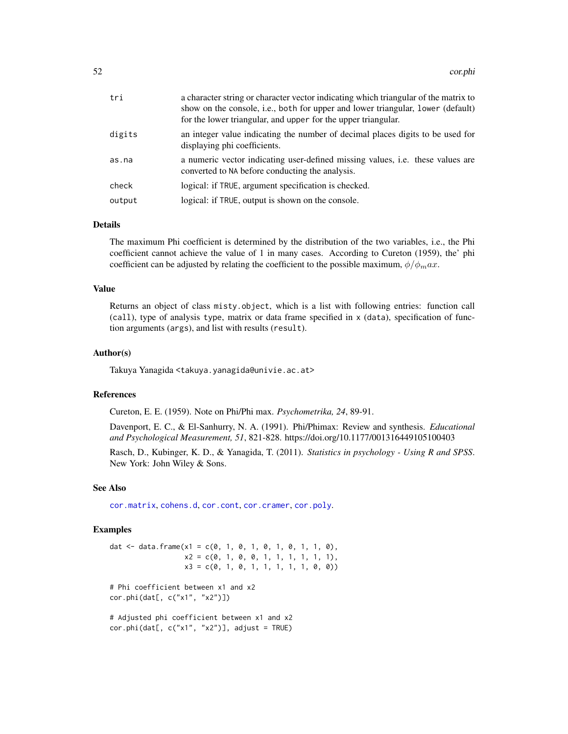| tri    | a character string or character vector indicating which triangular of the matrix to<br>show on the console, i.e., both for upper and lower triangular, lower (default)<br>for the lower triangular, and upper for the upper triangular. |
|--------|-----------------------------------------------------------------------------------------------------------------------------------------------------------------------------------------------------------------------------------------|
| digits | an integer value indicating the number of decimal places digits to be used for<br>displaying phi coefficients.                                                                                                                          |
| as.na  | a numeric vector indicating user-defined missing values, <i>i.e.</i> these values are<br>converted to NA before conducting the analysis.                                                                                                |
| check  | logical: if TRUE, argument specification is checked.                                                                                                                                                                                    |
| output | logical: if TRUE, output is shown on the console.                                                                                                                                                                                       |

# Details

The maximum Phi coefficient is determined by the distribution of the two variables, i.e., the Phi coefficient cannot achieve the value of 1 in many cases. According to Cureton (1959), the' phi coefficient can be adjusted by relating the coefficient to the possible maximum,  $\phi/\phi_m a x$ .

### Value

Returns an object of class misty.object, which is a list with following entries: function call (call), type of analysis type, matrix or data frame specified in x (data), specification of function arguments (args), and list with results (result).

### Author(s)

Takuya Yanagida <takuya.yanagida@univie.ac.at>

### References

Cureton, E. E. (1959). Note on Phi/Phi max. *Psychometrika, 24*, 89-91.

Davenport, E. C., & El-Sanhurry, N. A. (1991). Phi/Phimax: Review and synthesis. *Educational and Psychological Measurement, 51*, 821-828. https://doi.org/10.1177/001316449105100403

Rasch, D., Kubinger, K. D., & Yanagida, T. (2011). *Statistics in psychology - Using R and SPSS*. New York: John Wiley & Sons.

### See Also

[cor.matrix](#page-47-0), [cohens.d](#page-35-0), [cor.cont](#page-44-0), [cor.cramer](#page-46-0), [cor.poly](#page-52-0).

```
dat <- data.frame(x1 = c(0, 1, 0, 1, 0, 1, 0, 1, 1, 0),
                 x2 = c(0, 1, 0, 0, 1, 1, 1, 1, 1, 1),
                  x3 = c(0, 1, 0, 1, 1, 1, 1, 1, 0, 0))# Phi coefficient between x1 and x2
cor.phi(dat[, c("x1", "x2")])
# Adjusted phi coefficient between x1 and x2
cor.phi(dat[, c("x1", "x2")], adjust = TRUE)
```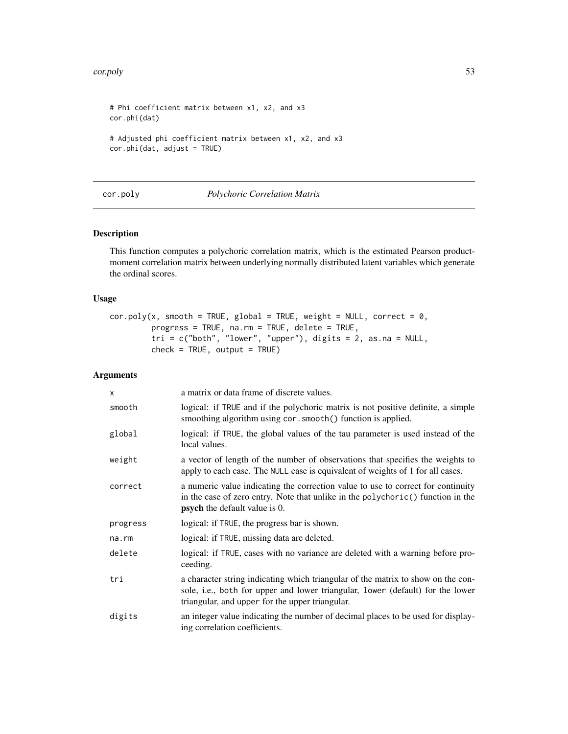#### cor.poly 53

```
# Phi coefficient matrix between x1, x2, and x3
cor.phi(dat)
# Adjusted phi coefficient matrix between x1, x2, and x3
cor.phi(dat, adjust = TRUE)
```
## <span id="page-52-0"></span>cor.poly *Polychoric Correlation Matrix*

# Description

This function computes a polychoric correlation matrix, which is the estimated Pearson productmoment correlation matrix between underlying normally distributed latent variables which generate the ordinal scores.

#### Usage

 $cor.poly(x, smooth = TRUE, global = TRUE, weight = NULL, correct = 0,$ progress = TRUE, na.rm = TRUE, delete = TRUE,  $tri = c("both", "lower", "upper"), digits = 2, as.na = NULL,$  $check = TRUE, output = TRUE)$ 

| X        | a matrix or data frame of discrete values.                                                                                                                                                                            |
|----------|-----------------------------------------------------------------------------------------------------------------------------------------------------------------------------------------------------------------------|
| smooth   | logical: if TRUE and if the polychoric matrix is not positive definite, a simple<br>smoothing algorithm using cor. smooth() function is applied.                                                                      |
| global   | logical: if TRUE, the global values of the tau parameter is used instead of the<br>local values.                                                                                                                      |
| weight   | a vector of length of the number of observations that specifies the weights to<br>apply to each case. The NULL case is equivalent of weights of 1 for all cases.                                                      |
| correct  | a numeric value indicating the correction value to use to correct for continuity<br>in the case of zero entry. Note that unlike in the polychoric() function in the<br><b>psych</b> the default value is 0.           |
| progress | logical: if TRUE, the progress bar is shown.                                                                                                                                                                          |
| na.rm    | logical: if TRUE, missing data are deleted.                                                                                                                                                                           |
| delete   | logical: if TRUE, cases with no variance are deleted with a warning before pro-<br>ceeding.                                                                                                                           |
| tri      | a character string indicating which triangular of the matrix to show on the con-<br>sole, i.e., both for upper and lower triangular, lower (default) for the lower<br>triangular, and upper for the upper triangular. |
| digits   | an integer value indicating the number of decimal places to be used for display-<br>ing correlation coefficients.                                                                                                     |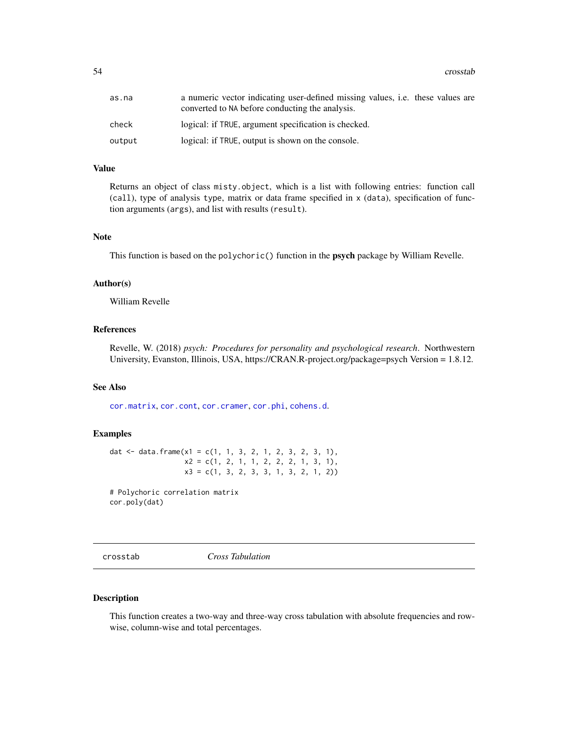54 crosstab

| as.na  | a numeric vector indicating user-defined missing values, <i>i.e.</i> these values are<br>converted to NA before conducting the analysis. |
|--------|------------------------------------------------------------------------------------------------------------------------------------------|
| check  | logical: if TRUE, argument specification is checked.                                                                                     |
| output | logical: if TRUE, output is shown on the console.                                                                                        |

### Value

Returns an object of class misty.object, which is a list with following entries: function call (call), type of analysis type, matrix or data frame specified in x (data), specification of function arguments (args), and list with results (result).

#### Note

This function is based on the polychoric() function in the **psych** package by William Revelle.

### Author(s)

William Revelle

## References

Revelle, W. (2018) *psych: Procedures for personality and psychological research*. Northwestern University, Evanston, Illinois, USA, https://CRAN.R-project.org/package=psych Version = 1.8.12.

# See Also

[cor.matrix](#page-47-0), [cor.cont](#page-44-0), [cor.cramer](#page-46-0), [cor.phi](#page-50-0), [cohens.d](#page-35-0).

## Examples

dat  $\le$  data.frame(x1 = c(1, 1, 3, 2, 1, 2, 3, 2, 3, 1),  $x2 = c(1, 2, 1, 1, 2, 2, 2, 1, 3, 1),$ x3 = c(1, 3, 2, 3, 3, 1, 3, 2, 1, 2))

# Polychoric correlation matrix cor.poly(dat)

<span id="page-53-0"></span>crosstab *Cross Tabulation*

#### Description

This function creates a two-way and three-way cross tabulation with absolute frequencies and rowwise, column-wise and total percentages.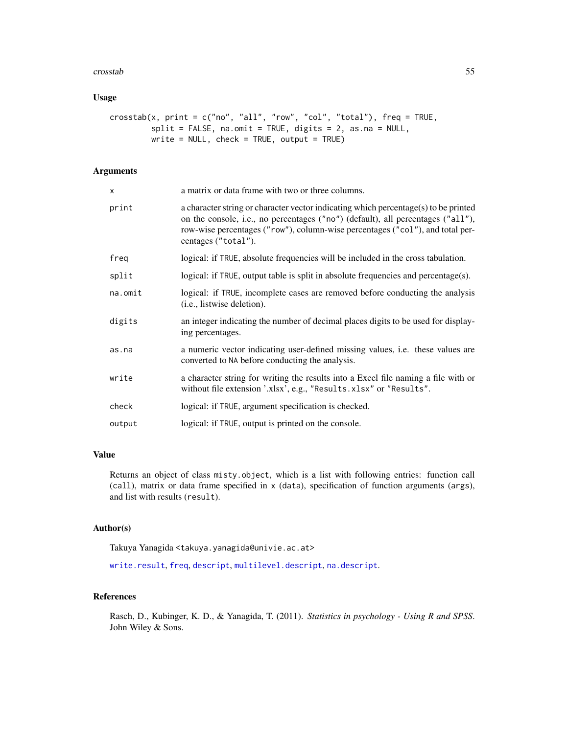#### crosstab 55

# Usage

```
crosstab(x, print = c("no", "all", "row", "col", "total"), freq = TRUE,
         split = FALSE, na.omit = TRUE, digits = 2, as.na = NULL,
        write = NULL, check = TRUE, output = TRUE)
```
## Arguments

| x       | a matrix or data frame with two or three columns.                                                                                                                                                                                                                              |
|---------|--------------------------------------------------------------------------------------------------------------------------------------------------------------------------------------------------------------------------------------------------------------------------------|
| print   | a character string or character vector indicating which percentage(s) to be printed<br>on the console, i.e., no percentages ("no") (default), all percentages ("all"),<br>row-wise percentages ("row"), column-wise percentages ("col"), and total per-<br>centages ("total"). |
| freq    | logical: if TRUE, absolute frequencies will be included in the cross tabulation.                                                                                                                                                                                               |
| split   | logical: if TRUE, output table is split in absolute frequencies and percentage(s).                                                                                                                                                                                             |
| na.omit | logical: if TRUE, incomplete cases are removed before conducting the analysis<br>( <i>i.e.</i> , listwise deletion).                                                                                                                                                           |
| digits  | an integer indicating the number of decimal places digits to be used for display-<br>ing percentages.                                                                                                                                                                          |
| as.na   | a numeric vector indicating user-defined missing values, i.e. these values are<br>converted to NA before conducting the analysis.                                                                                                                                              |
| write   | a character string for writing the results into a Excel file naming a file with or<br>without file extension '.xlsx', e.g., "Results.xlsx" or "Results".                                                                                                                       |
| check   | logical: if TRUE, argument specification is checked.                                                                                                                                                                                                                           |
| output  | logical: if TRUE, output is printed on the console.                                                                                                                                                                                                                            |

## Value

Returns an object of class misty.object, which is a list with following entries: function call (call), matrix or data frame specified in x (data), specification of function arguments (args), and list with results (result).

### Author(s)

Takuya Yanagida <takuya.yanagida@univie.ac.at>

[write.result](#page-168-0), [freq](#page-69-0), [descript](#page-56-0), [multilevel.descript](#page-97-0), [na.descript](#page-116-0).

# References

Rasch, D., Kubinger, K. D., & Yanagida, T. (2011). *Statistics in psychology - Using R and SPSS*. John Wiley & Sons.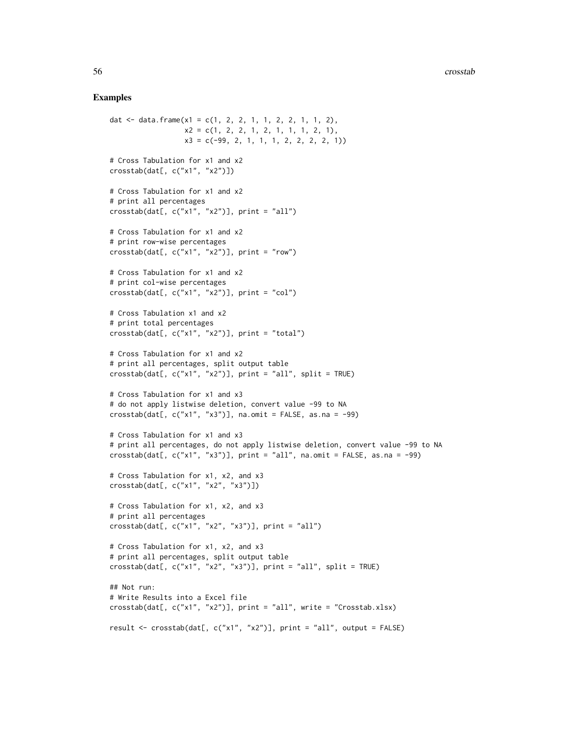```
dat \le data.frame(x1 = c(1, 2, 2, 1, 1, 2, 2, 1, 1, 2),
                   x2 = c(1, 2, 2, 1, 2, 1, 1, 1, 2, 1),x3 = c(-99, 2, 1, 1, 1, 2, 2, 2, 2, 1)# Cross Tabulation for x1 and x2
crosstab(dat[, c("x1", "x2")])
# Cross Tabulation for x1 and x2
# print all percentages
\text{crosstab}(\text{dat}[, c("x1", "x2"))], \text{print} = "all")# Cross Tabulation for x1 and x2
# print row-wise percentages
crosstab(dat[, c("x1", "x2")], print = "row")# Cross Tabulation for x1 and x2
# print col-wise percentages
\text{crosstab}(\text{dat}[, c("x1", "x2"))], \text{print} = "col")# Cross Tabulation x1 and x2
# print total percentages
crosstab(dat[, c("x1", "x2")], print = "total")
# Cross Tabulation for x1 and x2
# print all percentages, split output table
\text{crosstab}(\text{dat}[, c("x1", "x2")), \text{print} = "all", \text{ split} = \text{TRUE})# Cross Tabulation for x1 and x3
# do not apply listwise deletion, convert value -99 to NA
\text{crosstab}(\text{dat}[, c("x1", "x3")), na.omit = FALSE, as.na = -99)
# Cross Tabulation for x1 and x3
# print all percentages, do not apply listwise deletion, convert value -99 to NA
\text{crosstab}(\text{dat}[, c("x1", "x3"))], \text{print} = "all", \text{na}. \text{omit} = \text{FALSE}, \text{as}. \text{na} = -99)# Cross Tabulation for x1, x2, and x3
crosstab(dat[, c("x1", "x2", "x3")])
# Cross Tabulation for x1, x2, and x3
# print all percentages
crosstab(dat[, c("x1", "x2", "x3")], print = "all")
# Cross Tabulation for x1, x2, and x3
# print all percentages, split output table
\text{crosstab}(\text{dat}[, c("x1", "x2", "x3"))], \text{print} = "all", \text{split} = \text{TRUE})## Not run:
# Write Results into a Excel file
crosstab(dat[, c("x1", "x2")], print = "all", write = "Crosstab.xlsx)
result <- crosstab(dat[, c("x1", "x2")], print = "all", output = FALSE)
```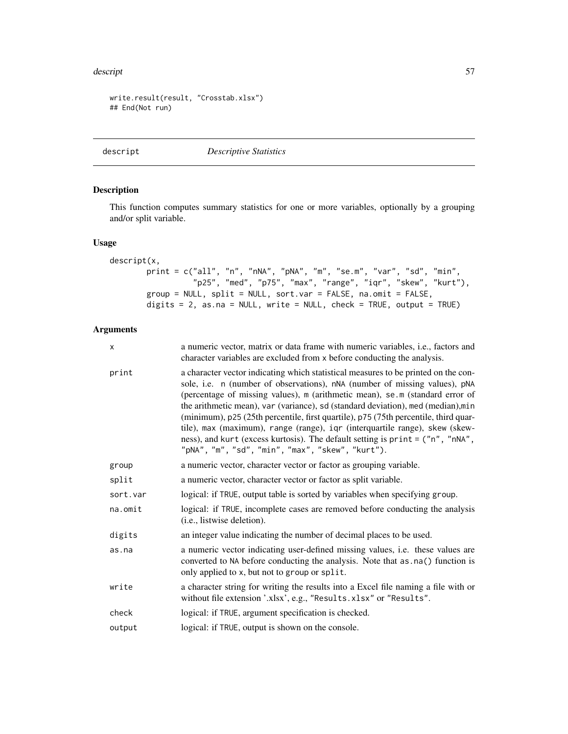#### descript 57

```
write.result(result, "Crosstab.xlsx")
## End(Not run)
```
<span id="page-56-0"></span>descript *Descriptive Statistics*

## Description

This function computes summary statistics for one or more variables, optionally by a grouping and/or split variable.

# Usage

```
descript(x,
        print = c("all", "n", "nNA", "pNA", "m", "se.m", "var", "sd", "min",
                  "p25", "med", "p75", "max", "range", "iqr", "skew", "kurt"),
        group = NULL, split = NULL, sort.var = FALSE, na.omit = FALSE,
        digits = 2, as.na = NULL, write = NULL, check = TRUE, output = TRUE)
```

| X        | a numeric vector, matrix or data frame with numeric variables, i.e., factors and<br>character variables are excluded from x before conducting the analysis.                                                                                                                                                                                                                                                                                                                                                                                                                                                                                      |
|----------|--------------------------------------------------------------------------------------------------------------------------------------------------------------------------------------------------------------------------------------------------------------------------------------------------------------------------------------------------------------------------------------------------------------------------------------------------------------------------------------------------------------------------------------------------------------------------------------------------------------------------------------------------|
| print    | a character vector indicating which statistical measures to be printed on the con-<br>sole, i.e. n (number of observations), nNA (number of missing values), pNA<br>(percentage of missing values), m (arithmetic mean), se.m (standard error of<br>the arithmetic mean), var (variance), sd (standard deviation), med (median), min<br>(minimum), p25 (25th percentile, first quartile), p75 (75th percentile, third quar-<br>tile), max (maximum), range (range), iqr (interquartile range), skew (skew-<br>ness), and kurt (excess kurtosis). The default setting is print = ("n", "nNA",<br>"pNA", "m", "sd", "min", "max", "skew", "kurt"). |
| group    | a numeric vector, character vector or factor as grouping variable.                                                                                                                                                                                                                                                                                                                                                                                                                                                                                                                                                                               |
| split    | a numeric vector, character vector or factor as split variable.                                                                                                                                                                                                                                                                                                                                                                                                                                                                                                                                                                                  |
| sort.var | logical: if TRUE, output table is sorted by variables when specifying group.                                                                                                                                                                                                                                                                                                                                                                                                                                                                                                                                                                     |
| na.omit  | logical: if TRUE, incomplete cases are removed before conducting the analysis<br>( <i>i.e.</i> , listwise deletion).                                                                                                                                                                                                                                                                                                                                                                                                                                                                                                                             |
| digits   | an integer value indicating the number of decimal places to be used.                                                                                                                                                                                                                                                                                                                                                                                                                                                                                                                                                                             |
| as.na    | a numeric vector indicating user-defined missing values, i.e. these values are<br>converted to NA before conducting the analysis. Note that as . na() function is<br>only applied to x, but not to group or split.                                                                                                                                                                                                                                                                                                                                                                                                                               |
| write    | a character string for writing the results into a Excel file naming a file with or<br>without file extension '.xlsx', e.g., "Results.xlsx" or "Results".                                                                                                                                                                                                                                                                                                                                                                                                                                                                                         |
| check    | logical: if TRUE, argument specification is checked.                                                                                                                                                                                                                                                                                                                                                                                                                                                                                                                                                                                             |
| output   | logical: if TRUE, output is shown on the console.                                                                                                                                                                                                                                                                                                                                                                                                                                                                                                                                                                                                |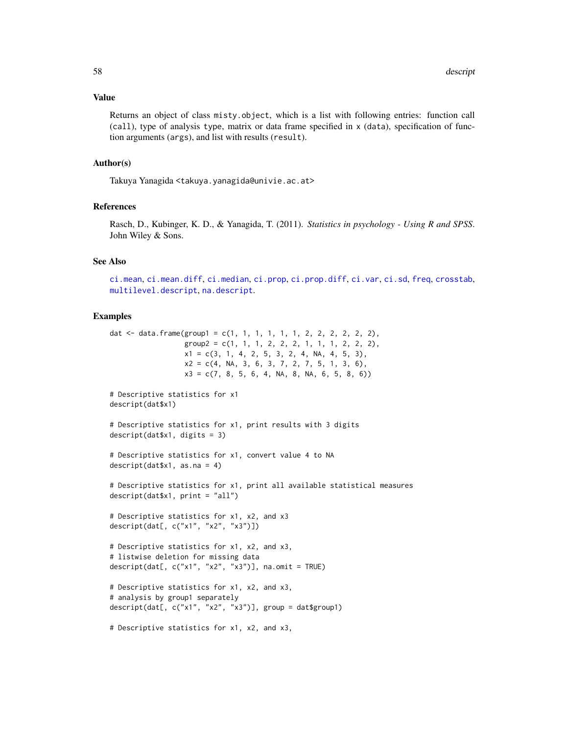#### Value

Returns an object of class misty.object, which is a list with following entries: function call (call), type of analysis type, matrix or data frame specified in x (data), specification of function arguments (args), and list with results (result).

## Author(s)

Takuya Yanagida <takuya.yanagida@univie.ac.at>

### References

Rasch, D., Kubinger, K. D., & Yanagida, T. (2011). *Statistics in psychology - Using R and SPSS*. John Wiley & Sons.

## See Also

[ci.mean](#page-13-0), [ci.mean.diff](#page-15-0), [ci.median](#page-20-0), [ci.prop](#page-22-0), [ci.prop.diff](#page-25-0), [ci.var](#page-31-0), [ci.sd](#page-29-0), [freq](#page-69-0), [crosstab](#page-53-0), [multilevel.descript](#page-97-0), [na.descript](#page-116-0).

```
dat <- data.frame(group1 = c(1, 1, 1, 1, 1, 1, 2, 2, 2, 2, 2, 2),
                 group2 = c(1, 1, 1, 2, 2, 2, 1, 1, 1, 2, 2, 2),x1 = c(3, 1, 4, 2, 5, 3, 2, 4, NA, 4, 5, 3),x2 = c(4, NA, 3, 6, 3, 7, 2, 7, 5, 1, 3, 6),x3 = c(7, 8, 5, 6, 4, NA, 8, NA, 6, 5, 8, 6))# Descriptive statistics for x1
descript(dat$x1)
# Descriptive statistics for x1, print results with 3 digits
descript(dat$x1, digits = 3)
# Descriptive statistics for x1, convert value 4 to NA
descript(datx1, as.na = 4)
# Descriptive statistics for x1, print all available statistical measures
descript(dat$x1, print = "all")
# Descriptive statistics for x1, x2, and x3
descript(dat[, c("x1", "x2", "x3")])
# Descriptive statistics for x1, x2, and x3,
# listwise deletion for missing data
descript(dat[, c("x1", "x2", "x3")], na.omit = TRUE)
# Descriptive statistics for x1, x2, and x3,
# analysis by group1 separately
descript(dat[, c("x1", "x2", "x3")], group = dat$group1)
```

```
# Descriptive statistics for x1, x2, and x3,
```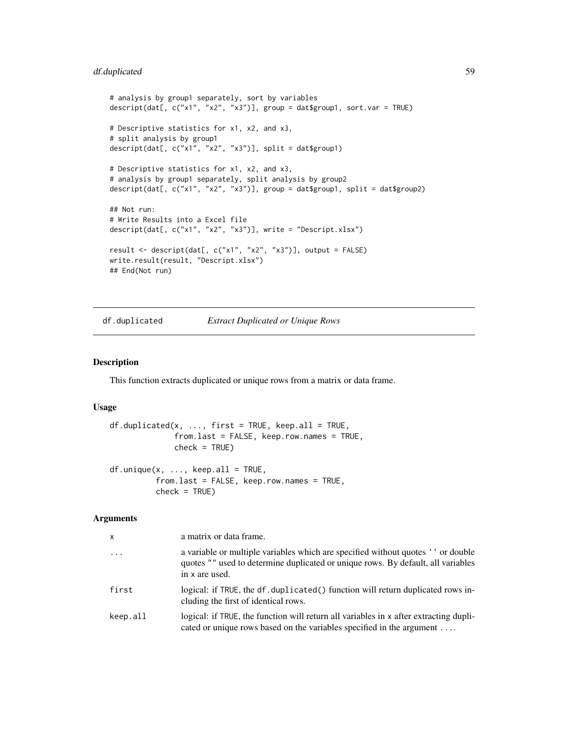# df.duplicated 59

```
# analysis by group1 separately, sort by variables
descript(dat[, c("x1", "x2", "x3")], group = dat$group1, sort.var = TRUE)
# Descriptive statistics for x1, x2, and x3,
# split analysis by group1
descript(dat[, c("x1", "x2", "x3")], split = dat$group1)
# Descriptive statistics for x1, x2, and x3,
# analysis by group1 separately, split analysis by group2
descript(dat[, c("x1", "x2", "x3")], group = dat$group1, split = dat$group2)
## Not run:
# Write Results into a Excel file
descript(dat[, c("x1", "x2", "x3")], write = "Descript.xlsx")
result <- descript(dat[, c("x1", "x2", "x3")], output = FALSE)
write.result(result, "Descript.xlsx")
## End(Not run)
```
<span id="page-58-1"></span>df.duplicated *Extract Duplicated or Unique Rows*

## <span id="page-58-0"></span>Description

This function extracts duplicated or unique rows from a matrix or data frame.

## Usage

```
df.duplicated(x, ..., first = TRUE, keep.al = TRUE,from.last = FALSE, keep.row.names = TRUE,
              check = TRUE)
df.unique(x, \ldots, keep.all = TRUE,
          from.last = FALSE, keep.row.names = TRUE,
```
 $check = TRUE$ )

| x        | a matrix or data frame.                                                                                                                                                                 |
|----------|-----------------------------------------------------------------------------------------------------------------------------------------------------------------------------------------|
| $\cdots$ | a variable or multiple variables which are specified without quotes ' ' or double<br>quotes "" used to determine duplicated or unique rows. By default, all variables<br>in x are used. |
| first    | logical: if TRUE, the df. duplicated () function will return duplicated rows in-<br>cluding the first of identical rows.                                                                |
| keep.all | logical: if TRUE, the function will return all variables in x after extracting dupli-<br>cated or unique rows based on the variables specified in the argument                          |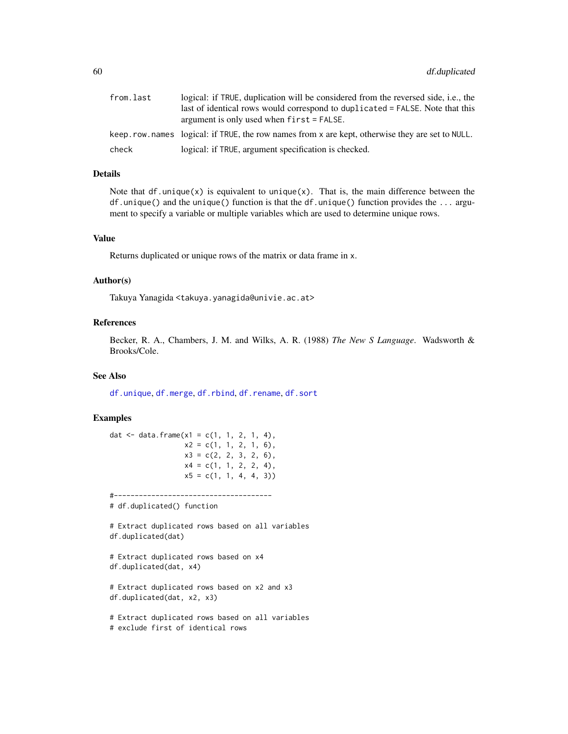| from.last | logical: if TRUE, duplication will be considered from the reversed side, i.e., the              |
|-----------|-------------------------------------------------------------------------------------------------|
|           | last of identical rows would correspond to duplicated = FALSE. Note that this                   |
|           | argument is only used when $first = FALSE$ .                                                    |
|           | keep.row.names logical: if TRUE, the row names from x are kept, otherwise they are set to NULL. |
| check     | logical: if TRUE, argument specification is checked.                                            |

# Details

Note that  $df$  unique $(x)$  is equivalent to unique $(x)$ . That is, the main difference between the df.unique() and the unique() function is that the df.unique() function provides the ... argument to specify a variable or multiple variables which are used to determine unique rows.

#### Value

Returns duplicated or unique rows of the matrix or data frame in x.

### Author(s)

Takuya Yanagida <takuya.yanagida@univie.ac.at>

# References

Becker, R. A., Chambers, J. M. and Wilks, A. R. (1988) *The New S Language*. Wadsworth & Brooks/Cole.

## See Also

[df.unique](#page-58-0), [df.merge](#page-60-0), [df.rbind](#page-62-0), [df.rename](#page-64-0), [df.sort](#page-65-0)

```
dat \leq data.frame(x1 = c(1, 1, 2, 1, 4),
                 x2 = c(1, 1, 2, 1, 6),
                 x3 = c(2, 2, 3, 2, 6),
                 x4 = c(1, 1, 2, 2, 4),
                 x5 = c(1, 1, 4, 4, 3)#--------------------------------------
# df.duplicated() function
# Extract duplicated rows based on all variables
df.duplicated(dat)
# Extract duplicated rows based on x4
df.duplicated(dat, x4)
# Extract duplicated rows based on x2 and x3
df.duplicated(dat, x2, x3)
# Extract duplicated rows based on all variables
# exclude first of identical rows
```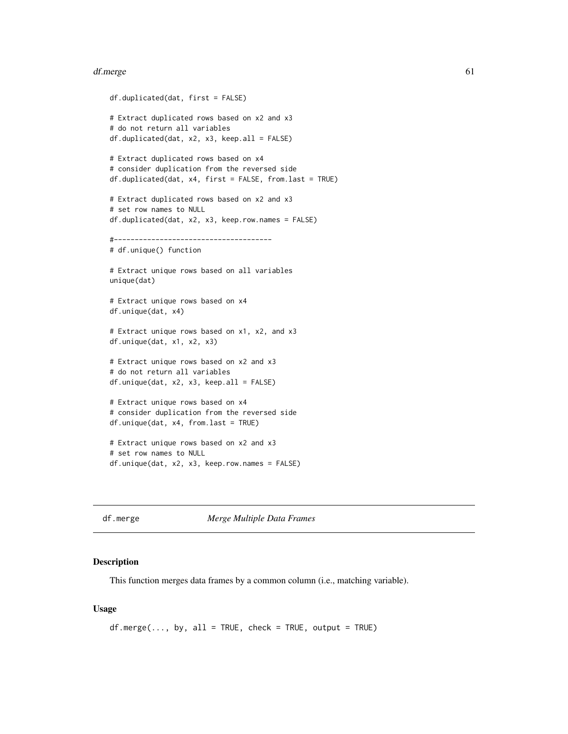#### df.merge 61

```
df.duplicated(dat, first = FALSE)
# Extract duplicated rows based on x2 and x3
# do not return all variables
df.duplicated(dat, x2, x3, keep.all = FALSE)
# Extract duplicated rows based on x4
# consider duplication from the reversed side
df.duplicated(dat, x4, first = FALSE, from.last = TRUE)
# Extract duplicated rows based on x2 and x3
# set row names to NULL
df.duplicated(dat, x2, x3, keep.row.names = FALSE)
#--------------------------------------
# df.unique() function
# Extract unique rows based on all variables
unique(dat)
# Extract unique rows based on x4
df.unique(dat, x4)
# Extract unique rows based on x1, x2, and x3
df.unique(dat, x1, x2, x3)
# Extract unique rows based on x2 and x3
# do not return all variables
df.unique(dat, x2, x3, keep.all = FALSE)
# Extract unique rows based on x4
# consider duplication from the reversed side
df.unique(dat, x4, from.last = TRUE)
# Extract unique rows based on x2 and x3
# set row names to NULL
```
df.unique(dat, x2, x3, keep.row.names = FALSE)

<span id="page-60-0"></span>df.merge *Merge Multiple Data Frames*

#### **Description**

This function merges data frames by a common column (i.e., matching variable).

## Usage

```
df{.merge(..., by, all = TRUE, check = TRUE, output = TRUE)
```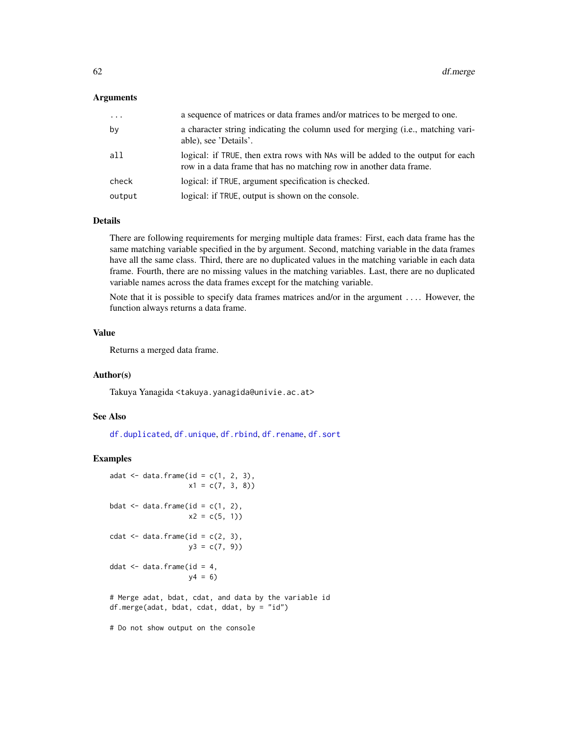### Arguments

| $\cdots$ | a sequence of matrices or data frames and/or matrices to be merged to one.                                                                             |
|----------|--------------------------------------------------------------------------------------------------------------------------------------------------------|
| by       | a character string indicating the column used for merging (i.e., matching vari-<br>able), see 'Details'.                                               |
| all      | logical: if TRUE, then extra rows with NAs will be added to the output for each<br>row in a data frame that has no matching row in another data frame. |
| check    | logical: if TRUE, argument specification is checked.                                                                                                   |
| output   | logical: if TRUE, output is shown on the console.                                                                                                      |

## Details

There are following requirements for merging multiple data frames: First, each data frame has the same matching variable specified in the by argument. Second, matching variable in the data frames have all the same class. Third, there are no duplicated values in the matching variable in each data frame. Fourth, there are no missing values in the matching variables. Last, there are no duplicated variable names across the data frames except for the matching variable.

Note that it is possible to specify data frames matrices and/or in the argument .... However, the function always returns a data frame.

### Value

Returns a merged data frame.

## Author(s)

Takuya Yanagida <takuya.yanagida@univie.ac.at>

# See Also

[df.duplicated](#page-58-1), [df.unique](#page-58-0), [df.rbind](#page-62-0), [df.rename](#page-64-0), [df.sort](#page-65-0)

# Examples

```
adat \leq data.frame(id = c(1, 2, 3),
                  x1 = c(7, 3, 8)bdat \leq data.frame(id = c(1, 2),
                   x2 = c(5, 1)cdat \leq data.frame(id = c(2, 3),
                  y3 = c(7, 9)ddat \leq data.frame(id = 4,
                   y4 = 6# Merge adat, bdat, cdat, and data by the variable id
df.merge(adat, bdat, cdat, ddat, by = "id")
```
# Do not show output on the console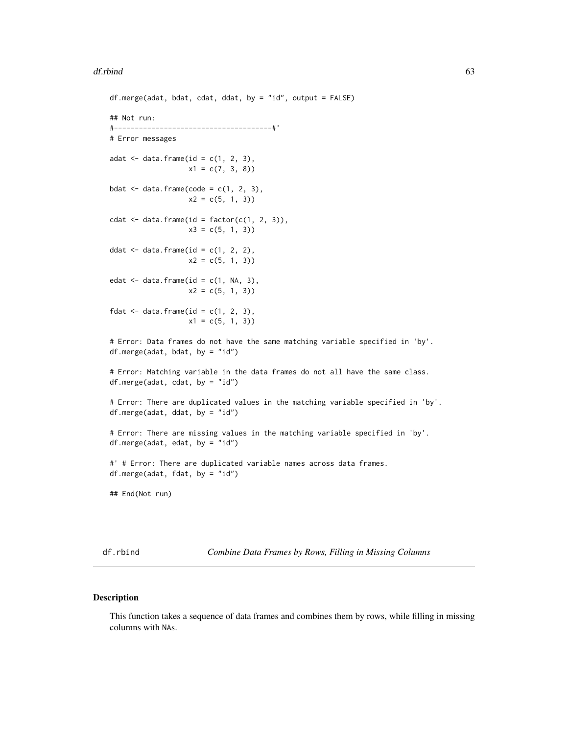#### $df.$ rbind 63

```
df.merge(adat, bdat, cdat, ddat, by = "id", output = FALSE)
## Not run:
#--------------------------------------#'
# Error messages
adat \leq data.frame(id = c(1, 2, 3),
                   x1 = c(7, 3, 8)bdat \leq data.frame(code = c(1, 2, 3),
                   x2 = c(5, 1, 3)cdat \leq data.frame(id = factor(c(1, 2, 3)),
                   x3 = c(5, 1, 3)ddat \leq data.frame(id = c(1, 2, 2),
                   x2 = c(5, 1, 3)edat \leq data.frame(id = c(1, NA, 3),
                   x2 = c(5, 1, 3)fdat \leq data.frame(id = c(1, 2, 3),
                   x1 = c(5, 1, 3)# Error: Data frames do not have the same matching variable specified in 'by'.
df.merge(adat, bdat, by = "id")
# Error: Matching variable in the data frames do not all have the same class.
df.merge(adat, cdat, by = "id")
# Error: There are duplicated values in the matching variable specified in 'by'.
df.merge(adat, ddat, by = "id")
# Error: There are missing values in the matching variable specified in 'by'.
df.merge(adat, edat, by = "id")
#' # Error: There are duplicated variable names across data frames.
df.merge(adat, fdat, by = "id")
## End(Not run)
```
<span id="page-62-0"></span>df.rbind *Combine Data Frames by Rows, Filling in Missing Columns*

# Description

This function takes a sequence of data frames and combines them by rows, while filling in missing columns with NAs.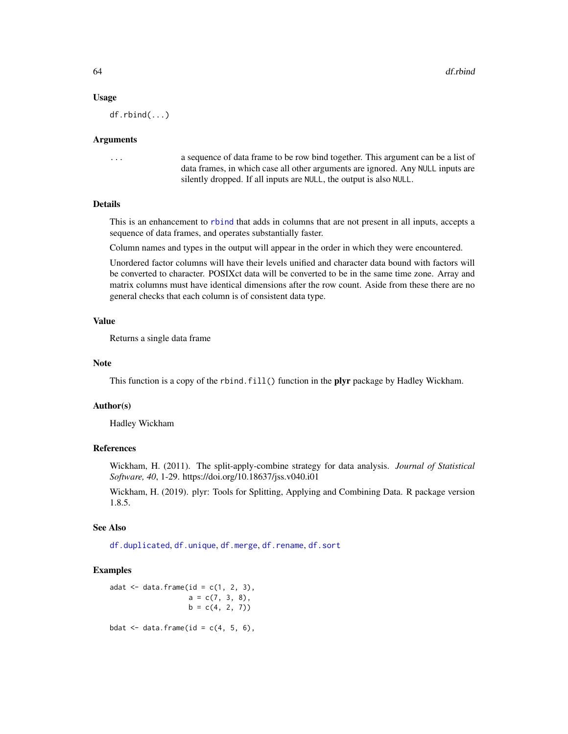### Usage

df.rbind(...)

### Arguments

... a sequence of data frame to be row bind together. This argument can be a list of data frames, in which case all other arguments are ignored. Any NULL inputs are silently dropped. If all inputs are NULL, the output is also NULL.

# Details

This is an enhancement to [rbind](#page-0-0) that adds in columns that are not present in all inputs, accepts a sequence of data frames, and operates substantially faster.

Column names and types in the output will appear in the order in which they were encountered.

Unordered factor columns will have their levels unified and character data bound with factors will be converted to character. POSIXct data will be converted to be in the same time zone. Array and matrix columns must have identical dimensions after the row count. Aside from these there are no general checks that each column is of consistent data type.

# Value

Returns a single data frame

## Note

This function is a copy of the rbind.fill() function in the plyr package by Hadley Wickham.

#### Author(s)

Hadley Wickham

# References

Wickham, H. (2011). The split-apply-combine strategy for data analysis. *Journal of Statistical Software, 40*, 1-29. https://doi.org/10.18637/jss.v040.i01

Wickham, H. (2019). plyr: Tools for Splitting, Applying and Combining Data. R package version 1.8.5.

### See Also

[df.duplicated](#page-58-1), [df.unique](#page-58-0), [df.merge](#page-60-0), [df.rename](#page-64-0), [df.sort](#page-65-0)

# Examples

adat  $\leq$  data.frame(id = c(1, 2, 3),  $a = c(7, 3, 8),$  $b = c(4, 2, 7)$ 

bdat  $\leq$  data.frame(id = c(4, 5, 6),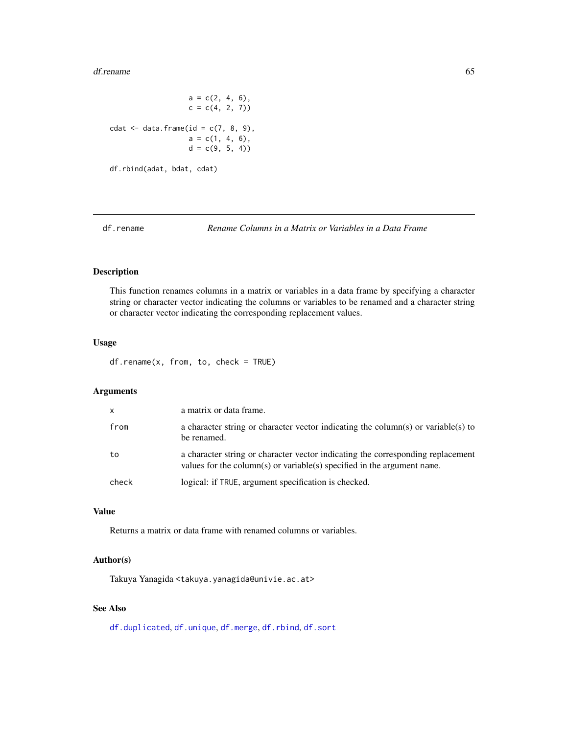#### df.rename 65

 $a = c(2, 4, 6)$ ,  $c = c(4, 2, 7)$ cdat  $\leq$  data.frame(id = c(7, 8, 9),  $a = c(1, 4, 6)$ ,  $d = c(9, 5, 4)$ df.rbind(adat, bdat, cdat)

<span id="page-64-0"></span>df.rename *Rename Columns in a Matrix or Variables in a Data Frame*

# Description

This function renames columns in a matrix or variables in a data frame by specifying a character string or character vector indicating the columns or variables to be renamed and a character string or character vector indicating the corresponding replacement values.

## Usage

df.rename(x, from, to, check = TRUE)

### Arguments

| $\mathsf{x}$ | a matrix or data frame.                                                                                                                                    |
|--------------|------------------------------------------------------------------------------------------------------------------------------------------------------------|
| from         | a character string or character vector indicating the column(s) or variable(s) to<br>be renamed.                                                           |
| to           | a character string or character vector indicating the corresponding replacement<br>values for the column(s) or variable(s) specified in the argument name. |
| check        | logical: if TRUE, argument specification is checked.                                                                                                       |

## Value

Returns a matrix or data frame with renamed columns or variables.

## Author(s)

Takuya Yanagida <takuya.yanagida@univie.ac.at>

## See Also

[df.duplicated](#page-58-1), [df.unique](#page-58-0), [df.merge](#page-60-0), [df.rbind](#page-62-0), [df.sort](#page-65-0)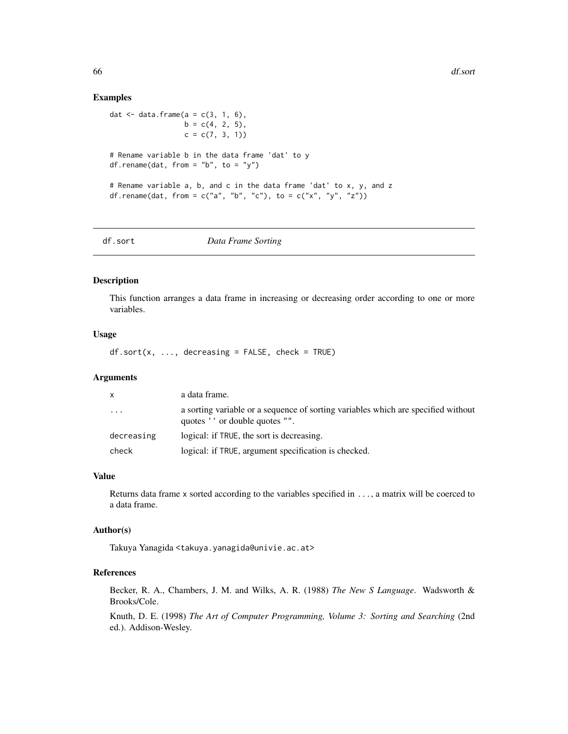### Examples

dat  $\leq$  data.frame(a = c(3, 1, 6),  $b = c(4, 2, 5)$ ,  $c = c(7, 3, 1)$ # Rename variable b in the data frame 'dat' to y df.rename(dat, from = "b", to = "y") # Rename variable a, b, and c in the data frame 'dat' to x, y, and z df.rename(dat, from = c("a", "b", "c"), to = c("x", "y", "z"))

<span id="page-65-0"></span>

df.sort *Data Frame Sorting*

# Description

This function arranges a data frame in increasing or decreasing order according to one or more variables.

### Usage

 $df.sort(x, ..., decreasing = FALSE, check = TRUE)$ 

# Arguments

| X.                      | a data frame.                                                                                                        |
|-------------------------|----------------------------------------------------------------------------------------------------------------------|
| $\cdot$ $\cdot$ $\cdot$ | a sorting variable or a sequence of sorting variables which are specified without<br>quotes ' ' or double quotes "". |
| decreasing              | logical: if TRUE, the sort is decreasing.                                                                            |
| check                   | logical: if TRUE, argument specification is checked.                                                                 |

## Value

Returns data frame x sorted according to the variables specified in ..., a matrix will be coerced to a data frame.

## Author(s)

Takuya Yanagida <takuya.yanagida@univie.ac.at>

## References

Becker, R. A., Chambers, J. M. and Wilks, A. R. (1988) *The New S Language*. Wadsworth & Brooks/Cole.

Knuth, D. E. (1998) *The Art of Computer Programming, Volume 3: Sorting and Searching* (2nd ed.). Addison-Wesley.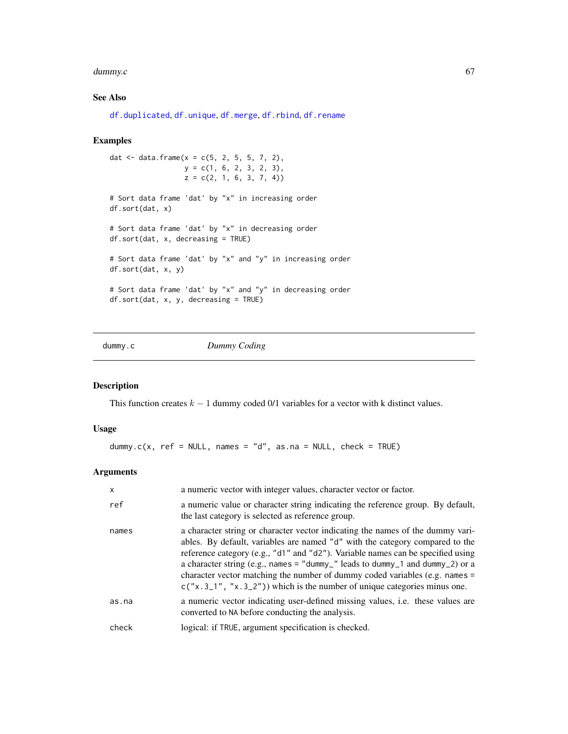#### dummy.c 67

# See Also

```
df.duplicated, df.unique, df.merge, df.rbind, df.rename
```
## Examples

```
dat <- data.frame(x = c(5, 2, 5, 5, 7, 2),
                 y = c(1, 6, 2, 3, 2, 3),
                  z = c(2, 1, 6, 3, 7, 4)# Sort data frame 'dat' by "x" in increasing order
df.sort(dat, x)
# Sort data frame 'dat' by "x" in decreasing order
df.sort(dat, x, decreasing = TRUE)
# Sort data frame 'dat' by "x" and "y" in increasing order
df.sort(dat, x, y)
# Sort data frame 'dat' by "x" and "y" in decreasing order
df.sort(dat, x, y, decreasing = TRUE)
```
dummy.c *Dummy Coding*

## Description

This function creates  $k - 1$  dummy coded 0/1 variables for a vector with k distinct values.

# Usage

dummy.c(x, ref = NULL, names = "d", as.na = NULL, check = TRUE)

| $\mathsf{x}$ | a numeric vector with integer values, character vector or factor.                                                                                                                                                                                                                                                                                                                                                                                                                                |
|--------------|--------------------------------------------------------------------------------------------------------------------------------------------------------------------------------------------------------------------------------------------------------------------------------------------------------------------------------------------------------------------------------------------------------------------------------------------------------------------------------------------------|
| ref          | a numeric value or character string indicating the reference group. By default,<br>the last category is selected as reference group.                                                                                                                                                                                                                                                                                                                                                             |
| names        | a character string or character vector indicating the names of the dummy vari-<br>ables. By default, variables are named "d" with the category compared to the<br>reference category (e.g., "d1" and "d2"). Variable names can be specified using<br>a character string (e.g., names = "dummy_" leads to dummy_1 and dummy_2) or a<br>character vector matching the number of dummy coded variables (e.g. names $=$<br>$c("x.3_1", "x.3_2")$ which is the number of unique categories minus one. |
| as.na        | a numeric vector indicating user-defined missing values, i.e. these values are<br>converted to NA before conducting the analysis.                                                                                                                                                                                                                                                                                                                                                                |
| check        | logical: if TRUE, argument specification is checked.                                                                                                                                                                                                                                                                                                                                                                                                                                             |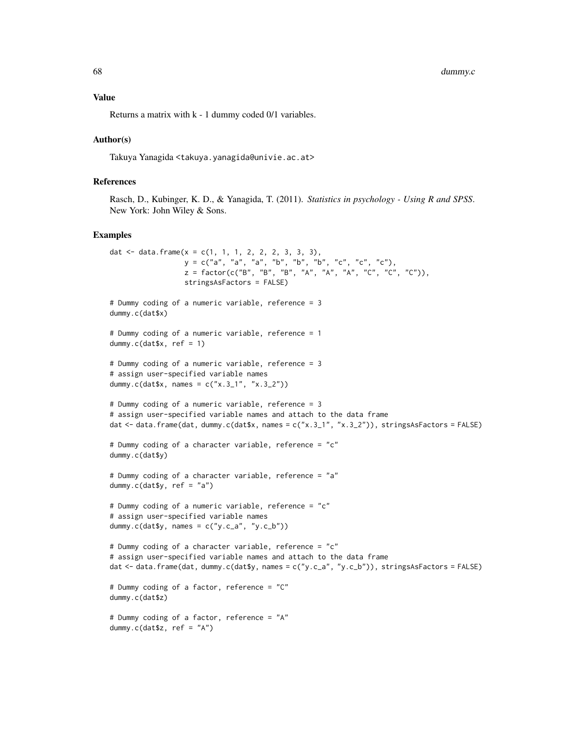68 dummy.c

### Value

Returns a matrix with k - 1 dummy coded 0/1 variables.

### Author(s)

Takuya Yanagida <takuya.yanagida@univie.ac.at>

## References

Rasch, D., Kubinger, K. D., & Yanagida, T. (2011). *Statistics in psychology - Using R and SPSS*. New York: John Wiley & Sons.

```
dat \le data.frame(x = c(1, 1, 1, 2, 2, 2, 3, 3, 3),
                  y = c("a", "a", "a", "b", "b", "b", "c", "c", "c", "c"),
                  z = factor(c("B", "B", "B", "A", "A", "A", "C", "C", "C"),stringsAsFactors = FALSE)
# Dummy coding of a numeric variable, reference = 3
dummy.c(dat$x)
# Dummy coding of a numeric variable, reference = 1
dummy.c(datx, ref = 1)
# Dummy coding of a numeric variable, reference = 3
# assign user-specified variable names
dummy.c(dat$x, names = c("x.3_1", "x.3_2"))# Dummy coding of a numeric variable, reference = 3
# assign user-specified variable names and attach to the data frame
dat <- data.frame(dat, dummy.c(dat$x, names = c("x.3_1", "x.3_2")), stringsAsFactors = FALSE)
# Dummy coding of a character variable, reference = "c"
dummy.c(dat$y)
# Dummy coding of a character variable, reference = "a"
dummy.c(dat$y, ref = "a")
# Dummy coding of a numeric variable, reference = "c"
# assign user-specified variable names
dummy.c(dat$y, names = c("y.c_a", "y.c_b"))# Dummy coding of a character variable, reference = "c"
# assign user-specified variable names and attach to the data frame
dat <- data.frame(dat, dummy.c(dat$y, names = c("y.c_a", "y.c_b")), stringsAsFactors = FALSE)
# Dummy coding of a factor, reference = "C"
dummy.c(dat$z)
# Dummy coding of a factor, reference = "A"
dummy.c(dat$z, ref = "A")
```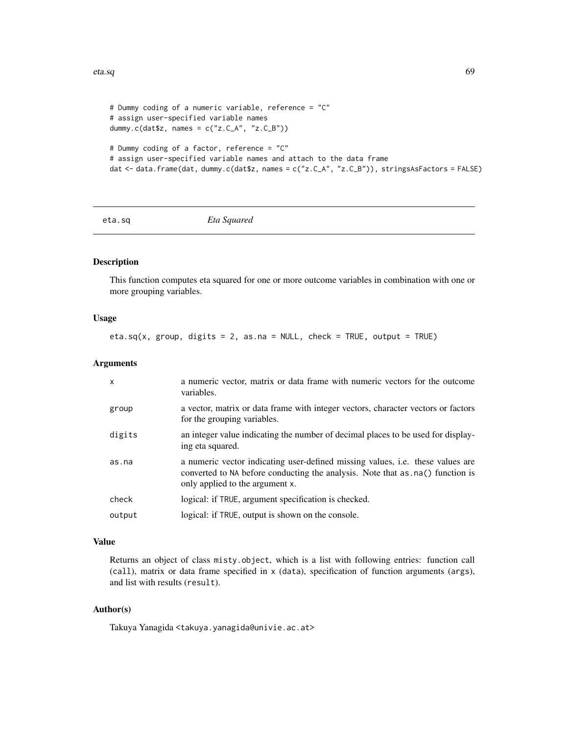```
# Dummy coding of a numeric variable, reference = "C"
# assign user-specified variable names
dummy.c(dat$z, names = c("z.C_A", "z.C_B"))# Dummy coding of a factor, reference = "C"
# assign user-specified variable names and attach to the data frame
dat <- data.frame(dat, dummy.c(dat$z, names = c("z.C_A", "z.C_B")), stringsAsFactors = FALSE)
```

```
eta.sq Eta Squared
```
### Description

This function computes eta squared for one or more outcome variables in combination with one or more grouping variables.

### Usage

eta.sq(x, group, digits = 2, as.na = NULL, check = TRUE, output = TRUE)

## Arguments

| $\mathsf{x}$ | a numeric vector, matrix or data frame with numeric vectors for the outcome<br>variables.                                                                                                                   |
|--------------|-------------------------------------------------------------------------------------------------------------------------------------------------------------------------------------------------------------|
| group        | a vector, matrix or data frame with integer vectors, character vectors or factors<br>for the grouping variables.                                                                                            |
| digits       | an integer value indicating the number of decimal places to be used for display-<br>ing eta squared.                                                                                                        |
| as.na        | a numeric vector indicating user-defined missing values, <i>i.e.</i> these values are<br>converted to NA before conducting the analysis. Note that as . na() function is<br>only applied to the argument x. |
| check        | logical: if TRUE, argument specification is checked.                                                                                                                                                        |
| output       | logical: if TRUE, output is shown on the console.                                                                                                                                                           |

# Value

Returns an object of class misty.object, which is a list with following entries: function call (call), matrix or data frame specified in x (data), specification of function arguments (args), and list with results (result).

## Author(s)

Takuya Yanagida <takuya.yanagida@univie.ac.at>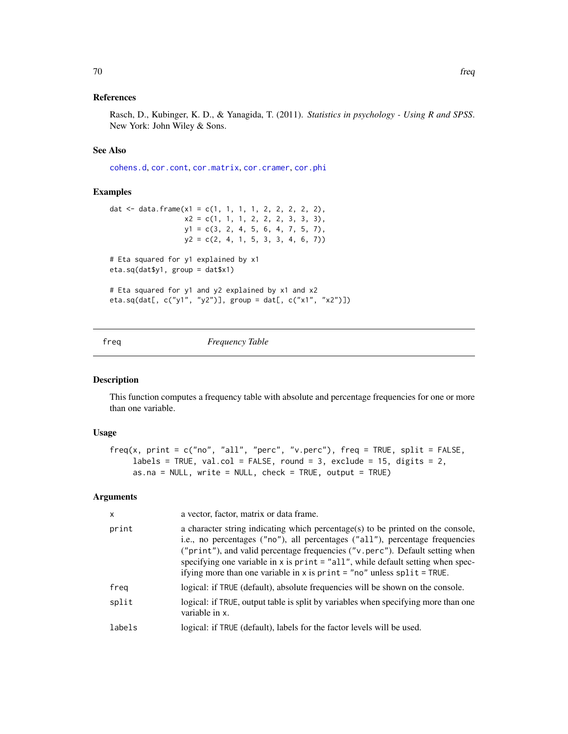## References

Rasch, D., Kubinger, K. D., & Yanagida, T. (2011). *Statistics in psychology - Using R and SPSS*. New York: John Wiley & Sons.

# See Also

[cohens.d](#page-35-0), [cor.cont](#page-44-0), [cor.matrix](#page-47-0), [cor.cramer](#page-46-0), [cor.phi](#page-50-0)

### Examples

```
dat <- data.frame(x1 = c(1, 1, 1, 1, 2, 2, 2, 2, 2),
                 x2 = c(1, 1, 1, 2, 2, 2, 3, 3, 3),
                 y1 = c(3, 2, 4, 5, 6, 4, 7, 5, 7),y2 = c(2, 4, 1, 5, 3, 3, 4, 6, 7)# Eta squared for y1 explained by x1
eta.sq(dat$y1, group = dat$x1)
# Eta squared for y1 and y2 explained by x1 and x2
eta.sq(dat[, c("y1", "y2")], group = dat[, c("x1", "x2")])
```
<span id="page-69-0"></span>

freq *Frequency Table*

# Description

This function computes a frequency table with absolute and percentage frequencies for one or more than one variable.

## Usage

```
freq(x, print = c("no", "all", "perc", "v.perc"), freq = TRUE, split = FALSE,labels = TRUE, val.col = FALSE, round = 3, exclude = 15, digits = 2,
    as.na = NULL, write = NULL, check = TRUE, output = TRUE)
```

| x      | a vector, factor, matrix or data frame.                                                                                                                                                                                                                                                                                                                                                                          |
|--------|------------------------------------------------------------------------------------------------------------------------------------------------------------------------------------------------------------------------------------------------------------------------------------------------------------------------------------------------------------------------------------------------------------------|
| print  | a character string indicating which percentage(s) to be printed on the console,<br>i.e., no percentages ("no"), all percentages ("all"), percentage frequencies<br>("print"), and valid percentage frequencies ("v.perc"). Default setting when<br>specifying one variable in x is print = "all", while default setting when spec-<br>if ying more than one variable in $x$ is print = "no" unless split = TRUE. |
| freg   | logical: if TRUE (default), absolute frequencies will be shown on the console.                                                                                                                                                                                                                                                                                                                                   |
| split  | logical: if TRUE, output table is split by variables when specifying more than one<br>variable in x.                                                                                                                                                                                                                                                                                                             |
| labels | logical: if TRUE (default), labels for the factor levels will be used.                                                                                                                                                                                                                                                                                                                                           |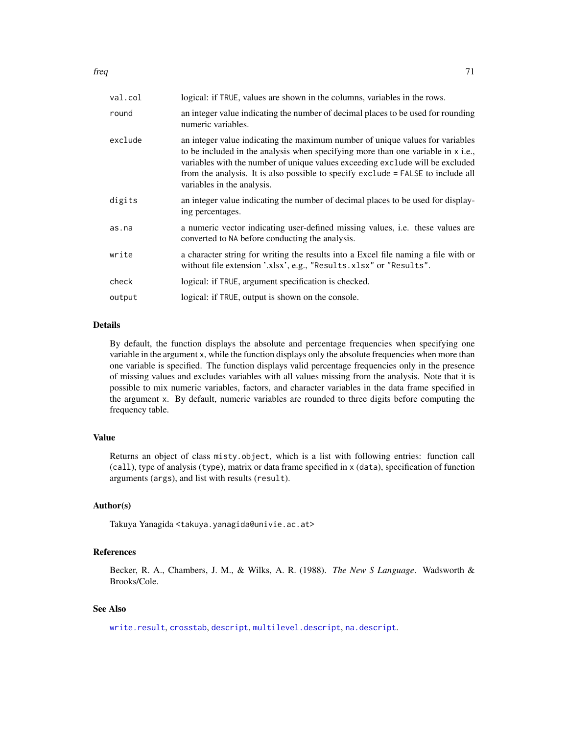| val.col | logical: if TRUE, values are shown in the columns, variables in the rows.                                                                                                                                                                                                                                                                                            |
|---------|----------------------------------------------------------------------------------------------------------------------------------------------------------------------------------------------------------------------------------------------------------------------------------------------------------------------------------------------------------------------|
| round   | an integer value indicating the number of decimal places to be used for rounding<br>numeric variables.                                                                                                                                                                                                                                                               |
| exclude | an integer value indicating the maximum number of unique values for variables<br>to be included in the analysis when specifying more than one variable in x i.e.,<br>variables with the number of unique values exceeding exclude will be excluded<br>from the analysis. It is also possible to specify exclude = FALSE to include all<br>variables in the analysis. |
| digits  | an integer value indicating the number of decimal places to be used for display-<br>ing percentages.                                                                                                                                                                                                                                                                 |
| as.na   | a numeric vector indicating user-defined missing values, i.e. these values are<br>converted to NA before conducting the analysis.                                                                                                                                                                                                                                    |
| write   | a character string for writing the results into a Excel file naming a file with or<br>without file extension '.xlsx', e.g., "Results.xlsx" or "Results".                                                                                                                                                                                                             |
| check   | logical: if TRUE, argument specification is checked.                                                                                                                                                                                                                                                                                                                 |
| output  | logical: if TRUE, output is shown on the console.                                                                                                                                                                                                                                                                                                                    |
|         |                                                                                                                                                                                                                                                                                                                                                                      |

### Details

By default, the function displays the absolute and percentage frequencies when specifying one variable in the argument x, while the function displays only the absolute frequencies when more than one variable is specified. The function displays valid percentage frequencies only in the presence of missing values and excludes variables with all values missing from the analysis. Note that it is possible to mix numeric variables, factors, and character variables in the data frame specified in the argument x. By default, numeric variables are rounded to three digits before computing the frequency table.

# Value

Returns an object of class misty.object, which is a list with following entries: function call (call), type of analysis (type), matrix or data frame specified in x (data), specification of function arguments (args), and list with results (result).

### Author(s)

Takuya Yanagida <takuya.yanagida@univie.ac.at>

# References

Becker, R. A., Chambers, J. M., & Wilks, A. R. (1988). *The New S Language*. Wadsworth & Brooks/Cole.

# See Also

[write.result](#page-168-0), [crosstab](#page-53-0), [descript](#page-56-0), [multilevel.descript](#page-97-0), [na.descript](#page-116-0).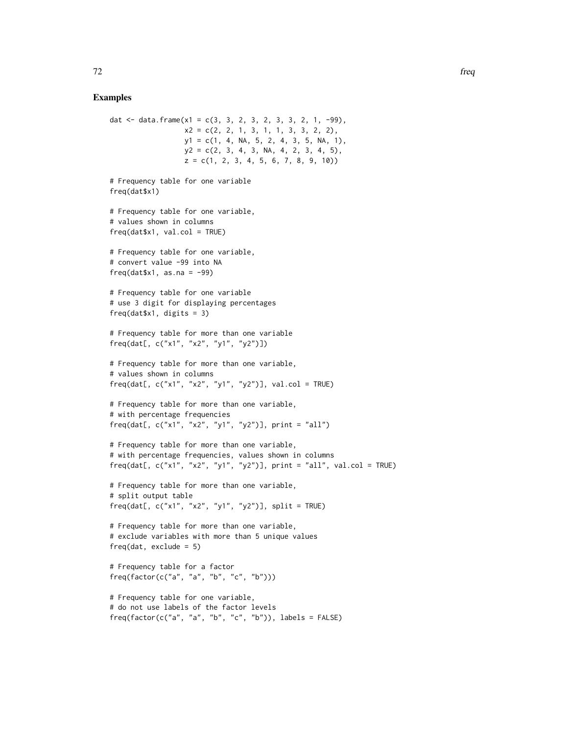```
dat \le data.frame(x1 = c(3, 3, 2, 3, 2, 3, 3, 2, 1, -99),
                 x2 = c(2, 2, 1, 3, 1, 1, 3, 3, 2, 2),y1 = c(1, 4, NA, 5, 2, 4, 3, 5, NA, 1),y2 = c(2, 3, 4, 3, NA, 4, 2, 3, 4, 5),z = c(1, 2, 3, 4, 5, 6, 7, 8, 9, 10)# Frequency table for one variable
freq(dat$x1)
# Frequency table for one variable,
# values shown in columns
freq(data$x1, val.col = TRUE)
# Frequency table for one variable,
# convert value -99 into NA
freq(datx1, as.na = -99)
# Frequency table for one variable
# use 3 digit for displaying percentages
freq(dat$x1, digits = 3)
# Frequency table for more than one variable
freq(dat[, c("x1", "x2", "y1", "y2")])
# Frequency table for more than one variable,
# values shown in columns
freq(dat[, c("x1", "x2", "y1", "y2")], val.col = TRUE)
# Frequency table for more than one variable,
# with percentage frequencies
freq(dat[, c("x1", "x2", "y1", "y2")], print = "all")
# Frequency table for more than one variable,
# with percentage frequencies, values shown in columns
freq(dat[, c("x1", "x2", "y1", "y2")], print = "all", val.col = TRUE)
# Frequency table for more than one variable,
# split output table
freq(dat[, c("x1", "x2", "y1", "y2")], split = TRUE)
# Frequency table for more than one variable,
# exclude variables with more than 5 unique values
freq(dat, exclude = 5)
# Frequency table for a factor
freq(factor(c("a", "a", "b", "c", "b")))
# Frequency table for one variable,
# do not use labels of the factor levels
freq(factor(c("a", "a", "b", "c", "b")), labels = FALSE)
```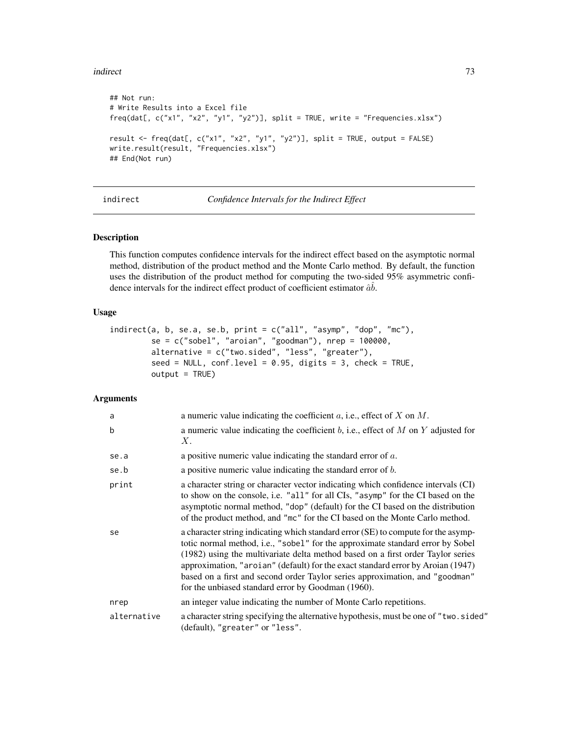### indirect 73

```
## Not run:
# Write Results into a Excel file
freq(dat[, c("x1", "x2", "y1", "y2")], split = TRUE, write = "Frequencies.xlsx")
result <- freq(dat[, c("x1", "x2", "y1", "y2")], split = TRUE, output = FALSE)
write.result(result, "Frequencies.xlsx")
## End(Not run)
```
<span id="page-72-0"></span>indirect *Confidence Intervals for the Indirect Effect*

## Description

This function computes confidence intervals for the indirect effect based on the asymptotic normal method, distribution of the product method and the Monte Carlo method. By default, the function uses the distribution of the product method for computing the two-sided 95% asymmetric confidence intervals for the indirect effect product of coefficient estimator  $\hat{a}\hat{b}$ .

### Usage

```
indirect(a, b, se.a, se.b, print = c("all", "asymp", "dop", "mc"),se = c("sobel", "aroian", "goodman"), nrep = 100000,alternative = c("two.sided", "less", "greater"),
         seed = NULL, conf. level = 0.95, digits = 3, check = TRUE,
        output = TRUE)
```

| a           | a numeric value indicating the coefficient $a$ , i.e., effect of $X$ on $M$ .                                                                                                                                                                                                                                                                                                                                                                                                   |
|-------------|---------------------------------------------------------------------------------------------------------------------------------------------------------------------------------------------------------------------------------------------------------------------------------------------------------------------------------------------------------------------------------------------------------------------------------------------------------------------------------|
| b           | a numeric value indicating the coefficient $b$ , i.e., effect of $M$ on $Y$ adjusted for<br>Χ.                                                                                                                                                                                                                                                                                                                                                                                  |
| se.a        | a positive numeric value indicating the standard error of $a$ .                                                                                                                                                                                                                                                                                                                                                                                                                 |
| se.b        | a positive numeric value indicating the standard error of $b$ .                                                                                                                                                                                                                                                                                                                                                                                                                 |
| print       | a character string or character vector indicating which confidence intervals (CI)<br>to show on the console, i.e. "all" for all CIs, "asymp" for the CI based on the<br>asymptotic normal method, "dop" (default) for the CI based on the distribution<br>of the product method, and "mc" for the CI based on the Monte Carlo method.                                                                                                                                           |
| se          | a character string indicating which standard error (SE) to compute for the asymp-<br>totic normal method, i.e., "sobel" for the approximate standard error by Sobel<br>(1982) using the multivariate delta method based on a first order Taylor series<br>approximation, "aroian" (default) for the exact standard error by Aroian (1947)<br>based on a first and second order Taylor series approximation, and "goodman"<br>for the unbiased standard error by Goodman (1960). |
| nrep        | an integer value indicating the number of Monte Carlo repetitions.                                                                                                                                                                                                                                                                                                                                                                                                              |
| alternative | a character string specifying the alternative hypothesis, must be one of "two.sided"<br>(default), "greater" or "less".                                                                                                                                                                                                                                                                                                                                                         |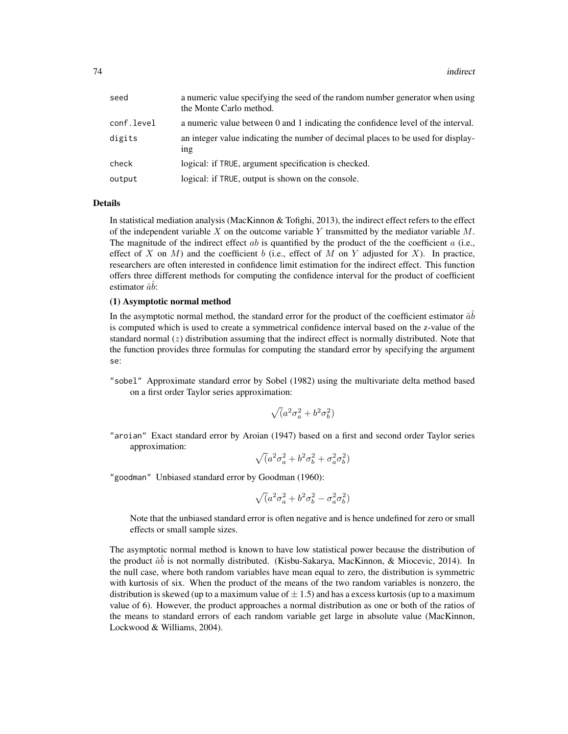| seed       | a numeric value specifying the seed of the random number generator when using<br>the Monte Carlo method. |
|------------|----------------------------------------------------------------------------------------------------------|
| conf.level | a numeric value between 0 and 1 indicating the confidence level of the interval.                         |
| digits     | an integer value indicating the number of decimal places to be used for display-<br>1 <sup>n</sup>       |
| check      | logical: if TRUE, argument specification is checked.                                                     |
| output     | logical: if TRUE, output is shown on the console.                                                        |

In statistical mediation analysis (MacKinnon & Tofighi, 2013), the indirect effect refers to the effect of the independent variable  $X$  on the outcome variable  $Y$  transmitted by the mediator variable  $M$ . The magnitude of the indirect effect  $ab$  is quantified by the product of the the coefficient  $a$  (i.e., effect of X on M) and the coefficient b (i.e., effect of M on Y adjusted for X). In practice, researchers are often interested in confidence limit estimation for the indirect effect. This function offers three different methods for computing the confidence interval for the product of coefficient estimator  $\hat{a}\hat{b}$ :

### (1) Asymptotic normal method

In the asymptotic normal method, the standard error for the product of the coefficient estimator  $\hat{a}\hat{b}$ is computed which is used to create a symmetrical confidence interval based on the z-value of the standard normal  $(z)$  distribution assuming that the indirect effect is normally distributed. Note that the function provides three formulas for computing the standard error by specifying the argument se:

"sobel" Approximate standard error by Sobel (1982) using the multivariate delta method based on a first order Taylor series approximation:

$$
\sqrt(a^2 \sigma_a^2 + b^2 \sigma_b^2)
$$

"aroian" Exact standard error by Aroian (1947) based on a first and second order Taylor series approximation:

$$
\sqrt(a^2 \sigma_a^2 + b^2 \sigma_b^2 + \sigma_a^2 \sigma_b^2)
$$

"goodman" Unbiased standard error by Goodman (1960):

$$
\sqrt(a^2 \sigma_a^2 + b^2 \sigma_b^2 - \sigma_a^2 \sigma_b^2)
$$

Note that the unbiased standard error is often negative and is hence undefined for zero or small effects or small sample sizes.

The asymptotic normal method is known to have low statistical power because the distribution of the product  $\hat{a}\hat{b}$  is not normally distributed. (Kisbu-Sakarya, MacKinnon, & Miocevic, 2014). In the null case, where both random variables have mean equal to zero, the distribution is symmetric with kurtosis of six. When the product of the means of the two random variables is nonzero, the distribution is skewed (up to a maximum value of  $\pm$  1.5) and has a excess kurtosis (up to a maximum value of 6). However, the product approaches a normal distribution as one or both of the ratios of the means to standard errors of each random variable get large in absolute value (MacKinnon, Lockwood & Williams, 2004).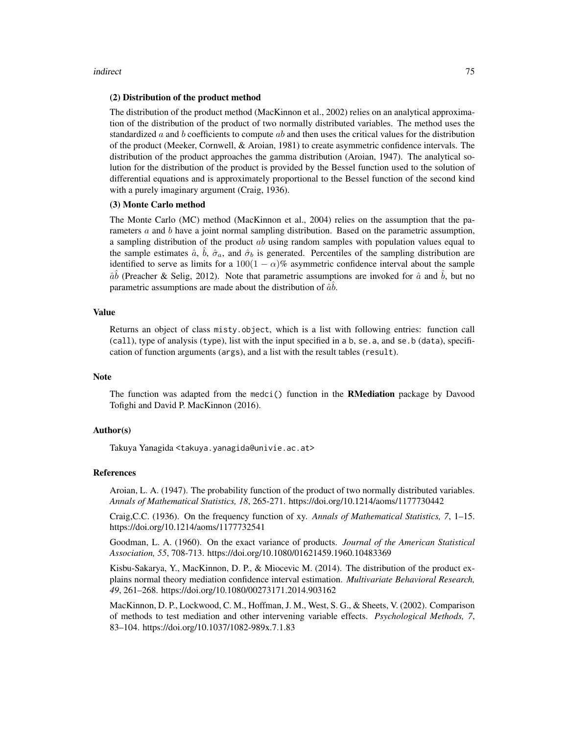#### indirect 75

#### (2) Distribution of the product method

The distribution of the product method (MacKinnon et al., 2002) relies on an analytical approximation of the distribution of the product of two normally distributed variables. The method uses the standardized  $\alpha$  and b coefficients to compute  $\alpha b$  and then uses the critical values for the distribution of the product (Meeker, Cornwell, & Aroian, 1981) to create asymmetric confidence intervals. The distribution of the product approaches the gamma distribution (Aroian, 1947). The analytical solution for the distribution of the product is provided by the Bessel function used to the solution of differential equations and is approximately proportional to the Bessel function of the second kind with a purely imaginary argument (Craig, 1936).

## (3) Monte Carlo method

The Monte Carlo (MC) method (MacKinnon et al., 2004) relies on the assumption that the parameters  $\alpha$  and  $\beta$  have a joint normal sampling distribution. Based on the parametric assumption, a sampling distribution of the product ab using random samples with population values equal to the sample estimates  $\hat{a}$ ,  $\hat{b}$ ,  $\hat{\sigma}_a$ , and  $\hat{\sigma}_b$  is generated. Percentiles of the sampling distribution are identified to serve as limits for a  $100(1 - \alpha)\%$  asymmetric confidence interval about the sample  $\hat{a}\hat{b}$  (Preacher & Selig, 2012). Note that parametric assumptions are invoked for  $\hat{a}$  and  $\hat{b}$ , but no parametric assumptions are made about the distribution of  $\hat{a}\hat{b}$ .

## Value

Returns an object of class misty.object, which is a list with following entries: function call (call), type of analysis (type), list with the input specified in a b, se.a, and se.b (data), specification of function arguments (args), and a list with the result tables (result).

#### **Note**

The function was adapted from the medci () function in the **RMediation** package by Davood Tofighi and David P. MacKinnon (2016).

#### Author(s)

Takuya Yanagida <takuya.yanagida@univie.ac.at>

## References

Aroian, L. A. (1947). The probability function of the product of two normally distributed variables. *Annals of Mathematical Statistics, 18*, 265-271. https://doi.org/10.1214/aoms/1177730442

Craig,C.C. (1936). On the frequency function of xy. *Annals of Mathematical Statistics, 7*, 1–15. https://doi.org/10.1214/aoms/1177732541

Goodman, L. A. (1960). On the exact variance of products. *Journal of the American Statistical Association, 55*, 708-713. https://doi.org/10.1080/01621459.1960.10483369

Kisbu-Sakarya, Y., MacKinnon, D. P., & Miocevic M. (2014). The distribution of the product explains normal theory mediation confidence interval estimation. *Multivariate Behavioral Research, 49*, 261–268. https://doi.org/10.1080/00273171.2014.903162

MacKinnon, D. P., Lockwood, C. M., Hoffman, J. M., West, S. G., & Sheets, V. (2002). Comparison of methods to test mediation and other intervening variable effects. *Psychological Methods, 7*, 83–104. https://doi.org/10.1037/1082-989x.7.1.83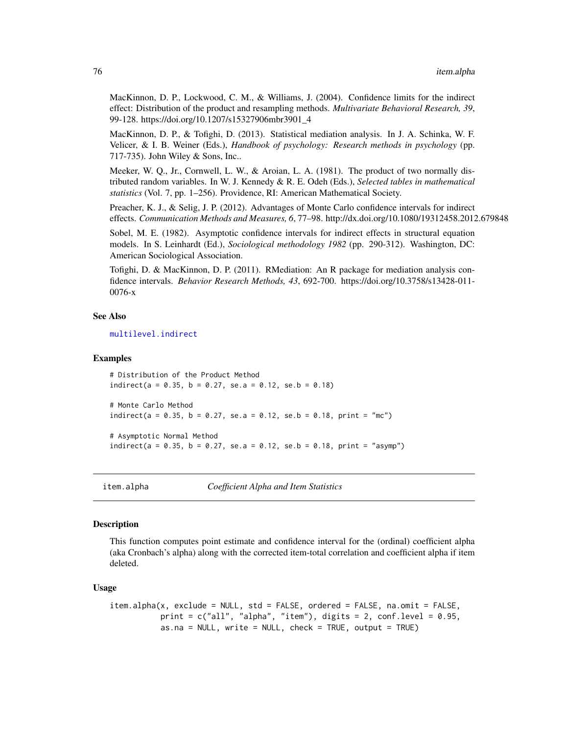MacKinnon, D. P., Lockwood, C. M., & Williams, J. (2004). Confidence limits for the indirect effect: Distribution of the product and resampling methods. *Multivariate Behavioral Research, 39*, 99-128. https://doi.org/10.1207/s15327906mbr3901\_4

MacKinnon, D. P., & Tofighi, D. (2013). Statistical mediation analysis. In J. A. Schinka, W. F. Velicer, & I. B. Weiner (Eds.), *Handbook of psychology: Research methods in psychology* (pp. 717-735). John Wiley & Sons, Inc..

Meeker, W. Q., Jr., Cornwell, L. W., & Aroian, L. A. (1981). The product of two normally distributed random variables. In W. J. Kennedy & R. E. Odeh (Eds.), *Selected tables in mathematical statistics* (Vol. 7, pp. 1–256). Providence, RI: American Mathematical Society.

Preacher, K. J., & Selig, J. P. (2012). Advantages of Monte Carlo confidence intervals for indirect effects. *Communication Methods and Measures, 6*, 77–98. http://dx.doi.org/10.1080/19312458.2012.679848

Sobel, M. E. (1982). Asymptotic confidence intervals for indirect effects in structural equation models. In S. Leinhardt (Ed.), *Sociological methodology 1982* (pp. 290-312). Washington, DC: American Sociological Association.

Tofighi, D. & MacKinnon, D. P. (2011). RMediation: An R package for mediation analysis confidence intervals. *Behavior Research Methods, 43*, 692-700. https://doi.org/10.3758/s13428-011- 0076-x

## See Also

[multilevel.indirect](#page-101-0)

### Examples

```
# Distribution of the Product Method
indirect(a = 0.35, b = 0.27, se.a = 0.12, se.b = 0.18)
# Monte Carlo Method
indirect(a = 0.35, b = 0.27, se.a = 0.12, se.b = 0.18, print = "mc")
# Asymptotic Normal Method
indirect(a = 0.35, b = 0.27, se.a = 0.12, se.b = 0.18, print = "asymp")
```
<span id="page-75-0"></span>

item.alpha *Coefficient Alpha and Item Statistics*

### **Description**

This function computes point estimate and confidence interval for the (ordinal) coefficient alpha (aka Cronbach's alpha) along with the corrected item-total correlation and coefficient alpha if item deleted.

#### Usage

```
item.alpha(x, exclude = NULL, std = FALSE, ordered = FALSE, na.omit = FALSE,
          print = c("all", "alpha", "item"), digits = 2, conf. level = 0.95,as.na = NULL, write = NULL, check = TRUE, output = TRUE)
```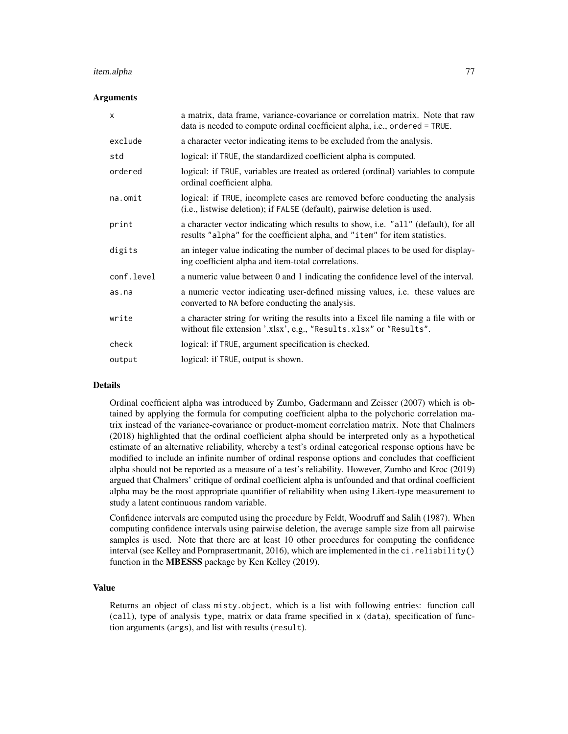#### item.alpha 77

### Arguments

| $\boldsymbol{\mathsf{x}}$ | a matrix, data frame, variance-covariance or correlation matrix. Note that raw<br>data is needed to compute ordinal coefficient alpha, i.e., ordered = TRUE.     |
|---------------------------|------------------------------------------------------------------------------------------------------------------------------------------------------------------|
| exclude                   | a character vector indicating items to be excluded from the analysis.                                                                                            |
| std                       | logical: if TRUE, the standardized coefficient alpha is computed.                                                                                                |
| ordered                   | logical: if TRUE, variables are treated as ordered (ordinal) variables to compute<br>ordinal coefficient alpha.                                                  |
| na.omit                   | logical: if TRUE, incomplete cases are removed before conducting the analysis<br>(i.e., listwise deletion); if FALSE (default), pairwise deletion is used.       |
| print                     | a character vector indicating which results to show, i.e. "all" (default), for all<br>results "alpha" for the coefficient alpha, and "item" for item statistics. |
| digits                    | an integer value indicating the number of decimal places to be used for display-<br>ing coefficient alpha and item-total correlations.                           |
| conf.level                | a numeric value between 0 and 1 indicating the confidence level of the interval.                                                                                 |
| as.na                     | a numeric vector indicating user-defined missing values, i.e. these values are<br>converted to NA before conducting the analysis.                                |
| write                     | a character string for writing the results into a Excel file naming a file with or<br>without file extension '.xlsx', e.g., "Results.xlsx" or "Results".         |
| check                     | logical: if TRUE, argument specification is checked.                                                                                                             |
| output                    | logical: if TRUE, output is shown.                                                                                                                               |

### Details

Ordinal coefficient alpha was introduced by Zumbo, Gadermann and Zeisser (2007) which is obtained by applying the formula for computing coefficient alpha to the polychoric correlation matrix instead of the variance-covariance or product-moment correlation matrix. Note that Chalmers (2018) highlighted that the ordinal coefficient alpha should be interpreted only as a hypothetical estimate of an alternative reliability, whereby a test's ordinal categorical response options have be modified to include an infinite number of ordinal response options and concludes that coefficient alpha should not be reported as a measure of a test's reliability. However, Zumbo and Kroc (2019) argued that Chalmers' critique of ordinal coefficient alpha is unfounded and that ordinal coefficient alpha may be the most appropriate quantifier of reliability when using Likert-type measurement to study a latent continuous random variable.

Confidence intervals are computed using the procedure by Feldt, Woodruff and Salih (1987). When computing confidence intervals using pairwise deletion, the average sample size from all pairwise samples is used. Note that there are at least 10 other procedures for computing the confidence interval (see Kelley and Pornprasertmanit, 2016), which are implemented in the ci.reliability() function in the MBESSS package by Ken Kelley (2019).

## Value

Returns an object of class misty.object, which is a list with following entries: function call (call), type of analysis type, matrix or data frame specified in x (data), specification of function arguments (args), and list with results (result).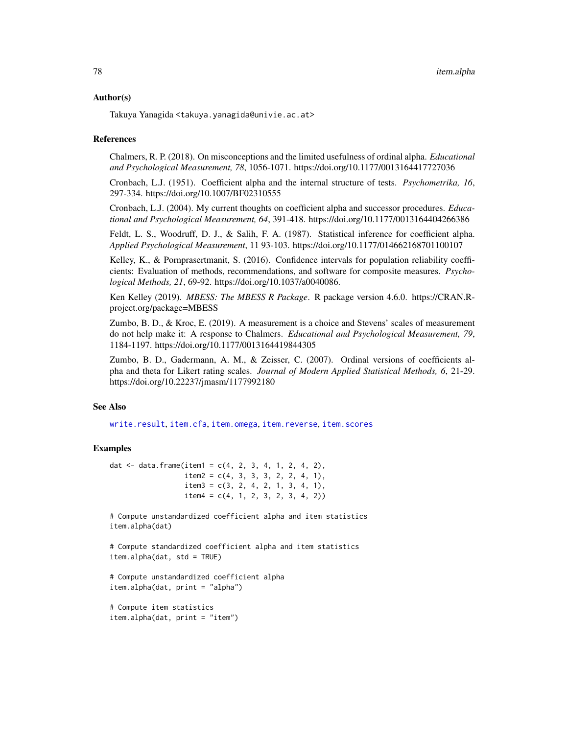### Author(s)

Takuya Yanagida <takuya.yanagida@univie.ac.at>

### References

Chalmers, R. P. (2018). On misconceptions and the limited usefulness of ordinal alpha. *Educational and Psychological Measurement, 78*, 1056-1071. https://doi.org/10.1177/0013164417727036

Cronbach, L.J. (1951). Coefficient alpha and the internal structure of tests. *Psychometrika, 16*, 297-334. https://doi.org/10.1007/BF02310555

Cronbach, L.J. (2004). My current thoughts on coefficient alpha and successor procedures. *Educational and Psychological Measurement, 64*, 391-418. https://doi.org/10.1177/0013164404266386

Feldt, L. S., Woodruff, D. J., & Salih, F. A. (1987). Statistical inference for coefficient alpha. *Applied Psychological Measurement*, 11 93-103. https://doi.org/10.1177/014662168701100107

Kelley, K., & Pornprasertmanit, S. (2016). Confidence intervals for population reliability coefficients: Evaluation of methods, recommendations, and software for composite measures. *Psychological Methods, 21*, 69-92. https://doi.org/10.1037/a0040086.

Ken Kelley (2019). *MBESS: The MBESS R Package*. R package version 4.6.0. https://CRAN.Rproject.org/package=MBESS

Zumbo, B. D., & Kroc, E. (2019). A measurement is a choice and Stevens' scales of measurement do not help make it: A response to Chalmers. *Educational and Psychological Measurement, 79*, 1184-1197. https://doi.org/10.1177/0013164419844305

Zumbo, B. D., Gadermann, A. M., & Zeisser, C. (2007). Ordinal versions of coefficients alpha and theta for Likert rating scales. *Journal of Modern Applied Statistical Methods, 6*, 21-29. https://doi.org/10.22237/jmasm/1177992180

## See Also

[write.result](#page-168-0), [item.cfa](#page-78-0), [item.omega](#page-86-0), [item.reverse](#page-89-0), [item.scores](#page-90-0)

## Examples

dat <- data.frame(item1 =  $c(4, 2, 3, 4, 1, 2, 4, 2)$ ,  $item2 = c(4, 3, 3, 3, 2, 2, 4, 1),$  $item3 = c(3, 2, 4, 2, 1, 3, 4, 1),$  $item4 = c(4, 1, 2, 3, 2, 3, 4, 2))$ 

# Compute unstandardized coefficient alpha and item statistics item.alpha(dat)

```
# Compute standardized coefficient alpha and item statistics
item.alpha(dat, std = TRUE)
```

```
# Compute unstandardized coefficient alpha
item.alpha(dat, print = "alpha")
```

```
# Compute item statistics
item.alpha(dat, print = "item")
```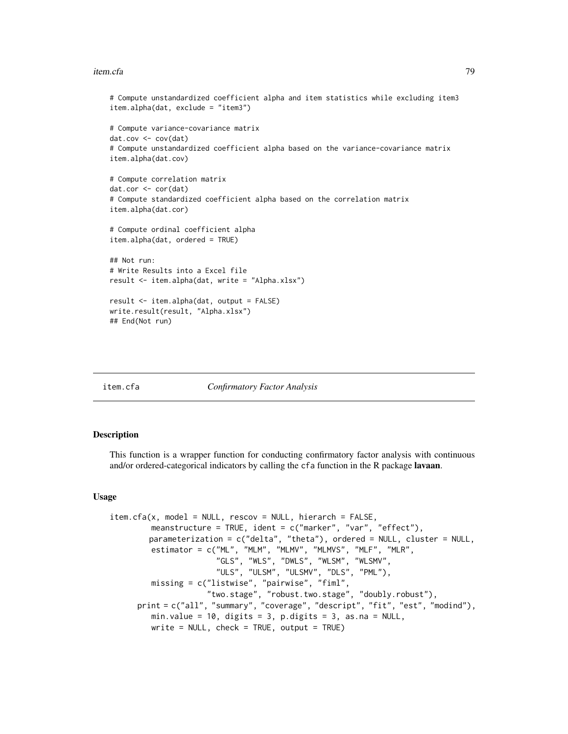#### item.cfa 79

```
# Compute unstandardized coefficient alpha and item statistics while excluding item3
item.alpha(dat, exclude = "item3")
# Compute variance-covariance matrix
dat.cov <- cov(dat)
# Compute unstandardized coefficient alpha based on the variance-covariance matrix
item.alpha(dat.cov)
# Compute correlation matrix
dat.cor <- cor(dat)
# Compute standardized coefficient alpha based on the correlation matrix
item.alpha(dat.cor)
# Compute ordinal coefficient alpha
item.alpha(dat, ordered = TRUE)
## Not run:
# Write Results into a Excel file
result <- item.alpha(dat, write = "Alpha.xlsx")
result <- item.alpha(dat, output = FALSE)
write.result(result, "Alpha.xlsx")
## End(Not run)
```
<span id="page-78-0"></span>

item.cfa *Confirmatory Factor Analysis*

### **Description**

This function is a wrapper function for conducting confirmatory factor analysis with continuous and/or ordered-categorical indicators by calling the cfa function in the R package lavaan.

#### Usage

```
item.cfa(x, model = NULL, rescov = NULL, hierarch = FALSE,
        meanstructure = TRUE, ident = c("marker", "var", "effect"),
        parameterization = c("delta", "theta"), ordered = NULL, cluster = NULL,
         estimator = c("ML", "MLM", "MLMV", "MLMVS", "MLF", "MLR",
                       "GLS", "WLS", "DWLS", "WLSM", "WLSMV",
                       "ULS", "ULSM", "ULSMV", "DLS", "PML"),
        missing = c("listwise", "pairwise", "fiml",
                     "two.stage", "robust.two.stage", "doubly.robust"),
     print = c("all", "summary", "coverage", "descript", "fit", "est", "modind"),
        min.value = 10, digits = 3, p.digits = 3, as.na = NULL,
        write = NULL, check = TRUE, output = TRUE)
```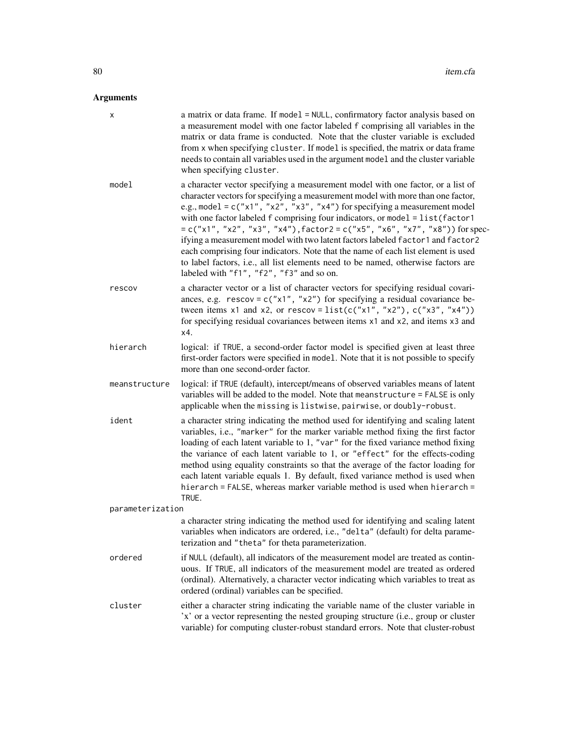| х                | a matrix or data frame. If model = NULL, confirmatory factor analysis based on<br>a measurement model with one factor labeled f comprising all variables in the<br>matrix or data frame is conducted. Note that the cluster variable is excluded<br>from x when specifying cluster. If model is specified, the matrix or data frame<br>needs to contain all variables used in the argument model and the cluster variable<br>when specifying cluster.                                                                                                                                                                                                                                                                         |
|------------------|-------------------------------------------------------------------------------------------------------------------------------------------------------------------------------------------------------------------------------------------------------------------------------------------------------------------------------------------------------------------------------------------------------------------------------------------------------------------------------------------------------------------------------------------------------------------------------------------------------------------------------------------------------------------------------------------------------------------------------|
| model            | a character vector specifying a measurement model with one factor, or a list of<br>character vectors for specifying a measurement model with more than one factor,<br>e.g., model = $c("x1", "x2", "x3", "x4")$ for specifying a measurement model<br>with one factor labeled f comprising four indicators, or model = list(factor1<br>$= c("x1", "x2", "x3", "x4")$ , factor2 = $c("x5", "x6", "x7", "x8")$ for spec-<br>ifying a measurement model with two latent factors labeled factor1 and factor2<br>each comprising four indicators. Note that the name of each list element is used<br>to label factors, i.e., all list elements need to be named, otherwise factors are<br>labeled with "f1", "f2", "f3" and so on. |
| rescov           | a character vector or a list of character vectors for specifying residual covari-<br>ances, e.g. $rescov = c("x1", "x2")$ for specifying a residual covariance be-<br>tween items x1 and x2, or rescov = $list(c("x1", "x2"), c("x3", "x4"))$<br>for specifying residual covariances between items x1 and x2, and items x3 and<br>x4.                                                                                                                                                                                                                                                                                                                                                                                         |
| hierarch         | logical: if TRUE, a second-order factor model is specified given at least three<br>first-order factors were specified in model. Note that it is not possible to specify<br>more than one second-order factor.                                                                                                                                                                                                                                                                                                                                                                                                                                                                                                                 |
| meanstructure    | logical: if TRUE (default), intercept/means of observed variables means of latent<br>variables will be added to the model. Note that meanstructure = FALSE is only<br>applicable when the missing is listwise, pairwise, or doubly-robust.                                                                                                                                                                                                                                                                                                                                                                                                                                                                                    |
| ident            | a character string indicating the method used for identifying and scaling latent<br>variables, i.e., "marker" for the marker variable method fixing the first factor<br>loading of each latent variable to 1, "var" for the fixed variance method fixing<br>the variance of each latent variable to 1, or "effect" for the effects-coding<br>method using equality constraints so that the average of the factor loading for<br>each latent variable equals 1. By default, fixed variance method is used when<br>hierarch = FALSE, whereas marker variable method is used when hierarch =<br>TRUE.                                                                                                                            |
| parameterization |                                                                                                                                                                                                                                                                                                                                                                                                                                                                                                                                                                                                                                                                                                                               |
|                  | a character string indicating the method used for identifying and scaling latent<br>variables when indicators are ordered, i.e., "delta" (default) for delta parame-<br>terization and "theta" for theta parameterization.                                                                                                                                                                                                                                                                                                                                                                                                                                                                                                    |
| ordered          | if NULL (default), all indicators of the measurement model are treated as contin-<br>uous. If TRUE, all indicators of the measurement model are treated as ordered<br>(ordinal). Alternatively, a character vector indicating which variables to treat as<br>ordered (ordinal) variables can be specified.                                                                                                                                                                                                                                                                                                                                                                                                                    |
| cluster          | either a character string indicating the variable name of the cluster variable in<br>'x' or a vector representing the nested grouping structure (i.e., group or cluster<br>variable) for computing cluster-robust standard errors. Note that cluster-robust                                                                                                                                                                                                                                                                                                                                                                                                                                                                   |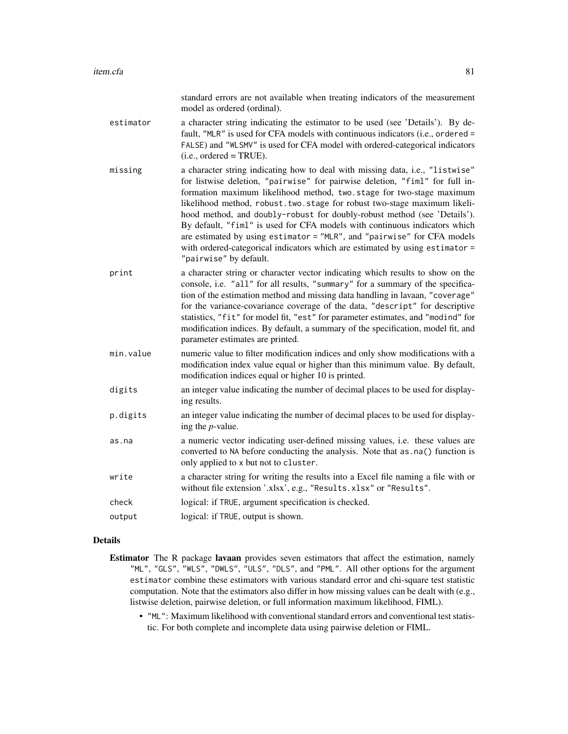|           | standard errors are not available when treating indicators of the measurement<br>model as ordered (ordinal).                                                                                                                                                                                                                                                                                                                                                                                                                                                                                                                                                     |
|-----------|------------------------------------------------------------------------------------------------------------------------------------------------------------------------------------------------------------------------------------------------------------------------------------------------------------------------------------------------------------------------------------------------------------------------------------------------------------------------------------------------------------------------------------------------------------------------------------------------------------------------------------------------------------------|
| estimator | a character string indicating the estimator to be used (see 'Details'). By de-<br>fault, "MLR" is used for CFA models with continuous indicators (i.e., ordered =<br>FALSE) and "WLSMV" is used for CFA model with ordered-categorical indicators<br>$(i.e., ordered = TRUE).$                                                                                                                                                                                                                                                                                                                                                                                   |
| missing   | a character string indicating how to deal with missing data, i.e., "listwise"<br>for listwise deletion, "pairwise" for pairwise deletion, "fiml" for full in-<br>formation maximum likelihood method, two.stage for two-stage maximum<br>likelihood method, robust.two.stage for robust two-stage maximum likeli-<br>hood method, and doubly-robust for doubly-robust method (see 'Details').<br>By default, "fiml" is used for CFA models with continuous indicators which<br>are estimated by using estimator = "MLR", and "pairwise" for CFA models<br>with ordered-categorical indicators which are estimated by using estimator =<br>"pairwise" by default. |
| print     | a character string or character vector indicating which results to show on the<br>console, i.e. "all" for all results, "summary" for a summary of the specifica-<br>tion of the estimation method and missing data handling in lavaan, "coverage"<br>for the variance-covariance coverage of the data, "descript" for descriptive<br>statistics, "fit" for model fit, "est" for parameter estimates, and "modind" for<br>modification indices. By default, a summary of the specification, model fit, and<br>parameter estimates are printed.                                                                                                                    |
| min.value | numeric value to filter modification indices and only show modifications with a<br>modification index value equal or higher than this minimum value. By default,<br>modification indices equal or higher 10 is printed.                                                                                                                                                                                                                                                                                                                                                                                                                                          |

- digits an integer value indicating the number of decimal places to be used for displaying results.
- p.digits an integer value indicating the number of decimal places to be used for displaying the *p*-value.
- as.na a numeric vector indicating user-defined missing values, i.e. these values are converted to NA before conducting the analysis. Note that as.na() function is only applied to x but not to cluster.
- write a character string for writing the results into a Excel file naming a file with or without file extension '.xlsx', e.g., "Results.xlsx" or "Results".
- check logical: if TRUE, argument specification is checked.
- output logical: if TRUE, output is shown.

- Estimator The R package lavaan provides seven estimators that affect the estimation, namely "ML", "GLS", "WLS", "DWLS", "ULS", "DLS", and "PML". All other options for the argument estimator combine these estimators with various standard error and chi-square test statistic computation. Note that the estimators also differ in how missing values can be dealt with (e.g., listwise deletion, pairwise deletion, or full information maximum likelihood, FIML).
	- "ML": Maximum likelihood with conventional standard errors and conventional test statistic. For both complete and incomplete data using pairwise deletion or FIML.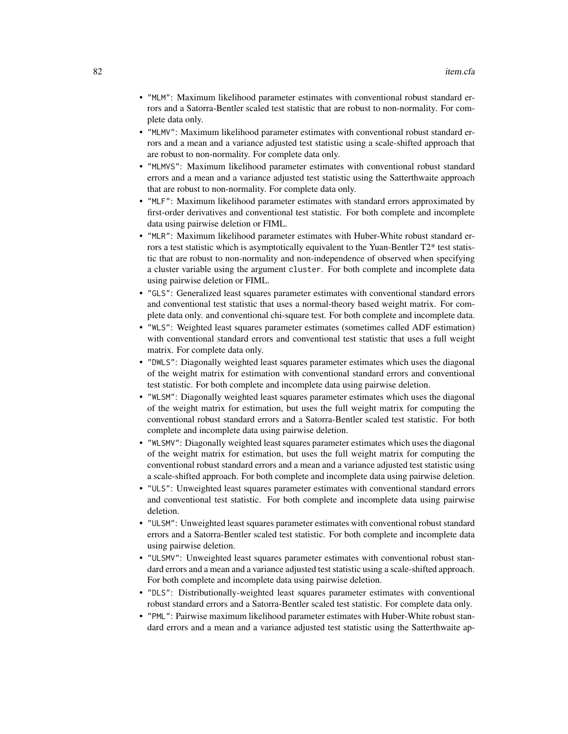- "MLM": Maximum likelihood parameter estimates with conventional robust standard errors and a Satorra-Bentler scaled test statistic that are robust to non-normality. For complete data only.
- "MLMV": Maximum likelihood parameter estimates with conventional robust standard errors and a mean and a variance adjusted test statistic using a scale-shifted approach that are robust to non-normality. For complete data only.
- "MLMVS": Maximum likelihood parameter estimates with conventional robust standard errors and a mean and a variance adjusted test statistic using the Satterthwaite approach that are robust to non-normality. For complete data only.
- "MLF": Maximum likelihood parameter estimates with standard errors approximated by first-order derivatives and conventional test statistic. For both complete and incomplete data using pairwise deletion or FIML.
- "MLR": Maximum likelihood parameter estimates with Huber-White robust standard errors a test statistic which is asymptotically equivalent to the Yuan-Bentler  $T2^*$  test statistic that are robust to non-normality and non-independence of observed when specifying a cluster variable using the argument cluster. For both complete and incomplete data using pairwise deletion or FIML.
- "GLS": Generalized least squares parameter estimates with conventional standard errors and conventional test statistic that uses a normal-theory based weight matrix. For complete data only. and conventional chi-square test. For both complete and incomplete data.
- "WLS": Weighted least squares parameter estimates (sometimes called ADF estimation) with conventional standard errors and conventional test statistic that uses a full weight matrix. For complete data only.
- "DWLS": Diagonally weighted least squares parameter estimates which uses the diagonal of the weight matrix for estimation with conventional standard errors and conventional test statistic. For both complete and incomplete data using pairwise deletion.
- "WLSM": Diagonally weighted least squares parameter estimates which uses the diagonal of the weight matrix for estimation, but uses the full weight matrix for computing the conventional robust standard errors and a Satorra-Bentler scaled test statistic. For both complete and incomplete data using pairwise deletion.
- "WLSMV": Diagonally weighted least squares parameter estimates which uses the diagonal of the weight matrix for estimation, but uses the full weight matrix for computing the conventional robust standard errors and a mean and a variance adjusted test statistic using a scale-shifted approach. For both complete and incomplete data using pairwise deletion.
- "ULS": Unweighted least squares parameter estimates with conventional standard errors and conventional test statistic. For both complete and incomplete data using pairwise deletion.
- "ULSM": Unweighted least squares parameter estimates with conventional robust standard errors and a Satorra-Bentler scaled test statistic. For both complete and incomplete data using pairwise deletion.
- "ULSMV": Unweighted least squares parameter estimates with conventional robust standard errors and a mean and a variance adjusted test statistic using a scale-shifted approach. For both complete and incomplete data using pairwise deletion.
- "DLS": Distributionally-weighted least squares parameter estimates with conventional robust standard errors and a Satorra-Bentler scaled test statistic. For complete data only.
- "PML": Pairwise maximum likelihood parameter estimates with Huber-White robust standard errors and a mean and a variance adjusted test statistic using the Satterthwaite ap-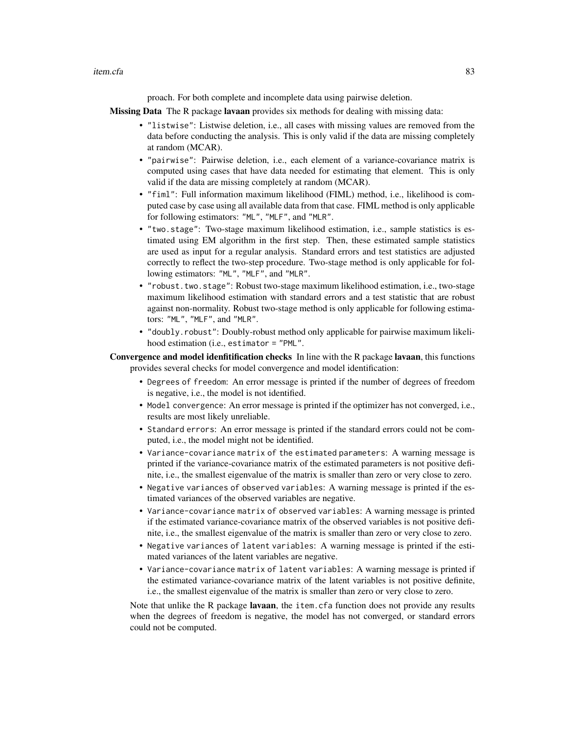item.cfa 83

proach. For both complete and incomplete data using pairwise deletion.

Missing Data The R package lavaan provides six methods for dealing with missing data:

- "listwise": Listwise deletion, i.e., all cases with missing values are removed from the data before conducting the analysis. This is only valid if the data are missing completely at random (MCAR).
- "pairwise": Pairwise deletion, i.e., each element of a variance-covariance matrix is computed using cases that have data needed for estimating that element. This is only valid if the data are missing completely at random (MCAR).
- "fiml": Full information maximum likelihood (FIML) method, i.e., likelihood is computed case by case using all available data from that case. FIML method is only applicable for following estimators: "ML", "MLF", and "MLR".
- "two.stage": Two-stage maximum likelihood estimation, i.e., sample statistics is estimated using EM algorithm in the first step. Then, these estimated sample statistics are used as input for a regular analysis. Standard errors and test statistics are adjusted correctly to reflect the two-step procedure. Two-stage method is only applicable for following estimators: "ML", "MLF", and "MLR".
- "robust.two.stage": Robust two-stage maximum likelihood estimation, i.e., two-stage maximum likelihood estimation with standard errors and a test statistic that are robust against non-normality. Robust two-stage method is only applicable for following estimators: "ML", "MLF", and "MLR".
- "doubly.robust": Doubly-robust method only applicable for pairwise maximum likelihood estimation (i.e., estimator = "PML".

Convergence and model idenfitification checks In line with the R package lavaan, this functions provides several checks for model convergence and model identification:

- Degrees of freedom: An error message is printed if the number of degrees of freedom is negative, i.e., the model is not identified.
- Model convergence: An error message is printed if the optimizer has not converged, i.e., results are most likely unreliable.
- Standard errors: An error message is printed if the standard errors could not be computed, i.e., the model might not be identified.
- Variance-covariance matrix of the estimated parameters: A warning message is printed if the variance-covariance matrix of the estimated parameters is not positive definite, i.e., the smallest eigenvalue of the matrix is smaller than zero or very close to zero.
- Negative variances of observed variables: A warning message is printed if the estimated variances of the observed variables are negative.
- Variance-covariance matrix of observed variables: A warning message is printed if the estimated variance-covariance matrix of the observed variables is not positive definite, i.e., the smallest eigenvalue of the matrix is smaller than zero or very close to zero.
- Negative variances of latent variables: A warning message is printed if the estimated variances of the latent variables are negative.
- Variance-covariance matrix of latent variables: A warning message is printed if the estimated variance-covariance matrix of the latent variables is not positive definite, i.e., the smallest eigenvalue of the matrix is smaller than zero or very close to zero.

Note that unlike the R package lavaan, the item.cfa function does not provide any results when the degrees of freedom is negative, the model has not converged, or standard errors could not be computed.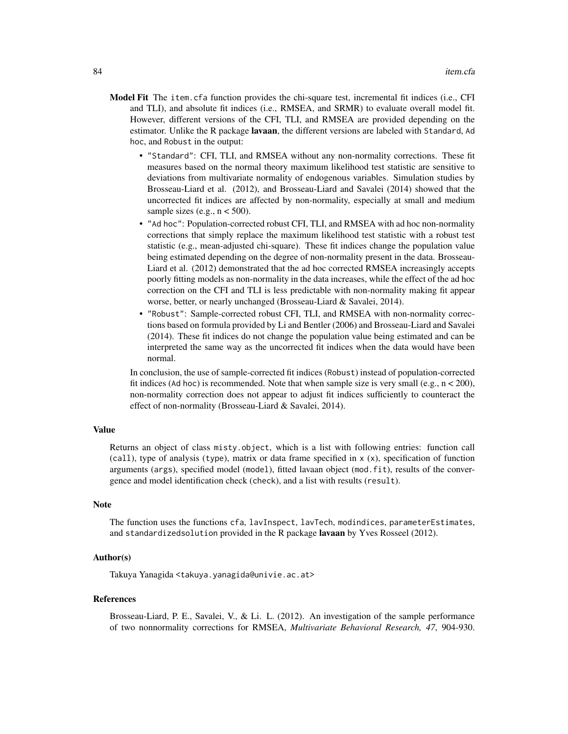- Model Fit The item.cfa function provides the chi-square test, incremental fit indices (i.e., CFI and TLI), and absolute fit indices (i.e., RMSEA, and SRMR) to evaluate overall model fit. However, different versions of the CFI, TLI, and RMSEA are provided depending on the estimator. Unlike the R package lavaan, the different versions are labeled with Standard, Ad hoc, and Robust in the output:
	- "Standard": CFI, TLI, and RMSEA without any non-normality corrections. These fit measures based on the normal theory maximum likelihood test statistic are sensitive to deviations from multivariate normality of endogenous variables. Simulation studies by Brosseau-Liard et al. (2012), and Brosseau-Liard and Savalei (2014) showed that the uncorrected fit indices are affected by non-normality, especially at small and medium sample sizes (e.g.,  $n < 500$ ).
	- "Ad hoc": Population-corrected robust CFI, TLI, and RMSEA with ad hoc non-normality corrections that simply replace the maximum likelihood test statistic with a robust test statistic (e.g., mean-adjusted chi-square). These fit indices change the population value being estimated depending on the degree of non-normality present in the data. Brosseau-Liard et al. (2012) demonstrated that the ad hoc corrected RMSEA increasingly accepts poorly fitting models as non-normality in the data increases, while the effect of the ad hoc correction on the CFI and TLI is less predictable with non-normality making fit appear worse, better, or nearly unchanged (Brosseau-Liard & Savalei, 2014).
	- "Robust": Sample-corrected robust CFI, TLI, and RMSEA with non-normality corrections based on formula provided by Li and Bentler (2006) and Brosseau-Liard and Savalei (2014). These fit indices do not change the population value being estimated and can be interpreted the same way as the uncorrected fit indices when the data would have been normal.

In conclusion, the use of sample-corrected fit indices (Robust) instead of population-corrected fit indices (Ad hoc) is recommended. Note that when sample size is very small (e.g.,  $n < 200$ ), non-normality correction does not appear to adjust fit indices sufficiently to counteract the effect of non-normality (Brosseau-Liard & Savalei, 2014).

#### Value

Returns an object of class misty.object, which is a list with following entries: function call  $(call)$ , type of analysis (type), matrix or data frame specified in  $x(x)$ , specification of function arguments (args), specified model (model), fitted lavaan object (mod.fit), results of the convergence and model identification check (check), and a list with results (result).

### Note

The function uses the functions cfa, lavInspect, lavTech, modindices, parameterEstimates, and standardizedsolution provided in the R package **lavaan** by Yves Rosseel (2012).

#### Author(s)

Takuya Yanagida <takuya.yanagida@univie.ac.at>

#### References

Brosseau-Liard, P. E., Savalei, V., & Li. L. (2012). An investigation of the sample performance of two nonnormality corrections for RMSEA, *Multivariate Behavioral Research, 47*, 904-930.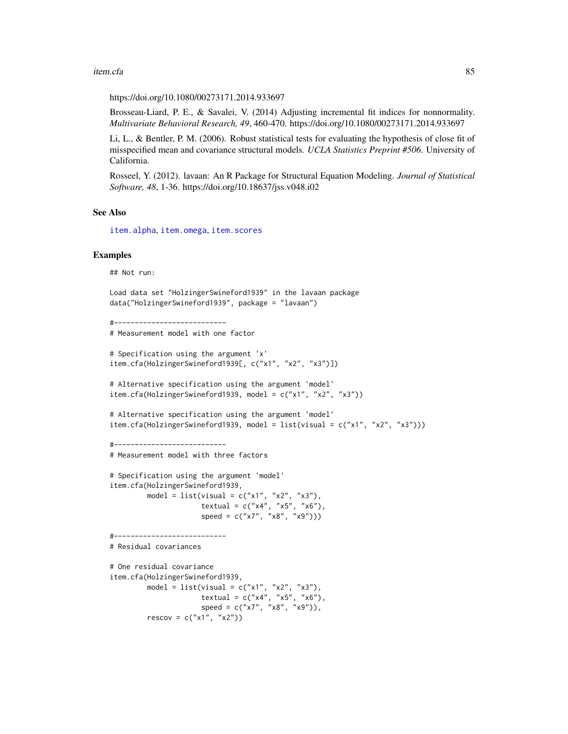#### item.cfa 85

https://doi.org/10.1080/00273171.2014.933697

Brosseau-Liard, P. E., & Savalei, V. (2014) Adjusting incremental fit indices for nonnormality. *Multivariate Behavioral Research, 49*, 460-470. https://doi.org/10.1080/00273171.2014.933697

Li, L., & Bentler, P. M. (2006). Robust statistical tests for evaluating the hypothesis of close fit of misspecified mean and covariance structural models. *UCLA Statistics Preprint #506*. University of California.

Rosseel, Y. (2012). lavaan: An R Package for Structural Equation Modeling. *Journal of Statistical Software, 48*, 1-36. https://doi.org/10.18637/jss.v048.i02

## See Also

[item.alpha](#page-75-0), [item.omega](#page-86-0), [item.scores](#page-90-0)

#### Examples

## Not run:

```
Load data set "HolzingerSwineford1939" in the lavaan package
data("HolzingerSwineford1939", package = "lavaan")
```

```
#---------------------------
# Measurement model with one factor
```

```
# Specification using the argument 'x'
item.cfa(HolzingerSwineford1939[, c("x1", "x2", "x3")])
```
# Alternative specification using the argument 'model' item.cfa(HolzingerSwineford1939, model = c("x1", "x2", "x3"))

```
# Alternative specification using the argument 'model'
item.cfa(HolzingerSwineford1939, model = list(visual = c("x1", "x2", "x3")))
```

```
#---------------------------
```

```
# Measurement model with three factors
```

```
# Specification using the argument 'model'
item.cfa(HolzingerSwineford1939,
        model = list(visual = c("x1", "x2", "x3"),
                     textual = c("x4", "x5", "x6"),
                     speed = c("x7", "x8", "x9"))
```

```
#---------------------------
```

```
# Residual covariances
```
# One residual covariance item.cfa(HolzingerSwineford1939, model = list(visual = c("x1", "x2", "x3"), textual =  $c("x4", "x5", "x6"),$  $speed = c("x7", "x8", "x9"))$ ,  $rescov = c("x1", "x2")$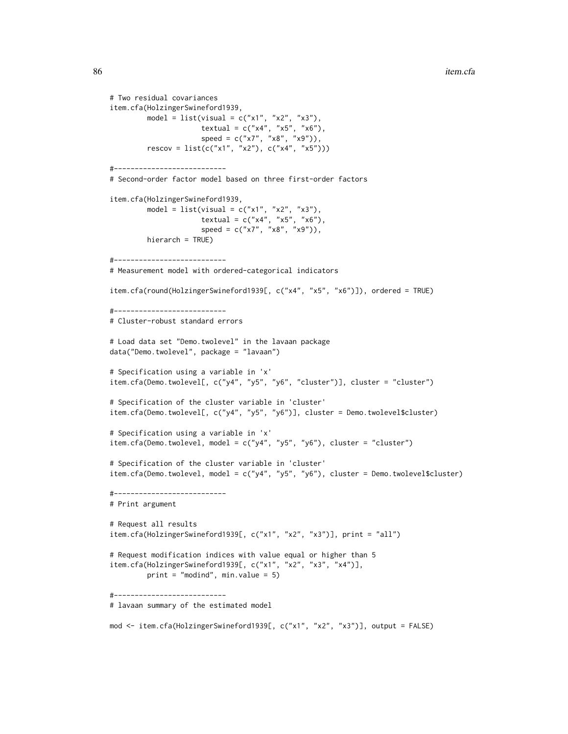```
# Two residual covariances
item.cfa(HolzingerSwineford1939,
         model = list(visual = c("x1", "x2", "x3"),
                      textual = c("x4", "x5", "x6"),speed = c("x7", "x8", "x9")),
        rescov = list(c("x1", "x2"), c("x4", "x5")))
#---------------------------
# Second-order factor model based on three first-order factors
item.cfa(HolzingerSwineford1939,
        model = list(visual = c("x1", "x2", "x3"),textual = c("x4", "x5", "x6"),
                      speed = c("x7", "x8", "x9")),
        hierarch = TRUE)
#---------------------------
# Measurement model with ordered-categorical indicators
item.cfa(round(HolzingerSwineford1939[, c("x4", "x5", "x6")]), ordered = TRUE)
#---------------------------
# Cluster-robust standard errors
# Load data set "Demo.twolevel" in the lavaan package
data("Demo.twolevel", package = "lavaan")
# Specification using a variable in 'x'
item.cfa(Demo.twolevel[, c("y4", "y5", "y6", "cluster")], cluster = "cluster")
# Specification of the cluster variable in 'cluster'
item.cfa(Demo.twolevel[, c("y4", "y5", "y6")], cluster = Demo.twolevel$cluster)
# Specification using a variable in 'x'
item.cfa(Demo.twolevel, model = c("y4", "y5", "y6"), cluster = "cluster")# Specification of the cluster variable in 'cluster'
item.cfa(Demo.twolevel, model = c("y4", "y5", "y6"), cluster = Demo.twolevel$cluster)
#---------------------------
# Print argument
# Request all results
item.cfa(HolzingerSwineford1939[, c("x1", "x2", "x3")], print = "all")
# Request modification indices with value equal or higher than 5
item.cfa(HolzingerSwineford1939[, c("x1", "x2", "x3", "x4")],
        print = "modind", min.value = 5)
#---------------------------
# lavaan summary of the estimated model
mod <- item.cfa(HolzingerSwineford1939[, c("x1", "x2", "x3")], output = FALSE)
```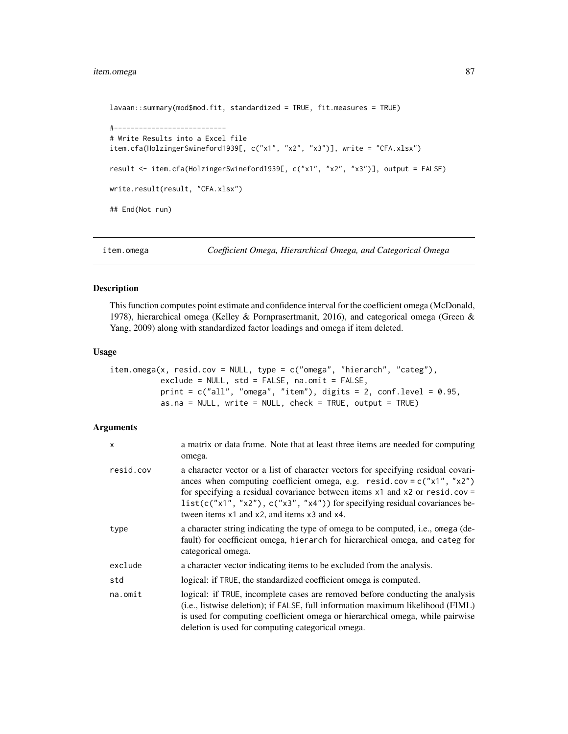# item.omega 87

```
lavaan::summary(mod$mod.fit, standardized = TRUE, fit.measures = TRUE)
#---------------------------
# Write Results into a Excel file
item.cfa(HolzingerSwineford1939[, c("x1", "x2", "x3")], write = "CFA.xlsx")
result <- item.cfa(HolzingerSwineford1939[, c("x1", "x2", "x3")], output = FALSE)
write.result(result, "CFA.xlsx")
## End(Not run)
```
<span id="page-86-0"></span>item.omega *Coefficient Omega, Hierarchical Omega, and Categorical Omega*

## Description

This function computes point estimate and confidence interval for the coefficient omega (McDonald, 1978), hierarchical omega (Kelley & Pornprasertmanit, 2016), and categorical omega (Green & Yang, 2009) along with standardized factor loadings and omega if item deleted.

## Usage

```
item.omega(x, resid.cov = NULL, type = c("omega", "hierarchical", "category",exclude = NULL, std = FALSE, na.omit = FALSE,
           print = c("all", "omega", "item"), digits = 2, conf. level = 0.95,as.na = NULL, write = NULL, check = TRUE, output = TRUE)
```

| x         | a matrix or data frame. Note that at least three items are needed for computing<br>omega.                                                                                                                                                                                                                                                                                       |
|-----------|---------------------------------------------------------------------------------------------------------------------------------------------------------------------------------------------------------------------------------------------------------------------------------------------------------------------------------------------------------------------------------|
| resid.cov | a character vector or a list of character vectors for specifying residual covari-<br>ances when computing coefficient omega, e.g. $resid.cov = c("x1", "x2")$<br>for specifying a residual covariance between items $x1$ and $x2$ or resid.cov =<br>$list(c("x1", "x2"), c("x3", "x4"))$ for specifying residual covariances be-<br>tween items x1 and x2, and items x3 and x4. |
| type      | a character string indicating the type of omega to be computed, i.e., omega (de-<br>fault) for coefficient omega, hierarch for hierarchical omega, and categ for<br>categorical omega.                                                                                                                                                                                          |
| exclude   | a character vector indicating items to be excluded from the analysis.                                                                                                                                                                                                                                                                                                           |
| std       | logical: if TRUE, the standardized coefficient omega is computed.                                                                                                                                                                                                                                                                                                               |
| na.omit   | logical: if TRUE, incomplete cases are removed before conducting the analysis<br>(i.e., listwise deletion); if FALSE, full information maximum likelihood (FIML)<br>is used for computing coefficient omega or hierarchical omega, while pairwise<br>deletion is used for computing categorical omega.                                                                          |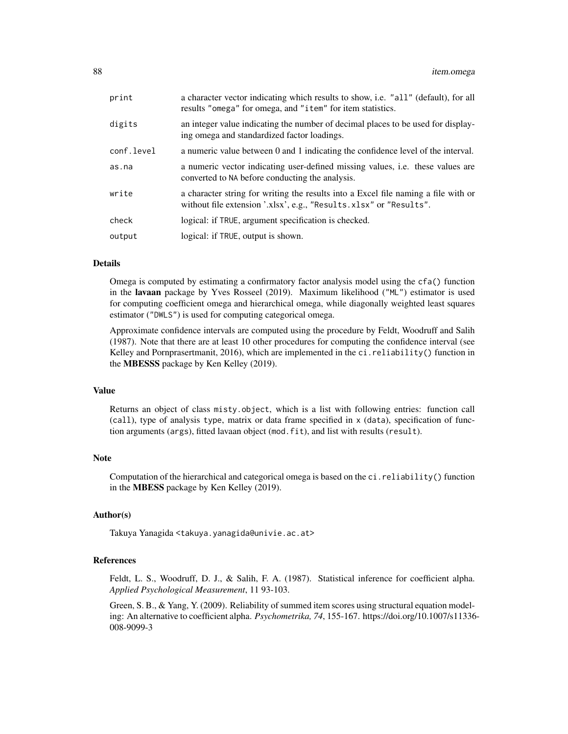| print      | a character vector indicating which results to show, i.e. "all" (default), for all<br>results "omega" for omega, and "item" for item statistics.         |
|------------|----------------------------------------------------------------------------------------------------------------------------------------------------------|
| digits     | an integer value indicating the number of decimal places to be used for display-<br>ing omega and standardized factor loadings.                          |
| conf.level | a numeric value between 0 and 1 indicating the confidence level of the interval.                                                                         |
| as.na      | a numeric vector indicating user-defined missing values, i.e. these values are<br>converted to NA before conducting the analysis.                        |
| write      | a character string for writing the results into a Excel file naming a file with or<br>without file extension '.xlsx', e.g., "Results.xlsx" or "Results". |
| check      | logical: if TRUE, argument specification is checked.                                                                                                     |
| output     | logical: if TRUE, output is shown.                                                                                                                       |

Omega is computed by estimating a confirmatory factor analysis model using the cfa() function in the lavaan package by Yves Rosseel (2019). Maximum likelihood ("ML") estimator is used for computing coefficient omega and hierarchical omega, while diagonally weighted least squares estimator ("DWLS") is used for computing categorical omega.

Approximate confidence intervals are computed using the procedure by Feldt, Woodruff and Salih (1987). Note that there are at least 10 other procedures for computing the confidence interval (see Kelley and Pornprasertmanit, 2016), which are implemented in the ci.reliability() function in the MBESSS package by Ken Kelley (2019).

## Value

Returns an object of class misty.object, which is a list with following entries: function call (call), type of analysis type, matrix or data frame specified in x (data), specification of function arguments (args), fitted lavaan object (mod.fit), and list with results (result).

## Note

Computation of the hierarchical and categorical omega is based on the ci.reliability() function in the MBESS package by Ken Kelley (2019).

# Author(s)

Takuya Yanagida <takuya.yanagida@univie.ac.at>

### References

Feldt, L. S., Woodruff, D. J., & Salih, F. A. (1987). Statistical inference for coefficient alpha. *Applied Psychological Measurement*, 11 93-103.

Green, S. B., & Yang, Y. (2009). Reliability of summed item scores using structural equation modeling: An alternative to coefficient alpha. *Psychometrika, 74*, 155-167. https://doi.org/10.1007/s11336- 008-9099-3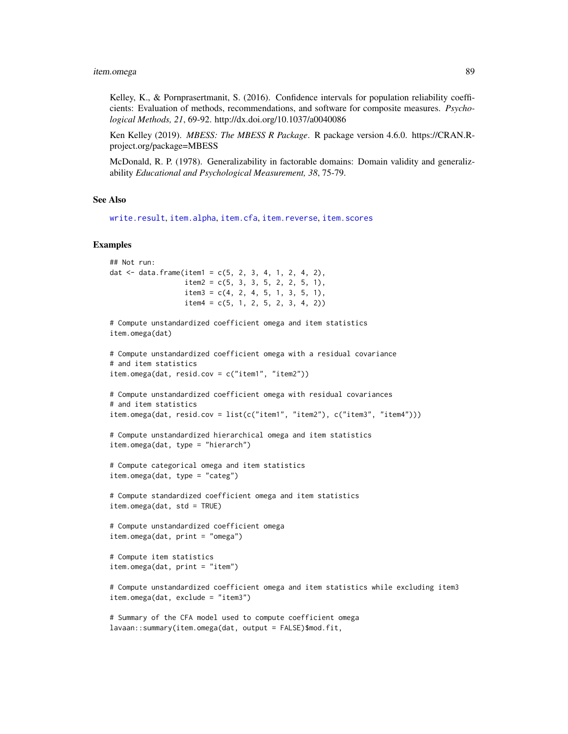Kelley, K., & Pornprasertmanit, S. (2016). Confidence intervals for population reliability coefficients: Evaluation of methods, recommendations, and software for composite measures. *Psychological Methods, 21*, 69-92. http://dx.doi.org/10.1037/a0040086

Ken Kelley (2019). *MBESS: The MBESS R Package*. R package version 4.6.0. https://CRAN.Rproject.org/package=MBESS

McDonald, R. P. (1978). Generalizability in factorable domains: Domain validity and generalizability *Educational and Psychological Measurement, 38*, 75-79.

### See Also

[write.result](#page-168-0), [item.alpha](#page-75-0), [item.cfa](#page-78-0), [item.reverse](#page-89-0), [item.scores](#page-90-0)

#### Examples

```
## Not run:
dat \le data.frame(item1 = c(5, 2, 3, 4, 1, 2, 4, 2),
                 item2 = c(5, 3, 3, 5, 2, 2, 5, 1),item3 = c(4, 2, 4, 5, 1, 3, 5, 1),item4 = c(5, 1, 2, 5, 2, 3, 4, 2))# Compute unstandardized coefficient omega and item statistics
item.omega(dat)
# Compute unstandardized coefficient omega with a residual covariance
# and item statistics
item.omega(dat, resid.cov = c("item1", "item2"))
# Compute unstandardized coefficient omega with residual covariances
# and item statistics
item.omega(dat, resid.cov = list(c("item1", "item2"), c("item3", "item4")))
# Compute unstandardized hierarchical omega and item statistics
item.omega(dat, type = "hierarch")
# Compute categorical omega and item statistics
item.omega(dat, type = "categ")
# Compute standardized coefficient omega and item statistics
item.omega(dat, std = TRUE)
# Compute unstandardized coefficient omega
item.omega(dat, print = "omega")
# Compute item statistics
item.omega(dat, print = "item")
# Compute unstandardized coefficient omega and item statistics while excluding item3
item.omega(dat, exclude = "item3")
# Summary of the CFA model used to compute coefficient omega
```

```
lavaan::summary(item.omega(dat, output = FALSE)$mod.fit,
```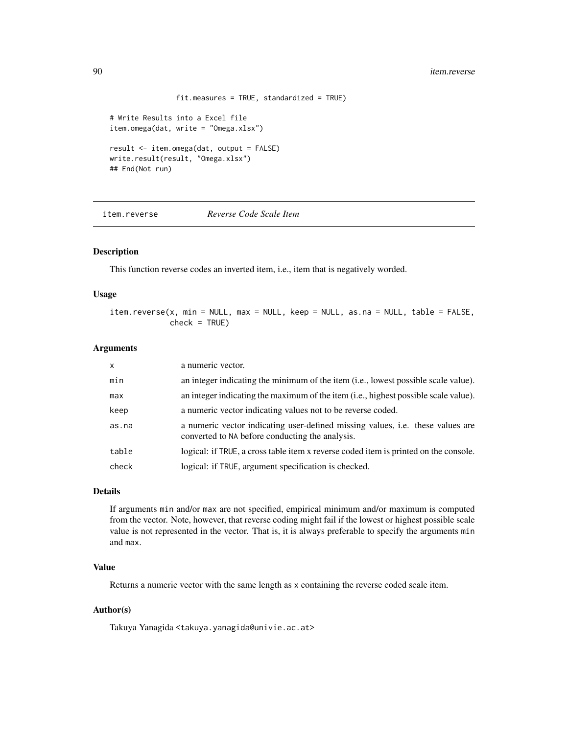```
fit.measures = TRUE, standardized = TRUE)
# Write Results into a Excel file
item.omega(dat, write = "Omega.xlsx")
result <- item.omega(dat, output = FALSE)
write.result(result, "Omega.xlsx")
## End(Not run)
```
<span id="page-89-0"></span>item.reverse *Reverse Code Scale Item*

### Description

This function reverse codes an inverted item, i.e., item that is negatively worded.

### Usage

item.reverse(x, min = NULL, max = NULL, keep = NULL, as.na = NULL, table = FALSE,  $check = TRUE$ )

## Arguments

| $\mathsf{x}$ | a numeric vector.                                                                                                                        |
|--------------|------------------------------------------------------------------------------------------------------------------------------------------|
| min          | an integer indicating the minimum of the item (i.e., lowest possible scale value).                                                       |
| max          | an integer indicating the maximum of the item (i.e., highest possible scale value).                                                      |
| keep         | a numeric vector indicating values not to be reverse coded.                                                                              |
| as.na        | a numeric vector indicating user-defined missing values, <i>i.e.</i> these values are<br>converted to NA before conducting the analysis. |
| table        | logical: if TRUE, a cross table item x reverse coded item is printed on the console.                                                     |
| check        | logical: if TRUE, argument specification is checked.                                                                                     |

## Details

If arguments min and/or max are not specified, empirical minimum and/or maximum is computed from the vector. Note, however, that reverse coding might fail if the lowest or highest possible scale value is not represented in the vector. That is, it is always preferable to specify the arguments min and max.

### Value

Returns a numeric vector with the same length as x containing the reverse coded scale item.

## Author(s)

Takuya Yanagida <takuya.yanagida@univie.ac.at>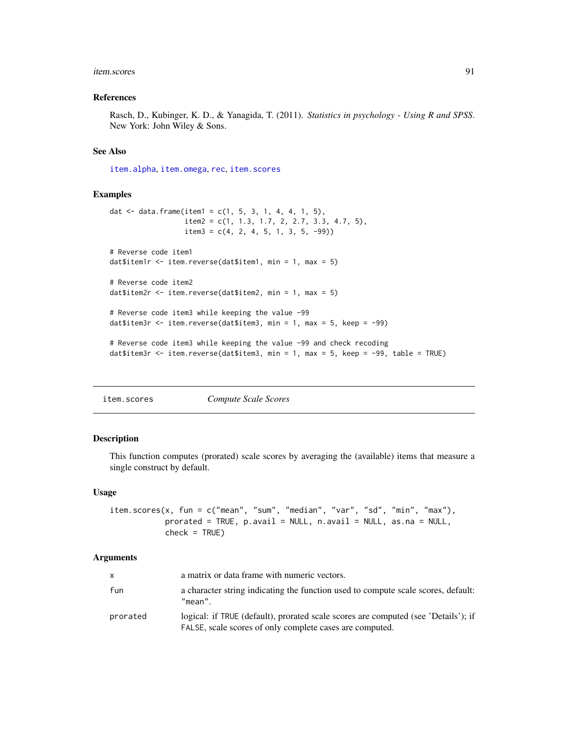#### item.scores 91

### References

Rasch, D., Kubinger, K. D., & Yanagida, T. (2011). *Statistics in psychology - Using R and SPSS*. New York: John Wiley & Sons.

### See Also

[item.alpha](#page-75-0), [item.omega](#page-86-0), [rec](#page-130-0), [item.scores](#page-90-0)

## Examples

```
dat <- data.frame(item1 = c(1, 5, 3, 1, 4, 4, 1, 5),
                  item2 = c(1, 1.3, 1.7, 2, 2.7, 3.3, 4.7, 5),
                  item3 = c(4, 2, 4, 5, 1, 3, 5, -99)# Reverse code item1
dat$item1r <- item.reverse(dat$item1, min = 1, max = 5)
# Reverse code item2
dat$item2r <- item.reverse(dat$item2, min = 1, max = 5)
# Reverse code item3 while keeping the value -99
dat$item3r <- item.reverse(dat$item3, min = 1, max = 5, keep = -99)
# Reverse code item3 while keeping the value -99 and check recoding
dat$item3r <- item.reverse(dat$item3, min = 1, max = 5, keep = -99, table = TRUE)
```
<span id="page-90-0"></span>item.scores *Compute Scale Scores*

## Description

This function computes (prorated) scale scores by averaging the (available) items that measure a single construct by default.

#### Usage

```
item.scores(x, fun = c("mean", "sum", "median", "var", "sd", "min", "max"),
            prorated = TRUE, p.avail = NULL, n.avail = NULL, as.na = NULL,
            check = TRUE)
```

| $\mathsf{x}$ | a matrix or data frame with numeric vectors.                                                                                                   |
|--------------|------------------------------------------------------------------------------------------------------------------------------------------------|
| fun          | a character string indicating the function used to compute scale scores, default:<br>"mean".                                                   |
| prorated     | logical: if TRUE (default), prorated scale scores are computed (see 'Details'); if<br>FALSE, scale scores of only complete cases are computed. |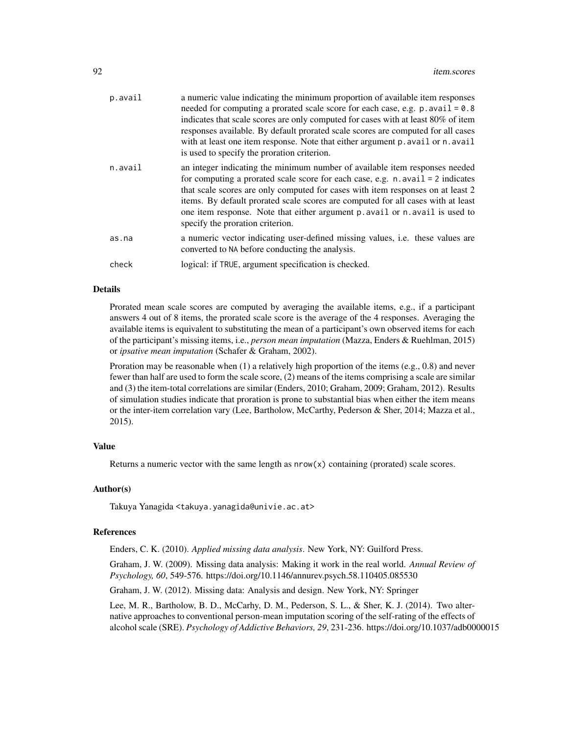| p.avail | a numeric value indicating the minimum proportion of available item responses<br>needed for computing a prorated scale score for each case, e.g. $p$ . avail = 0.8<br>indicates that scale scores are only computed for cases with at least 80% of item<br>responses available. By default prorated scale scores are computed for all cases<br>with at least one item response. Note that either argument p. avail or n. avail<br>is used to specify the proration criterion. |
|---------|-------------------------------------------------------------------------------------------------------------------------------------------------------------------------------------------------------------------------------------------------------------------------------------------------------------------------------------------------------------------------------------------------------------------------------------------------------------------------------|
| n.avail | an integer indicating the minimum number of available item responses needed<br>for computing a prorated scale score for each case, e.g. $n$ . avail = 2 indicates<br>that scale scores are only computed for cases with item responses on at least 2<br>items. By default prorated scale scores are computed for all cases with at least<br>one item response. Note that either argument p. avail or n. avail is used to<br>specify the proration criterion.                  |
| as.na   | a numeric vector indicating user-defined missing values, i.e. these values are<br>converted to NA before conducting the analysis.                                                                                                                                                                                                                                                                                                                                             |
| check   | logical: if TRUE, argument specification is checked.                                                                                                                                                                                                                                                                                                                                                                                                                          |
|         |                                                                                                                                                                                                                                                                                                                                                                                                                                                                               |

Prorated mean scale scores are computed by averaging the available items, e.g., if a participant answers 4 out of 8 items, the prorated scale score is the average of the 4 responses. Averaging the available items is equivalent to substituting the mean of a participant's own observed items for each of the participant's missing items, i.e., *person mean imputation* (Mazza, Enders & Ruehlman, 2015) or *ipsative mean imputation* (Schafer & Graham, 2002).

Proration may be reasonable when (1) a relatively high proportion of the items (e.g., 0.8) and never fewer than half are used to form the scale score, (2) means of the items comprising a scale are similar and (3) the item-total correlations are similar (Enders, 2010; Graham, 2009; Graham, 2012). Results of simulation studies indicate that proration is prone to substantial bias when either the item means or the inter-item correlation vary (Lee, Bartholow, McCarthy, Pederson & Sher, 2014; Mazza et al., 2015).

#### Value

Returns a numeric vector with the same length as  $nrow(x)$  containing (prorated) scale scores.

### Author(s)

Takuya Yanagida <takuya.yanagida@univie.ac.at>

#### References

Enders, C. K. (2010). *Applied missing data analysis*. New York, NY: Guilford Press.

Graham, J. W. (2009). Missing data analysis: Making it work in the real world. *Annual Review of Psychology, 60*, 549-576. https://doi.org/10.1146/annurev.psych.58.110405.085530

Graham, J. W. (2012). Missing data: Analysis and design. New York, NY: Springer

Lee, M. R., Bartholow, B. D., McCarhy, D. M., Pederson, S. L., & Sher, K. J. (2014). Two alternative approaches to conventional person-mean imputation scoring of the self-rating of the effects of alcohol scale (SRE). *Psychology of Addictive Behaviors, 29*, 231-236. https://doi.org/10.1037/adb0000015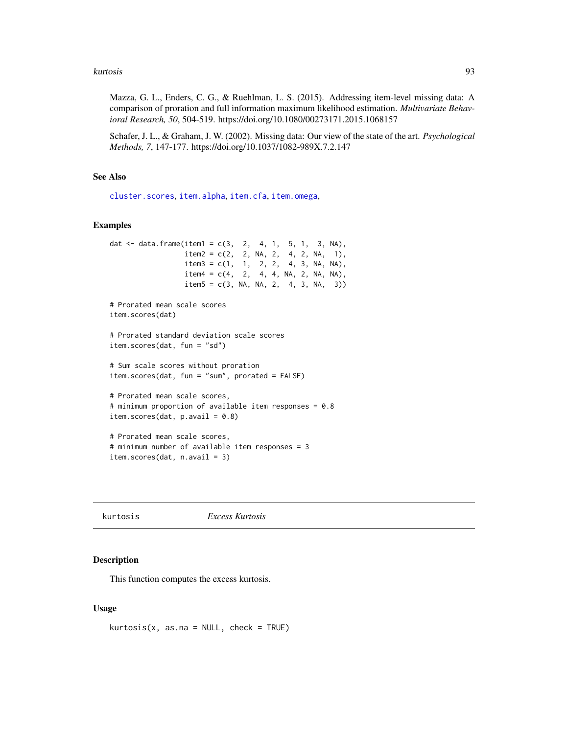#### kurtosis 93

Mazza, G. L., Enders, C. G., & Ruehlman, L. S. (2015). Addressing item-level missing data: A comparison of proration and full information maximum likelihood estimation. *Multivariate Behavioral Research, 50*, 504-519. https://doi.org/10.1080/00273171.2015.1068157

Schafer, J. L., & Graham, J. W. (2002). Missing data: Our view of the state of the art. *Psychological Methods, 7*, 147-177. https://doi.org/10.1037/1082-989X.7.2.147

## See Also

[cluster.scores](#page-34-0), [item.alpha](#page-75-0), [item.cfa](#page-78-0), [item.omega](#page-86-0),

## Examples

```
dat <- data.frame(item1 = c(3, 2, 4, 1, 5, 1, 3, NA),
                 item2 = c(2, 2, NA, 2, 4, 2, NA, 1),item3 = c(1, 1, 2, 2, 4, 3, NA, NA),item4 = c(4, 2, 4, 4, NA, 2, NA, NA),item5 = c(3, NA, NA, 2, 4, 3, NA, 3))# Prorated mean scale scores
item.scores(dat)
# Prorated standard deviation scale scores
item.scores(dat, fun = "sd")
# Sum scale scores without proration
item.scores(dat, fun = "sum", prorated = FALSE)
# Prorated mean scale scores,
# minimum proportion of available item responses = 0.8
item.scores(dat, p.avail = 0.8)
# Prorated mean scale scores,
# minimum number of available item responses = 3
item.scores(dat, n.avail = 3)
```
#### kurtosis *Excess Kurtosis*

#### Description

This function computes the excess kurtosis.

## Usage

 $kurtosis(x, as.na = NULL, check = TRUE)$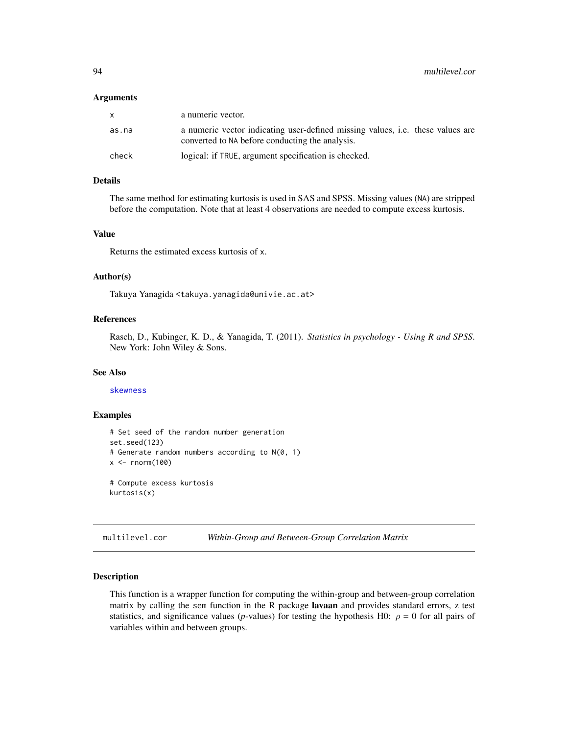#### **Arguments**

| X     | a numeric vector.                                                                                                                        |
|-------|------------------------------------------------------------------------------------------------------------------------------------------|
| as.na | a numeric vector indicating user-defined missing values, <i>i.e.</i> these values are<br>converted to NA before conducting the analysis. |
| check | logical: if TRUE, argument specification is checked.                                                                                     |

## Details

The same method for estimating kurtosis is used in SAS and SPSS. Missing values (NA) are stripped before the computation. Note that at least 4 observations are needed to compute excess kurtosis.

## Value

Returns the estimated excess kurtosis of x.

#### Author(s)

Takuya Yanagida <takuya.yanagida@univie.ac.at>

# References

Rasch, D., Kubinger, K. D., & Yanagida, T. (2011). *Statistics in psychology - Using R and SPSS*. New York: John Wiley & Sons.

## See Also

[skewness](#page-141-0)

## Examples

```
# Set seed of the random number generation
set.seed(123)
# Generate random numbers according to N(0, 1)
x < - rnorm(100)
# Compute excess kurtosis
kurtosis(x)
```
<span id="page-93-0"></span>multilevel.cor *Within-Group and Between-Group Correlation Matrix*

#### Description

This function is a wrapper function for computing the within-group and between-group correlation matrix by calling the sem function in the R package lavaan and provides standard errors, z test statistics, and significance values (*p*-values) for testing the hypothesis H0:  $\rho = 0$  for all pairs of variables within and between groups.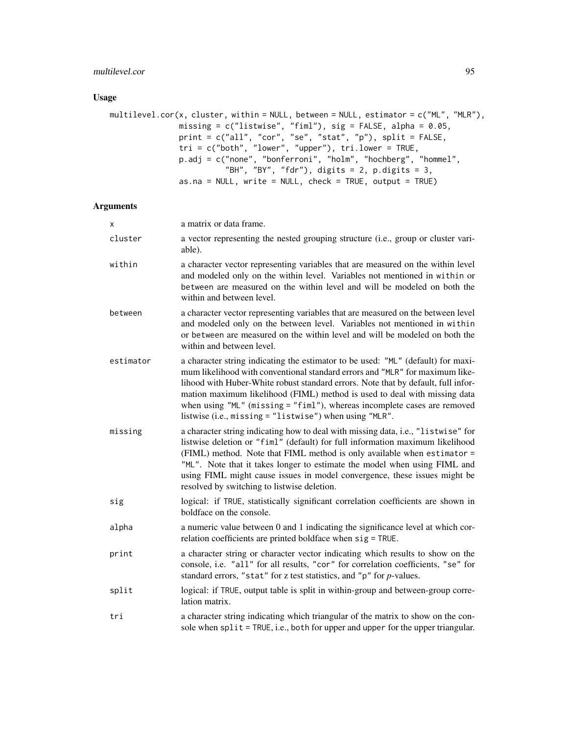# multilevel.cor 95

# Usage

```
multilevel.cor(x, cluster, within = NULL, between = NULL, estimator = c("ML", "MLR"),
               missing = c("listwise", "fiml"), sig = FALSE, alpha = 0.05,
               print = c("all", "cor", "se", "stat", "p"), split = FALSE,
               tri = c("both", "lower", "upper"), tri.lower = TRUE,p.adj = c("none", "bonferroni", "holm", "hochberg", "hommel",
                         "BH", "BY", "fdr"), digits = 2, p.digits = 3,
               as.na = NULL, write = NULL, check = TRUE, output = TRUE)
```

| х         | a matrix or data frame.                                                                                                                                                                                                                                                                                                                                                                                                                                                   |
|-----------|---------------------------------------------------------------------------------------------------------------------------------------------------------------------------------------------------------------------------------------------------------------------------------------------------------------------------------------------------------------------------------------------------------------------------------------------------------------------------|
| cluster   | a vector representing the nested grouping structure (i.e., group or cluster vari-<br>able).                                                                                                                                                                                                                                                                                                                                                                               |
| within    | a character vector representing variables that are measured on the within level<br>and modeled only on the within level. Variables not mentioned in within or<br>between are measured on the within level and will be modeled on both the<br>within and between level.                                                                                                                                                                                                    |
| between   | a character vector representing variables that are measured on the between level<br>and modeled only on the between level. Variables not mentioned in within<br>or between are measured on the within level and will be modeled on both the<br>within and between level.                                                                                                                                                                                                  |
| estimator | a character string indicating the estimator to be used: "ML" (default) for maxi-<br>mum likelihood with conventional standard errors and "MLR" for maximum like-<br>lihood with Huber-White robust standard errors. Note that by default, full infor-<br>mation maximum likelihood (FIML) method is used to deal with missing data<br>when using "ML" (missing = "fiml"), whereas incomplete cases are removed<br>listwise (i.e., missing = "listwise") when using "MLR". |
| missing   | a character string indicating how to deal with missing data, i.e., "listwise" for<br>listwise deletion or "fiml" (default) for full information maximum likelihood<br>(FIML) method. Note that FIML method is only available when estimator =<br>"ML". Note that it takes longer to estimate the model when using FIML and<br>using FIML might cause issues in model convergence, these issues might be<br>resolved by switching to listwise deletion.                    |
| sig       | logical: if TRUE, statistically significant correlation coefficients are shown in<br>boldface on the console.                                                                                                                                                                                                                                                                                                                                                             |
| alpha     | a numeric value between 0 and 1 indicating the significance level at which cor-<br>relation coefficients are printed boldface when sig = TRUE.                                                                                                                                                                                                                                                                                                                            |
| print     | a character string or character vector indicating which results to show on the<br>console, i.e. "all" for all results, "cor" for correlation coefficients, "se" for<br>standard errors, "stat" for z test statistics, and "p" for p-values.                                                                                                                                                                                                                               |
| split     | logical: if TRUE, output table is split in within-group and between-group corre-<br>lation matrix.                                                                                                                                                                                                                                                                                                                                                                        |
| tri       | a character string indicating which triangular of the matrix to show on the con-<br>sole when split = TRUE, i.e., both for upper and upper for the upper triangular.                                                                                                                                                                                                                                                                                                      |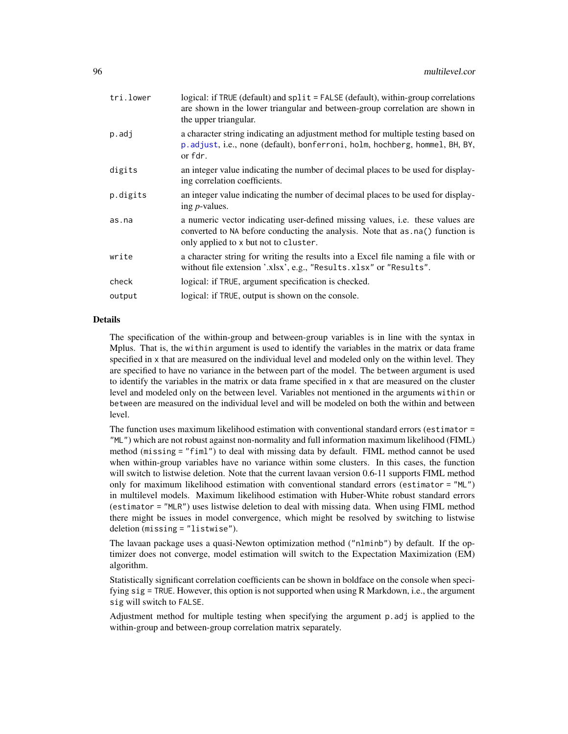| tri.lower | logical: if TRUE (default) and split = FALSE (default), within-group correlations<br>are shown in the lower triangular and between-group correlation are shown in<br>the upper triangular.                        |
|-----------|-------------------------------------------------------------------------------------------------------------------------------------------------------------------------------------------------------------------|
| p.adj     | a character string indicating an adjustment method for multiple testing based on<br>p. adjust, i.e., none (default), bonferroni, holm, hochberg, hommel, BH, BY,<br>or fdr.                                       |
| digits    | an integer value indicating the number of decimal places to be used for display-<br>ing correlation coefficients.                                                                                                 |
| p.digits  | an integer value indicating the number of decimal places to be used for display-<br>ing <i>p</i> -values.                                                                                                         |
| as.na     | a numeric vector indicating user-defined missing values, <i>i.e.</i> these values are<br>converted to NA before conducting the analysis. Note that as . na() function is<br>only applied to x but not to cluster. |
| write     | a character string for writing the results into a Excel file naming a file with or<br>without file extension '.xlsx', e.g., "Results.xlsx" or "Results".                                                          |
| check     | logical: if TRUE, argument specification is checked.                                                                                                                                                              |
| output    | logical: if TRUE, output is shown on the console.                                                                                                                                                                 |
|           |                                                                                                                                                                                                                   |

The specification of the within-group and between-group variables is in line with the syntax in Mplus. That is, the within argument is used to identify the variables in the matrix or data frame specified in x that are measured on the individual level and modeled only on the within level. They are specified to have no variance in the between part of the model. The between argument is used to identify the variables in the matrix or data frame specified in x that are measured on the cluster level and modeled only on the between level. Variables not mentioned in the arguments within or between are measured on the individual level and will be modeled on both the within and between level.

The function uses maximum likelihood estimation with conventional standard errors (estimator = "ML") which are not robust against non-normality and full information maximum likelihood (FIML) method (missing = "fiml") to deal with missing data by default. FIML method cannot be used when within-group variables have no variance within some clusters. In this cases, the function will switch to listwise deletion. Note that the current lavaan version 0.6-11 supports FIML method only for maximum likelihood estimation with conventional standard errors (estimator = "ML") in multilevel models. Maximum likelihood estimation with Huber-White robust standard errors (estimator = "MLR") uses listwise deletion to deal with missing data. When using FIML method there might be issues in model convergence, which might be resolved by switching to listwise deletion (missing = "listwise").

The lavaan package uses a quasi-Newton optimization method ("nlminb") by default. If the optimizer does not converge, model estimation will switch to the Expectation Maximization (EM) algorithm.

Statistically significant correlation coefficients can be shown in boldface on the console when specifying sig = TRUE. However, this option is not supported when using R Markdown, i.e., the argument sig will switch to FALSE.

Adjustment method for multiple testing when specifying the argument p.adj is applied to the within-group and between-group correlation matrix separately.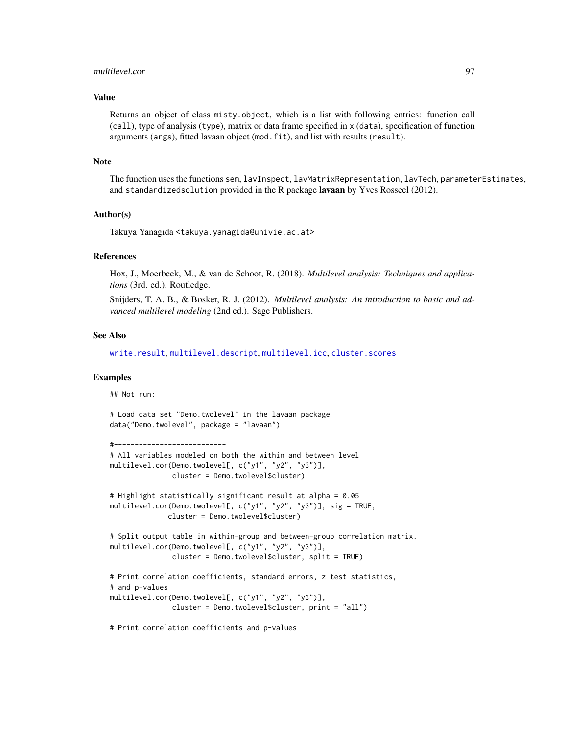## multilevel.cor 97

## Value

Returns an object of class misty.object, which is a list with following entries: function call (call), type of analysis (type), matrix or data frame specified in x (data), specification of function arguments (args), fitted lavaan object (mod.fit), and list with results (result).

#### Note

The function uses the functions sem, lavInspect, lavMatrixRepresentation, lavTech, parameterEstimates, and standardizedsolution provided in the R package lavaan by Yves Rosseel (2012).

#### Author(s)

Takuya Yanagida <takuya.yanagida@univie.ac.at>

#### References

Hox, J., Moerbeek, M., & van de Schoot, R. (2018). *Multilevel analysis: Techniques and applications* (3rd. ed.). Routledge.

Snijders, T. A. B., & Bosker, R. J. (2012). *Multilevel analysis: An introduction to basic and advanced multilevel modeling* (2nd ed.). Sage Publishers.

## See Also

[write.result](#page-168-0), [multilevel.descript](#page-97-0), [multilevel.icc](#page-99-0), [cluster.scores](#page-34-0)

#### Examples

## Not run:

```
# Load data set "Demo.twolevel" in the lavaan package
data("Demo.twolevel", package = "lavaan")
```

```
#---------------------------
# All variables modeled on both the within and between level
multilevel.cor(Demo.twolevel[, c("y1", "y2", "y3")],
               cluster = Demo.twolevel$cluster)
# Highlight statistically significant result at alpha = 0.05
multilevel.cor(Demo.twolevel[, c("y1", "y2", "y3")], sig = TRUE,
              cluster = Demo.twolevel$cluster)
# Split output table in within-group and between-group correlation matrix.
multilevel.cor(Demo.twolevel[, c("y1", "y2", "y3")],
               cluster = Demo.twolevel$cluster, split = TRUE)
# Print correlation coefficients, standard errors, z test statistics,
# and p-values
multilevel.cor(Demo.twolevel[, c("y1", "y2", "y3")],
               cluster = Demo.twolevel$cluster, print = "all")
```
# Print correlation coefficients and p-values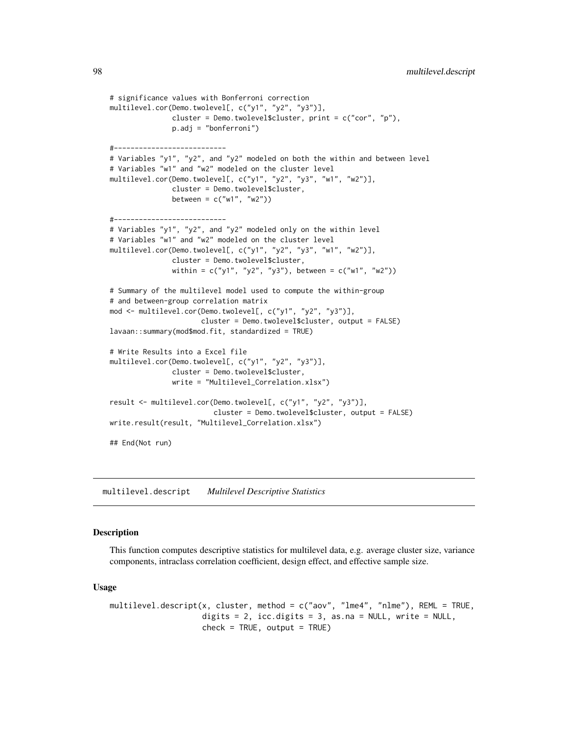```
# significance values with Bonferroni correction
multilevel.cor(Demo.twolevel[, c("y1", "y2", "y3")],
               cluster = Demo.twolevel$cluster, print = c("cor", "p"),
               p.adj = "bonferroni")
#---------------------------
# Variables "y1", "y2", and "y2" modeled on both the within and between level
# Variables "w1" and "w2" modeled on the cluster level
multilevel.cor(Demo.twolevel[, c("y1", "y2", "y3", "w1", "w2")],
               cluster = Demo.twolevel$cluster,
               between = c("w1", "w2"))
#---------------------------
# Variables "y1", "y2", and "y2" modeled only on the within level
# Variables "w1" and "w2" modeled on the cluster level
multilevel.cor(Demo.twolevel[, c("y1", "y2", "y3", "w1", "w2")],
               cluster = Demo.twolevel$cluster,
               within = c("y1", "y2", "y3"), between = c("w1", "w2"))
# Summary of the multilevel model used to compute the within-group
# and between-group correlation matrix
mod <- multilevel.cor(Demo.twolevel[, c("y1", "y2", "y3")],
                      cluster = Demo.twolevel$cluster, output = FALSE)
lavaan::summary(mod$mod.fit, standardized = TRUE)
# Write Results into a Excel file
multilevel.cor(Demo.twolevel[, c("y1", "y2", "y3")],
               cluster = Demo.twolevel$cluster,
               write = "Multilevel_Correlation.xlsx")
result <- multilevel.cor(Demo.twolevel[, c("y1", "y2", "y3")],
                         cluster = Demo.twolevel$cluster, output = FALSE)
write.result(result, "Multilevel_Correlation.xlsx")
## End(Not run)
```
<span id="page-97-0"></span>multilevel.descript *Multilevel Descriptive Statistics*

### **Description**

This function computes descriptive statistics for multilevel data, e.g. average cluster size, variance components, intraclass correlation coefficient, design effect, and effective sample size.

#### Usage

```
multilevel.descript(x, cluster, method = c("aov", "lme4", "nlme"), REML = TRUE,
                    digits = 2, icc.digits = 3, as.na = NULL, write = NULL,
                    check = TRUE, output = TRUE)
```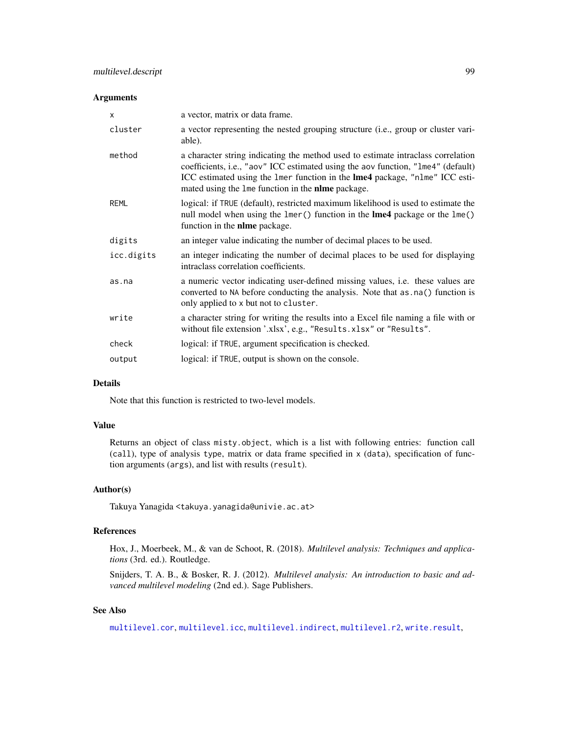## Arguments

| $\times$    | a vector, matrix or data frame.                                                                                                                                                                                                                                                                          |
|-------------|----------------------------------------------------------------------------------------------------------------------------------------------------------------------------------------------------------------------------------------------------------------------------------------------------------|
| cluster     | a vector representing the nested grouping structure (i.e., group or cluster vari-<br>able).                                                                                                                                                                                                              |
| method      | a character string indicating the method used to estimate intraclass correlation<br>coefficients, i.e., "aov" ICC estimated using the aov function, "1me4" (default)<br>ICC estimated using the lmer function in the lme4 package, "nlme" ICC esti-<br>mated using the 1me function in the nime package. |
| <b>REML</b> | logical: if TRUE (default), restricted maximum likelihood is used to estimate the<br>null model when using the lmer() function in the <b>lme4</b> package or the lme()<br>function in the <b>nlme</b> package.                                                                                           |
| digits      | an integer value indicating the number of decimal places to be used.                                                                                                                                                                                                                                     |
| icc.digits  | an integer indicating the number of decimal places to be used for displaying<br>intraclass correlation coefficients.                                                                                                                                                                                     |
| as.na       | a numeric vector indicating user-defined missing values, i.e. these values are<br>converted to NA before conducting the analysis. Note that as . na() function is<br>only applied to x but not to cluster.                                                                                               |
| write       | a character string for writing the results into a Excel file naming a file with or<br>without file extension '.xlsx', e.g., "Results.xlsx" or "Results".                                                                                                                                                 |
| check       | logical: if TRUE, argument specification is checked.                                                                                                                                                                                                                                                     |
| output      | logical: if TRUE, output is shown on the console.                                                                                                                                                                                                                                                        |

## Details

Note that this function is restricted to two-level models.

## Value

Returns an object of class misty.object, which is a list with following entries: function call (call), type of analysis type, matrix or data frame specified in x (data), specification of function arguments (args), and list with results (result).

## Author(s)

Takuya Yanagida <takuya.yanagida@univie.ac.at>

## References

Hox, J., Moerbeek, M., & van de Schoot, R. (2018). *Multilevel analysis: Techniques and applications* (3rd. ed.). Routledge.

Snijders, T. A. B., & Bosker, R. J. (2012). *Multilevel analysis: An introduction to basic and advanced multilevel modeling* (2nd ed.). Sage Publishers.

# See Also

[multilevel.cor](#page-93-0), [multilevel.icc](#page-99-0), [multilevel.indirect](#page-101-0), [multilevel.r2](#page-104-0), [write.result](#page-168-0),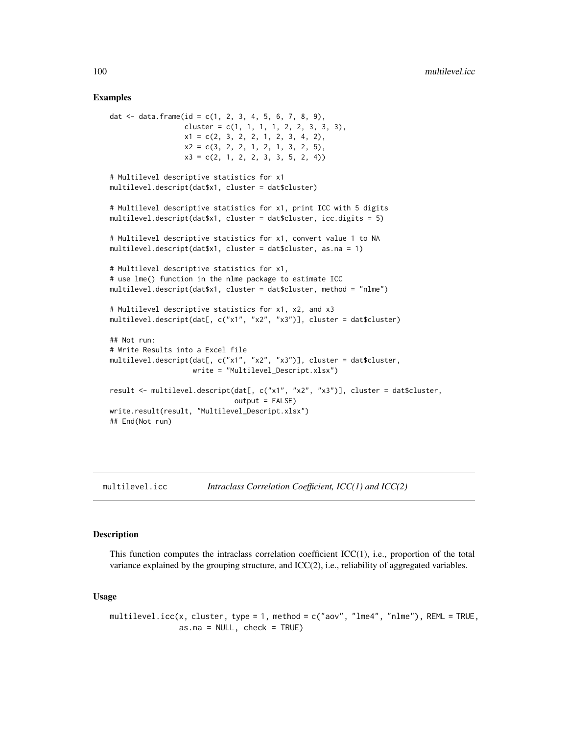### Examples

```
dat \le data.frame(id = c(1, 2, 3, 4, 5, 6, 7, 8, 9),
                  cluster = c(1, 1, 1, 1, 2, 2, 3, 3, 3),
                  x1 = c(2, 3, 2, 2, 1, 2, 3, 4, 2),x2 = c(3, 2, 2, 1, 2, 1, 3, 2, 5),x3 = c(2, 1, 2, 2, 3, 3, 5, 2, 4)# Multilevel descriptive statistics for x1
multilevel.descript(dat$x1, cluster = dat$cluster)
# Multilevel descriptive statistics for x1, print ICC with 5 digits
multilevel.descript(dat$x1, cluster = dat$cluster, icc.digits = 5)
# Multilevel descriptive statistics for x1, convert value 1 to NA
multilevel.descript(dat$x1, cluster = dat$cluster, as.na = 1)
# Multilevel descriptive statistics for x1,
# use lme() function in the nlme package to estimate ICC
multilevel.descript(dat$x1, cluster = dat$cluster, method = "nlme")
# Multilevel descriptive statistics for x1, x2, and x3
multilevel.descript(dat[, c("x1", "x2", "x3")], cluster = dat$cluster)
## Not run:
# Write Results into a Excel file
multilevel.descript(dat[, c("x1", "x2", "x3")], cluster = dat$cluster,
                    write = "Multilevel_Descript.xlsx")
result <- multilevel.descript(dat[, c("x1", "x2", "x3")], cluster = dat$cluster,
                              output = FALSE)write.result(result, "Multilevel_Descript.xlsx")
## End(Not run)
```
<span id="page-99-0"></span>multilevel.icc *Intraclass Correlation Coefficient, ICC(1) and ICC(2)*

# Description

This function computes the intraclass correlation coefficient  $ICC(1)$ , i.e., proportion of the total variance explained by the grouping structure, and ICC(2), i.e., reliability of aggregated variables.

#### Usage

```
multilevel.icc(x, cluster, type = 1, method = c("aov", "lme4", "nlme"), REML = TRUE,
               as.na = NULL, check = TRUE)
```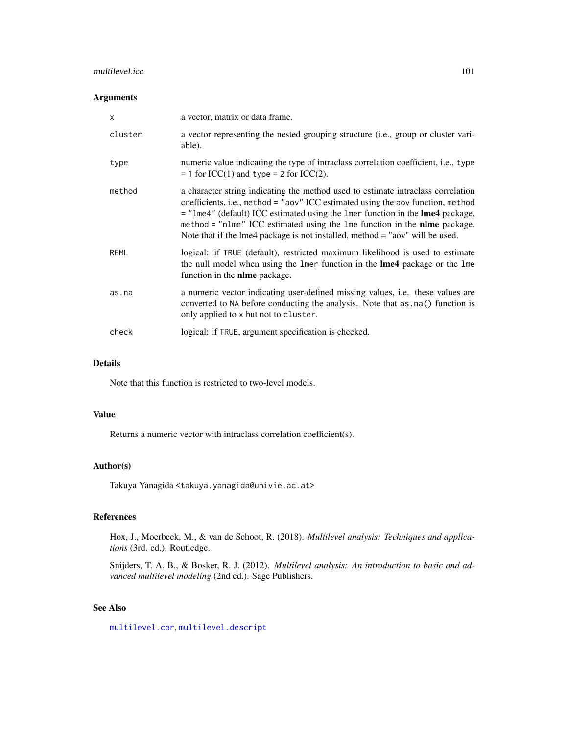## multilevel.icc 101

## Arguments

| $\times$    | a vector, matrix or data frame.                                                                                                                                                                                                                                                                                                                                                                                     |
|-------------|---------------------------------------------------------------------------------------------------------------------------------------------------------------------------------------------------------------------------------------------------------------------------------------------------------------------------------------------------------------------------------------------------------------------|
| cluster     | a vector representing the nested grouping structure (i.e., group or cluster vari-<br>able).                                                                                                                                                                                                                                                                                                                         |
| type        | numeric value indicating the type of intraclass correlation coefficient, i.e., type<br>$= 1$ for ICC(1) and type $= 2$ for ICC(2).                                                                                                                                                                                                                                                                                  |
| method      | a character string indicating the method used to estimate intraclass correlation<br>coefficients, i.e., method = "aov" ICC estimated using the aov function, method<br>= "lme4" (default) ICC estimated using the lmer function in the lme4 package,<br>method = "nlme" ICC estimated using the lme function in the nlme package.<br>Note that if the lme4 package is not installed, method $=$ "aov" will be used. |
| <b>REML</b> | logical: if TRUE (default), restricted maximum likelihood is used to estimate<br>the null model when using the lmer function in the <b>lme4</b> package or the lme<br>function in the <b>nlme</b> package.                                                                                                                                                                                                          |
| as.na       | a numeric vector indicating user-defined missing values, i.e. these values are<br>converted to NA before conducting the analysis. Note that as . na() function is<br>only applied to x but not to cluster.                                                                                                                                                                                                          |
| check       | logical: if TRUE, argument specification is checked.                                                                                                                                                                                                                                                                                                                                                                |

# Details

Note that this function is restricted to two-level models.

## Value

Returns a numeric vector with intraclass correlation coefficient(s).

## Author(s)

Takuya Yanagida <takuya.yanagida@univie.ac.at>

## References

Hox, J., Moerbeek, M., & van de Schoot, R. (2018). *Multilevel analysis: Techniques and applications* (3rd. ed.). Routledge.

Snijders, T. A. B., & Bosker, R. J. (2012). *Multilevel analysis: An introduction to basic and advanced multilevel modeling* (2nd ed.). Sage Publishers.

# See Also

[multilevel.cor](#page-93-0), [multilevel.descript](#page-97-0)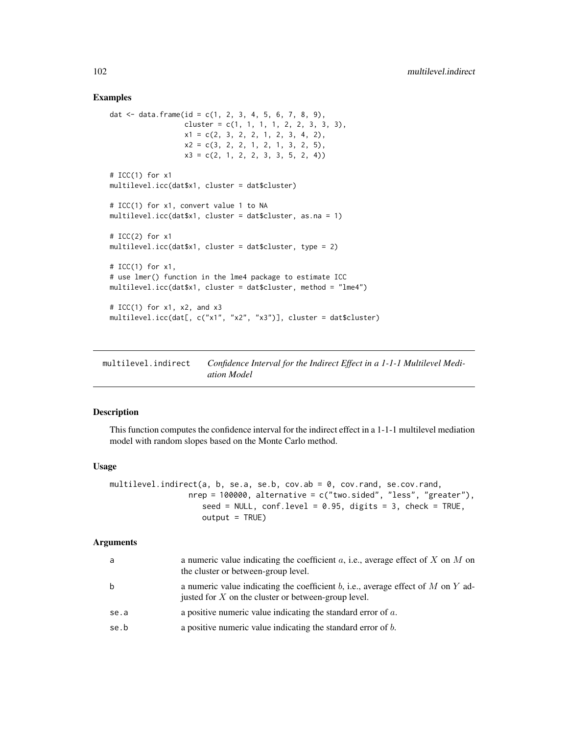### Examples

```
dat \le data.frame(id = c(1, 2, 3, 4, 5, 6, 7, 8, 9),
                 cluster = c(1, 1, 1, 1, 2, 2, 3, 3, 3),
                  x1 = c(2, 3, 2, 2, 1, 2, 3, 4, 2),x2 = c(3, 2, 2, 1, 2, 1, 3, 2, 5),x3 = c(2, 1, 2, 2, 3, 3, 5, 2, 4)# ICC(1) for x1
multilevel.icc(dat$x1, cluster = dat$cluster)
# ICC(1) for x1, convert value 1 to NA
multilevel.icc(dat$x1, cluster = dat$cluster, as.na = 1)
# ICC(2) for x1
multilevel.icc(dat$x1, cluster = dat$cluster, type = 2)
# ICC(1) for x1,
# use lmer() function in the lme4 package to estimate ICC
multilevel.icc(dat$x1, cluster = dat$cluster, method = "lme4")
# ICC(1) for x1, x2, and x3
multilevel.icc(dat[, c("x1", "x2", "x3")], cluster = dat$cluster)
```
<span id="page-101-0"></span>multilevel.indirect *Confidence Interval for the Indirect Effect in a 1-1-1 Multilevel Mediation Model*

## Description

This function computes the confidence interval for the indirect effect in a 1-1-1 multilevel mediation model with random slopes based on the Monte Carlo method.

#### Usage

```
multilevel.indirect(a, b, se.a, se.b, cov.ab = 0, cov.rand, se.cov.rand,
                 nrep = 100000, alternative = c("two.sided", "less", "greater"),
                    seed = NULL, conf<math>.level = 0.95, digits = 3, check = TRUE,
                    output = TRUE)
```

| a    | a numeric value indicating the coefficient $a$ , i.e., average effect of $X$ on $M$ on<br>the cluster or between-group level.             |
|------|-------------------------------------------------------------------------------------------------------------------------------------------|
|      | a numeric value indicating the coefficient b, i.e., average effect of M on Y ad-<br>justed for $X$ on the cluster or between-group level. |
| se.a | a positive numeric value indicating the standard error of $a$ .                                                                           |
| se.b | a positive numeric value indicating the standard error of $b$ .                                                                           |
|      |                                                                                                                                           |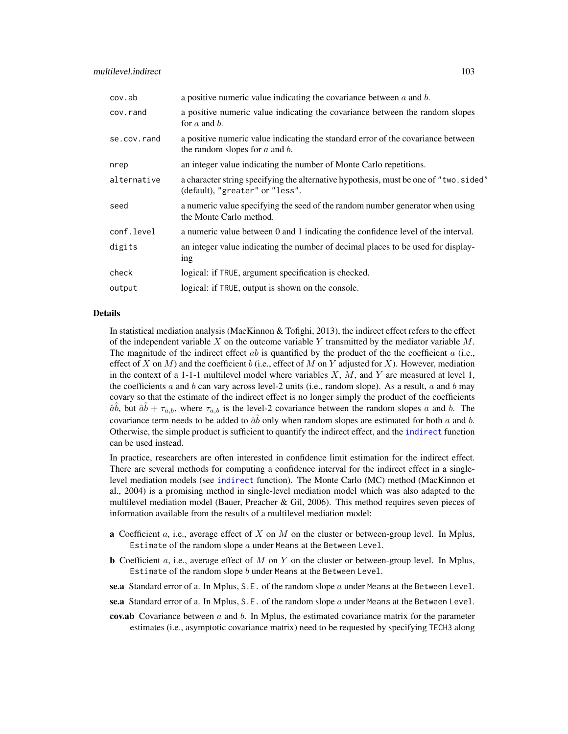| cov.ab      | a positive numeric value indicating the covariance between $a$ and $b$ .                                                |
|-------------|-------------------------------------------------------------------------------------------------------------------------|
| cov.rand    | a positive numeric value indicating the covariance between the random slopes<br>for $a$ and $b$ .                       |
| se.cov.rand | a positive numeric value indicating the standard error of the covariance between<br>the random slopes for $a$ and $b$ . |
| nrep        | an integer value indicating the number of Monte Carlo repetitions.                                                      |
| alternative | a character string specifying the alternative hypothesis, must be one of "two.sided"<br>(default), "greater" or "less". |
| seed        | a numeric value specifying the seed of the random number generator when using<br>the Monte Carlo method.                |
| conf.level  | a numeric value between 0 and 1 indicating the confidence level of the interval.                                        |
| digits      | an integer value indicating the number of decimal places to be used for display-<br>ing                                 |
| check       | logical: if TRUE, argument specification is checked.                                                                    |
| output      | logical: if TRUE, output is shown on the console.                                                                       |

In statistical mediation analysis (MacKinnon & Tofighi, 2013), the indirect effect refers to the effect of the independent variable  $X$  on the outcome variable  $Y$  transmitted by the mediator variable  $M$ . The magnitude of the indirect effect ab is quantified by the product of the the coefficient a (i.e., effect of X on M) and the coefficient b (i.e., effect of M on Y adjusted for X). However, mediation in the context of a 1-1-1 multilevel model where variables  $X$ ,  $M$ , and  $Y$  are measured at level 1, the coefficients a and b can vary across level-2 units (i.e., random slope). As a result, a and b may covary so that the estimate of the indirect effect is no longer simply the product of the coefficients  $\hat{a}\hat{b}$ , but  $\hat{a}\hat{b} + \tau_{a,b}$ , where  $\tau_{a,b}$  is the level-2 covariance between the random slopes a and b. The covariance term needs to be added to  $\hat{a}\hat{b}$  only when random slopes are estimated for both a and b. Otherwise, the simple product is sufficient to quantify the indirect effect, and the [indirect](#page-72-0) function can be used instead.

In practice, researchers are often interested in confidence limit estimation for the indirect effect. There are several methods for computing a confidence interval for the indirect effect in a singlelevel mediation models (see [indirect](#page-72-0) function). The Monte Carlo (MC) method (MacKinnon et al., 2004) is a promising method in single-level mediation model which was also adapted to the multilevel mediation model (Bauer, Preacher  $\&$  Gil, 2006). This method requires seven pieces of information available from the results of a multilevel mediation model:

- **a** Coefficient  $a$ , i.e., average effect of  $X$  on  $M$  on the cluster or between-group level. In Mplus, Estimate of the random slope  $a$  under Means at the Between Level.
- **b** Coefficient a, i.e., average effect of M on Y on the cluster or between-group level. In Mplus, Estimate of the random slope  $b$  under Means at the Between Level.
- se.a Standard error of a. In Mplus, S.E. of the random slope  $a$  under Means at the Between Level.
- se.a Standard error of a. In Mplus, S.E. of the random slope  $a$  under Means at the Between Level.
- **cov.ab** Covariance between  $a$  and  $b$ . In Mplus, the estimated covariance matrix for the parameter estimates (i.e., asymptotic covariance matrix) need to be requested by specifying TECH3 along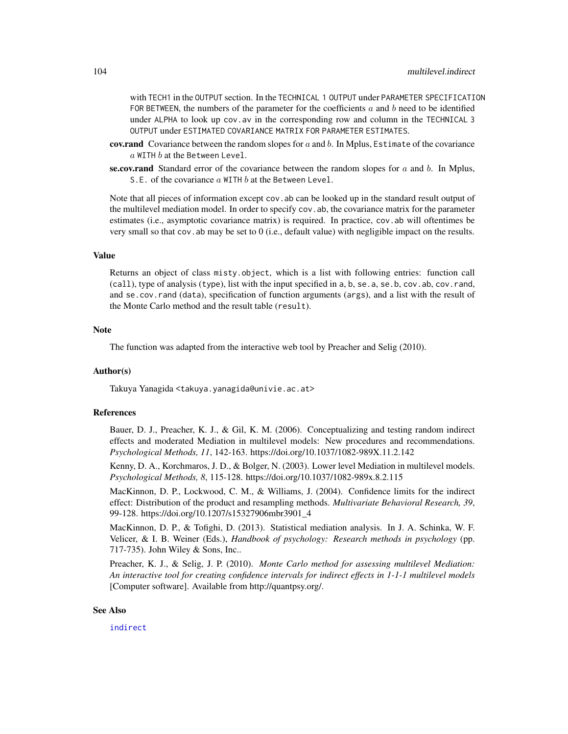with TECH1 in the OUTPUT section. In the TECHNICAL 1 OUTPUT under PARAMETER SPECIFICATION FOR BETWEEN, the numbers of the parameter for the coefficients  $a$  and  $b$  need to be identified under ALPHA to look up cov.av in the corresponding row and column in the TECHNICAL 3 OUTPUT under ESTIMATED COVARIANCE MATRIX FOR PARAMETER ESTIMATES.

- **cov.rand** Covariance between the random slopes for  $a$  and  $b$ . In Mplus, Estimate of the covariance  $a$  WITH  $b$  at the Between Level.
- se.cov.rand Standard error of the covariance between the random slopes for  $a$  and  $b$ . In Mplus, S.E. of the covariance  $a$  WITH  $b$  at the Between Level.

Note that all pieces of information except cov. ab can be looked up in the standard result output of the multilevel mediation model. In order to specify cov.ab, the covariance matrix for the parameter estimates (i.e., asymptotic covariance matrix) is required. In practice, cov.ab will oftentimes be very small so that  $cov$ . ab may be set to  $0$  (i.e., default value) with negligible impact on the results.

# Value

Returns an object of class misty.object, which is a list with following entries: function call (call), type of analysis (type), list with the input specified in a, b, se.a, se.b, cov.ab, cov.rand, and se.cov.rand (data), specification of function arguments (args), and a list with the result of the Monte Carlo method and the result table (result).

### **Note**

The function was adapted from the interactive web tool by Preacher and Selig (2010).

## Author(s)

Takuya Yanagida <takuya.yanagida@univie.ac.at>

## References

Bauer, D. J., Preacher, K. J., & Gil, K. M. (2006). Conceptualizing and testing random indirect effects and moderated Mediation in multilevel models: New procedures and recommendations. *Psychological Methods, 11*, 142-163. https://doi.org/10.1037/1082-989X.11.2.142

Kenny, D. A., Korchmaros, J. D., & Bolger, N. (2003). Lower level Mediation in multilevel models. *Psychological Methods, 8*, 115-128. https://doi.org/10.1037/1082-989x.8.2.115

MacKinnon, D. P., Lockwood, C. M., & Williams, J. (2004). Confidence limits for the indirect effect: Distribution of the product and resampling methods. *Multivariate Behavioral Research, 39*, 99-128. https://doi.org/10.1207/s15327906mbr3901\_4

MacKinnon, D. P., & Tofighi, D. (2013). Statistical mediation analysis. In J. A. Schinka, W. F. Velicer, & I. B. Weiner (Eds.), *Handbook of psychology: Research methods in psychology* (pp. 717-735). John Wiley & Sons, Inc..

Preacher, K. J., & Selig, J. P. (2010). *Monte Carlo method for assessing multilevel Mediation: An interactive tool for creating confidence intervals for indirect effects in 1-1-1 multilevel models* [Computer software]. Available from http://quantpsy.org/.

## See Also

[indirect](#page-72-0)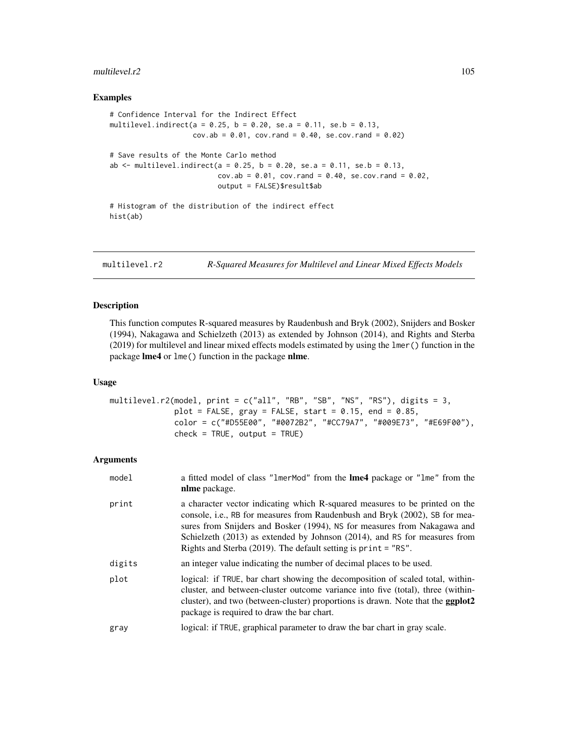#### multilevel.r2 105

## Examples

```
# Confidence Interval for the Indirect Effect
multilevel.indirect(a = 0.25, b = 0.20, se.a = 0.11, se.b = 0.13,
                    cov.ab = 0.01, cov.random = 0.40, sec.cov.random = 0.02)
# Save results of the Monte Carlo method
ab \le multilevel.indirect(a = 0.25, b = 0.20, se.a = 0.11, se.b = 0.13,
                          cov.ab = 0.01, cov.rand = 0.40, se.cov.rand = 0.02,
                          output = FALSE)$result$ab
# Histogram of the distribution of the indirect effect
hist(ab)
```
<span id="page-104-0"></span>multilevel.r2 *R-Squared Measures for Multilevel and Linear Mixed Effects Models*

## Description

This function computes R-squared measures by Raudenbush and Bryk (2002), Snijders and Bosker (1994), Nakagawa and Schielzeth (2013) as extended by Johnson (2014), and Rights and Sterba (2019) for multilevel and linear mixed effects models estimated by using the lmer() function in the package lme4 or lme() function in the package nlme.

## Usage

```
multilevel.r2(model, print = c("all", "RB", "SB", "NS", "RS"), digits = 3,
             plot = FALSE, gray = FALSE, start = 0.15, end = 0.85,
             color = c("#D55E00", "#0072B2", "#CC79A7", "#009E73", "#E69F00"),
             check = TRUE, output = TRUE)
```

| model  | a fitted model of class "1merMod" from the Ime4 package or "1me" from the<br>nlme package.                                                                                                                                                                                                                                                                                                    |
|--------|-----------------------------------------------------------------------------------------------------------------------------------------------------------------------------------------------------------------------------------------------------------------------------------------------------------------------------------------------------------------------------------------------|
| print  | a character vector indicating which R-squared measures to be printed on the<br>console, i.e., RB for measures from Raudenbush and Bryk (2002), SB for mea-<br>sures from Snijders and Bosker (1994), NS for measures from Nakagawa and<br>Schielzeth $(2013)$ as extended by Johnson $(2014)$ , and RS for measures from<br>Rights and Sterba $(2019)$ . The default setting is print = "RS". |
| digits | an integer value indicating the number of decimal places to be used.                                                                                                                                                                                                                                                                                                                          |
| plot   | logical: if TRUE, bar chart showing the decomposition of scaled total, within-<br>cluster, and between-cluster outcome variance into five (total), three (within-<br>cluster), and two (between-cluster) proportions is drawn. Note that the <b>ggplot2</b><br>package is required to draw the bar chart.                                                                                     |
| gray   | logical: if TRUE, graphical parameter to draw the bar chart in gray scale.                                                                                                                                                                                                                                                                                                                    |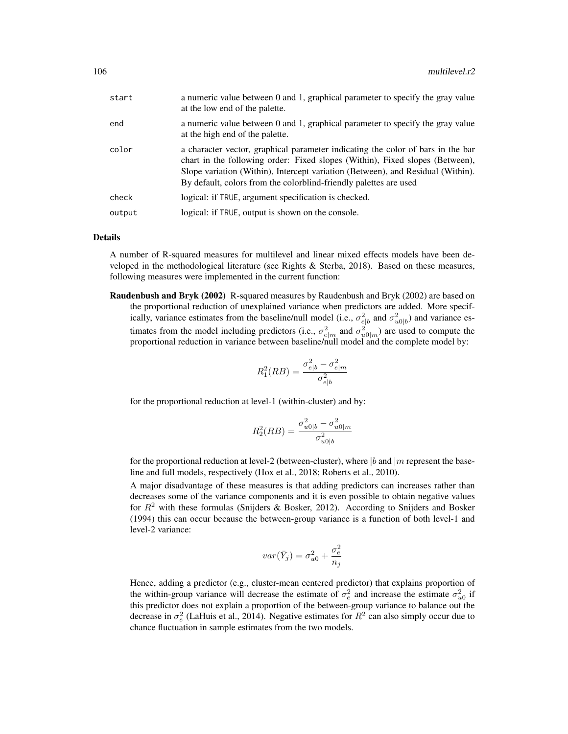| start  | a numeric value between 0 and 1, graphical parameter to specify the gray value<br>at the low end of the palette.                                                                                                                                                                                                        |
|--------|-------------------------------------------------------------------------------------------------------------------------------------------------------------------------------------------------------------------------------------------------------------------------------------------------------------------------|
| end    | a numeric value between 0 and 1, graphical parameter to specify the gray value<br>at the high end of the palette.                                                                                                                                                                                                       |
| color  | a character vector, graphical parameter indicating the color of bars in the bar<br>chart in the following order: Fixed slopes (Within), Fixed slopes (Between),<br>Slope variation (Within), Intercept variation (Between), and Residual (Within).<br>By default, colors from the colorblind-friendly palettes are used |
| check  | logical: if TRUE, argument specification is checked.                                                                                                                                                                                                                                                                    |
| output | logical: if TRUE, output is shown on the console.                                                                                                                                                                                                                                                                       |

A number of R-squared measures for multilevel and linear mixed effects models have been developed in the methodological literature (see Rights & Sterba, 2018). Based on these measures, following measures were implemented in the current function:

Raudenbush and Bryk (2002) R-squared measures by Raudenbush and Bryk (2002) are based on the proportional reduction of unexplained variance when predictors are added. More specifically, variance estimates from the baseline/null model (i.e.,  $\sigma_{e|b}^2$  and  $\sigma_{u0|b}^2$ ) and variance estimates from the model including predictors (i.e.,  $\sigma_{e|m}^2$  and  $\sigma_{u0|m}^2$ ) are used to compute the proportional reduction in variance between baseline/null model and the complete model by:

$$
R_1^2(RB) = \frac{\sigma_{e|b}^2 - \sigma_{e|m}^2}{\sigma_{e|b}^2}
$$

for the proportional reduction at level-1 (within-cluster) and by:

$$
R_2^2(RB) = \frac{\sigma_{u0|b}^2 - \sigma_{u0|m}^2}{\sigma_{u0|b}^2}
$$

for the proportional reduction at level-2 (between-cluster), where |b and |m represent the baseline and full models, respectively (Hox et al., 2018; Roberts et al., 2010).

A major disadvantage of these measures is that adding predictors can increases rather than decreases some of the variance components and it is even possible to obtain negative values for  $R^2$  with these formulas (Snijders & Bosker, 2012). According to Snijders and Bosker (1994) this can occur because the between-group variance is a function of both level-1 and level-2 variance:

$$
var(\bar{Y}_j) = \sigma_{u0}^2 + \frac{\sigma_e^2}{n_j}
$$

Hence, adding a predictor (e.g., cluster-mean centered predictor) that explains proportion of the within-group variance will decrease the estimate of  $\sigma_e^2$  and increase the estimate  $\sigma_{u0}^2$  if this predictor does not explain a proportion of the between-group variance to balance out the decrease in  $\sigma_e^2$  (LaHuis et al., 2014). Negative estimates for  $R^2$  can also simply occur due to chance fluctuation in sample estimates from the two models.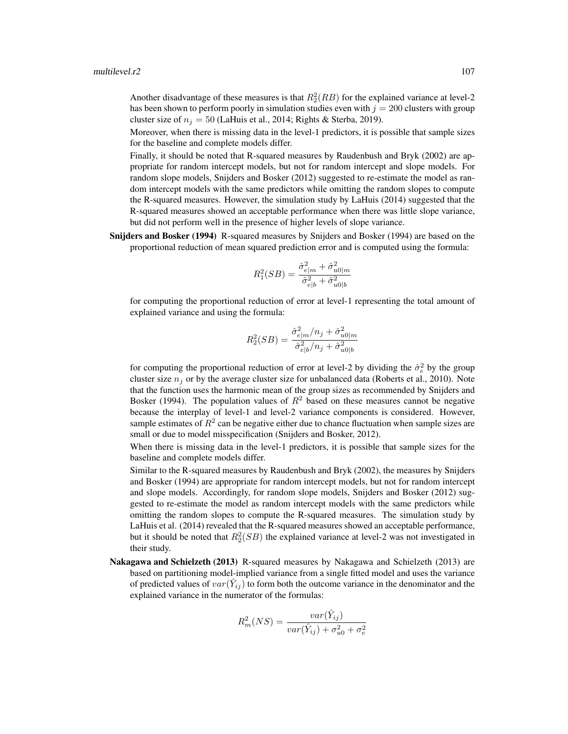Another disadvantage of these measures is that  $R_2^2(RB)$  for the explained variance at level-2 has been shown to perform poorly in simulation studies even with  $j = 200$  clusters with group cluster size of  $n_j = 50$  (LaHuis et al., 2014; Rights & Sterba, 2019).

Moreover, when there is missing data in the level-1 predictors, it is possible that sample sizes for the baseline and complete models differ.

Finally, it should be noted that R-squared measures by Raudenbush and Bryk (2002) are appropriate for random intercept models, but not for random intercept and slope models. For random slope models, Snijders and Bosker (2012) suggested to re-estimate the model as random intercept models with the same predictors while omitting the random slopes to compute the R-squared measures. However, the simulation study by LaHuis (2014) suggested that the R-squared measures showed an acceptable performance when there was little slope variance, but did not perform well in the presence of higher levels of slope variance.

Snijders and Bosker (1994) R-squared measures by Snijders and Bosker (1994) are based on the proportional reduction of mean squared prediction error and is computed using the formula:

$$
R_1^2(SB) = \frac{\hat{\sigma}_{e|m}^2 + \hat{\sigma}_{u0|m}^2}{\hat{\sigma}_{e|b}^2 + \hat{\sigma}_{u0|b}^2}
$$

for computing the proportional reduction of error at level-1 representing the total amount of explained variance and using the formula:

$$
R_2^2(SB) = \frac{\hat{\sigma}_{e|m}^2/n_j + \hat{\sigma}_{u0|m}^2}{\hat{\sigma}_{e|b}^2/n_j + \hat{\sigma}_{u0|b}^2}
$$

for computing the proportional reduction of error at level-2 by dividing the  $\hat{\sigma}_e^2$  by the group cluster size  $n_i$  or by the average cluster size for unbalanced data (Roberts et al., 2010). Note that the function uses the harmonic mean of the group sizes as recommended by Snijders and Bosker (1994). The population values of  $R^2$  based on these measures cannot be negative because the interplay of level-1 and level-2 variance components is considered. However, sample estimates of  $R^2$  can be negative either due to chance fluctuation when sample sizes are small or due to model misspecification (Snijders and Bosker, 2012).

When there is missing data in the level-1 predictors, it is possible that sample sizes for the baseline and complete models differ.

Similar to the R-squared measures by Raudenbush and Bryk (2002), the measures by Snijders and Bosker (1994) are appropriate for random intercept models, but not for random intercept and slope models. Accordingly, for random slope models, Snijders and Bosker (2012) suggested to re-estimate the model as random intercept models with the same predictors while omitting the random slopes to compute the R-squared measures. The simulation study by LaHuis et al. (2014) revealed that the R-squared measures showed an acceptable performance, but it should be noted that  $R_2^2(SB)$  the explained variance at level-2 was not investigated in their study.

Nakagawa and Schielzeth (2013) R-squared measures by Nakagawa and Schielzeth (2013) are based on partitioning model-implied variance from a single fitted model and uses the variance of predicted values of  $var(\hat{Y}_{ij})$  to form both the outcome variance in the denominator and the explained variance in the numerator of the formulas:

$$
R_m^2(NS) = \frac{var(\hat{Y}_{ij})}{var(\hat{Y}_{ij}) + \sigma_{u0}^2 + \sigma_e^2}
$$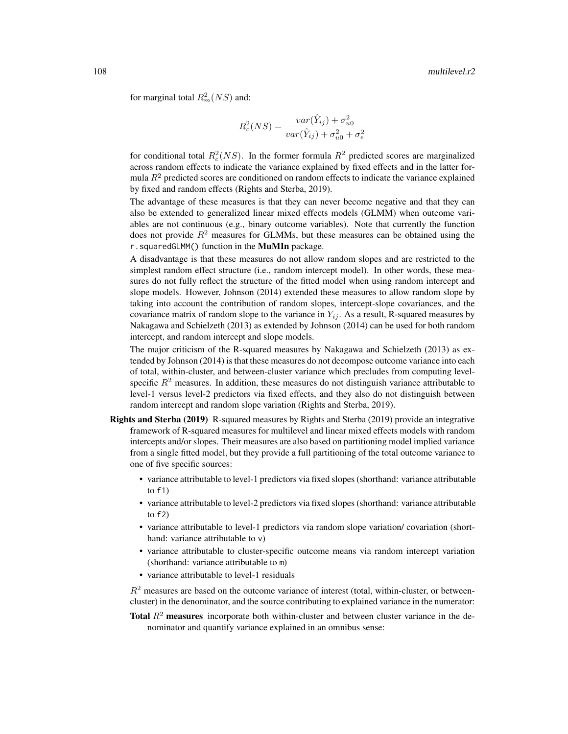for marginal total  $R_m^2(NS)$  and:

$$
R_c^2(NS) = \frac{var(\hat{Y}_{ij}) + \sigma_{u0}^2}{var(\hat{Y}_{ij}) + \sigma_{u0}^2 + \sigma_e^2}
$$

for conditional total  $R_c^2(NS)$ . In the former formula  $R^2$  predicted scores are marginalized across random effects to indicate the variance explained by fixed effects and in the latter formula  $R<sup>2</sup>$  predicted scores are conditioned on random effects to indicate the variance explained by fixed and random effects (Rights and Sterba, 2019).

The advantage of these measures is that they can never become negative and that they can also be extended to generalized linear mixed effects models (GLMM) when outcome variables are not continuous (e.g., binary outcome variables). Note that currently the function does not provide  $R<sup>2</sup>$  measures for GLMMs, but these measures can be obtained using the r. squaredGLMM() function in the MuMIn package.

A disadvantage is that these measures do not allow random slopes and are restricted to the simplest random effect structure (i.e., random intercept model). In other words, these measures do not fully reflect the structure of the fitted model when using random intercept and slope models. However, Johnson (2014) extended these measures to allow random slope by taking into account the contribution of random slopes, intercept-slope covariances, and the covariance matrix of random slope to the variance in  $Y_{ij}$ . As a result, R-squared measures by Nakagawa and Schielzeth (2013) as extended by Johnson (2014) can be used for both random intercept, and random intercept and slope models.

The major criticism of the R-squared measures by Nakagawa and Schielzeth (2013) as extended by Johnson (2014) is that these measures do not decompose outcome variance into each of total, within-cluster, and between-cluster variance which precludes from computing levelspecific  $R<sup>2</sup>$  measures. In addition, these measures do not distinguish variance attributable to level-1 versus level-2 predictors via fixed effects, and they also do not distinguish between random intercept and random slope variation (Rights and Sterba, 2019).

- Rights and Sterba (2019) R-squared measures by Rights and Sterba (2019) provide an integrative framework of R-squared measures for multilevel and linear mixed effects models with random intercepts and/or slopes. Their measures are also based on partitioning model implied variance from a single fitted model, but they provide a full partitioning of the total outcome variance to one of five specific sources:
	- variance attributable to level-1 predictors via fixed slopes (shorthand: variance attributable to  $f1)$
	- variance attributable to level-2 predictors via fixed slopes (shorthand: variance attributable to f2)
	- variance attributable to level-1 predictors via random slope variation/ covariation (shorthand: variance attributable to  $v$ )
	- variance attributable to cluster-specific outcome means via random intercept variation (shorthand: variance attributable to m)
	- variance attributable to level-1 residuals

 $R<sup>2</sup>$  measures are based on the outcome variance of interest (total, within-cluster, or betweencluster) in the denominator, and the source contributing to explained variance in the numerator:

**Total**  $R^2$  measures incorporate both within-cluster and between cluster variance in the denominator and quantify variance explained in an omnibus sense: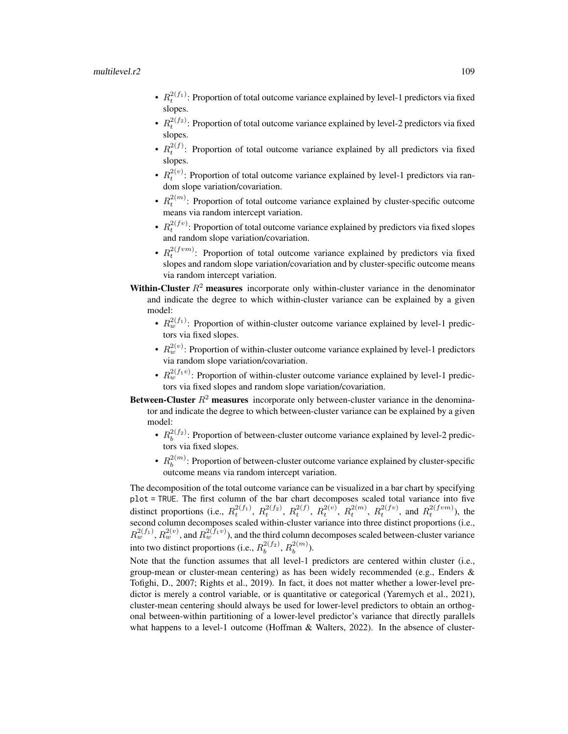## multilevel.r2 109

- $R_t^{2(f_1)}$ : Proportion of total outcome variance explained by level-1 predictors via fixed slopes.
- $R_t^{2(f_2)}$ : Proportion of total outcome variance explained by level-2 predictors via fixed slopes.
- $R_t^{2(f)}$ : Proportion of total outcome variance explained by all predictors via fixed slopes.
- $R_t^{2(v)}$ : Proportion of total outcome variance explained by level-1 predictors via random slope variation/covariation.
- $R_t^{2(m)}$ : Proportion of total outcome variance explained by cluster-specific outcome means via random intercept variation.
- $R_t^{2(fv)}$ : Proportion of total outcome variance explained by predictors via fixed slopes and random slope variation/covariation.
- $R_t^{2(fvm)}$ : Proportion of total outcome variance explained by predictors via fixed slopes and random slope variation/covariation and by cluster-specific outcome means via random intercept variation.
- **Within-Cluster**  $R^2$  measures incorporate only within-cluster variance in the denominator and indicate the degree to which within-cluster variance can be explained by a given model:
	- $R_w^{2(f_1)}$ : Proportion of within-cluster outcome variance explained by level-1 predictors via fixed slopes.
	- $R_w^{2(v)}$ : Proportion of within-cluster outcome variance explained by level-1 predictors via random slope variation/covariation.
	- $R_w^{2(f_1v)}$ : Proportion of within-cluster outcome variance explained by level-1 predictors via fixed slopes and random slope variation/covariation.
- Between-Cluster  $R^2$  measures incorporate only between-cluster variance in the denominator and indicate the degree to which between-cluster variance can be explained by a given model:
	- $R_b^{2(f_2)}$ : Proportion of between-cluster outcome variance explained by level-2 predictors via fixed slopes.
	- $\cdot$   $R_h^{2(m)}$  $b_b^{2(m)}$ : Proportion of between-cluster outcome variance explained by cluster-specific outcome means via random intercept variation.

The decomposition of the total outcome variance can be visualized in a bar chart by specifying plot = TRUE. The first column of the bar chart decomposes scaled total variance into five distinct proportions (i.e.,  $R_t^{2(f_1)}$ ,  $R_t^{2(f_2)}$ ,  $R_t^{2(f)}$ ,  $R_t^{2(v)}$ ,  $R_t^{2(m)}$ ,  $R_t^{2(fv)}$ , and  $R_t^{2(fvm)}$ ), the second column decomposes scaled within-cluster variance into three distinct proportions (i.e.,  $R_w^{2(f_1)}, R_w^{2(v)}$ , and  $R_w^{2(f_1v)}$ ), and the third column decomposes scaled between-cluster variance into two distinct proportions (i.e.,  $R_b^{2(f_2)}, R_b^{2(m)}$  $\binom{2(m)}{b}$ .

Note that the function assumes that all level-1 predictors are centered within cluster (i.e., group-mean or cluster-mean centering) as has been widely recommended (e.g., Enders & Tofighi, D., 2007; Rights et al., 2019). In fact, it does not matter whether a lower-level predictor is merely a control variable, or is quantitative or categorical (Yaremych et al., 2021), cluster-mean centering should always be used for lower-level predictors to obtain an orthogonal between-within partitioning of a lower-level predictor's variance that directly parallels what happens to a level-1 outcome (Hoffman & Walters, 2022). In the absence of cluster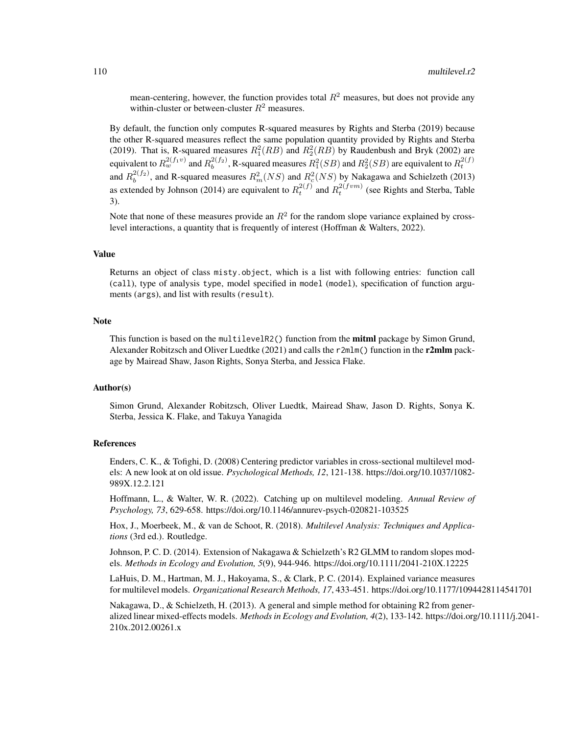mean-centering, however, the function provides total  $R^2$  measures, but does not provide any within-cluster or between-cluster  $R^2$  measures.

By default, the function only computes R-squared measures by Rights and Sterba (2019) because the other R-squared measures reflect the same population quantity provided by Rights and Sterba (2019). That is, R-squared measures  $R_1^2(RB)$  and  $R_2^2(RB)$  by Raudenbush and Bryk (2002) are equivalent to  $R_w^{2(f_1v)}$  and  $R_b^{2(f_2)}$ , R-squared measures  $R_1^2(SB)$  and  $R_2^2(SB)$  are equivalent to  $R_t^{2(f)}$ and  $R_b^{2(f_2)}$ , and R-squared measures  $R_m^2(NS)$  and  $R_c^2(NS)$  by Nakagawa and Schielzeth (2013) as extended by Johnson (2014) are equivalent to  $R_t^{2(f)}$  and  $R_t^{2(fvm)}$  (see Rights and Sterba, Table 3).

Note that none of these measures provide an  $R^2$  for the random slope variance explained by crosslevel interactions, a quantity that is frequently of interest (Hoffman & Walters, 2022).

## Value

Returns an object of class misty.object, which is a list with following entries: function call (call), type of analysis type, model specified in model (model), specification of function arguments (args), and list with results (result).

# Note

This function is based on the multilevelR2() function from the **mitml** package by Simon Grund, Alexander Robitzsch and Oliver Luedtke (2021) and calls the  $r2m\ln(\theta)$  function in the r2mlm package by Mairead Shaw, Jason Rights, Sonya Sterba, and Jessica Flake.

# Author(s)

Simon Grund, Alexander Robitzsch, Oliver Luedtk, Mairead Shaw, Jason D. Rights, Sonya K. Sterba, Jessica K. Flake, and Takuya Yanagida

#### References

Enders, C. K., & Tofighi, D. (2008) Centering predictor variables in cross-sectional multilevel models: A new look at on old issue. *Psychological Methods, 12*, 121-138. https://doi.org/10.1037/1082- 989X.12.2.121

Hoffmann, L., & Walter, W. R. (2022). Catching up on multilevel modeling. *Annual Review of Psychology, 73*, 629-658. https://doi.org/10.1146/annurev-psych-020821-103525

Hox, J., Moerbeek, M., & van de Schoot, R. (2018). *Multilevel Analysis: Techniques and Applications* (3rd ed.). Routledge.

Johnson, P. C. D. (2014). Extension of Nakagawa & Schielzeth's R2 GLMM to random slopes models. *Methods in Ecology and Evolution, 5*(9), 944-946. https://doi.org/10.1111/2041-210X.12225

LaHuis, D. M., Hartman, M. J., Hakoyama, S., & Clark, P. C. (2014). Explained variance measures for multilevel models. *Organizational Research Methods, 17*, 433-451. https://doi.org/10.1177/1094428114541701

Nakagawa, D., & Schielzeth, H. (2013). A general and simple method for obtaining R2 from generalized linear mixed-effects models. *Methods in Ecology and Evolution, 4*(2), 133-142. https://doi.org/10.1111/j.2041- 210x.2012.00261.x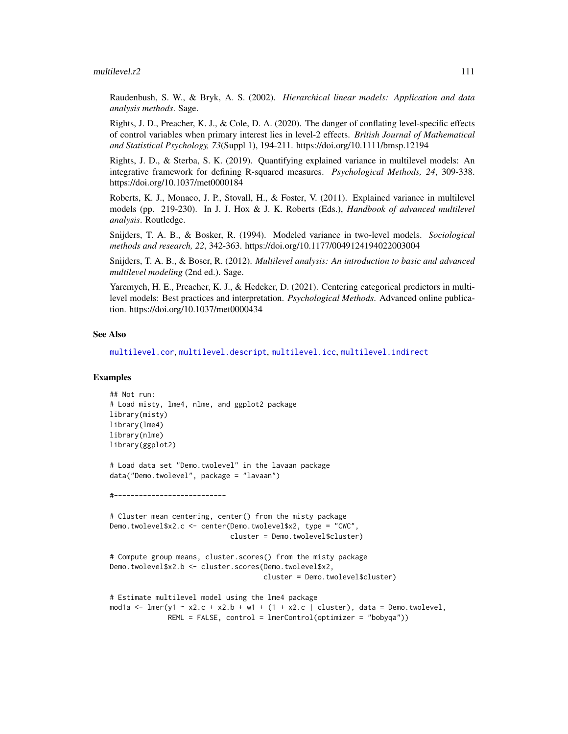#### multilevel.r2 111

Raudenbush, S. W., & Bryk, A. S. (2002). *Hierarchical linear models: Application and data analysis methods*. Sage.

Rights, J. D., Preacher, K. J., & Cole, D. A. (2020). The danger of conflating level-specific effects of control variables when primary interest lies in level-2 effects. *British Journal of Mathematical and Statistical Psychology, 73*(Suppl 1), 194-211. https://doi.org/10.1111/bmsp.12194

Rights, J. D., & Sterba, S. K. (2019). Quantifying explained variance in multilevel models: An integrative framework for defining R-squared measures. *Psychological Methods, 24*, 309-338. https://doi.org/10.1037/met0000184

Roberts, K. J., Monaco, J. P., Stovall, H., & Foster, V. (2011). Explained variance in multilevel models (pp. 219-230). In J. J. Hox & J. K. Roberts (Eds.), *Handbook of advanced multilevel analysis*. Routledge.

Snijders, T. A. B., & Bosker, R. (1994). Modeled variance in two-level models. *Sociological methods and research, 22*, 342-363. https://doi.org/10.1177/0049124194022003004

Snijders, T. A. B., & Boser, R. (2012). *Multilevel analysis: An introduction to basic and advanced multilevel modeling* (2nd ed.). Sage.

Yaremych, H. E., Preacher, K. J., & Hedeker, D. (2021). Centering categorical predictors in multilevel models: Best practices and interpretation. *Psychological Methods*. Advanced online publication. https://doi.org/10.1037/met0000434

# See Also

[multilevel.cor](#page-93-0), [multilevel.descript](#page-97-0), [multilevel.icc](#page-99-0), [multilevel.indirect](#page-101-0)

# **Examples**

```
## Not run:
# Load misty, lme4, nlme, and ggplot2 package
library(misty)
library(lme4)
library(nlme)
library(ggplot2)
# Load data set "Demo.twolevel" in the lavaan package
data("Demo.twolevel", package = "lavaan")
#---------------------------
# Cluster mean centering, center() from the misty package
Demo.twolevel$x2.c <- center(Demo.twolevel$x2, type = "CWC",
                             cluster = Demo.twolevel$cluster)
# Compute group means, cluster.scores() from the misty package
Demo.twolevel$x2.b <- cluster.scores(Demo.twolevel$x2,
                                     cluster = Demo.twolevel$cluster)
# Estimate multilevel model using the lme4 package
mod1a <- lmer(y1 \sim x2.c + x2.b + w1 + (1 + x2.c ) cluster), data = Demo.twolevel,
              REML = FALSE, control = lmerControl(optimizer = "bobyqa"))
```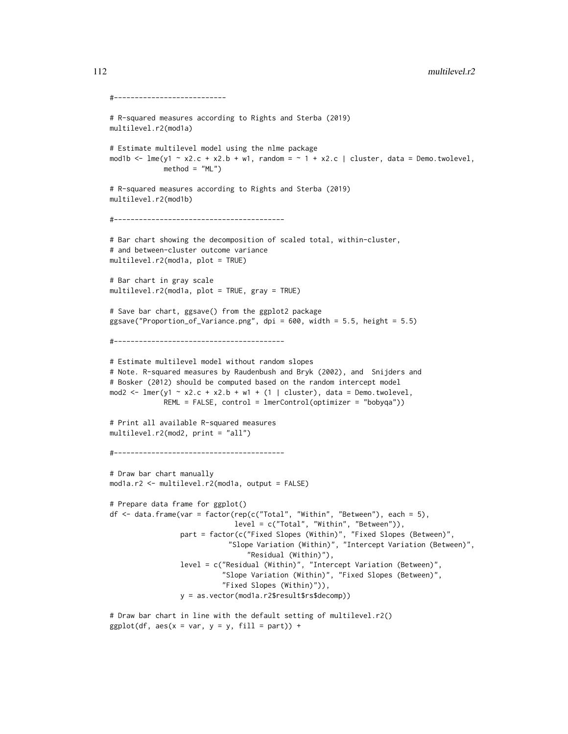```
#---------------------------
# R-squared measures according to Rights and Sterba (2019)
multilevel.r2(mod1a)
# Estimate multilevel model using the nlme package
mod1b \le - lme(y1 \sim x2.c + x2.b + w1, random = \sim 1 + x2.c | cluster, data = Demo.twolevel,
            method = "ML")# R-squared measures according to Rights and Sterba (2019)
multilevel.r2(mod1b)
#-----------------------------------------
# Bar chart showing the decomposition of scaled total, within-cluster,
# and between-cluster outcome variance
multilevel.r2(mod1a, plot = TRUE)
# Bar chart in gray scale
multilevel.r2(mod1a, plot = TRUE, gray = TRUE)
# Save bar chart, ggsave() from the ggplot2 package
ggsave("Proportion_of_Variance.png", dpi = 600, width = 5.5, height = 5.5)
#-----------------------------------------
# Estimate multilevel model without random slopes
# Note. R-squared measures by Raudenbush and Bryk (2002), and Snijders and
# Bosker (2012) should be computed based on the random intercept model
mod2 <- lmer(y1 ~ x2.c + x2.b + w1 + (1 | cluster), data = Demo.twolevel,
             REML = FALSE, control = lmerControl(optimizer = "bobyqa"))
# Print all available R-squared measures
multilevel.r2(mod2, print = "all")
#-----------------------------------------
# Draw bar chart manually
mod1a.r2 <- multilevel.r2(mod1a, output = FALSE)
# Prepare data frame for ggplot()
df <- data.frame(var = factor(rep(c("Total", "Within", "Between"), each = 5),
                              level = c("Total", "Within", "Between")),
                 part = factor(c("Fixed Slopes (Within)", "Fixed Slopes (Between)",
                            "Slope Variation (Within)", "Intercept Variation (Between)",
                                 "Residual (Within)"),
                 level = c("Residual (Within)", "Intercept Variation (Between)",
                           "Slope Variation (Within)", "Fixed Slopes (Between)",
                           "Fixed Slopes (Within)")),
                 y = as.vector(mod1a.r2$result$rs$decomp))
```

```
# Draw bar chart in line with the default setting of multilevel.r2()
ggplot(df, aes(x = var, y = y, fill = part)) +
```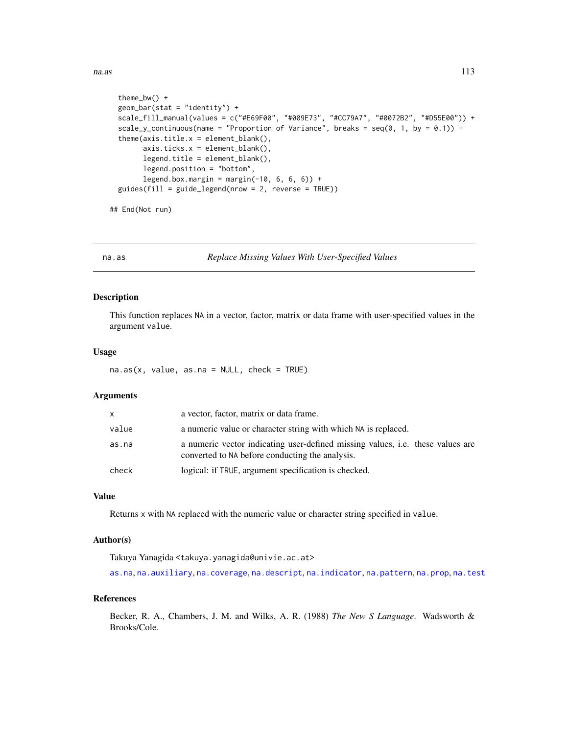```
theme_bw() +
geom_bar(stat = "identity") +
scale_fill_manual(values = c("#E69F00", "#009E73", "#CC79A7", "#0072B2", "#D55E00")) +
scale_y_continuous(name = "Proportion of Variance", breaks = seq(0, 1, by = 0.1)) +
theme(xis.title.x = element_blank(),axis.ticks.x = element_blank(),
      legend.title = element_blank(),
      legend.position = "bottom",
      legend.box.margin = margin(-10, 6, 6, 6)) +
guides(fill = guide_legend(nrow = 2, reverse = TRUE))
```
## End(Not run)

<span id="page-112-0"></span>

na.as *Replace Missing Values With User-Specified Values*

## Description

This function replaces NA in a vector, factor, matrix or data frame with user-specified values in the argument value.

## Usage

 $na.as(x, value, as.na = NULL, check = TRUE)$ 

#### Arguments

| X.    | a vector, factor, matrix or data frame.                                                                                                  |
|-------|------------------------------------------------------------------------------------------------------------------------------------------|
| value | a numeric value or character string with which NA is replaced.                                                                           |
| as.na | a numeric vector indicating user-defined missing values, <i>i.e.</i> these values are<br>converted to NA before conducting the analysis. |
| check | logical: if TRUE, argument specification is checked.                                                                                     |

# Value

Returns x with NA replaced with the numeric value or character string specified in value.

## Author(s)

Takuya Yanagida <takuya.yanagida@univie.ac.at>

[as.na](#page-5-0), [na.auxiliary](#page-113-0), [na.coverage](#page-115-0), [na.descript](#page-116-0), [na.indicator](#page-118-0), [na.pattern](#page-119-0), [na.prop](#page-120-0), [na.test](#page-121-0)

#### References

Becker, R. A., Chambers, J. M. and Wilks, A. R. (1988) *The New S Language*. Wadsworth & Brooks/Cole.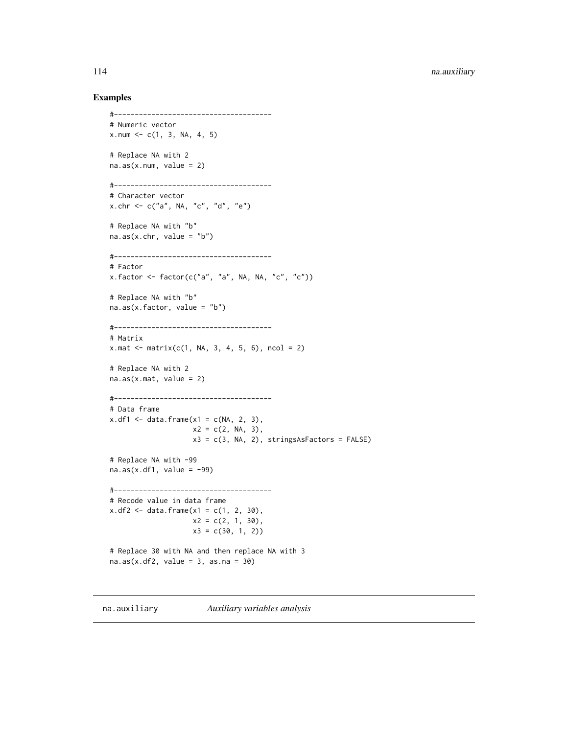#### Examples

```
#--------------------------------------
# Numeric vector
x.num < -c(1, 3, NA, 4, 5)# Replace NA with 2
na.as(x.num, value = 2)#--------------------------------------
# Character vector
x.chr <- c("a", NA, "c", "d", "e")
# Replace NA with "b"
na.as(x.chr, value = "b")#--------------------------------------
# Factor
x.factor \leftarrow factor(c("a", "a", \text{NA}, \text{NA}, "c", "c"))# Replace NA with "b"
na.as(x.factor, value = "b")
#--------------------------------------
# Matrix
x.\text{mat} < -\text{matrix}(c(1, NA, 3, 4, 5, 6), ncol = 2)# Replace NA with 2
na.as(x.math, value = 2)#--------------------------------------
# Data frame
x.df1 \leq - \text{data-frame}(x1 = c(NA, 2, 3),x2 = c(2, NA, 3),x3 = c(3, NA, 2), stringsAsFactors = FALSE)# Replace NA with -99
na.as(x.df1, value = -99)#--------------------------------------
# Recode value in data frame
x.df2 \leq - data.frame(x1 = c(1, 2, 30),
                    x2 = c(2, 1, 30),
                    x3 = c(30, 1, 2)# Replace 30 with NA and then replace NA with 3
na.as(x.df2, value = 3, as.na = 30)
```
<span id="page-113-0"></span>na.auxiliary *Auxiliary variables analysis*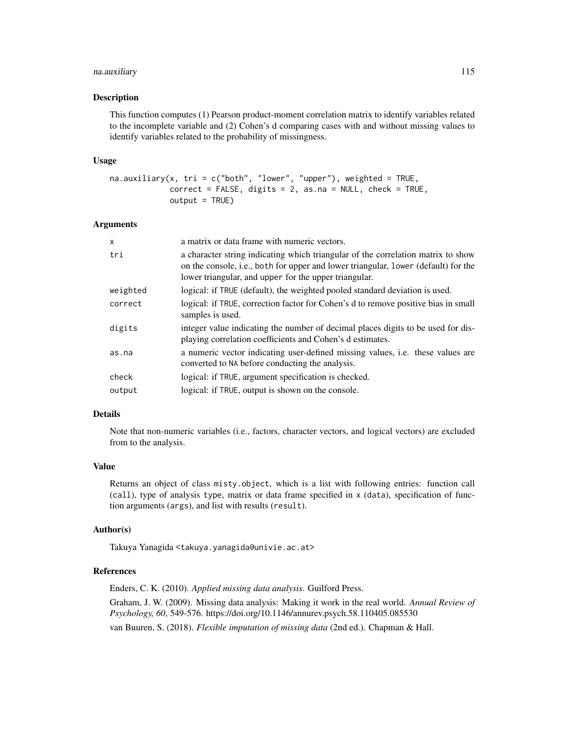# na.auxiliary 115

#### Description

This function computes (1) Pearson product-moment correlation matrix to identify variables related to the incomplete variable and (2) Cohen's d comparing cases with and without missing values to identify variables related to the probability of missingness.

#### Usage

```
na.auxiliary(x, tri = c("both", "lower", "upper"), weighted = TRUE,correct = FALSE, digits = 2, as.na = NULL, check = TRUE,output = TRUE)
```
## Arguments

| $\mathsf{x}$ | a matrix or data frame with numeric vectors.                                                                                                                                                                                    |
|--------------|---------------------------------------------------------------------------------------------------------------------------------------------------------------------------------------------------------------------------------|
| tri          | a character string indicating which triangular of the correlation matrix to show<br>on the console, i.e., both for upper and lower triangular, lower (default) for the<br>lower triangular, and upper for the upper triangular. |
| weighted     | logical: if TRUE (default), the weighted pooled standard deviation is used.                                                                                                                                                     |
| correct      | logical: if TRUE, correction factor for Cohen's d to remove positive bias in small<br>samples is used.                                                                                                                          |
| digits       | integer value indicating the number of decimal places digits to be used for dis-<br>playing correlation coefficients and Cohen's d estimates.                                                                                   |
| as.na        | a numeric vector indicating user-defined missing values, <i>i.e.</i> these values are<br>converted to NA before conducting the analysis.                                                                                        |
| check        | logical: if TRUE, argument specification is checked.                                                                                                                                                                            |
| output       | logical: if TRUE, output is shown on the console.                                                                                                                                                                               |

# Details

Note that non-numeric variables (i.e., factors, character vectors, and logical vectors) are excluded from to the analysis.

#### Value

Returns an object of class misty.object, which is a list with following entries: function call (call), type of analysis type, matrix or data frame specified in x (data), specification of function arguments (args), and list with results (result).

## Author(s)

Takuya Yanagida <takuya.yanagida@univie.ac.at>

# References

Enders, C. K. (2010). *Applied missing data analysis*. Guilford Press. Graham, J. W. (2009). Missing data analysis: Making it work in the real world. *Annual Review of Psychology, 60*, 549-576. https://doi.org/10.1146/annurev.psych.58.110405.085530 van Buuren, S. (2018). *Flexible imputation of missing data* (2nd ed.). Chapman & Hall.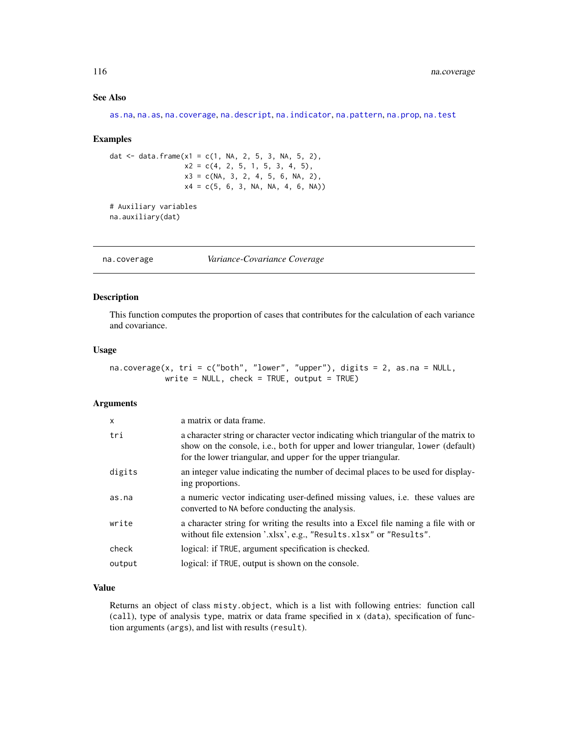# See Also

[as.na](#page-5-0), [na.as](#page-112-0), [na.coverage](#page-115-0), [na.descript](#page-116-0), [na.indicator](#page-118-0), [na.pattern](#page-119-0), [na.prop](#page-120-0), [na.test](#page-121-0)

#### Examples

dat <- data.frame(x1 = c(1, NA, 2, 5, 3, NA, 5, 2),  $x2 = c(4, 2, 5, 1, 5, 3, 4, 5),$  $x3 = c(NA, 3, 2, 4, 5, 6, NA, 2),$  $x4 = c(5, 6, 3, NA, NA, 4, 6, NA))$ # Auxiliary variables

na.auxiliary(dat)

<span id="page-115-0"></span>na.coverage *Variance-Covariance Coverage*

## Description

This function computes the proportion of cases that contributes for the calculation of each variance and covariance.

#### Usage

na.coverage(x, tri = c("both", "lower", "upper"), digits = 2, as.na = NULL, write =  $NULL$ , check =  $TRUE$ , output =  $TRUE$ )

# Arguments

| X      | a matrix or data frame.                                                                                                                                                                                                                 |
|--------|-----------------------------------------------------------------------------------------------------------------------------------------------------------------------------------------------------------------------------------------|
| tri    | a character string or character vector indicating which triangular of the matrix to<br>show on the console, i.e., both for upper and lower triangular, lower (default)<br>for the lower triangular, and upper for the upper triangular. |
| digits | an integer value indicating the number of decimal places to be used for display-<br>ing proportions.                                                                                                                                    |
| as.na  | a numeric vector indicating user-defined missing values, i.e. these values are<br>converted to NA before conducting the analysis.                                                                                                       |
| write  | a character string for writing the results into a Excel file naming a file with or<br>without file extension '.xlsx', e.g., "Results.xlsx" or "Results".                                                                                |
| check  | logical: if TRUE, argument specification is checked.                                                                                                                                                                                    |
| output | logical: if TRUE, output is shown on the console.                                                                                                                                                                                       |

## Value

Returns an object of class misty.object, which is a list with following entries: function call (call), type of analysis type, matrix or data frame specified in x (data), specification of function arguments (args), and list with results (result).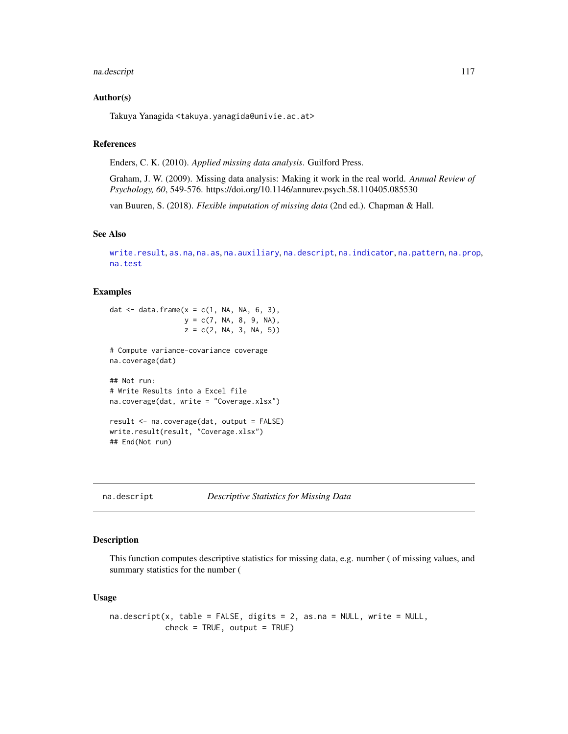#### na.descript 117

## Author(s)

Takuya Yanagida <takuya.yanagida@univie.ac.at>

## References

Enders, C. K. (2010). *Applied missing data analysis*. Guilford Press.

Graham, J. W. (2009). Missing data analysis: Making it work in the real world. *Annual Review of Psychology, 60*, 549-576. https://doi.org/10.1146/annurev.psych.58.110405.085530

van Buuren, S. (2018). *Flexible imputation of missing data* (2nd ed.). Chapman & Hall.

#### See Also

```
write.result, as.na, na.as, na.auxiliary, na.descript, na.indicator, na.pattern, na.prop,
na.test
```
# Examples

```
dat \leq data.frame(x = c(1, NA, NA, 6, 3),
                 y = c(7, NA, 8, 9, NA),
                  z = c(2, NA, 3, NA, 5))# Compute variance-covariance coverage
na.coverage(dat)
## Not run:
# Write Results into a Excel file
na.coverage(dat, write = "Coverage.xlsx")
result <- na.coverage(dat, output = FALSE)
write.result(result, "Coverage.xlsx")
## End(Not run)
```
<span id="page-116-0"></span>na.descript *Descriptive Statistics for Missing Data*

# Description

This function computes descriptive statistics for missing data, e.g. number ( of missing values, and summary statistics for the number (

#### Usage

```
na.descript(x, table = FALSE, digits = 2, as.na = NULL, write = NULL,
           check = TRUE, output = TRUE)
```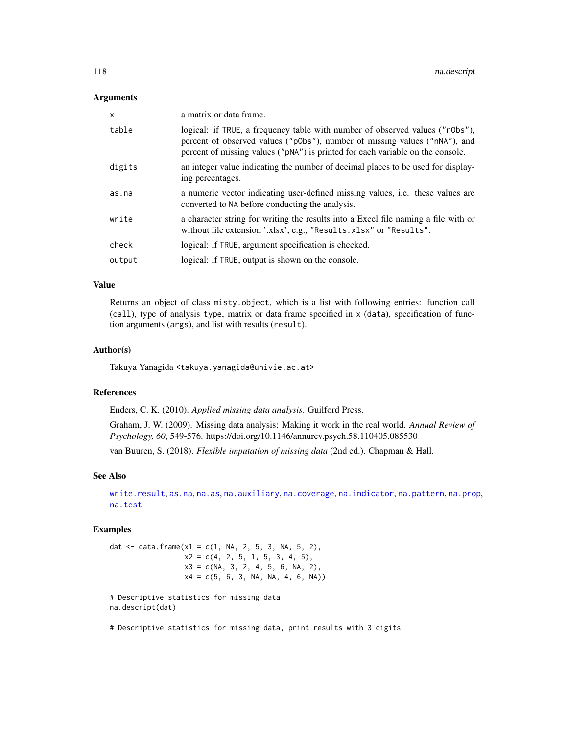## **Arguments**

| $\mathsf{x}$ | a matrix or data frame.                                                                                                                                                                                                                      |
|--------------|----------------------------------------------------------------------------------------------------------------------------------------------------------------------------------------------------------------------------------------------|
| table        | logical: if TRUE, a frequency table with number of observed values ("n0bs"),<br>percent of observed values ("p0bs"), number of missing values ("nNA"), and<br>percent of missing values ("pNA") is printed for each variable on the console. |
| digits       | an integer value indicating the number of decimal places to be used for display-<br>ing percentages.                                                                                                                                         |
| as.na        | a numeric vector indicating user-defined missing values, <i>i.e.</i> these values are<br>converted to NA before conducting the analysis.                                                                                                     |
| write        | a character string for writing the results into a Excel file naming a file with or<br>without file extension '.xlsx', e.g., "Results.xlsx" or "Results".                                                                                     |
| check        | logical: if TRUE, argument specification is checked.                                                                                                                                                                                         |
| output       | logical: if TRUE, output is shown on the console.                                                                                                                                                                                            |

# Value

Returns an object of class misty.object, which is a list with following entries: function call (call), type of analysis type, matrix or data frame specified in x (data), specification of function arguments (args), and list with results (result).

## Author(s)

Takuya Yanagida <takuya.yanagida@univie.ac.at>

# References

Enders, C. K. (2010). *Applied missing data analysis*. Guilford Press.

Graham, J. W. (2009). Missing data analysis: Making it work in the real world. *Annual Review of Psychology, 60*, 549-576. https://doi.org/10.1146/annurev.psych.58.110405.085530

van Buuren, S. (2018). *Flexible imputation of missing data* (2nd ed.). Chapman & Hall.

# See Also

[write.result](#page-168-0), [as.na](#page-5-0), [na.as](#page-112-0), [na.auxiliary](#page-113-0), [na.coverage](#page-115-0), [na.indicator](#page-118-0), [na.pattern](#page-119-0), [na.prop](#page-120-0), [na.test](#page-121-0)

## Examples

dat <- data.frame(x1 = c(1, NA, 2, 5, 3, NA, 5, 2),  $x2 = c(4, 2, 5, 1, 5, 3, 4, 5),$  $x3 = c(NA, 3, 2, 4, 5, 6, NA, 2),$  $x4 = c(5, 6, 3, NA, NA, 4, 6, NA))$ # Descriptive statistics for missing data na.descript(dat)

# Descriptive statistics for missing data, print results with 3 digits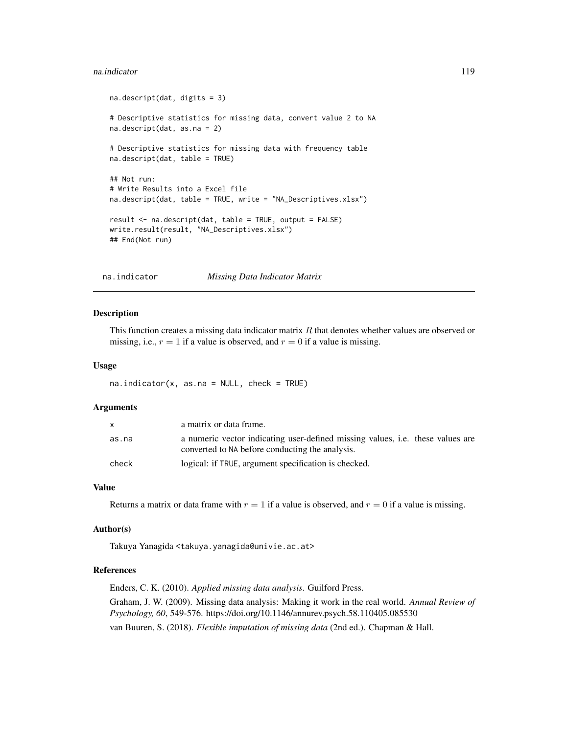#### na.indicator 119

```
na.descript(dat, digits = 3)
# Descriptive statistics for missing data, convert value 2 to NA
na.descript(dat, as.na = 2)
# Descriptive statistics for missing data with frequency table
na.descript(dat, table = TRUE)
## Not run:
# Write Results into a Excel file
na.descript(dat, table = TRUE, write = "NA_Descriptives.xlsx")
result <- na.descript(dat, table = TRUE, output = FALSE)
write.result(result, "NA_Descriptives.xlsx")
## End(Not run)
```
<span id="page-118-0"></span>na.indicator *Missing Data Indicator Matrix*

#### Description

This function creates a missing data indicator matrix  $R$  that denotes whether values are observed or missing, i.e.,  $r = 1$  if a value is observed, and  $r = 0$  if a value is missing.

## Usage

 $na.indicator(x, as.na = NULL, check = TRUE)$ 

# Arguments

| $\mathsf{x}$ | a matrix or data frame.                                                                                                                  |
|--------------|------------------------------------------------------------------------------------------------------------------------------------------|
| as.na        | a numeric vector indicating user-defined missing values, <i>i.e.</i> these values are<br>converted to NA before conducting the analysis. |
| check        | logical: if TRUE, argument specification is checked.                                                                                     |

#### Value

Returns a matrix or data frame with  $r = 1$  if a value is observed, and  $r = 0$  if a value is missing.

#### Author(s)

Takuya Yanagida <takuya.yanagida@univie.ac.at>

# References

Enders, C. K. (2010). *Applied missing data analysis*. Guilford Press.

Graham, J. W. (2009). Missing data analysis: Making it work in the real world. *Annual Review of Psychology, 60*, 549-576. https://doi.org/10.1146/annurev.psych.58.110405.085530 van Buuren, S. (2018). *Flexible imputation of missing data* (2nd ed.). Chapman & Hall.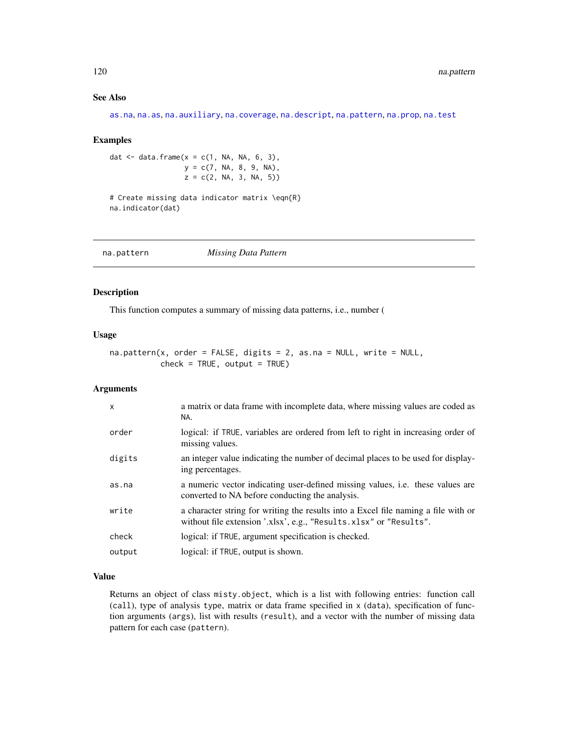# See Also

[as.na](#page-5-0), [na.as](#page-112-0), [na.auxiliary](#page-113-0), [na.coverage](#page-115-0), [na.descript](#page-116-0), [na.pattern](#page-119-0), [na.prop](#page-120-0), [na.test](#page-121-0)

#### Examples

dat  $\leq$  data.frame(x = c(1, NA, NA, 6, 3),  $y = c(7, NA, 8, 9, NA),$  $z = c(2, NA, 3, NA, 5))$ 

# Create missing data indicator matrix \eqn{R} na.indicator(dat)

<span id="page-119-0"></span>na.pattern *Missing Data Pattern*

#### Description

This function computes a summary of missing data patterns, i.e., number (

#### Usage

```
na.pattern(x, order = FALSE, digits = 2, as.na = NULL, write = NULL,
          check = TRUE, output = TRUE)
```
#### Arguments

| $\mathsf{x}$ | a matrix or data frame with incomplete data, where missing values are coded as<br>NA.                                                                    |
|--------------|----------------------------------------------------------------------------------------------------------------------------------------------------------|
| order        | logical: if TRUE, variables are ordered from left to right in increasing order of<br>missing values.                                                     |
| digits       | an integer value indicating the number of decimal places to be used for display-<br>ing percentages.                                                     |
| as.na        | a numeric vector indicating user-defined missing values, i.e. these values are<br>converted to NA before conducting the analysis.                        |
| write        | a character string for writing the results into a Excel file naming a file with or<br>without file extension '.xlsx', e.g., "Results.xlsx" or "Results". |
| check        | logical: if TRUE, argument specification is checked.                                                                                                     |
| output       | logical: if TRUE, output is shown.                                                                                                                       |

## Value

Returns an object of class misty.object, which is a list with following entries: function call (call), type of analysis type, matrix or data frame specified in x (data), specification of function arguments (args), list with results (result), and a vector with the number of missing data pattern for each case (pattern).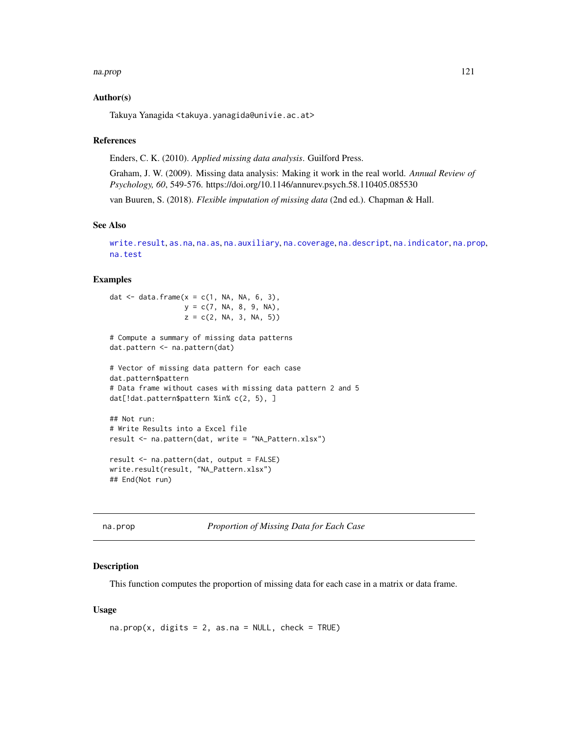#### na.prop 121

# Author(s)

Takuya Yanagida <takuya.yanagida@univie.ac.at>

## References

Enders, C. K. (2010). *Applied missing data analysis*. Guilford Press.

Graham, J. W. (2009). Missing data analysis: Making it work in the real world. *Annual Review of Psychology, 60*, 549-576. https://doi.org/10.1146/annurev.psych.58.110405.085530

van Buuren, S. (2018). *Flexible imputation of missing data* (2nd ed.). Chapman & Hall.

# See Also

[write.result](#page-168-0), [as.na](#page-5-0), [na.as](#page-112-0), [na.auxiliary](#page-113-0), [na.coverage](#page-115-0), [na.descript](#page-116-0), [na.indicator](#page-118-0), [na.prop](#page-120-0), [na.test](#page-121-0)

# Examples

```
dat \leq data.frame(x = c(1, NA, NA, 6, 3),
                  y = c(7, NA, 8, 9, NA),z = c(2, NA, 3, NA, 5))# Compute a summary of missing data patterns
dat.pattern <- na.pattern(dat)
# Vector of missing data pattern for each case
dat.pattern$pattern
# Data frame without cases with missing data pattern 2 and 5
dat[!dat.pattern$pattern %in% c(2, 5), ]
## Not run:
# Write Results into a Excel file
result <- na.pattern(dat, write = "NA_Pattern.xlsx")
```

```
result <- na.pattern(dat, output = FALSE)
write.result(result, "NA_Pattern.xlsx")
## End(Not run)
```
<span id="page-120-0"></span>

| na.prop |  |  |
|---------|--|--|
|---------|--|--|

Proportion of Missing Data for Each Case

#### Description

This function computes the proportion of missing data for each case in a matrix or data frame.

## Usage

 $na.prop(x, digits = 2, as.na = NULL, check = TRUE)$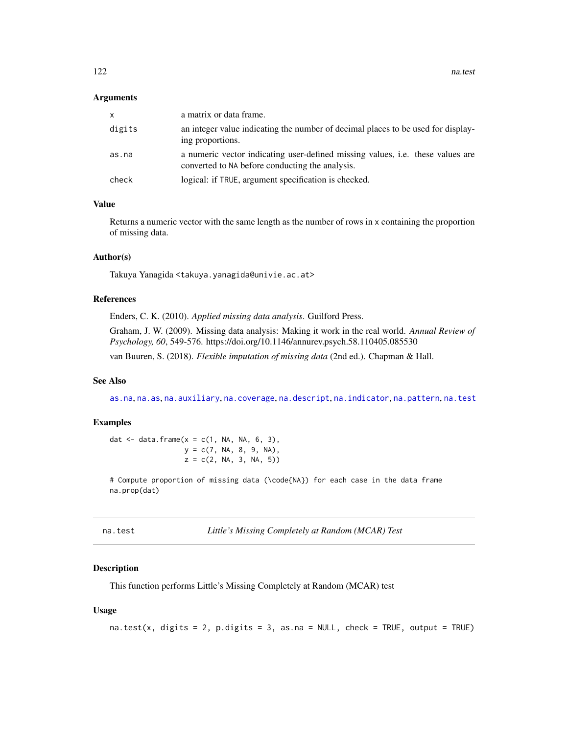122 na.test

#### Arguments

| x.     | a matrix or data frame.                                                                                                           |
|--------|-----------------------------------------------------------------------------------------------------------------------------------|
| digits | an integer value indicating the number of decimal places to be used for display-<br>ing proportions.                              |
| as.na  | a numeric vector indicating user-defined missing values, i.e. these values are<br>converted to NA before conducting the analysis. |
| check  | logical: if TRUE, argument specification is checked.                                                                              |

# Value

Returns a numeric vector with the same length as the number of rows in x containing the proportion of missing data.

## Author(s)

Takuya Yanagida <takuya.yanagida@univie.ac.at>

## References

Enders, C. K. (2010). *Applied missing data analysis*. Guilford Press.

Graham, J. W. (2009). Missing data analysis: Making it work in the real world. *Annual Review of Psychology, 60*, 549-576. https://doi.org/10.1146/annurev.psych.58.110405.085530 van Buuren, S. (2018). *Flexible imputation of missing data* (2nd ed.). Chapman & Hall.

#### See Also

[as.na](#page-5-0), [na.as](#page-112-0), [na.auxiliary](#page-113-0), [na.coverage](#page-115-0), [na.descript](#page-116-0), [na.indicator](#page-118-0), [na.pattern](#page-119-0), [na.test](#page-121-0)

# Examples

dat  $\leq$  data.frame(x = c(1, NA, NA, 6, 3),  $y = c(7, NA, 8, 9, NA)$ ,  $z = c(2, NA, 3, NA, 5))$ 

# Compute proportion of missing data (\code{NA}) for each case in the data frame na.prop(dat)

<span id="page-121-0"></span>na.test *Little's Missing Completely at Random (MCAR) Test*

# Description

This function performs Little's Missing Completely at Random (MCAR) test

# Usage

na.test(x, digits = 2, p.digits = 3, as.na = NULL, check = TRUE, output = TRUE)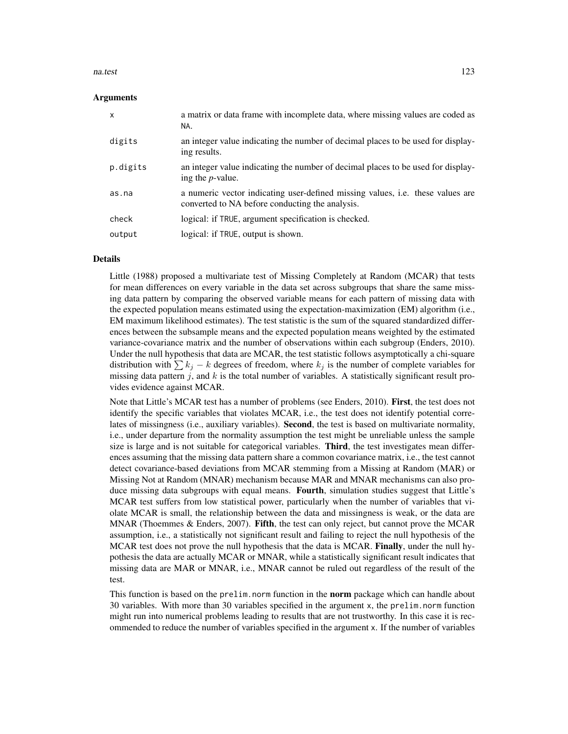#### na.test 123

#### Arguments

| X        | a matrix or data frame with incomplete data, where missing values are coded as<br>NA.                                                    |
|----------|------------------------------------------------------------------------------------------------------------------------------------------|
| digits   | an integer value indicating the number of decimal places to be used for display-<br>ing results.                                         |
| p.digits | an integer value indicating the number of decimal places to be used for display-<br>ing the <i>p</i> -value.                             |
| as.na    | a numeric vector indicating user-defined missing values, <i>i.e.</i> these values are<br>converted to NA before conducting the analysis. |
| check    | logical: if TRUE, argument specification is checked.                                                                                     |
| output   | logical: if TRUE, output is shown.                                                                                                       |

#### Details

Little (1988) proposed a multivariate test of Missing Completely at Random (MCAR) that tests for mean differences on every variable in the data set across subgroups that share the same missing data pattern by comparing the observed variable means for each pattern of missing data with the expected population means estimated using the expectation-maximization (EM) algorithm (i.e., EM maximum likelihood estimates). The test statistic is the sum of the squared standardized differences between the subsample means and the expected population means weighted by the estimated variance-covariance matrix and the number of observations within each subgroup (Enders, 2010). Under the null hypothesis that data are MCAR, the test statistic follows asymptotically a chi-square distribution with  $\sum k_j - k$  degrees of freedom, where  $k_j$  is the number of complete variables for missing data pattern j, and k is the total number of variables. A statistically significant result provides evidence against MCAR.

Note that Little's MCAR test has a number of problems (see Enders, 2010). First, the test does not identify the specific variables that violates MCAR, i.e., the test does not identify potential correlates of missingness (i.e., auxiliary variables). **Second**, the test is based on multivariate normality, i.e., under departure from the normality assumption the test might be unreliable unless the sample size is large and is not suitable for categorical variables. **Third**, the test investigates mean differences assuming that the missing data pattern share a common covariance matrix, i.e., the test cannot detect covariance-based deviations from MCAR stemming from a Missing at Random (MAR) or Missing Not at Random (MNAR) mechanism because MAR and MNAR mechanisms can also produce missing data subgroups with equal means. Fourth, simulation studies suggest that Little's MCAR test suffers from low statistical power, particularly when the number of variables that violate MCAR is small, the relationship between the data and missingness is weak, or the data are MNAR (Thoemmes  $&$  Enders, 2007). Fifth, the test can only reject, but cannot prove the MCAR assumption, i.e., a statistically not significant result and failing to reject the null hypothesis of the MCAR test does not prove the null hypothesis that the data is MCAR. Finally, under the null hypothesis the data are actually MCAR or MNAR, while a statistically significant result indicates that missing data are MAR or MNAR, i.e., MNAR cannot be ruled out regardless of the result of the test.

This function is based on the prelim.norm function in the **norm** package which can handle about 30 variables. With more than 30 variables specified in the argument x, the prelim.norm function might run into numerical problems leading to results that are not trustworthy. In this case it is recommended to reduce the number of variables specified in the argument x. If the number of variables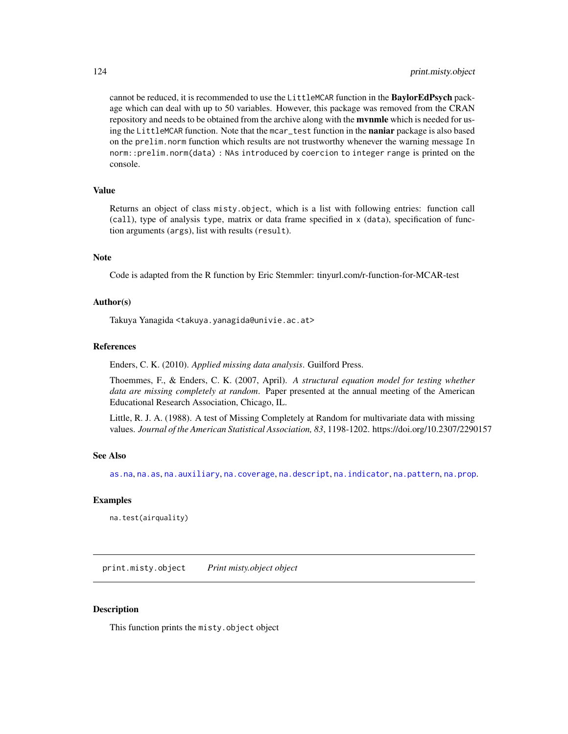cannot be reduced, it is recommended to use the LittleMCAR function in the **BaylorEdPsych** package which can deal with up to 50 variables. However, this package was removed from the CRAN repository and needs to be obtained from the archive along with the **mynmle** which is needed for using the LittleMCAR function. Note that the mcar\_test function in the **naniar** package is also based on the prelim.norm function which results are not trustworthy whenever the warning message In norm::prelim.norm(data) : NAs introduced by coercion to integer range is printed on the console.

## Value

Returns an object of class misty.object, which is a list with following entries: function call (call), type of analysis type, matrix or data frame specified in x (data), specification of function arguments (args), list with results (result).

## Note

Code is adapted from the R function by Eric Stemmler: tinyurl.com/r-function-for-MCAR-test

# Author(s)

Takuya Yanagida <takuya.yanagida@univie.ac.at>

#### References

Enders, C. K. (2010). *Applied missing data analysis*. Guilford Press.

Thoemmes, F., & Enders, C. K. (2007, April). *A structural equation model for testing whether data are missing completely at random*. Paper presented at the annual meeting of the American Educational Research Association, Chicago, IL.

Little, R. J. A. (1988). A test of Missing Completely at Random for multivariate data with missing values. *Journal of the American Statistical Association, 83*, 1198-1202. https://doi.org/10.2307/2290157

#### See Also

[as.na](#page-5-0), [na.as](#page-112-0), [na.auxiliary](#page-113-0), [na.coverage](#page-115-0), [na.descript](#page-116-0), [na.indicator](#page-118-0), [na.pattern](#page-119-0), [na.prop](#page-120-0).

## Examples

na.test(airquality)

print.misty.object *Print misty.object object*

# Description

This function prints the misty.object object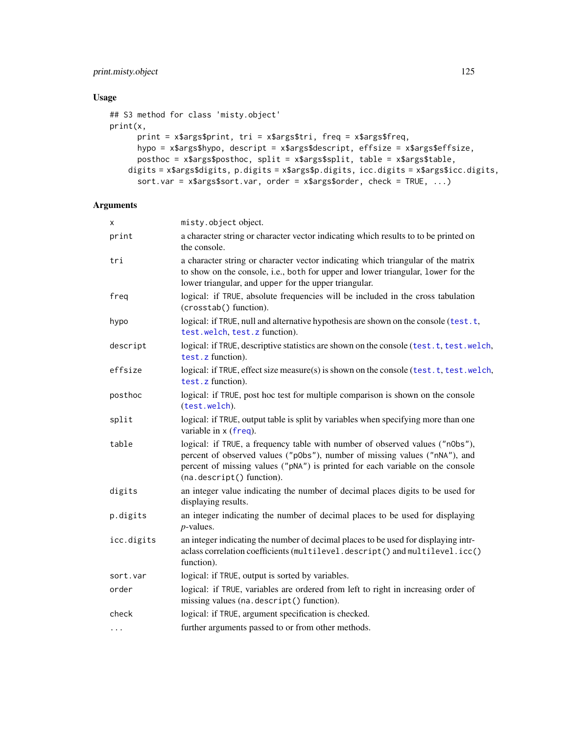# print.misty.object 125

# Usage

```
## S3 method for class 'misty.object'
print(x,
      print = x$args$print, tri = x$args$tri, freq = x$args$freq,
      hypo = x$args$hypo, descript = x$args$descript, effsize = x$args$effsize,
      posthoc = x$args$posthoc, split = x$args$split, table = x$args$table,
    digits = x$args$digits, p.digits = x$args$p.digits, icc.digits = x$args$icc.digits,
      sort.var = x$args$sort.var, order = x$args$order, check = TRUE, ...)
```
# Arguments

| X          | misty.object.object.                                                                                                                                                                                                                                                     |
|------------|--------------------------------------------------------------------------------------------------------------------------------------------------------------------------------------------------------------------------------------------------------------------------|
| print      | a character string or character vector indicating which results to to be printed on<br>the console.                                                                                                                                                                      |
| tri        | a character string or character vector indicating which triangular of the matrix<br>to show on the console, i.e., both for upper and lower triangular, lower for the<br>lower triangular, and upper for the upper triangular.                                            |
| freq       | logical: if TRUE, absolute frequencies will be included in the cross tabulation<br>(crosstab() function).                                                                                                                                                                |
| hypo       | logical: if TRUE, null and alternative hypothesis are shown on the console (test.t,<br>test.welch, test.z function).                                                                                                                                                     |
| descript   | logical: if TRUE, descriptive statistics are shown on the console (test.t, test.welch,<br>test.z function).                                                                                                                                                              |
| effsize    | logical: if TRUE, effect size measure(s) is shown on the console (test.t, test.welch,<br>test. z function).                                                                                                                                                              |
| posthoc    | logical: if TRUE, post hoc test for multiple comparison is shown on the console<br>(test.welch).                                                                                                                                                                         |
| split      | logical: if TRUE, output table is split by variables when specifying more than one<br>variable in $x$ (freq).                                                                                                                                                            |
| table      | logical: if TRUE, a frequency table with number of observed values ("n0bs"),<br>percent of observed values ("p0bs"), number of missing values ("nNA"), and<br>percent of missing values ("pNA") is printed for each variable on the console<br>(na.descript() function). |
| digits     | an integer value indicating the number of decimal places digits to be used for<br>displaying results.                                                                                                                                                                    |
| p.digits   | an integer indicating the number of decimal places to be used for displaying<br>$p$ -values.                                                                                                                                                                             |
| icc.digits | an integer indicating the number of decimal places to be used for displaying intr-<br>aclass correlation coefficients (multilevel.descript() and multilevel.icc()<br>function).                                                                                          |
| sort.var   | logical: if TRUE, output is sorted by variables.                                                                                                                                                                                                                         |
| order      | logical: if TRUE, variables are ordered from left to right in increasing order of<br>missing values (na. descript() function).                                                                                                                                           |
| check      | logical: if TRUE, argument specification is checked.                                                                                                                                                                                                                     |
| $\cdots$   | further arguments passed to or from other methods.                                                                                                                                                                                                                       |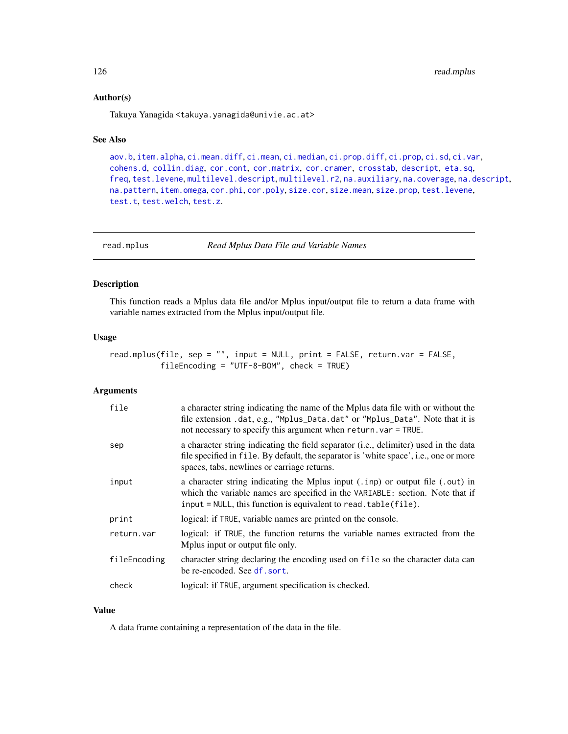## Author(s)

Takuya Yanagida <takuya.yanagida@univie.ac.at>

## See Also

[aov.b](#page-2-0), [item.alpha](#page-75-0), [ci.mean.diff](#page-15-0), [ci.mean](#page-13-0), [ci.median](#page-20-0), [ci.prop.diff](#page-25-0), [ci.prop](#page-22-0), [ci.sd](#page-29-0), [ci.var](#page-31-0), [cohens.d](#page-35-0), [collin.diag](#page-41-0), [cor.cont](#page-44-0), [cor.matrix](#page-47-0), [cor.cramer](#page-46-0), [crosstab](#page-53-0), [descript](#page-56-0), [eta.sq](#page-68-0), [freq](#page-69-0), [test.levene](#page-145-0), [multilevel.descript](#page-97-0), [multilevel.r2](#page-104-0), [na.auxiliary](#page-113-0), [na.coverage](#page-115-0), [na.descript](#page-116-0), [na.pattern](#page-119-0), [item.omega](#page-86-0), [cor.phi](#page-50-0), [cor.poly](#page-52-0), [size.cor](#page-136-0), [size.mean](#page-137-0), [size.prop](#page-139-0), [test.levene](#page-145-0), [test.t](#page-148-0), [test.welch](#page-155-0), [test.z](#page-159-0).

<span id="page-125-0"></span>read.mplus *Read Mplus Data File and Variable Names*

# Description

This function reads a Mplus data file and/or Mplus input/output file to return a data frame with variable names extracted from the Mplus input/output file.

#### Usage

read.mplus(file, sep = "", input = NULL, print = FALSE, return.var = FALSE, fileEncoding = "UTF-8-BOM", check = TRUE)

# Arguments

| file         | a character string indicating the name of the Mplus data file with or without the<br>file extension .dat, e.g., "Mplus_Data.dat" or "Mplus_Data". Note that it is<br>not necessary to specify this argument when return. var = TRUE. |
|--------------|--------------------------------------------------------------------------------------------------------------------------------------------------------------------------------------------------------------------------------------|
| sep          | a character string indicating the field separator (i.e., delimiter) used in the data<br>file specified in file. By default, the separator is 'white space', i.e., one or more<br>spaces, tabs, newlines or carriage returns.         |
| input        | a character string indicating the Mplus input (.inp) or output file (.out) in<br>which the variable names are specified in the VARIABLE: section. Note that if<br>input = NULL, this function is equivalent to read. table(file).    |
| print        | logical: if TRUE, variable names are printed on the console.                                                                                                                                                                         |
| return.var   | logical: if TRUE, the function returns the variable names extracted from the<br>Mplus input or output file only.                                                                                                                     |
| fileEncoding | character string declaring the encoding used on file so the character data can<br>be re-encoded. See df. sort.                                                                                                                       |
| check        | logical: if TRUE, argument specification is checked.                                                                                                                                                                                 |
|              |                                                                                                                                                                                                                                      |

# Value

A data frame containing a representation of the data in the file.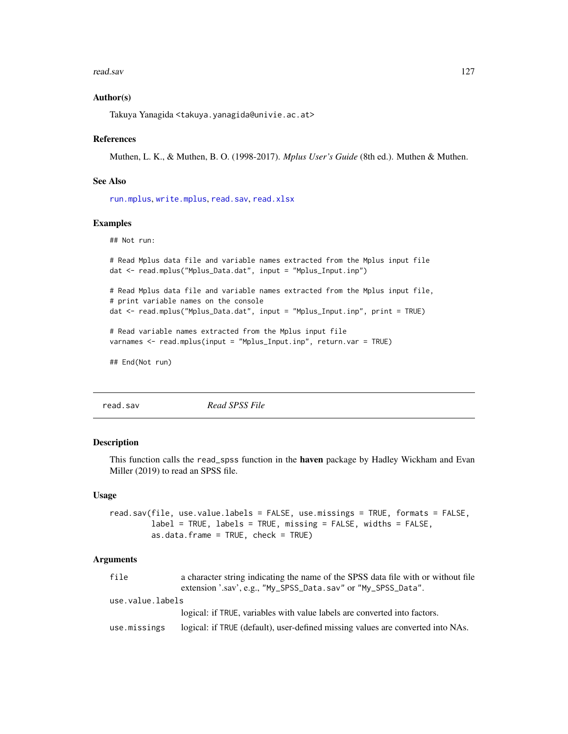#### read.sav and 127

# Author(s)

Takuya Yanagida <takuya.yanagida@univie.ac.at>

#### References

Muthen, L. K., & Muthen, B. O. (1998-2017). *Mplus User's Guide* (8th ed.). Muthen & Muthen.

# See Also

[run.mplus](#page-132-0), [write.mplus](#page-166-0), [read.sav](#page-126-0), [read.xlsx](#page-128-0)

# Examples

## Not run:

```
# Read Mplus data file and variable names extracted from the Mplus input file
dat <- read.mplus("Mplus_Data.dat", input = "Mplus_Input.inp")
# Read Mplus data file and variable names extracted from the Mplus input file,
# print variable names on the console
dat <- read.mplus("Mplus_Data.dat", input = "Mplus_Input.inp", print = TRUE)
# Read variable names extracted from the Mplus input file
varnames <- read.mplus(input = "Mplus_Input.inp", return.var = TRUE)
## End(Not run)
```
<span id="page-126-0"></span>read.sav *Read SPSS File*

## Description

This function calls the read\_spss function in the haven package by Hadley Wickham and Evan Miller (2019) to read an SPSS file.

# Usage

```
read.sav(file, use.value.labels = FALSE, use.missings = TRUE, formats = FALSE,
         label = TRUE, labels = TRUE, missing = FALSE, widths = FALSE,
         as.data.frame = TRUE, check = TRUE)
```
#### Arguments

| file             | a character string indicating the name of the SPSS data file with or without file |  |
|------------------|-----------------------------------------------------------------------------------|--|
|                  | extension '.sav', e.g., "My_SPSS_Data.sav" or "My_SPSS_Data".                     |  |
| use.value.labels |                                                                                   |  |
|                  | logical: if TRUE, variables with value labels are converted into factors.         |  |
| use.missings     | logical: if TRUE (default), user-defined missing values are converted into NAs.   |  |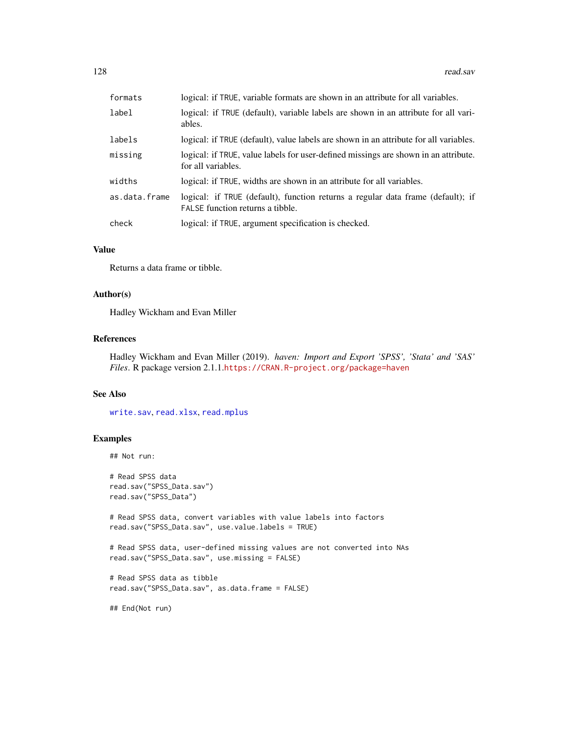| formats       | logical: if TRUE, variable formats are shown in an attribute for all variables.                                     |
|---------------|---------------------------------------------------------------------------------------------------------------------|
| label         | logical: if TRUE (default), variable labels are shown in an attribute for all vari-<br>ables.                       |
| labels        | logical: if TRUE (default), value labels are shown in an attribute for all variables.                               |
| missing       | logical: if TRUE, value labels for user-defined missings are shown in an attribute.<br>for all variables.           |
| widths        | logical: if TRUE, widths are shown in an attribute for all variables.                                               |
| as.data.frame | logical: if TRUE (default), function returns a regular data frame (default); if<br>FALSE function returns a tibble. |
| check         | logical: if TRUE, argument specification is checked.                                                                |

# Value

Returns a data frame or tibble.

#### Author(s)

Hadley Wickham and Evan Miller

# References

Hadley Wickham and Evan Miller (2019). *haven: Import and Export 'SPSS', 'Stata' and 'SAS' Files*. R package version 2.1.1.<https://CRAN.R-project.org/package=haven>

# See Also

[write.sav](#page-170-0), [read.xlsx](#page-128-0), [read.mplus](#page-125-0)

# Examples

```
## Not run:
```

```
# Read SPSS data
read.sav("SPSS_Data.sav")
read.sav("SPSS_Data")
```
# Read SPSS data, convert variables with value labels into factors read.sav("SPSS\_Data.sav", use.value.labels = TRUE)

```
# Read SPSS data, user-defined missing values are not converted into NAs
read.sav("SPSS_Data.sav", use.missing = FALSE)
```

```
# Read SPSS data as tibble
read.sav("SPSS_Data.sav", as.data.frame = FALSE)
```
## End(Not run)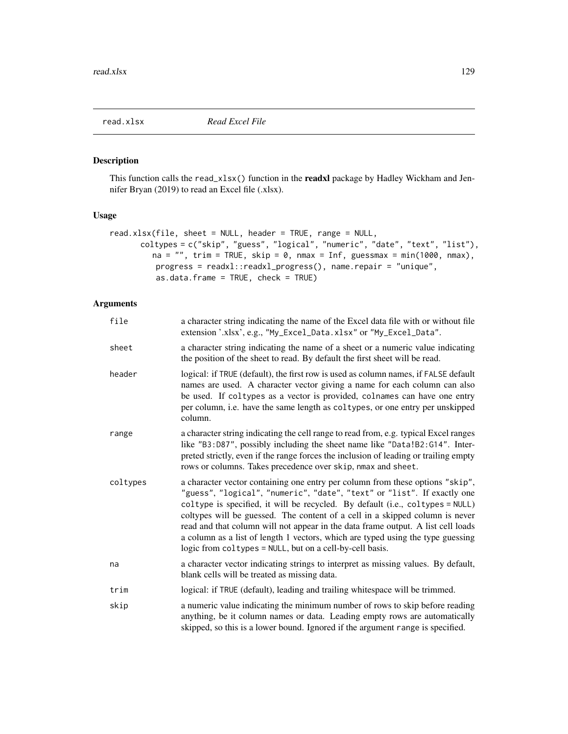<span id="page-128-0"></span>

# Description

This function calls the read\_xlsx() function in the **readxl** package by Hadley Wickham and Jennifer Bryan (2019) to read an Excel file (.xlsx).

# Usage

```
read.xlsx(file, sheet = NULL, header = TRUE, range = NULL,
      coltypes = c("skip", "guess", "logical", "numeric", "date", "text", "list"),
         na = "", trim = TRUE, skip = 0, nmax = Inf, guessmax = min(1000, nmax),progress = readxl::readxl_progress(), name.repair = "unique",
         as.data.frame = TRUE, check = TRUE)
```
# Arguments

| file     | a character string indicating the name of the Excel data file with or without file<br>extension '.xlsx', e.g., "My_Excel_Data.xlsx" or "My_Excel_Data".                                                                                                                                                                                                                                                                                                                                                                                                      |
|----------|--------------------------------------------------------------------------------------------------------------------------------------------------------------------------------------------------------------------------------------------------------------------------------------------------------------------------------------------------------------------------------------------------------------------------------------------------------------------------------------------------------------------------------------------------------------|
| sheet    | a character string indicating the name of a sheet or a numeric value indicating<br>the position of the sheet to read. By default the first sheet will be read.                                                                                                                                                                                                                                                                                                                                                                                               |
| header   | logical: if TRUE (default), the first row is used as column names, if FALSE default<br>names are used. A character vector giving a name for each column can also<br>be used. If coltypes as a vector is provided, colnames can have one entry<br>per column, i.e. have the same length as coltypes, or one entry per unskipped<br>column.                                                                                                                                                                                                                    |
| range    | a character string indicating the cell range to read from, e.g. typical Excel ranges<br>like "B3:D87", possibly including the sheet name like "Data!B2:G14". Inter-<br>preted strictly, even if the range forces the inclusion of leading or trailing empty<br>rows or columns. Takes precedence over skip, nmax and sheet.                                                                                                                                                                                                                                  |
| coltypes | a character vector containing one entry per column from these options "skip",<br>"guess", "logical", "numeric", "date", "text" or "list". If exactly one<br>coltype is specified, it will be recycled. By default (i.e., coltypes = NULL)<br>coltypes will be guessed. The content of a cell in a skipped column is never<br>read and that column will not appear in the data frame output. A list cell loads<br>a column as a list of length 1 vectors, which are typed using the type guessing<br>logic from coltypes = NULL, but on a cell-by-cell basis. |
| na       | a character vector indicating strings to interpret as missing values. By default,<br>blank cells will be treated as missing data.                                                                                                                                                                                                                                                                                                                                                                                                                            |
| trim     | logical: if TRUE (default), leading and trailing whitespace will be trimmed.                                                                                                                                                                                                                                                                                                                                                                                                                                                                                 |
| skip     | a numeric value indicating the minimum number of rows to skip before reading<br>anything, be it column names or data. Leading empty rows are automatically<br>skipped, so this is a lower bound. Ignored if the argument range is specified.                                                                                                                                                                                                                                                                                                                 |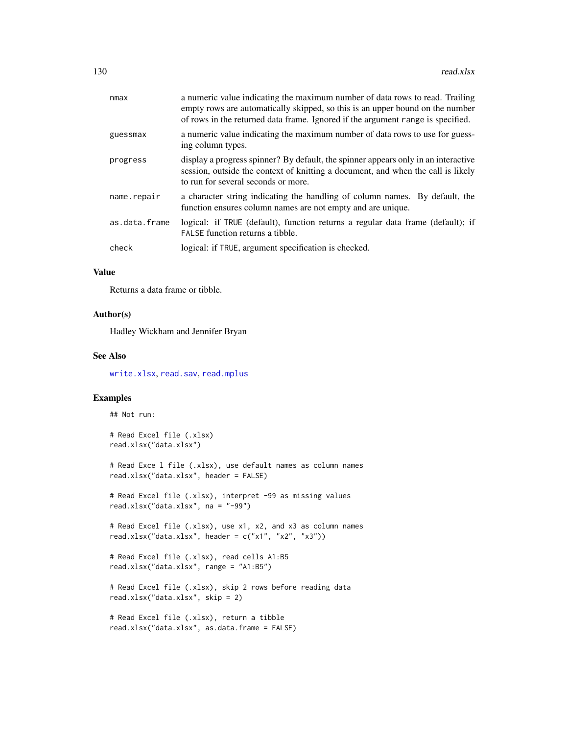| nmax          | a numeric value indicating the maximum number of data rows to read. Trailing<br>empty rows are automatically skipped, so this is an upper bound on the number<br>of rows in the returned data frame. Ignored if the argument range is specified. |
|---------------|--------------------------------------------------------------------------------------------------------------------------------------------------------------------------------------------------------------------------------------------------|
| guessmax      | a numeric value indicating the maximum number of data rows to use for guess-<br>ing column types.                                                                                                                                                |
| progress      | display a progress spinner? By default, the spinner appears only in an interactive<br>session, outside the context of knitting a document, and when the call is likely<br>to run for several seconds or more.                                    |
| name.repair   | a character string indicating the handling of column names. By default, the<br>function ensures column names are not empty and are unique.                                                                                                       |
| as.data.frame | logical: if TRUE (default), function returns a regular data frame (default); if<br>FALSE function returns a tibble.                                                                                                                              |
| check         | logical: if TRUE, argument specification is checked.                                                                                                                                                                                             |
|               |                                                                                                                                                                                                                                                  |

# Value

Returns a data frame or tibble.

### Author(s)

Hadley Wickham and Jennifer Bryan

# See Also

[write.xlsx](#page-173-0), [read.sav](#page-126-0), [read.mplus](#page-125-0)

# Examples

## Not run:

# Read Excel file (.xlsx) read.xlsx("data.xlsx")

# Read Exce l file (.xlsx), use default names as column names read.xlsx("data.xlsx", header = FALSE)

# Read Excel file (.xlsx), interpret -99 as missing values read.xlsx("data.xlsx", na = "-99")

# Read Excel file (.xlsx), use x1, x2, and x3 as column names read.xlsx("data.xlsx", header = c("x1", "x2", "x3"))

```
# Read Excel file (.xlsx), read cells A1:B5
read.xlsx("data.xlsx", range = "A1:B5")
```
# Read Excel file (.xlsx), skip 2 rows before reading data read.xlsx("data.xlsx", skip = 2)

```
# Read Excel file (.xlsx), return a tibble
read.xlsx("data.xlsx", as.data.frame = FALSE)
```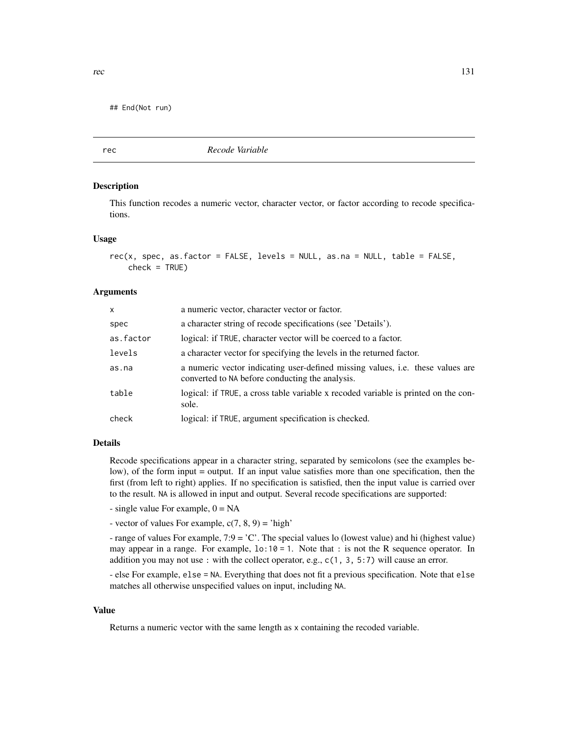## End(Not run)

rec *Recode Variable*

## Description

This function recodes a numeric vector, character vector, or factor according to recode specifications.

#### Usage

```
rec(x, spec, as.factor = FALSE, levels = NULL, as.na = NULL, table = FALSE,
   check = TRUE)
```
## **Arguments**

| X         | a numeric vector, character vector or factor.                                                                                     |
|-----------|-----------------------------------------------------------------------------------------------------------------------------------|
| spec      | a character string of recode specifications (see 'Details').                                                                      |
| as.factor | logical: if TRUE, character vector will be coerced to a factor.                                                                   |
| levels    | a character vector for specifying the levels in the returned factor.                                                              |
| as.na     | a numeric vector indicating user-defined missing values, i.e. these values are<br>converted to NA before conducting the analysis. |
| table     | logical: if TRUE, a cross table variable x recoded variable is printed on the con-<br>sole.                                       |
| check     | logical: if TRUE, argument specification is checked.                                                                              |

# Details

Recode specifications appear in a character string, separated by semicolons (see the examples below), of the form input = output. If an input value satisfies more than one specification, then the first (from left to right) applies. If no specification is satisfied, then the input value is carried over to the result. NA is allowed in input and output. Several recode specifications are supported:

 $-$  single value For example,  $0 = NA$ 

- vector of values For example,  $c(7, 8, 9) =$ 'high'

- range of values For example, 7:9 = 'C'. The special values lo (lowest value) and hi (highest value) may appear in a range. For example,  $1 \circ 10 = 1$ . Note that : is not the R sequence operator. In addition you may not use : with the collect operator, e.g., c(1, 3, 5:7) will cause an error.

- else For example, else = NA. Everything that does not fit a previous specification. Note that else matches all otherwise unspecified values on input, including NA.

## Value

Returns a numeric vector with the same length as x containing the recoded variable.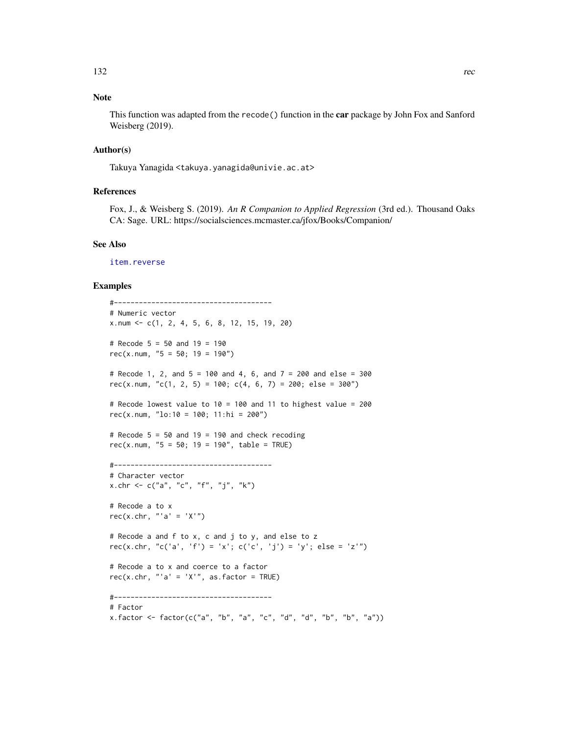# Note

This function was adapted from the recode() function in the car package by John Fox and Sanford Weisberg (2019).

# Author(s)

Takuya Yanagida <takuya.yanagida@univie.ac.at>

# References

Fox, J., & Weisberg S. (2019). *An R Companion to Applied Regression* (3rd ed.). Thousand Oaks CA: Sage. URL: https://socialsciences.mcmaster.ca/jfox/Books/Companion/

#### See Also

[item.reverse](#page-89-0)

## Examples

```
#--------------------------------------
# Numeric vector
x.num <- c(1, 2, 4, 5, 6, 8, 12, 15, 19, 20)
# Recode 5 = 50 and 19 = 190
rec(x.num, "5 = 50; 19 = 190")# Recode 1, 2, and 5 = 100 and 4, 6, and 7 = 200 and else = 300
rec(x.num, "c(1, 2, 5) = 100; c(4, 6, 7) = 200; else = 300")
# Recode lowest value to 10 = 100 and 11 to highest value = 200
rec(x.num, "\text{lo:10} = 100; \text{11:hi} = 200")
# Recode 5 = 50 and 19 = 190 and check recoding
rec(x.num, "5 = 50; 19 = 190", table = TRUE)#--------------------------------------
# Character vector
x.chr <- c("a", "c", "f", "j", "k")
# Recode a to x
rec(x.chr, "'a' = 'X'")
# Recode a and f to x, c and j to y, and else to z
rec(x.chr, "c('a', 'f') = 'x'; c('c', 'j') = 'y'; else = 'z'")
# Recode a to x and coerce to a factor
rec(x.chr, "a' = 'X'", as.factor = TRUE)#--------------------------------------
# Factor
x.factor \leq factor(c("a", "b", "a", "c", "d", "d", "b", "b", "a")
```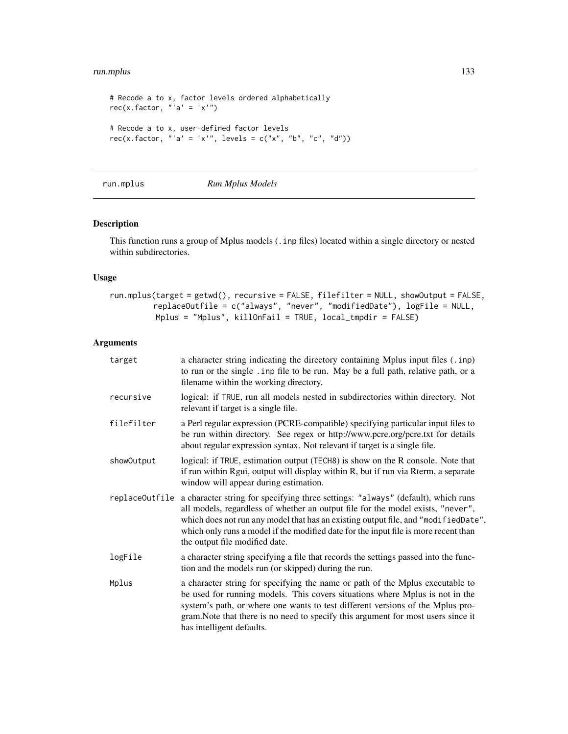#### run.mplus 133

```
# Recode a to x, factor levels ordered alphabetically
rec(x.factor, "a' = 'x'")# Recode a to x, user-defined factor levels
rec(x.factor, "'a' = 'x'", levels = c("x", "b", "c", "d"))
```
# <span id="page-132-0"></span>run.mplus *Run Mplus Models*

# Description

This function runs a group of Mplus models (.inp files) located within a single directory or nested within subdirectories.

# Usage

```
run.mplus(target = getwd(), recursive = FALSE, filefilter = NULL, showOutput = FALSE,
          replaceOutfile = c("always", "never", "modifiedDate"), logFile = NULL,
          Mplus = "Mplus", killOnFail = TRUE, local_tmpdir = FALSE)
```
# Arguments

| target         | a character string indicating the directory containing Mplus input files (. inp)<br>to run or the single . inp file to be run. May be a full path, relative path, or a<br>filename within the working directory.                                                                                                                                                                   |
|----------------|------------------------------------------------------------------------------------------------------------------------------------------------------------------------------------------------------------------------------------------------------------------------------------------------------------------------------------------------------------------------------------|
| recursive      | logical: if TRUE, run all models nested in subdirectories within directory. Not<br>relevant if target is a single file.                                                                                                                                                                                                                                                            |
| filefilter     | a Perl regular expression (PCRE-compatible) specifying particular input files to<br>be run within directory. See regex or http://www.pcre.org/pcre.txt for details<br>about regular expression syntax. Not relevant if target is a single file.                                                                                                                                    |
| show0utput     | logical: if TRUE, estimation output (TECH8) is show on the R console. Note that<br>if run within Rgui, output will display within R, but if run via Rterm, a separate<br>window will appear during estimation.                                                                                                                                                                     |
| replaceOutfile | a character string for specifying three settings: "always" (default), which runs<br>all models, regardless of whether an output file for the model exists, "never",<br>which does not run any model that has an existing output file, and "modifiedDate",<br>which only runs a model if the modified date for the input file is more recent than<br>the output file modified date. |
| logFile        | a character string specifying a file that records the settings passed into the func-<br>tion and the models run (or skipped) during the run.                                                                                                                                                                                                                                       |
| Mplus          | a character string for specifying the name or path of the Mplus executable to<br>be used for running models. This covers situations where Mplus is not in the<br>system's path, or where one wants to test different versions of the Mplus pro-<br>gram. Note that there is no need to specify this argument for most users since it<br>has intelligent defaults.                  |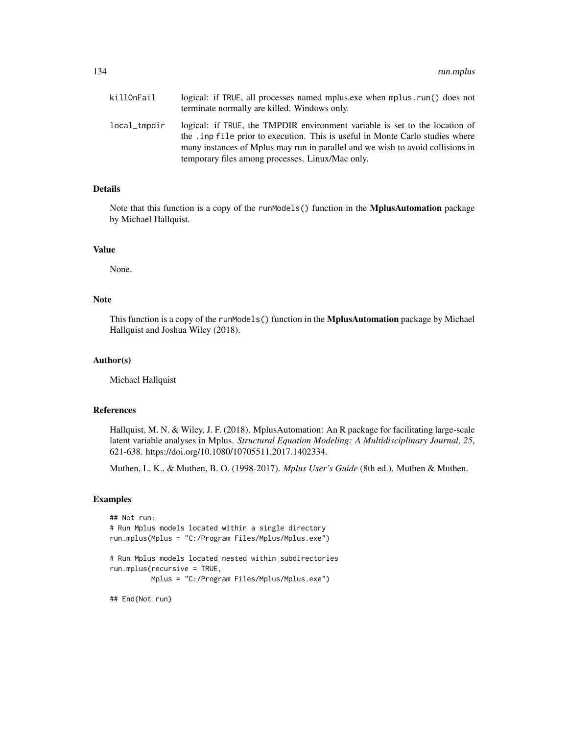| killOnFail   | logical: if TRUE, all processes named mplus.exe when mplus.run() does not<br>terminate normally are killed. Windows only.                                                                                                                                                                           |
|--------------|-----------------------------------------------------------------------------------------------------------------------------------------------------------------------------------------------------------------------------------------------------------------------------------------------------|
| local_tmpdir | logical: if TRUE, the TMPDIR environment variable is set to the location of<br>the . inp file prior to execution. This is useful in Monte Carlo studies where<br>many instances of Mplus may run in parallel and we wish to avoid collisions in<br>temporary files among processes. Linux/Mac only. |

# Details

Note that this function is a copy of the runModels() function in the MplusAutomation package by Michael Hallquist.

# Value

None.

# Note

This function is a copy of the runModels() function in the **MplusAutomation** package by Michael Hallquist and Joshua Wiley (2018).

#### Author(s)

Michael Hallquist

# References

Hallquist, M. N. & Wiley, J. F. (2018). MplusAutomation: An R package for facilitating large-scale latent variable analyses in Mplus. *Structural Equation Modeling: A Multidisciplinary Journal, 25*, 621-638. https://doi.org/10.1080/10705511.2017.1402334.

Muthen, L. K., & Muthen, B. O. (1998-2017). *Mplus User's Guide* (8th ed.). Muthen & Muthen.

## Examples

```
## Not run:
# Run Mplus models located within a single directory
run.mplus(Mplus = "C:/Program Files/Mplus/Mplus.exe")
# Run Mplus models located nested within subdirectories
run.mplus(recursive = TRUE,
         Mplus = "C:/Program Files/Mplus/Mplus.exe")
```
## End(Not run)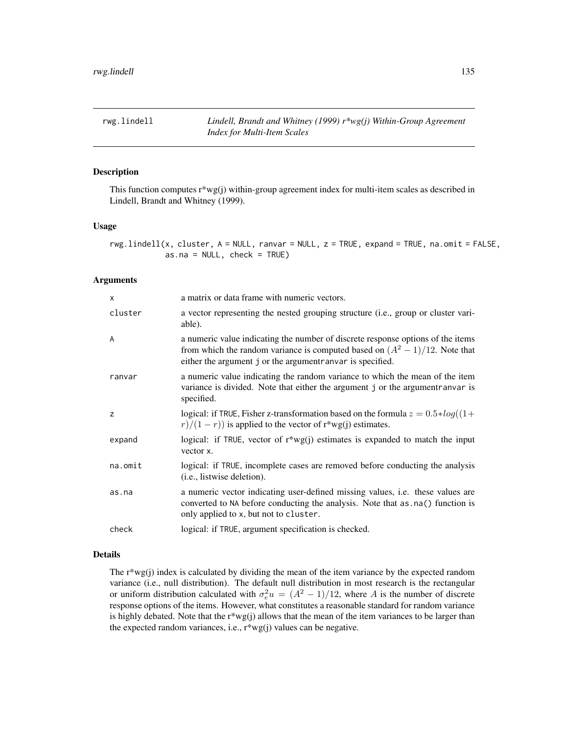## Description

This function computes  $r^*wg(i)$  within-group agreement index for multi-item scales as described in Lindell, Brandt and Whitney (1999).

#### Usage

rwg.lindell(x, cluster, A = NULL, ranvar = NULL, z = TRUE, expand = TRUE, na.omit = FALSE, as.na = NULL, check = TRUE)

# Arguments

| X       | a matrix or data frame with numeric vectors.                                                                                                                                                                                    |
|---------|---------------------------------------------------------------------------------------------------------------------------------------------------------------------------------------------------------------------------------|
| cluster | a vector representing the nested grouping structure (i.e., group or cluster vari-<br>able).                                                                                                                                     |
| A       | a numeric value indicating the number of discrete response options of the items<br>from which the random variance is computed based on $(A^2 - 1)/12$ . Note that<br>either the argument j or the argument ranvar is specified. |
| ranvar  | a numeric value indicating the random variance to which the mean of the item<br>variance is divided. Note that either the argument j or the argument ranvar is<br>specified.                                                    |
| z       | logical: if TRUE, Fisher z-transformation based on the formula $z = 0.5 * log((1 +$<br>$\frac{r}{1-r}$ is applied to the vector of r*wg(j) estimates.                                                                           |
| expand  | logical: if TRUE, vector of $r^*wg(j)$ estimates is expanded to match the input<br>vector x.                                                                                                                                    |
| na.omit | logical: if TRUE, incomplete cases are removed before conducting the analysis<br>( <i>i.e.</i> , listwise deletion).                                                                                                            |
| as.na   | a numeric vector indicating user-defined missing values, i.e. these values are<br>converted to NA before conducting the analysis. Note that as . na() function is<br>only applied to x, but not to cluster.                     |
| check   | logical: if TRUE, argument specification is checked.                                                                                                                                                                            |

#### Details

The  $r^*wg(i)$  index is calculated by dividing the mean of the item variance by the expected random variance (i.e., null distribution). The default null distribution in most research is the rectangular or uniform distribution calculated with  $\sigma_e^2 u = (A^2 - 1)/12$ , where A is the number of discrete response options of the items. However, what constitutes a reasonable standard for random variance is highly debated. Note that the  $r*wg(j)$  allows that the mean of the item variances to be larger than the expected random variances, i.e., r\*wg(j) values can be negative.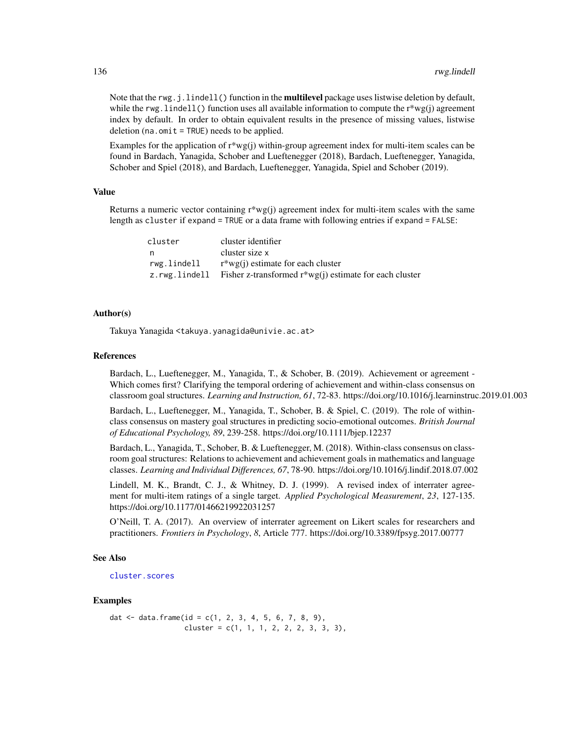Note that the rwg. j.lindell() function in the **multilevel** package uses listwise deletion by default, while the rwg. lindell() function uses all available information to compute the  $r^*wg(i)$  agreement index by default. In order to obtain equivalent results in the presence of missing values, listwise deletion (na.omit = TRUE) needs to be applied.

Examples for the application of  $r^*wg(i)$  within-group agreement index for multi-item scales can be found in Bardach, Yanagida, Schober and Lueftenegger (2018), Bardach, Lueftenegger, Yanagida, Schober and Spiel (2018), and Bardach, Lueftenegger, Yanagida, Spiel and Schober (2019).

## Value

Returns a numeric vector containing r\*wg(j) agreement index for multi-item scales with the same length as cluster if expand = TRUE or a data frame with following entries if expand = FALSE:

| cluster       | cluster identifier                                        |
|---------------|-----------------------------------------------------------|
| n,            | cluster size x                                            |
| rwg.lindell   | $r^*wg(i)$ estimate for each cluster                      |
| z.rwg.lindell | Fisher z-transformed $r^*wg(i)$ estimate for each cluster |

## Author(s)

Takuya Yanagida <takuya.yanagida@univie.ac.at>

## References

Bardach, L., Lueftenegger, M., Yanagida, T., & Schober, B. (2019). Achievement or agreement - Which comes first? Clarifying the temporal ordering of achievement and within-class consensus on classroom goal structures. *Learning and Instruction, 61*, 72-83. https://doi.org/10.1016/j.learninstruc.2019.01.003

Bardach, L., Lueftenegger, M., Yanagida, T., Schober, B. & Spiel, C. (2019). The role of withinclass consensus on mastery goal structures in predicting socio-emotional outcomes. *British Journal of Educational Psychology, 89*, 239-258. https://doi.org/10.1111/bjep.12237

Bardach, L., Yanagida, T., Schober, B. & Lueftenegger, M. (2018). Within-class consensus on classroom goal structures: Relations to achievement and achievement goals in mathematics and language classes. *Learning and Individual Differences, 67*, 78-90. https://doi.org/10.1016/j.lindif.2018.07.002

Lindell, M. K., Brandt, C. J., & Whitney, D. J. (1999). A revised index of interrater agreement for multi-item ratings of a single target. *Applied Psychological Measurement*, *23*, 127-135. https://doi.org/10.1177/01466219922031257

O'Neill, T. A. (2017). An overview of interrater agreement on Likert scales for researchers and practitioners. *Frontiers in Psychology*, *8*, Article 777. https://doi.org/10.3389/fpsyg.2017.00777

## See Also

[cluster.scores](#page-34-0)

## Examples

```
dat \le data.frame(id = c(1, 2, 3, 4, 5, 6, 7, 8, 9),
                  cluster = c(1, 1, 1, 2, 2, 2, 3, 3, 3),
```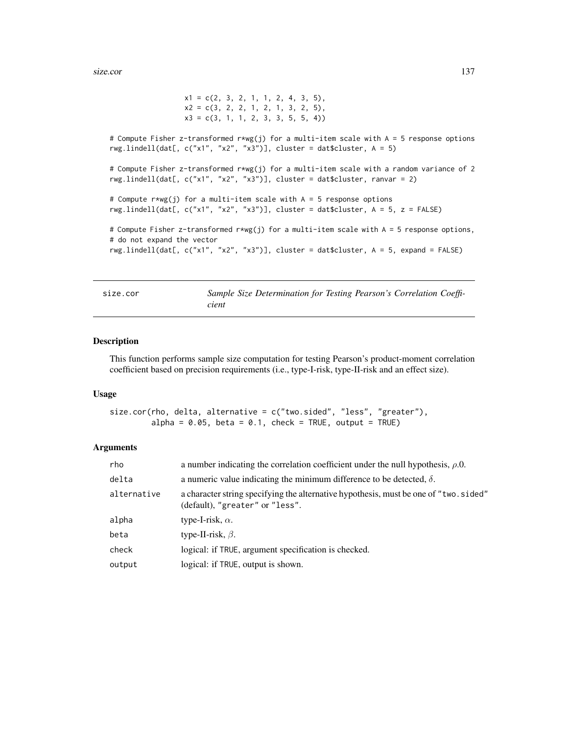```
x1 = c(2, 3, 2, 1, 1, 2, 4, 3, 5),x2 = c(3, 2, 2, 1, 2, 1, 3, 2, 5),x3 = c(3, 1, 1, 2, 3, 3, 5, 5, 4)# Compute Fisher z-transformed r*wg(j) for a multi-item scale with A = 5 response options
rwg.lindell(dat[, c("x1", "x2", "x3")], cluster = dat$cluster, A = 5)
# Compute Fisher z-transformed r*wg(j) for a multi-item scale with a random variance of 2
rwg.lindell(dat[, c("x1", "x2", "x3")], cluster = dat$cluster, ranvar = 2)
# Compute r*wg(j) for a multi-item scale with A = 5 response options
rwg.lindell(dat[, c("x1", "x2", "x3")], cluster = dat$cluster, A = 5, z = FALSE)
# Compute Fisher z-transformed r*wg(j) for a multi-item scale with A = 5 response options,
# do not expand the vector
rwg.lindell(dat[, c("x1", "x2", "x3")], cluster = dat$cluster, A = 5, expand = FALSE)
```
size.cor *Sample Size Determination for Testing Pearson's Correlation Coefficient*

# Description

This function performs sample size computation for testing Pearson's product-moment correlation coefficient based on precision requirements (i.e., type-I-risk, type-II-risk and an effect size).

#### Usage

```
size.cor(rho, delta, alternative = c("two.sided", "less", "greater"),
         alpha = 0.05, beta = 0.1, check = TRUE, output = TRUE)
```
#### Arguments

| rho         | a number indicating the correlation coefficient under the null hypothesis, $\rho$ .0.                                   |
|-------------|-------------------------------------------------------------------------------------------------------------------------|
| delta       | a numeric value indicating the minimum difference to be detected, $\delta$ .                                            |
| alternative | a character string specifying the alternative hypothesis, must be one of "two.sided"<br>(default), "greater" or "less". |
| alpha       | type-I-risk, $\alpha$ .                                                                                                 |
| beta        | type-II-risk, $\beta$ .                                                                                                 |
| check       | logical: if TRUE, argument specification is checked.                                                                    |
| output      | logical: if TRUE, output is shown.                                                                                      |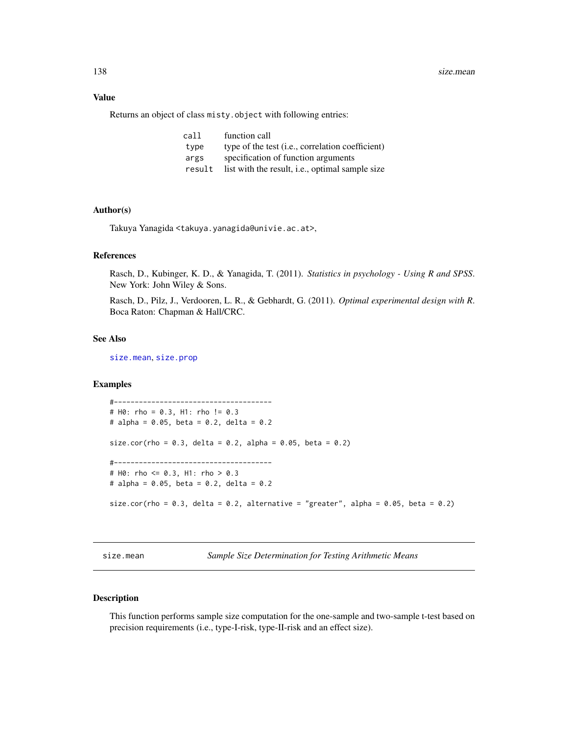# Value

Returns an object of class misty.object with following entries:

| call   | function call                                             |
|--------|-----------------------------------------------------------|
| type   | type of the test ( <i>i.e.</i> , correlation coefficient) |
| args   | specification of function arguments                       |
| result | list with the result, <i>i.e.</i> , optimal sample size   |

#### Author(s)

Takuya Yanagida <takuya.yanagida@univie.ac.at>,

# References

Rasch, D., Kubinger, K. D., & Yanagida, T. (2011). *Statistics in psychology - Using R and SPSS*. New York: John Wiley & Sons.

Rasch, D., Pilz, J., Verdooren, L. R., & Gebhardt, G. (2011). *Optimal experimental design with R*. Boca Raton: Chapman & Hall/CRC.

# See Also

[size.mean](#page-137-0), [size.prop](#page-139-0)

#### Examples

```
#--------------------------------------
# H0: rho = 0.3, H1: rho != 0.3
# alpha = 0.05, beta = 0.2, delta = 0.2
size.cor(rho = 0.3, delta = 0.2, alpha = 0.05, beta = 0.2)
#--------------------------------------
# H0: rho <= 0.3, H1: rho > 0.3
# alpha = 0.05, beta = 0.2, delta = 0.2
size.cor(rho = 0.3, delta = 0.2, alternative = "greater", alpha = 0.05, beta = 0.2)
```
<span id="page-137-0"></span>size.mean *Sample Size Determination for Testing Arithmetic Means*

# Description

This function performs sample size computation for the one-sample and two-sample t-test based on precision requirements (i.e., type-I-risk, type-II-risk and an effect size).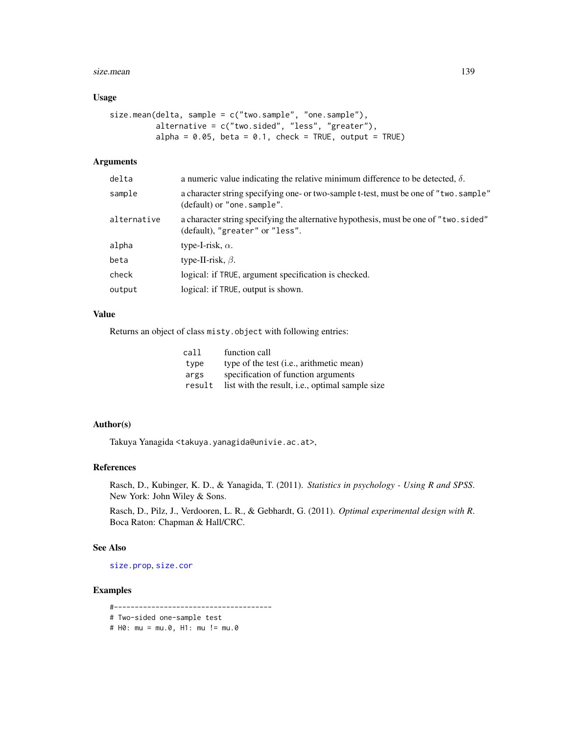#### size.mean 139

# Usage

```
size.mean(delta, sample = c("two.sample", "one.sample"),
         alternative = c("two.sided", "less", "greater"),
         alpha = 0.05, beta = 0.1, check = TRUE, output = TRUE)
```
# Arguments

| delta       | a numeric value indicating the relative minimum difference to be detected, $\delta$ .                                    |
|-------------|--------------------------------------------------------------------------------------------------------------------------|
| sample      | a character string specifying one- or two-sample t-test, must be one of "two. sample"<br>(default) or "one. sample".     |
| alternative | a character string specifying the alternative hypothesis, must be one of "two. sided"<br>(default), "greater" or "less". |
| alpha       | type-I-risk, $\alpha$ .                                                                                                  |
| beta        | type-II-risk, $\beta$ .                                                                                                  |
| check       | logical: if TRUE, argument specification is checked.                                                                     |
| output      | logical: if TRUE, output is shown.                                                                                       |

# Value

Returns an object of class misty.object with following entries:

| call   | function call                                           |
|--------|---------------------------------------------------------|
| type   | type of the test ( <i>i.e.</i> , arithmetic mean)       |
| args   | specification of function arguments                     |
| result | list with the result, <i>i.e.</i> , optimal sample size |

# Author(s)

Takuya Yanagida <takuya.yanagida@univie.ac.at>,

#### References

Rasch, D., Kubinger, K. D., & Yanagida, T. (2011). *Statistics in psychology - Using R and SPSS*. New York: John Wiley & Sons.

Rasch, D., Pilz, J., Verdooren, L. R., & Gebhardt, G. (2011). *Optimal experimental design with R*. Boca Raton: Chapman & Hall/CRC.

# See Also

[size.prop](#page-139-0), [size.cor](#page-136-0)

## Examples

#--------------------------------------

```
# Two-sided one-sample test
```
# H0: mu = mu.0, H1: mu != mu.0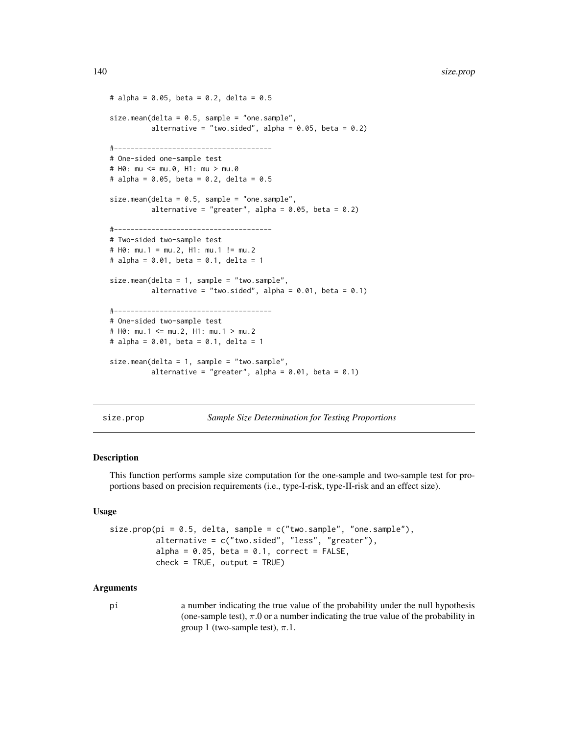```
# alpha = 0.05, beta = 0.2, delta = 0.5
size.mean(delta = 0.5, sample = "one.sample",
          alternative = "two.sided", alpha = 0.05, beta = 0.2)
#--------------------------------------
# One-sided one-sample test
# H0: mu <= mu.0, H1: mu > mu.0
# alpha = 0.05, beta = 0.2, delta = 0.5size.mean(delta = 0.5, sample = "one.sample",
          alternative = "greater", alpha = 0.05, beta = 0.2)
#--------------------------------------
# Two-sided two-sample test
# H0: mu.1 = mu.2, H1: mu.1 != mu.2
# alpha = 0.01, beta = 0.1, delta = 1
size.mean(delta = 1, sample = "two.sample",
          alternative = "two.sided", alpha = 0.01, beta = 0.1)
#--------------------------------------
# One-sided two-sample test
# H0: mu.1 <= mu.2, H1: mu.1 > mu.2
# alpha = 0.01, beta = 0.1, delta = 1
size.mean(delta = 1, sample = "two.sample",
          alternative = "greater", alpha = 0.01, beta = 0.1)
```
<span id="page-139-0"></span>size.prop *Sample Size Determination for Testing Proportions*

# Description

This function performs sample size computation for the one-sample and two-sample test for proportions based on precision requirements (i.e., type-I-risk, type-II-risk and an effect size).

#### Usage

```
size.prop(pi = 0.5, delta, sample = c("two.sample", "one.sample"),
         alternative = c("two.sided", "less", "greater"),
         alpha = 0.05, beta = 0.1, correct = FALSE,
         check = TRUE, output = TRUE
```
#### Arguments

pi a number indicating the true value of the probability under the null hypothesis (one-sample test),  $\pi.0$  or a number indicating the true value of the probability in group 1 (two-sample test),  $\pi$ .1.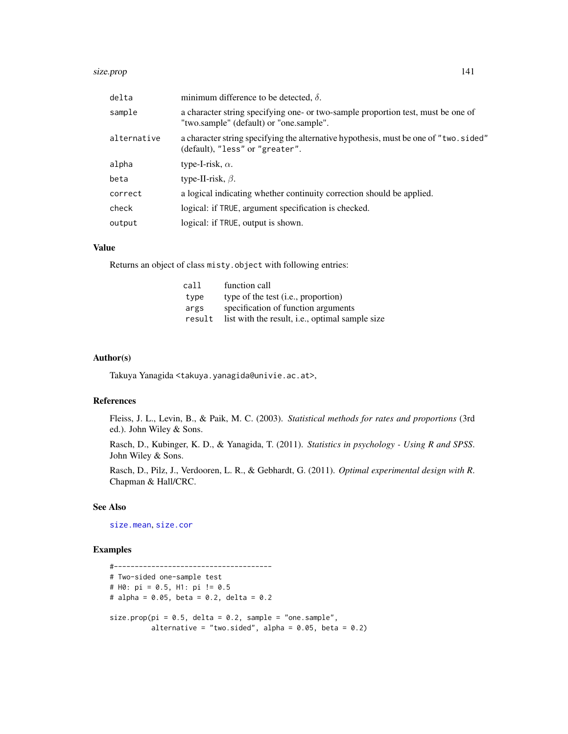#### size.prop 141

| delta       | minimum difference to be detected, $\delta$ .                                                                               |
|-------------|-----------------------------------------------------------------------------------------------------------------------------|
| sample      | a character string specifying one- or two-sample proportion test, must be one of<br>"two.sample" (default) or "one.sample". |
| alternative | a character string specifying the alternative hypothesis, must be one of "two.sided"<br>(default), "less" or "greater".     |
| alpha       | type-I-risk, $\alpha$ .                                                                                                     |
| beta        | type-II-risk, $\beta$ .                                                                                                     |
| correct     | a logical indicating whether continuity correction should be applied.                                                       |
| check       | logical: if TRUE, argument specification is checked.                                                                        |
| output      | logical: if TRUE, output is shown.                                                                                          |

#### Value

Returns an object of class misty.object with following entries:

| call   | function call                                   |
|--------|-------------------------------------------------|
| type   | type of the test ( <i>i.e.</i> , proportion)    |
| args   | specification of function arguments             |
| result | list with the result, i.e., optimal sample size |

## Author(s)

Takuya Yanagida <takuya.yanagida@univie.ac.at>,

## References

Fleiss, J. L., Levin, B., & Paik, M. C. (2003). *Statistical methods for rates and proportions* (3rd ed.). John Wiley & Sons.

Rasch, D., Kubinger, K. D., & Yanagida, T. (2011). *Statistics in psychology - Using R and SPSS*. John Wiley & Sons.

Rasch, D., Pilz, J., Verdooren, L. R., & Gebhardt, G. (2011). *Optimal experimental design with R*. Chapman & Hall/CRC.

# See Also

[size.mean](#page-137-0), [size.cor](#page-136-0)

# Examples

```
#--------------------------------------
# Two-sided one-sample test
# H0: pi = 0.5, H1: pi != 0.5
# alpha = 0.05, beta = 0.2, delta = 0.2
size.prop(pi = 0.5, delta = 0.2, sample = "one.sample",
         alternative = "two.sided", alpha = 0.05, beta = 0.2)
```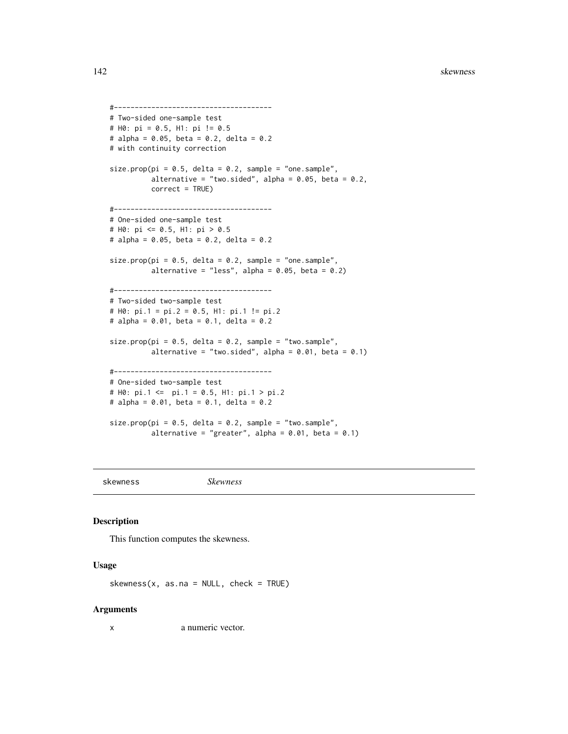```
#--------------------------------------
# Two-sided one-sample test
# H0: pi = 0.5, H1: pi != 0.5
# alpha = 0.05, beta = 0.2, delta = 0.2
# with continuity correction
size.prop(pi = 0.5, delta = 0.2, sample = "one.sample",
         alternative = "two.sided", alpha = 0.05, beta = 0.2,
         correct = TRUE)
#--------------------------------------
# One-sided one-sample test
# H0: pi <= 0.5, H1: pi > 0.5
# alpha = 0.05, beta = 0.2, delta = 0.2
size.prop(pi = 0.5, delta = 0.2, sample = "one.sample",
         alternative = "less", alpha = 0.05, beta = 0.2)
#--------------------------------------
# Two-sided two-sample test
# H0: pi.1 = pi.2 = 0.5, H1: pi.1 != pi.2
# alpha = 0.01, beta = 0.1, delta = 0.2
size.prop(pi = 0.5, delta = 0.2, sample = "two.sample",
          alternative = "two.sided", alpha = 0.01, beta = 0.1)
#--------------------------------------
# One-sided two-sample test
# H0: pi.1 <= pi.1 = 0.5, H1: pi.1 > pi.2
# alpha = 0.01, beta = 0.1, delta = 0.2
size.prop(pi = 0.5, delta = 0.2, sample = "two.sample",
          alternative = "greater", alpha = 0.01, beta = 0.1)
```
skewness *Skewness*

#### Description

This function computes the skewness.

#### Usage

 $skewness(x, as.na = NULL, check = TRUE)$ 

#### **Arguments**

x a numeric vector.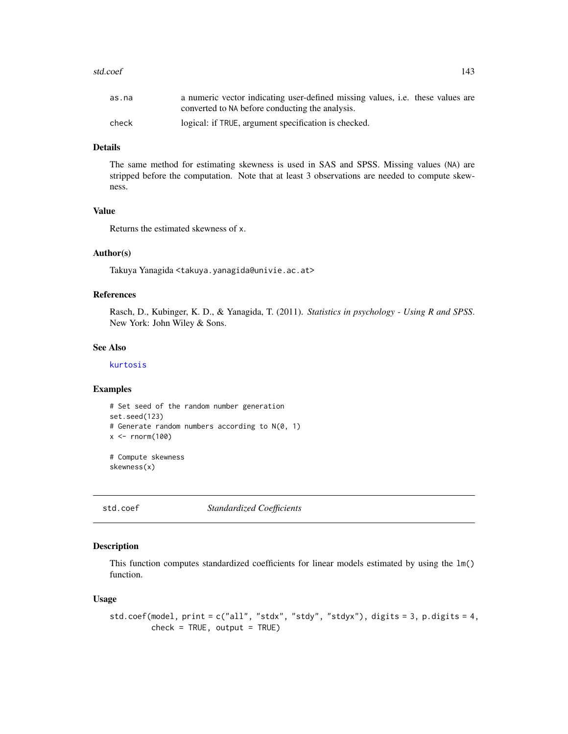#### std.coef and the state of  $\sim$  143

# Details

The same method for estimating skewness is used in SAS and SPSS. Missing values (NA) are stripped before the computation. Note that at least 3 observations are needed to compute skewness.

# Value

Returns the estimated skewness of x.

## Author(s)

Takuya Yanagida <takuya.yanagida@univie.ac.at>

## References

Rasch, D., Kubinger, K. D., & Yanagida, T. (2011). *Statistics in psychology - Using R and SPSS*. New York: John Wiley & Sons.

#### See Also

[kurtosis](#page-92-0)

# Examples

```
# Set seed of the random number generation
set.seed(123)
# Generate random numbers according to N(0, 1)
x \le rnorm(100)
# Compute skewness
```
skewness(x)

std.coef *Standardized Coefficients*

## Description

This function computes standardized coefficients for linear models estimated by using the lm() function.

#### Usage

```
std.coef(model, print = c("all", "stdx", "stdy", "stdyx"), digits = 3, p.digits = 4,
         check = TRUE, output = TRUE
```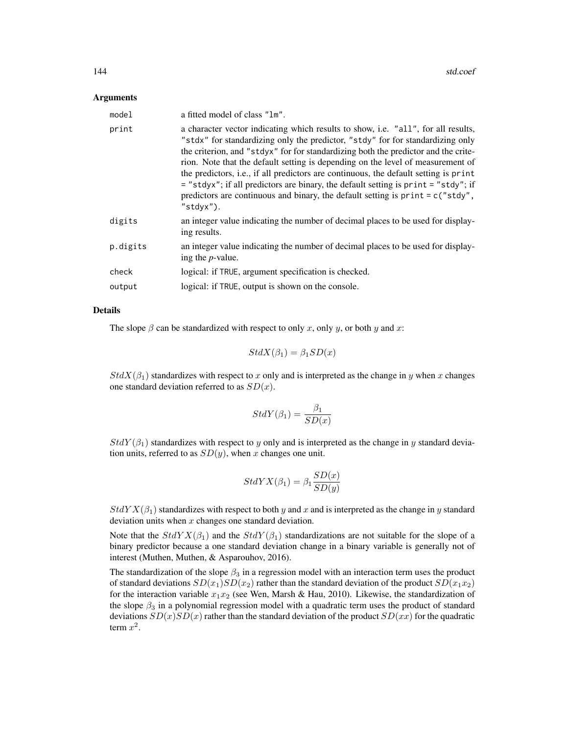#### Arguments

| model    | a fitted model of class "1m".                                                                                                                                                                                                                                                                                                                                                                                                                                                                                                                                                                                               |
|----------|-----------------------------------------------------------------------------------------------------------------------------------------------------------------------------------------------------------------------------------------------------------------------------------------------------------------------------------------------------------------------------------------------------------------------------------------------------------------------------------------------------------------------------------------------------------------------------------------------------------------------------|
| print    | a character vector indicating which results to show, i.e. "all", for all results,<br>"stdx" for standardizing only the predictor, "stdy" for for standardizing only<br>the criterion, and "stdyx" for for standardizing both the predictor and the crite-<br>rion. Note that the default setting is depending on the level of measurement of<br>the predictors, i.e., if all predictors are continuous, the default setting is print<br>= "stdyx"; if all predictors are binary, the default setting is print = "stdy"; if<br>predictors are continuous and binary, the default setting is $print = c("stdy",$<br>"stdyx"). |
| digits   | an integer value indicating the number of decimal places to be used for display-<br>ing results.                                                                                                                                                                                                                                                                                                                                                                                                                                                                                                                            |
| p.digits | an integer value indicating the number of decimal places to be used for display-<br>ing the $p$ -value.                                                                                                                                                                                                                                                                                                                                                                                                                                                                                                                     |
| check    | logical: if TRUE, argument specification is checked.                                                                                                                                                                                                                                                                                                                                                                                                                                                                                                                                                                        |
| output   | logical: if TRUE, output is shown on the console.                                                                                                                                                                                                                                                                                                                                                                                                                                                                                                                                                                           |

## Details

The slope  $\beta$  can be standardized with respect to only x, only y, or both y and x:

$$
StdX(\beta_1) = \beta_1 SD(x)
$$

 $StdX(\beta_1)$  standardizes with respect to x only and is interpreted as the change in y when x changes one standard deviation referred to as  $SD(x)$ .

$$
StdY(\beta_1) = \frac{\beta_1}{SD(x)}
$$

 $StdY(\beta_1)$  standardizes with respect to y only and is interpreted as the change in y standard deviation units, referred to as  $SD(y)$ , when x changes one unit.

$$
StdYX(\beta_1) = \beta_1 \frac{SD(x)}{SD(y)}
$$

 $StdYX(\beta_1)$  standardizes with respect to both y and x and is interpreted as the change in y standard deviation units when  $x$  changes one standard deviation.

Note that the  $StdYX(\beta_1)$  and the  $StdY(\beta_1)$  standardizations are not suitable for the slope of a binary predictor because a one standard deviation change in a binary variable is generally not of interest (Muthen, Muthen, & Asparouhov, 2016).

The standardization of the slope  $\beta_3$  in a regression model with an interaction term uses the product of standard deviations  $SD(x_1)SD(x_2)$  rather than the standard deviation of the product  $SD(x_1x_2)$ for the interaction variable  $x_1x_2$  (see Wen, Marsh & Hau, 2010). Likewise, the standardization of the slope  $\beta_3$  in a polynomial regression model with a quadratic term uses the product of standard deviations  $SD(x)SD(x)$  rather than the standard deviation of the product  $SD(xx)$  for the quadratic term  $x^2$ .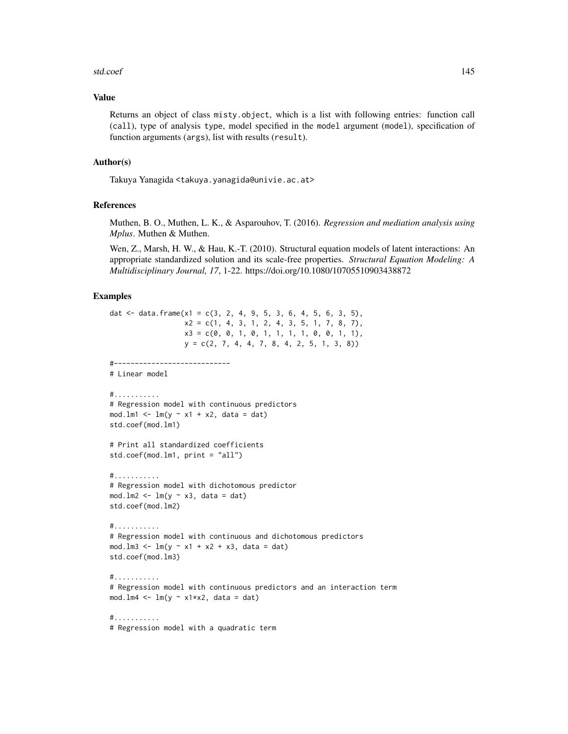#### std.coef 145

## Value

Returns an object of class misty.object, which is a list with following entries: function call (call), type of analysis type, model specified in the model argument (model), specification of function arguments (args), list with results (result).

## Author(s)

Takuya Yanagida <takuya.yanagida@univie.ac.at>

## References

Muthen, B. O., Muthen, L. K., & Asparouhov, T. (2016). *Regression and mediation analysis using Mplus*. Muthen & Muthen.

Wen, Z., Marsh, H. W., & Hau, K.-T. (2010). Structural equation models of latent interactions: An appropriate standardized solution and its scale-free properties. *Structural Equation Modeling: A Multidisciplinary Journal, 17*, 1-22. https://doi.org/10.1080/10705510903438872

## Examples

```
dat \le data.frame(x1 = c(3, 2, 4, 9, 5, 3, 6, 4, 5, 6, 3, 5),
                  x2 = c(1, 4, 3, 1, 2, 4, 3, 5, 1, 7, 8, 7),x3 = c(0, 0, 1, 0, 1, 1, 1, 1, 0, 0, 1, 1),y = c(2, 7, 4, 4, 7, 8, 4, 2, 5, 1, 3, 8)#----------------------------
# Linear model
#...........
# Regression model with continuous predictors
mod.lm1 <- lm(y \sim x1 + x2, data = dat)
std.coef(mod.lm1)
# Print all standardized coefficients
std.coef(mod.lm1, print = "all")
#...........
# Regression model with dichotomous predictor
mod.lm2 <- lm(y \sim x3, data = dat)
std.coef(mod.lm2)
#...........
# Regression model with continuous and dichotomous predictors
mod. \text{lm3} \leq \text{lm}(y \sim x1 + x2 + x3, data = dat)std.coef(mod.lm3)
#...........
# Regression model with continuous predictors and an interaction term
mod.lm4 \leftarrow lm(y \sim x1*x2, data = dat)
#...........
# Regression model with a quadratic term
```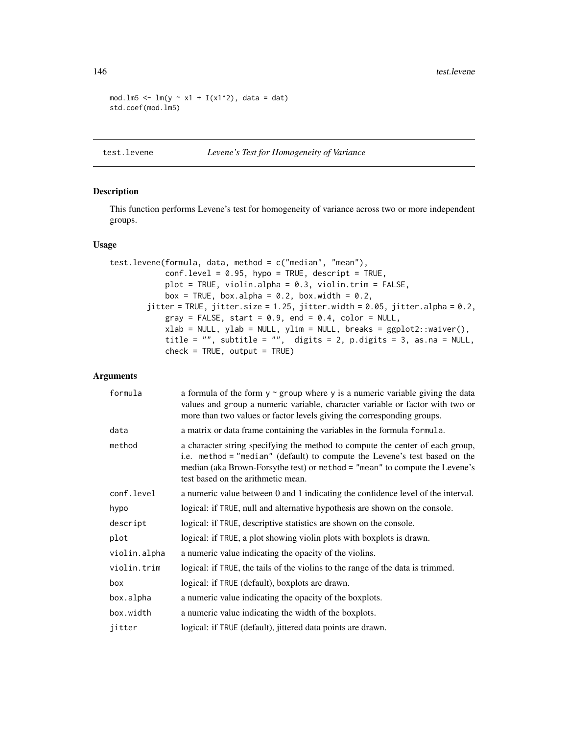```
mod.lm5 <- lm(y \sim x1 + I(x1^2)), data = dat)
std.coef(mod.lm5)
```
## <span id="page-145-0"></span>test.levene *Levene's Test for Homogeneity of Variance*

#### Description

This function performs Levene's test for homogeneity of variance across two or more independent groups.

## Usage

```
test.levene(formula, data, method = c("median", "mean"),
            conf<math>. level = 0.95, hypo = TRUE, descript = TRUE,
            plot = TRUE, violin.alpha = 0.3, violin.trim = FALSE,
            box = TRUE, box.alpha = 0.2, box.width = 0.2,
        jitter = TRUE, jitter.size = 1.25, jitter.width = 0.05, jitter.alpha = 0.2,
            gray = FALSE, start = 0.9, end = 0.4, color = NULL,
            xlab = NULL, ylab = NULL, ylim = NULL, breaks = ggplot2::waiver(),
            title = ", subtitle = ", digits = 2, p.digits = 3, as.na = NULL,
            check = TRUE, output = TRUE)
```
#### Arguments

| formula      | a formula of the form $y \sim g$ roup where y is a numeric variable giving the data<br>values and group a numeric variable, character variable or factor with two or<br>more than two values or factor levels giving the corresponding groups.                                   |
|--------------|----------------------------------------------------------------------------------------------------------------------------------------------------------------------------------------------------------------------------------------------------------------------------------|
| data         | a matrix or data frame containing the variables in the formula formula.                                                                                                                                                                                                          |
| method       | a character string specifying the method to compute the center of each group,<br>i.e. method = "median" (default) to compute the Levene's test based on the<br>median (aka Brown-Forsythe test) or method = "mean" to compute the Levene's<br>test based on the arithmetic mean. |
| conf.level   | a numeric value between 0 and 1 indicating the confidence level of the interval.                                                                                                                                                                                                 |
| hypo         | logical: if TRUE, null and alternative hypothesis are shown on the console.                                                                                                                                                                                                      |
| descript     | logical: if TRUE, descriptive statistics are shown on the console.                                                                                                                                                                                                               |
| plot         | logical: if TRUE, a plot showing violin plots with boxplots is drawn.                                                                                                                                                                                                            |
| violin.alpha | a numeric value indicating the opacity of the violins.                                                                                                                                                                                                                           |
| violin.trim  | logical: if TRUE, the tails of the violins to the range of the data is trimmed.                                                                                                                                                                                                  |
| box          | logical: if TRUE (default), boxplots are drawn.                                                                                                                                                                                                                                  |
| box.alpha    | a numeric value indicating the opacity of the boxplots.                                                                                                                                                                                                                          |
| box.width    | a numeric value indicating the width of the boxplots.                                                                                                                                                                                                                            |
| jitter       | logical: if TRUE (default), jittered data points are drawn.                                                                                                                                                                                                                      |

<span id="page-145-1"></span>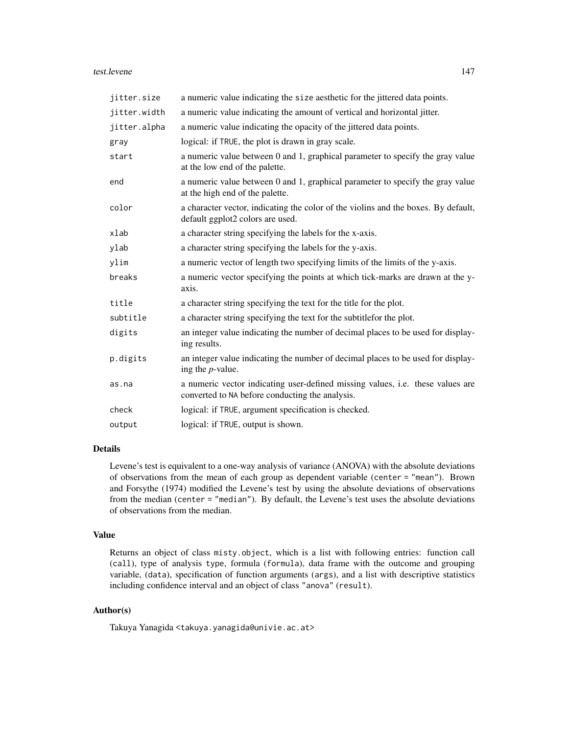#### test.levene 147

| jitter.size  | a numeric value indicating the size aesthetic for the jittered data points.                                                       |
|--------------|-----------------------------------------------------------------------------------------------------------------------------------|
| jitter.width | a numeric value indicating the amount of vertical and horizontal jitter.                                                          |
| jitter.alpha | a numeric value indicating the opacity of the jittered data points.                                                               |
| gray         | logical: if TRUE, the plot is drawn in gray scale.                                                                                |
| start        | a numeric value between 0 and 1, graphical parameter to specify the gray value<br>at the low end of the palette.                  |
| end          | a numeric value between 0 and 1, graphical parameter to specify the gray value<br>at the high end of the palette.                 |
| color        | a character vector, indicating the color of the violins and the boxes. By default,<br>default ggplot2 colors are used.            |
| xlab         | a character string specifying the labels for the x-axis.                                                                          |
| ylab         | a character string specifying the labels for the y-axis.                                                                          |
| ylim         | a numeric vector of length two specifying limits of the limits of the y-axis.                                                     |
| breaks       | a numeric vector specifying the points at which tick-marks are drawn at the y-<br>axis.                                           |
| title        | a character string specifying the text for the title for the plot.                                                                |
| subtitle     | a character string specifying the text for the subtitlefor the plot.                                                              |
| digits       | an integer value indicating the number of decimal places to be used for display-<br>ing results.                                  |
| p.digits     | an integer value indicating the number of decimal places to be used for display-<br>ing the $p$ -value.                           |
| as.na        | a numeric vector indicating user-defined missing values, i.e. these values are<br>converted to NA before conducting the analysis. |
| check        | logical: if TRUE, argument specification is checked.                                                                              |
| output       | logical: if TRUE, output is shown.                                                                                                |

## Details

Levene's test is equivalent to a one-way analysis of variance (ANOVA) with the absolute deviations of observations from the mean of each group as dependent variable (center = "mean"). Brown and Forsythe (1974) modified the Levene's test by using the absolute deviations of observations from the median (center = "median"). By default, the Levene's test uses the absolute deviations of observations from the median.

## Value

Returns an object of class misty.object, which is a list with following entries: function call (call), type of analysis type, formula (formula), data frame with the outcome and grouping variable, (data), specification of function arguments (args), and a list with descriptive statistics including confidence interval and an object of class "anova" (result).

## Author(s)

Takuya Yanagida <takuya.yanagida@univie.ac.at>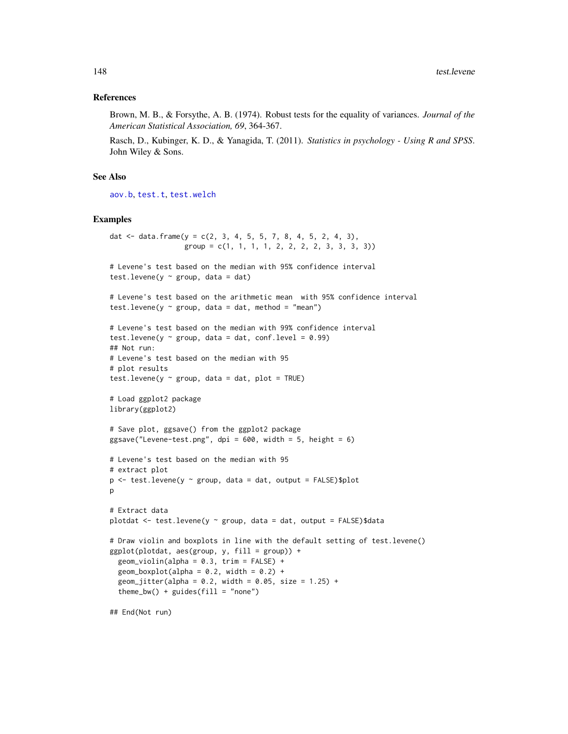#### <span id="page-147-0"></span>References

Brown, M. B., & Forsythe, A. B. (1974). Robust tests for the equality of variances. *Journal of the American Statistical Association, 69*, 364-367.

Rasch, D., Kubinger, K. D., & Yanagida, T. (2011). *Statistics in psychology - Using R and SPSS*. John Wiley & Sons.

#### See Also

[aov.b](#page-2-0), [test.t](#page-148-0), [test.welch](#page-155-0)

#### Examples

```
dat \le data.frame(y = c(2, 3, 4, 5, 5, 7, 8, 4, 5, 2, 4, 3),
                   group = c(1, 1, 1, 1, 2, 2, 2, 2, 3, 3, 3))# Levene's test based on the median with 95% confidence interval
test.levene(y \sim group, data = dat)
# Levene's test based on the arithmetic mean with 95% confidence interval
test.levene(y \sim group, data = dat, method = "mean")
# Levene's test based on the median with 99% confidence interval
test.levene(y \sim group, data = dat, conf.level = 0.99)
## Not run:
# Levene's test based on the median with 95
# plot results
test.levene(y \sim group, data = dat, plot = TRUE)
# Load ggplot2 package
library(ggplot2)
# Save plot, ggsave() from the ggplot2 package
ggsave("Levene-test.png", dpi = 600, width = 5, height = 6)
# Levene's test based on the median with 95
# extract plot
p \le -\text{test}.\text{levene}(y \sim \text{group}, \text{data} = \text{dat}, \text{output} = \text{FALSE})\$plotp
# Extract data
plotdat \le test. levene(y \sim group, data = dat, output = FALSE)$data
# Draw violin and boxplots in line with the default setting of test.levene()
ggplot(plotdat, aes(group, y, fill = group)) +
  geom_violin(alpha = 0.3, trim = FALSE) +
  geom_boxplot(alpha = 0.2, width = 0.2) +
  geom_jitter(alpha = 0.2, width = 0.05, size = 1.25) +
  theme_bw() + guides(fill = "none")## End(Not run)
```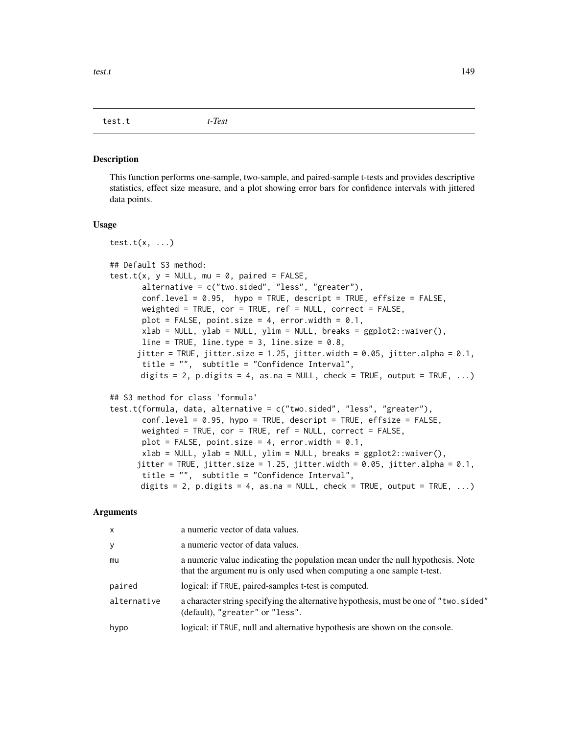<span id="page-148-1"></span><span id="page-148-0"></span>test.t *t-Test*

#### Description

This function performs one-sample, two-sample, and paired-sample t-tests and provides descriptive statistics, effect size measure, and a plot showing error bars for confidence intervals with jittered data points.

#### Usage

```
test.t(x, \ldots)## Default S3 method:
test.t(x, y = NULL, mu = 0, paired = FALSE,
       alternative = c("two.sided", "less", "greater"),
       conf<math>i = 0.95, hypo = TRUE, descript = TRUE, effsize = FALSE,
       weighted = TRUE, cor = TRUE, ref = NULL, correct = FALSE,
       plot = FALSE, point.size = 4, error.width = 0.1,
       xlab = NULL, ylab = NULL, ylim = NULL, breaks = ggplot2::waiver(),
      line = TRUE, line.type = 3, line.size = 0.8,
      jitter = TRUE, jitter.size = 1.25, jitter.width = 0.05, jitter.alpha = 0.1,
       title = "", subtitle = "Confidence Interval",
      digits = 2, p.digits = 4, as.na = NULL, check = TRUE, output = TRUE, ...)
## S3 method for class 'formula'
test.t(formula, data, alternative = c("two.sided", "less", "greater"),
       conf<math>ilevel = 0.95, hypo = TRUE, descript = TRUE, effsize = FALSE,
       weighted = TRUE, cor = TRUE, ref = NULL, correct = FALSE,
      plot = FALSE, point.size = 4, error.width = 0.1,
       xlab = NULL, ylab = NULL, ylim = NULL, breaks = ggplot2::waiver(),
      jitter = TRUE, jitter.size = 1.25, jitter.width = 0.05, jitter.alpha = 0.1,
       title = "", subtitle = "Confidence Interval",
      digits = 2, p.digits = 4, as.na = NULL, check = TRUE, output = TRUE, \dots)
```
#### Arguments

| $\mathsf{x}$ | a numeric vector of data values.                                                                                                                        |
|--------------|---------------------------------------------------------------------------------------------------------------------------------------------------------|
| y            | a numeric vector of data values.                                                                                                                        |
| mu           | a numeric value indicating the population mean under the null hypothesis. Note<br>that the argument mu is only used when computing a one sample t-test. |
| paired       | logical: if TRUE, paired-samples t-test is computed.                                                                                                    |
| alternative  | a character string specifying the alternative hypothesis, must be one of "two.sided"<br>(default), "greater" or "less".                                 |
| hypo         | logical: if TRUE, null and alternative hypothesis are shown on the console.                                                                             |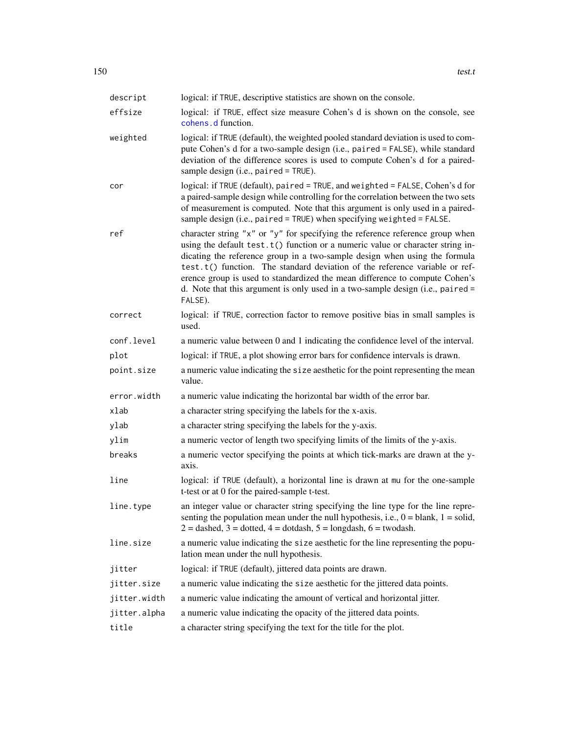<span id="page-149-0"></span>

| descript     | logical: if TRUE, descriptive statistics are shown on the console.                                                                                                                                                                                                                                                                                                                                                                                                                                         |
|--------------|------------------------------------------------------------------------------------------------------------------------------------------------------------------------------------------------------------------------------------------------------------------------------------------------------------------------------------------------------------------------------------------------------------------------------------------------------------------------------------------------------------|
| effsize      | logical: if TRUE, effect size measure Cohen's d is shown on the console, see                                                                                                                                                                                                                                                                                                                                                                                                                               |
|              | cohens d function.                                                                                                                                                                                                                                                                                                                                                                                                                                                                                         |
| weighted     | logical: if TRUE (default), the weighted pooled standard deviation is used to com-<br>pute Cohen's d for a two-sample design (i.e., paired = FALSE), while standard<br>deviation of the difference scores is used to compute Cohen's d for a paired-<br>sample design (i.e., paired = TRUE).                                                                                                                                                                                                               |
| cor          | logical: if TRUE (default), paired = TRUE, and weighted = FALSE, Cohen's d for<br>a paired-sample design while controlling for the correlation between the two sets<br>of measurement is computed. Note that this argument is only used in a paired-<br>sample design (i.e., paired = TRUE) when specifying weighted = FALSE.                                                                                                                                                                              |
| ref          | character string "x" or "y" for specifying the reference reference group when<br>using the default $test.t()$ function or a numeric value or character string in-<br>dicating the reference group in a two-sample design when using the formula<br>test.t() function. The standard deviation of the reference variable or ref-<br>erence group is used to standardized the mean difference to compute Cohen's<br>d. Note that this argument is only used in a two-sample design (i.e., paired =<br>FALSE). |
| correct      | logical: if TRUE, correction factor to remove positive bias in small samples is<br>used.                                                                                                                                                                                                                                                                                                                                                                                                                   |
| conf.level   | a numeric value between 0 and 1 indicating the confidence level of the interval.                                                                                                                                                                                                                                                                                                                                                                                                                           |
| plot         | logical: if TRUE, a plot showing error bars for confidence intervals is drawn.                                                                                                                                                                                                                                                                                                                                                                                                                             |
| point.size   | a numeric value indicating the size aesthetic for the point representing the mean<br>value.                                                                                                                                                                                                                                                                                                                                                                                                                |
| error.width  | a numeric value indicating the horizontal bar width of the error bar.                                                                                                                                                                                                                                                                                                                                                                                                                                      |
| xlab         | a character string specifying the labels for the x-axis.                                                                                                                                                                                                                                                                                                                                                                                                                                                   |
| ylab         | a character string specifying the labels for the y-axis.                                                                                                                                                                                                                                                                                                                                                                                                                                                   |
| ylim         | a numeric vector of length two specifying limits of the limits of the y-axis.                                                                                                                                                                                                                                                                                                                                                                                                                              |
| breaks       | a numeric vector specifying the points at which tick-marks are drawn at the y-<br>axis.                                                                                                                                                                                                                                                                                                                                                                                                                    |
| line         | logical: if TRUE (default), a horizontal line is drawn at mu for the one-sample<br>t-test or at 0 for the paired-sample t-test.                                                                                                                                                                                                                                                                                                                                                                            |
| line.type    | an integer value or character string specifying the line type for the line repre-<br>senting the population mean under the null hypothesis, i.e., $0 =$ blank, $1 =$ solid,<br>$2 =$ dashed, $3 =$ dotted, $4 =$ dotdash, $5 =$ longdash, $6 =$ twodash.                                                                                                                                                                                                                                                   |
| line.size    | a numeric value indicating the size aesthetic for the line representing the popu-<br>lation mean under the null hypothesis.                                                                                                                                                                                                                                                                                                                                                                                |
| jitter       | logical: if TRUE (default), jittered data points are drawn.                                                                                                                                                                                                                                                                                                                                                                                                                                                |
| jitter.size  | a numeric value indicating the size aesthetic for the jittered data points.                                                                                                                                                                                                                                                                                                                                                                                                                                |
| jitter.width | a numeric value indicating the amount of vertical and horizontal jitter.                                                                                                                                                                                                                                                                                                                                                                                                                                   |
| jitter.alpha | a numeric value indicating the opacity of the jittered data points.                                                                                                                                                                                                                                                                                                                                                                                                                                        |
| title        | a character string specifying the text for the title for the plot.                                                                                                                                                                                                                                                                                                                                                                                                                                         |
|              |                                                                                                                                                                                                                                                                                                                                                                                                                                                                                                            |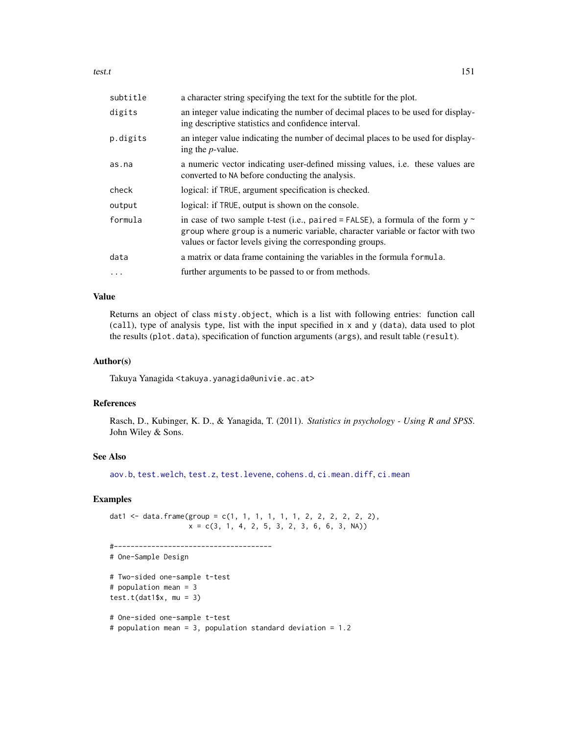<span id="page-150-0"></span>test.t 151

| subtitle | a character string specifying the text for the subtitle for the plot.                                                                                                                                                             |
|----------|-----------------------------------------------------------------------------------------------------------------------------------------------------------------------------------------------------------------------------------|
| digits   | an integer value indicating the number of decimal places to be used for display-<br>ing descriptive statistics and confidence interval.                                                                                           |
| p.digits | an integer value indicating the number of decimal places to be used for display-<br>ing the <i>p</i> -value.                                                                                                                      |
| as.na    | a numeric vector indicating user-defined missing values, <i>i.e.</i> these values are<br>converted to NA before conducting the analysis.                                                                                          |
| check    | logical: if TRUE, argument specification is checked.                                                                                                                                                                              |
| output   | logical: if TRUE, output is shown on the console.                                                                                                                                                                                 |
| formula  | in case of two sample t-test (i.e., paired = FALSE), a formula of the form $y \sim$<br>group where group is a numeric variable, character variable or factor with two<br>values or factor levels giving the corresponding groups. |
| data     | a matrix or data frame containing the variables in the formula formula.                                                                                                                                                           |
| $\cdots$ | further arguments to be passed to or from methods.                                                                                                                                                                                |

## Value

Returns an object of class misty.object, which is a list with following entries: function call (call), type of analysis type, list with the input specified in x and y (data), data used to plot the results (plot.data), specification of function arguments (args), and result table (result).

## Author(s)

Takuya Yanagida <takuya.yanagida@univie.ac.at>

#### References

Rasch, D., Kubinger, K. D., & Yanagida, T. (2011). *Statistics in psychology - Using R and SPSS*. John Wiley & Sons.

#### See Also

[aov.b](#page-2-0), [test.welch](#page-155-0), [test.z](#page-159-0), [test.levene](#page-145-0), [cohens.d](#page-35-0), [ci.mean.diff](#page-15-0), [ci.mean](#page-13-0)

## Examples

dat1 <- data.frame(group =  $c(1, 1, 1, 1, 1, 1, 2, 2, 2, 2, 2, 2)$ ,  $x = c(3, 1, 4, 2, 5, 3, 2, 3, 6, 6, 3, NA)$ 

```
#--------------------------------------
# One-Sample Design
# Two-sided one-sample t-test
# population mean = 3
test.t(dat1$x, mu = 3)
```

```
# One-sided one-sample t-test
# population mean = 3, population standard deviation = 1.2
```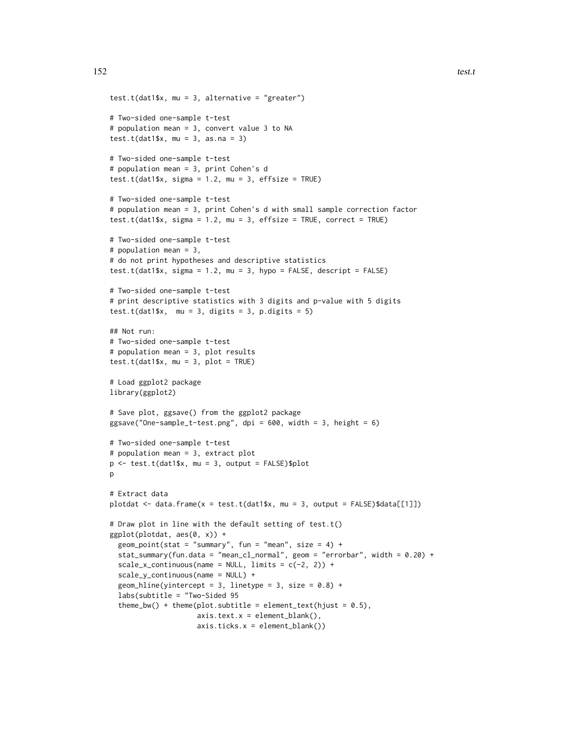```
test.t(dat1$x, mu = 3, alternative = "greater")
# Two-sided one-sample t-test
# population mean = 3, convert value 3 to NA
test.t(dat1$x, mu = 3, as.na = 3)
# Two-sided one-sample t-test
# population mean = 3, print Cohen's d
test.t(dat1$x, sigma = 1.2, mu = 3, effsize = TRUE)
# Two-sided one-sample t-test
# population mean = 3, print Cohen's d with small sample correction factor
test.t(dat1$x, sigma = 1.2, mu = 3, effsize = TRUE, correct = TRUE)
# Two-sided one-sample t-test
# population mean = 3,
# do not print hypotheses and descriptive statistics
test.t(dat1$x, sigma = 1.2, mu = 3, hypo = FALSE, descript = FALSE)
# Two-sided one-sample t-test
# print descriptive statistics with 3 digits and p-value with 5 digits
test.t(dat1$x, mu = 3, digits = 3, p.digits = 5)
## Not run:
# Two-sided one-sample t-test
# population mean = 3, plot results
test.t(dat1$x, mu = 3, plot = TRUE)
# Load ggplot2 package
library(ggplot2)
# Save plot, ggsave() from the ggplot2 package
ggsave("One-sample_t-test.png, dpi = 600, width = 3, height = 6)
# Two-sided one-sample t-test
# population mean = 3, extract plot
p \le -\text{test.t}(\text{dat1$}x, \text{mu} = 3, \text{output} = \text{FALSE})\$plotp
# Extract data
plotdat <- data.frame(x = test.t(dat1$x, mu = 3, output = FALSE)$data[[1]])
# Draw plot in line with the default setting of test.t()
ggplot(plotdat, aes(0, x)) +
  geom_point(stat = "summary", fun = "mean", size = 4) +
  stat_summary(fun.data = "mean_cl_normal", geom = "errorbar", width = 0.20) +
  scale_x_{continuous(name = NULL, limits = c(-2, 2)) +scale_y_continuous(name = NULL) +
  geom_hline(yintercept = 3, linetype = 3, size = 0.8) +
  labs(subtitle = "Two-Sided 95
  theme_bw() + theme(plot.subtitle = element_text(hjust = 0.5),
                     axis.text.x = element\_blank(),axis.ticks.x = element_blank()
```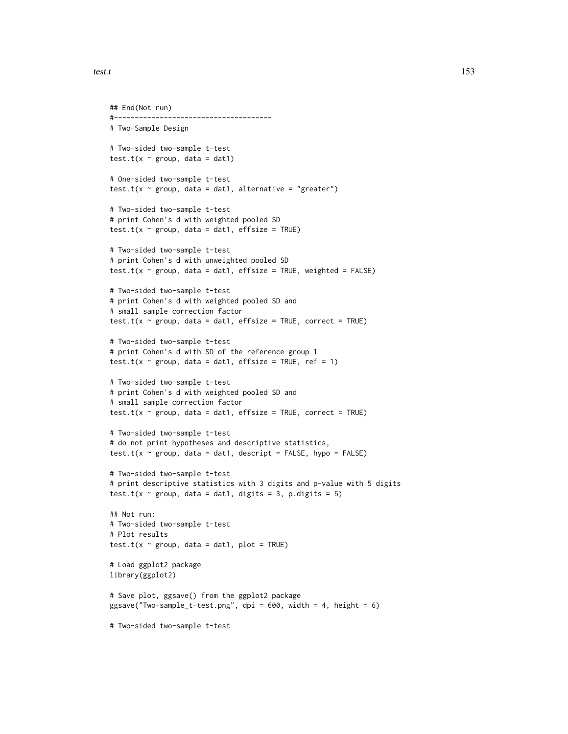test.t 153

```
## End(Not run)
#--------------------------------------
# Two-Sample Design
# Two-sided two-sample t-test
test.t(x \sim \text{group}, data = dat1)
# One-sided two-sample t-test
test.t(x \sim group, data = dat1, alternative = "greater")
# Two-sided two-sample t-test
# print Cohen's d with weighted pooled SD
test.t(x \sim \text{group}, data = dat1, effsize = TRUE)
# Two-sided two-sample t-test
# print Cohen's d with unweighted pooled SD
test.t(x \sim group, data = dat1, effsize = TRUE, weighted = FALSE)
# Two-sided two-sample t-test
# print Cohen's d with weighted pooled SD and
# small sample correction factor
test.t(x \sim \text{group}, data = dat1, effsize = TRUE, correct = TRUE)
# Two-sided two-sample t-test
# print Cohen's d with SD of the reference group 1
test.t(x \sim group, data = dat1, effsize = TRUE, ref = 1)
# Two-sided two-sample t-test
# print Cohen's d with weighted pooled SD and
# small sample correction factor
test.t(x \sim group, data = dat1, effsize = TRUE, correct = TRUE)
# Two-sided two-sample t-test
# do not print hypotheses and descriptive statistics,
test.t(x \sim group, data = dat1, descript = FALSE, hypo = FALSE)
# Two-sided two-sample t-test
# print descriptive statistics with 3 digits and p-value with 5 digits
test.t(x \sim group, data = dat1, digits = 3, p.digits = 5)
## Not run:
# Two-sided two-sample t-test
# Plot results
test.t(x \sim \text{group}, data = dat1, plot = TRUE)
# Load ggplot2 package
library(ggplot2)
# Save plot, ggsave() from the ggplot2 package
ggsave("Two-sample_t-test.png", dpi = 600, width = 4, height = 6)
# Two-sided two-sample t-test
```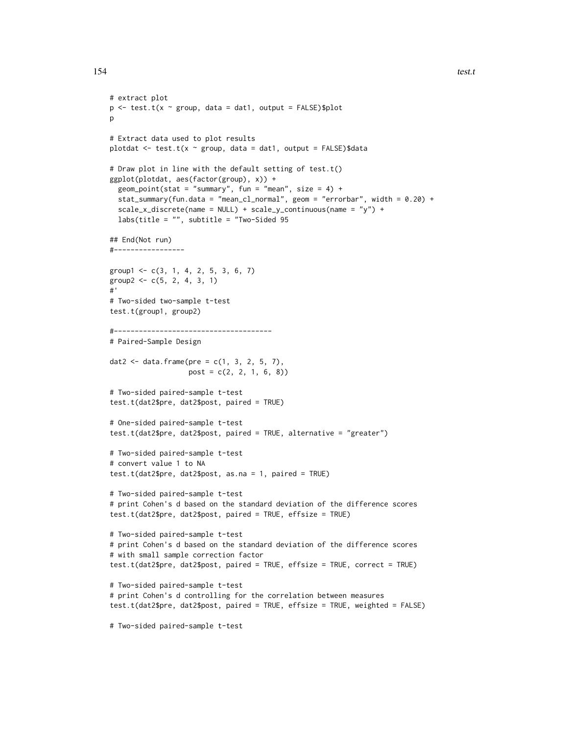```
# extract plot
p \le -\text{test.t}(x \sim \text{group}, \text{data} = \text{dat1}, \text{output} = \text{FALSE})\p
# Extract data used to plot results
plotdat <- test.t(x \sim group, data = dat1, output = FALSE)$data
# Draw plot in line with the default setting of test.t()
ggplot(plotdat, aes(factor(group), x)) +
  geom_point(stat = "summary", fun = "mean", size = 4) +
  stat_summary(fun.data = "mean_cl_normal", geom = "errorbar", width = 0.20) +
  scale_x_discrete(name = NULL) + scale_y_continuous(name = "y") +
  labs(title = "", subtitle = "Two-Sided 95
## End(Not run)
#-----------------
group1 <- c(3, 1, 4, 2, 5, 3, 6, 7)
group2 < -c(5, 2, 4, 3, 1)#'
# Two-sided two-sample t-test
test.t(group1, group2)
#--------------------------------------
# Paired-Sample Design
dat2 <- data.frame(pre = c(1, 3, 2, 5, 7),
                   post = c(2, 2, 1, 6, 8))
# Two-sided paired-sample t-test
test.t(dat2$pre, dat2$post, paired = TRUE)
# One-sided paired-sample t-test
test.t(dat2$pre, dat2$post, paired = TRUE, alternative = "greater")
# Two-sided paired-sample t-test
# convert value 1 to NA
test.t(dat2$pre, dat2$post, as.na = 1, paired = TRUE)
# Two-sided paired-sample t-test
# print Cohen's d based on the standard deviation of the difference scores
test.t(dat2$pre, dat2$post, paired = TRUE, effsize = TRUE)
# Two-sided paired-sample t-test
# print Cohen's d based on the standard deviation of the difference scores
# with small sample correction factor
test.t(dat2$pre, dat2$post, paired = TRUE, effsize = TRUE, correct = TRUE)
# Two-sided paired-sample t-test
# print Cohen's d controlling for the correlation between measures
test.t(dat2$pre, dat2$post, paired = TRUE, effsize = TRUE, weighted = FALSE)
# Two-sided paired-sample t-test
```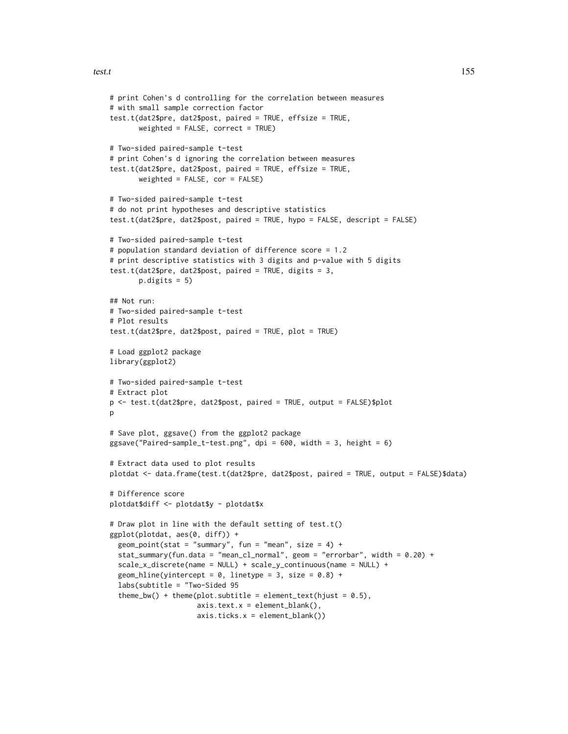```
# print Cohen's d controlling for the correlation between measures
# with small sample correction factor
test.t(dat2$pre, dat2$post, paired = TRUE, effsize = TRUE,
      weighted = FALSE, correct = TRUE)
# Two-sided paired-sample t-test
# print Cohen's d ignoring the correlation between measures
test.t(dat2$pre, dat2$post, paired = TRUE, effsize = TRUE,
      weighted = FALSE, cor = FALSE)
# Two-sided paired-sample t-test
# do not print hypotheses and descriptive statistics
test.t(dat2$pre, dat2$post, paired = TRUE, hypo = FALSE, descript = FALSE)
# Two-sided paired-sample t-test
# population standard deviation of difference score = 1.2
# print descriptive statistics with 3 digits and p-value with 5 digits
test.t(dat2$pre, dat2$post, paired = TRUE, digits = 3,
      p.digits = 5)## Not run:
# Two-sided paired-sample t-test
# Plot results
test.t(dat2$pre, dat2$post, paired = TRUE, plot = TRUE)
# Load ggplot2 package
library(ggplot2)
# Two-sided paired-sample t-test
# Extract plot
p <- test.t(dat2$pre, dat2$post, paired = TRUE, output = FALSE)$plot
p
# Save plot, ggsave() from the ggplot2 package
ggsave("Paired-sample_t-test.png", dpi = 600, width = 3, height = 6)
# Extract data used to plot results
plotdat <- data.frame(test.t(dat2$pre, dat2$post, paired = TRUE, output = FALSE)$data)
# Difference score
plotdat$diff <- plotdat$y - plotdat$x
# Draw plot in line with the default setting of test.t()
ggplot(plotdat, aes(0, diff)) +
 geom_point(stat = "summary", fun = "mean", size = 4) +
 stat_summary(fun.data = "mean_cl_normal", geom = "errorbar", width = 0.20) +
 scale_x_discrete(name = NULL) + scale_y_continuous(name = NULL) +
 geom_hline(yintercept = 0, linetype = 3, size = 0.8) +
 labs(subtitle = "Two-Sided 95
  theme_bw() + theme(plot.subtitle = element_text(hjust = 0.5),
                    axis.text.x = element\_blank(),axis.ticks.x = element_blank())
```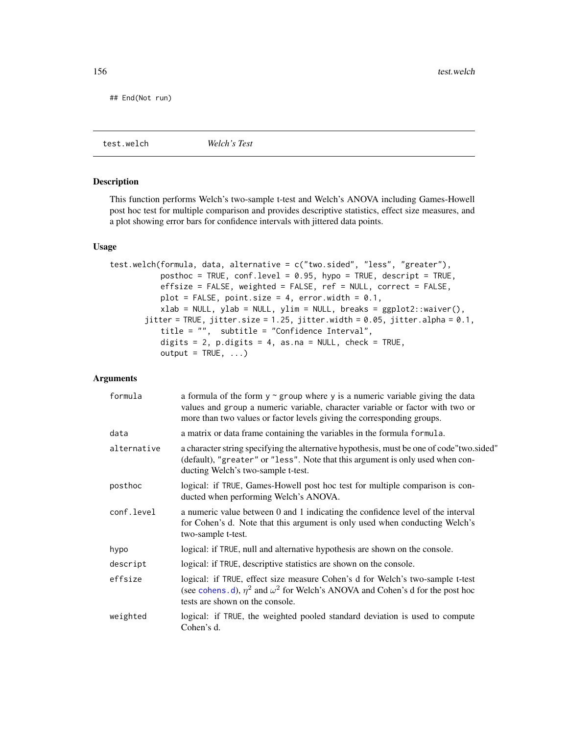<span id="page-155-1"></span>## End(Not run)

<span id="page-155-0"></span>test.welch *Welch's Test*

#### Description

This function performs Welch's two-sample t-test and Welch's ANOVA including Games-Howell post hoc test for multiple comparison and provides descriptive statistics, effect size measures, and a plot showing error bars for confidence intervals with jittered data points.

#### Usage

```
test.welch(formula, data, alternative = c("two.sided", "less", "greater"),
          posthoc = TRUE, conf.level = 0.95, hypo = TRUE, descript = TRUE,
          effsize = FALSE, weighted = FALSE, ref = NULL, correct = FALSE,
          plot = FALSE, point.size = 4, error.width = 0.1,
           xlab = NULL, ylab = NULL, ylim = NULL, breaks = ggplot2::waiver(),
       jitter = TRUE, jitter.size = 1.25, jitter.width = 0.05, jitter.alpha = 0.1,
           title = "", subtitle = "Confidence Interval",
           digits = 2, p.digits = 4, as.na = NULL, check = TRUE,
          output = TRUE, ...
```
#### Arguments

| formula     | a formula of the form $y \sim g$ roup where y is a numeric variable giving the data<br>values and group a numeric variable, character variable or factor with two or<br>more than two values or factor levels giving the corresponding groups. |
|-------------|------------------------------------------------------------------------------------------------------------------------------------------------------------------------------------------------------------------------------------------------|
| data        | a matrix or data frame containing the variables in the formula formula.                                                                                                                                                                        |
| alternative | a character string specifying the alternative hypothesis, must be one of code"two.sided"<br>(default), "greater" or "less". Note that this argument is only used when con-<br>ducting Welch's two-sample t-test.                               |
| posthoc     | logical: if TRUE, Games-Howell post hoc test for multiple comparison is con-<br>ducted when performing Welch's ANOVA.                                                                                                                          |
| conf.level  | a numeric value between 0 and 1 indicating the confidence level of the interval<br>for Cohen's d. Note that this argument is only used when conducting Welch's<br>two-sample t-test.                                                           |
| hypo        | logical: if TRUE, null and alternative hypothesis are shown on the console.                                                                                                                                                                    |
| descript    | logical: if TRUE, descriptive statistics are shown on the console.                                                                                                                                                                             |
| effsize     | logical: if TRUE, effect size measure Cohen's d for Welch's two-sample t-test<br>(see cohens. d), $\eta^2$ and $\omega^2$ for Welch's ANOVA and Cohen's d for the post hoc<br>tests are shown on the console.                                  |
| weighted    | logical: if TRUE, the weighted pooled standard deviation is used to compute<br>Cohen's d.                                                                                                                                                      |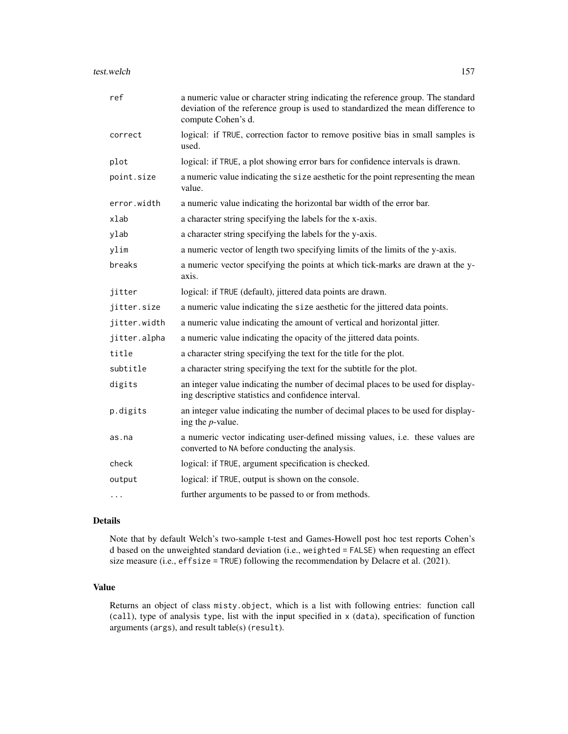| ref          | a numeric value or character string indicating the reference group. The standard<br>deviation of the reference group is used to standardized the mean difference to<br>compute Cohen's d. |
|--------------|-------------------------------------------------------------------------------------------------------------------------------------------------------------------------------------------|
| correct      | logical: if TRUE, correction factor to remove positive bias in small samples is<br>used.                                                                                                  |
| plot         | logical: if TRUE, a plot showing error bars for confidence intervals is drawn.                                                                                                            |
| point.size   | a numeric value indicating the size aesthetic for the point representing the mean<br>value.                                                                                               |
| error.width  | a numeric value indicating the horizontal bar width of the error bar.                                                                                                                     |
| xlab         | a character string specifying the labels for the x-axis.                                                                                                                                  |
| ylab         | a character string specifying the labels for the y-axis.                                                                                                                                  |
| ylim         | a numeric vector of length two specifying limits of the limits of the y-axis.                                                                                                             |
| breaks       | a numeric vector specifying the points at which tick-marks are drawn at the y-<br>axis.                                                                                                   |
| jitter       | logical: if TRUE (default), jittered data points are drawn.                                                                                                                               |
| jitter.size  | a numeric value indicating the size aesthetic for the jittered data points.                                                                                                               |
| jitter.width | a numeric value indicating the amount of vertical and horizontal jitter.                                                                                                                  |
| jitter.alpha | a numeric value indicating the opacity of the jittered data points.                                                                                                                       |
| title        | a character string specifying the text for the title for the plot.                                                                                                                        |
| subtitle     | a character string specifying the text for the subtitle for the plot.                                                                                                                     |
| digits       | an integer value indicating the number of decimal places to be used for display-<br>ing descriptive statistics and confidence interval.                                                   |
| p.digits     | an integer value indicating the number of decimal places to be used for display-<br>ing the $p$ -value.                                                                                   |
| as.na        | a numeric vector indicating user-defined missing values, i.e. these values are<br>converted to NA before conducting the analysis.                                                         |
| check        | logical: if TRUE, argument specification is checked.                                                                                                                                      |
| output       | logical: if TRUE, output is shown on the console.                                                                                                                                         |
| $\cdots$     | further arguments to be passed to or from methods.                                                                                                                                        |

#### Details

Note that by default Welch's two-sample t-test and Games-Howell post hoc test reports Cohen's d based on the unweighted standard deviation (i.e., weighted = FALSE) when requesting an effect size measure (i.e., effsize = TRUE) following the recommendation by Delacre et al. (2021).

#### Value

Returns an object of class misty.object, which is a list with following entries: function call (call), type of analysis type, list with the input specified in x (data), specification of function arguments (args), and result table(s) (result).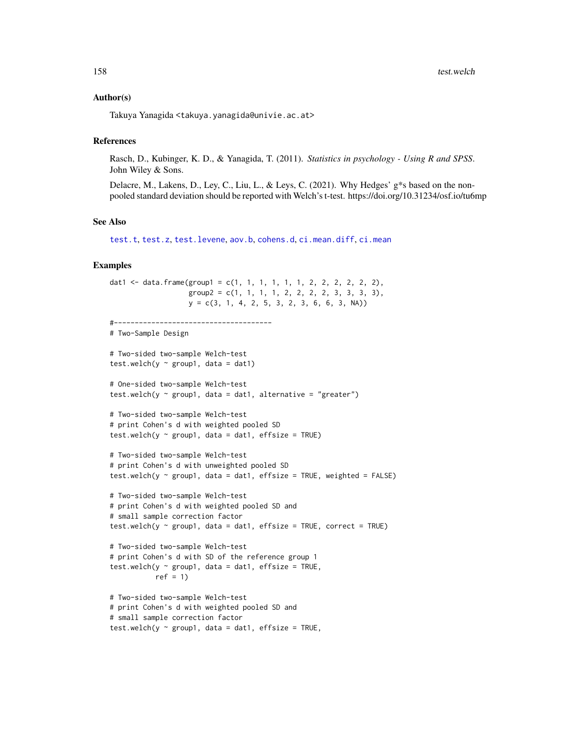#### <span id="page-157-0"></span>Author(s)

Takuya Yanagida <takuya.yanagida@univie.ac.at>

#### References

Rasch, D., Kubinger, K. D., & Yanagida, T. (2011). *Statistics in psychology - Using R and SPSS*. John Wiley & Sons.

Delacre, M., Lakens, D., Ley, C., Liu, L., & Leys, C. (2021). Why Hedges' g\*s based on the nonpooled standard deviation should be reported with Welch's t-test. https://doi.org/10.31234/osf.io/tu6mp

## See Also

[test.t](#page-148-0), [test.z](#page-159-0), [test.levene](#page-145-0), [aov.b](#page-2-0), [cohens.d](#page-35-0), [ci.mean.diff](#page-15-0), [ci.mean](#page-13-0)

## Examples

```
dat1 <- data.frame(group1 = c(1, 1, 1, 1, 1, 1, 2, 2, 2, 2, 2),
                   group2 = c(1, 1, 1, 1, 2, 2, 2, 2, 3, 3, 3),
                   y = c(3, 1, 4, 2, 5, 3, 2, 3, 6, 6, 3, NA)#--------------------------------------
# Two-Sample Design
# Two-sided two-sample Welch-test
test.welch(y \sim group1, data = dat1)
# One-sided two-sample Welch-test
test.welch(y \sim group1, data = dat1, alternative = "greater")
# Two-sided two-sample Welch-test
# print Cohen's d with weighted pooled SD
test.welch(y \sim group1, data = dat1, effsize = TRUE)
# Two-sided two-sample Welch-test
# print Cohen's d with unweighted pooled SD
test.welch(y \sim group1, data = dat1, effsize = TRUE, weighted = FALSE)
# Two-sided two-sample Welch-test
# print Cohen's d with weighted pooled SD and
# small sample correction factor
test.welch(y \sim group1, data = dat1, effsize = TRUE, correct = TRUE)
# Two-sided two-sample Welch-test
# print Cohen's d with SD of the reference group 1
test.welch(y \sim group1, data = dat1, effsize = TRUE,
           ref = 1)
# Two-sided two-sample Welch-test
# print Cohen's d with weighted pooled SD and
# small sample correction factor
test.welch(y \sim group1, data = dat1, effsize = TRUE,
```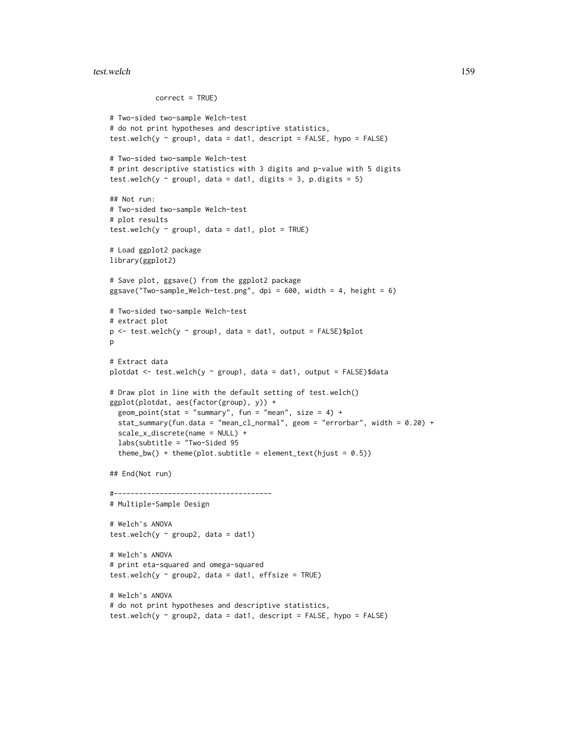```
correct = TRUE)
# Two-sided two-sample Welch-test
# do not print hypotheses and descriptive statistics,
test.welch(y \sim group1, data = dat1, descript = FALSE, hypo = FALSE)
# Two-sided two-sample Welch-test
# print descriptive statistics with 3 digits and p-value with 5 digits
test.welch(y \sim group1, data = dat1, digits = 3, p.digits = 5)
## Not run:
# Two-sided two-sample Welch-test
# plot results
test.welch(y \sim group1, data = dat1, plot = TRUE)
# Load ggplot2 package
library(ggplot2)
# Save plot, ggsave() from the ggplot2 package
ggsave("Two-sample_Welch-test.png", dpi = 600, width = 4, height = 6)
# Two-sided two-sample Welch-test
# extract plot
p <- test.welch(y ~ group1, data = dat1, output = FALSE)$plot
p
# Extract data
plotdat <- test.welch(y ~ group1, data = dat1, output = FALSE)$data
# Draw plot in line with the default setting of test.welch()
ggplot(plotdat, aes(factor(group), y)) +
  geom_point(stat = "summary", fun = "mean", size = 4) +
  stat_summary(fun.data = "mean_cl_normal", geom = "errorbar", width = 0.20) +
  scale_x_discrete(name = NULL) +
  labs(subtitle = "Two-Sided 95
  theme_bw() + theme(plot.subtitle = element_text(hjust = 0.5))
## End(Not run)
#--------------------------------------
# Multiple-Sample Design
# Welch's ANOVA
test.welch(y \sim group2, data = dat1)
# Welch's ANOVA
# print eta-squared and omega-squared
test.welch(y \sim group2, data = dat1, effsize = TRUE)
# Welch's ANOVA
# do not print hypotheses and descriptive statistics,
test.welch(y ~ group2, data = dat1, descript = FALSE, hypo = FALSE)
```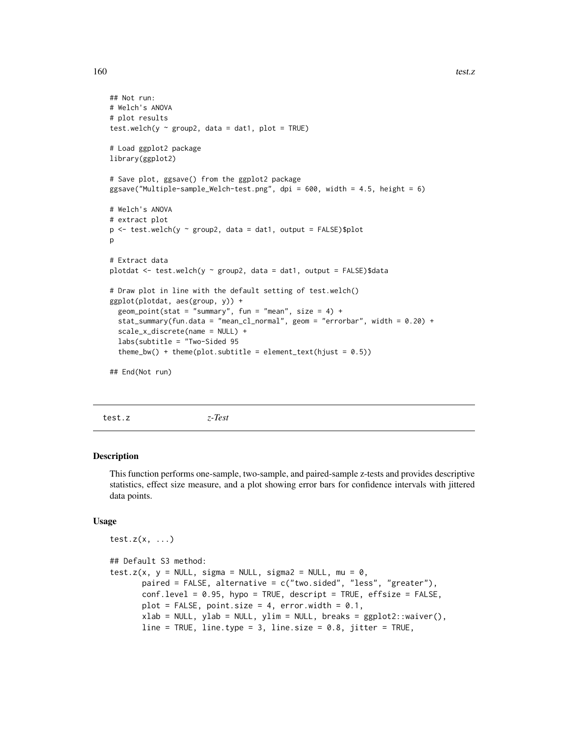```
## Not run:
# Welch's ANOVA
# plot results
test.welch(y \sim group2, data = dat1, plot = TRUE)
# Load ggplot2 package
library(ggplot2)
# Save plot, ggsave() from the ggplot2 package
ggsave("Multiple-sample_Welch-test.png", dpi = 600, width = 4.5, height = 6)
# Welch's ANOVA
# extract plot
p \le - test.welch(y \sim group2, data = dat1, output = FALSE)$plot
p
# Extract data
plotdat <- test.welch(y ~ group2, data = dat1, output = FALSE)$data
# Draw plot in line with the default setting of test.welch()
ggplot(plotdat, aes(group, y)) +
  geom_point(stat = "summary", fun = "mean", size = 4) +
  stat_summary(fun.data = "mean_cl_normal", geom = "errorbar", width = 0.20) +
  scale_x_discrete(name = NULL) +
  labs(subtitle = "Two-Sided 95
  theme_bw() + theme(plot.subtitle = element_text(hjust = 0.5))
## End(Not run)
```
<span id="page-159-0"></span>test.z *z-Test*

#### Description

This function performs one-sample, two-sample, and paired-sample z-tests and provides descriptive statistics, effect size measure, and a plot showing error bars for confidence intervals with jittered data points.

#### Usage

```
test.z(x, \ldots)## Default S3 method:
test.z(x, y = NULL, sigma = NULL, sigma2 = NULL, mu = \theta,
       paired = FALSE, alternative = c("two.sided", "less", "greater"),
       conf<math>. level = 0.95, hypo = TRUE, descript = TRUE, effsize = FALSE,
       plot = FALSE, point.size = 4, error.width = 0.1,
       xlab = NULL, ylab = NULL, ylim = NULL, breaks = ggplot2::waiver(),
       line = TRUE, line.type = 3, line.size = 0.8, jitter = TRUE,
```
<span id="page-159-1"></span>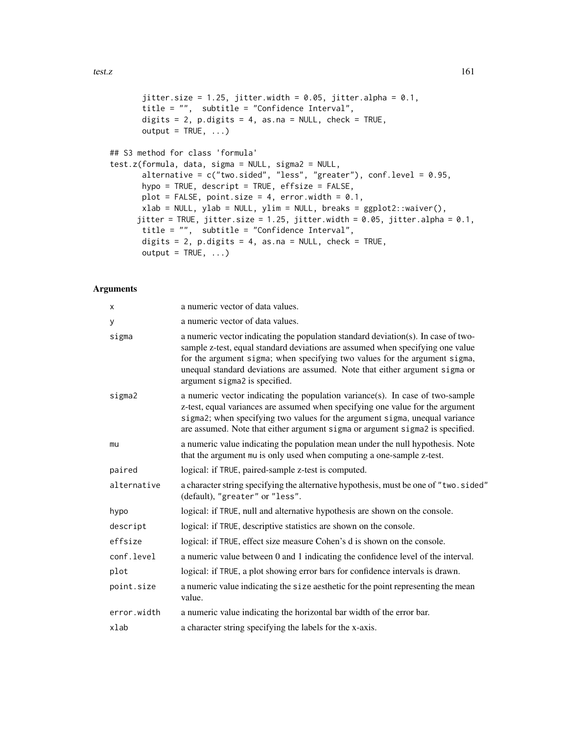```
jitter.size = 1.25, jitter.width = 0.05, jitter.alpha = 0.1,
title = "", subtitle = "Confidence Interval",
digits = 2, p.digits = 4, as.na = NULL, check = TRUE,
output = TRUE, ...
```

```
## S3 method for class 'formula'
test.z(formula, data, sigma = NULL, sigma2 = NULL,
       alternative = c("two.sided", "less", "greater"), conf.level = 0.95,
       hypo = TRUE, descript = TRUE, effsize = FALSE,
      plot = FALSE, point.size = 4, error.width = 0.1,
      xlab = NULL, ylab = NULL, ylim = NULL, breaks = ggplot2::waiver(),
     jitter = TRUE, jitter.size = 1.25, jitter.width = 0.05, jitter.alpha = 0.1,
      title = "", subtitle = "Confidence Interval",
      digits = 2, p.digits = 4, as.na = NULL, check = TRUE,
      output = TRUE, ...)
```
#### Arguments

| X           | a numeric vector of data values.                                                                                                                                                                                                                                                                                                                                  |
|-------------|-------------------------------------------------------------------------------------------------------------------------------------------------------------------------------------------------------------------------------------------------------------------------------------------------------------------------------------------------------------------|
| у           | a numeric vector of data values.                                                                                                                                                                                                                                                                                                                                  |
| sigma       | a numeric vector indicating the population standard deviation(s). In case of two-<br>sample z-test, equal standard deviations are assumed when specifying one value<br>for the argument sigma; when specifying two values for the argument sigma,<br>unequal standard deviations are assumed. Note that either argument sigma or<br>argument sigma2 is specified. |
| sigma2      | a numeric vector indicating the population variance(s). In case of two-sample<br>z-test, equal variances are assumed when specifying one value for the argument<br>sigma2; when specifying two values for the argument sigma, unequal variance<br>are assumed. Note that either argument sigma or argument sigma2 is specified.                                   |
| mu          | a numeric value indicating the population mean under the null hypothesis. Note<br>that the argument mu is only used when computing a one-sample z-test.                                                                                                                                                                                                           |
| paired      | logical: if TRUE, paired-sample z-test is computed.                                                                                                                                                                                                                                                                                                               |
| alternative | a character string specifying the alternative hypothesis, must be one of "two.sided"<br>(default), "greater" or "less".                                                                                                                                                                                                                                           |
| hypo        | logical: if TRUE, null and alternative hypothesis are shown on the console.                                                                                                                                                                                                                                                                                       |
| descript    | logical: if TRUE, descriptive statistics are shown on the console.                                                                                                                                                                                                                                                                                                |
| effsize     | logical: if TRUE, effect size measure Cohen's d is shown on the console.                                                                                                                                                                                                                                                                                          |
| conf.level  | a numeric value between 0 and 1 indicating the confidence level of the interval.                                                                                                                                                                                                                                                                                  |
| plot        | logical: if TRUE, a plot showing error bars for confidence intervals is drawn.                                                                                                                                                                                                                                                                                    |
| point.size  | a numeric value indicating the size aesthetic for the point representing the mean<br>value.                                                                                                                                                                                                                                                                       |
| error.width | a numeric value indicating the horizontal bar width of the error bar.                                                                                                                                                                                                                                                                                             |
| xlab        | a character string specifying the labels for the x-axis.                                                                                                                                                                                                                                                                                                          |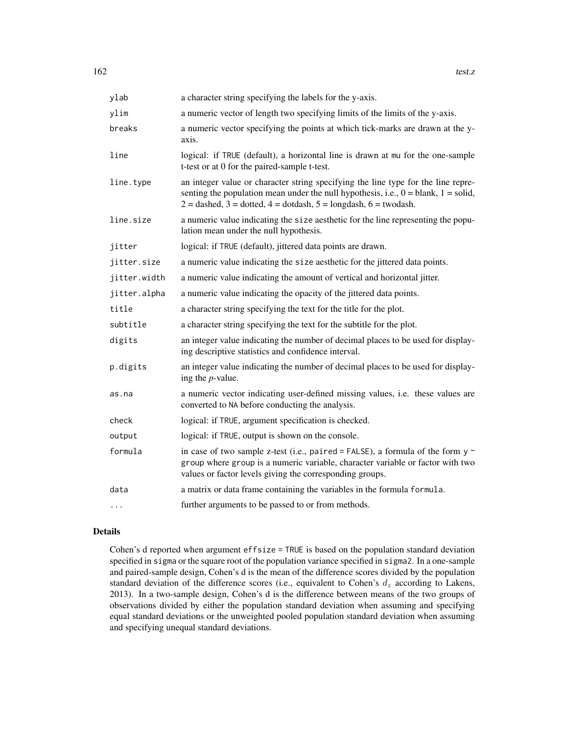| ylab         | a character string specifying the labels for the y-axis.                                                                                                                                                                                                 |
|--------------|----------------------------------------------------------------------------------------------------------------------------------------------------------------------------------------------------------------------------------------------------------|
| ylim         | a numeric vector of length two specifying limits of the limits of the y-axis.                                                                                                                                                                            |
| breaks       | a numeric vector specifying the points at which tick-marks are drawn at the y-<br>axis.                                                                                                                                                                  |
| line         | logical: if TRUE (default), a horizontal line is drawn at mu for the one-sample<br>t-test or at 0 for the paired-sample t-test.                                                                                                                          |
| line.type    | an integer value or character string specifying the line type for the line repre-<br>senting the population mean under the null hypothesis, i.e., $0 =$ blank, $1 =$ solid,<br>$2 =$ dashed, $3 =$ dotted, $4 =$ dotdash, $5 =$ longdash, $6 =$ twodash. |
| line.size    | a numeric value indicating the size aesthetic for the line representing the popu-<br>lation mean under the null hypothesis.                                                                                                                              |
| jitter       | logical: if TRUE (default), jittered data points are drawn.                                                                                                                                                                                              |
| jitter.size  | a numeric value indicating the size aesthetic for the jittered data points.                                                                                                                                                                              |
| jitter.width | a numeric value indicating the amount of vertical and horizontal jitter.                                                                                                                                                                                 |
| jitter.alpha | a numeric value indicating the opacity of the jittered data points.                                                                                                                                                                                      |
| title        | a character string specifying the text for the title for the plot.                                                                                                                                                                                       |
| subtitle     | a character string specifying the text for the subtitle for the plot.                                                                                                                                                                                    |
| digits       | an integer value indicating the number of decimal places to be used for display-<br>ing descriptive statistics and confidence interval.                                                                                                                  |
| p.digits     | an integer value indicating the number of decimal places to be used for display-<br>ing the $p$ -value.                                                                                                                                                  |
| as.na        | a numeric vector indicating user-defined missing values, i.e. these values are<br>converted to NA before conducting the analysis.                                                                                                                        |
| check        | logical: if TRUE, argument specification is checked.                                                                                                                                                                                                     |
| output       | logical: if TRUE, output is shown on the console.                                                                                                                                                                                                        |
| formula      | in case of two sample z-test (i.e., paired = FALSE), a formula of the form $y \sim$<br>group where group is a numeric variable, character variable or factor with two<br>values or factor levels giving the corresponding groups.                        |
| data         | a matrix or data frame containing the variables in the formula formula.                                                                                                                                                                                  |
| $\cdots$     | further arguments to be passed to or from methods.                                                                                                                                                                                                       |

#### Details

Cohen's d reported when argument effsize = TRUE is based on the population standard deviation specified in sigma or the square root of the population variance specified in sigma2. In a one-sample and paired-sample design, Cohen's d is the mean of the difference scores divided by the population standard deviation of the difference scores (i.e., equivalent to Cohen's  $d_z$  according to Lakens, 2013). In a two-sample design, Cohen's d is the difference between means of the two groups of observations divided by either the population standard deviation when assuming and specifying equal standard deviations or the unweighted pooled population standard deviation when assuming and specifying unequal standard deviations.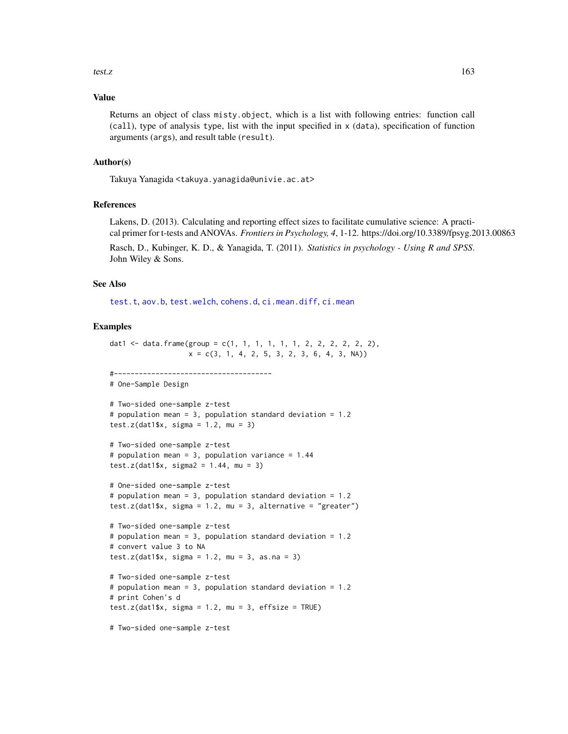#### <span id="page-162-0"></span>Value

Returns an object of class misty.object, which is a list with following entries: function call (call), type of analysis type, list with the input specified in x (data), specification of function arguments (args), and result table (result).

#### Author(s)

Takuya Yanagida <takuya.yanagida@univie.ac.at>

## References

Lakens, D. (2013). Calculating and reporting effect sizes to facilitate cumulative science: A practical primer for t-tests and ANOVAs. *Frontiers in Psychology, 4*, 1-12. https://doi.org/10.3389/fpsyg.2013.00863

Rasch, D., Kubinger, K. D., & Yanagida, T. (2011). *Statistics in psychology - Using R and SPSS*. John Wiley & Sons.

#### See Also

[test.t](#page-148-0), [aov.b](#page-2-0), [test.welch](#page-155-0), [cohens.d](#page-35-0), [ci.mean.diff](#page-15-0), [ci.mean](#page-13-0)

#### Examples

```
dat1 <- data.frame(group = c(1, 1, 1, 1, 1, 1, 2, 2, 2, 2, 2),
                  x = c(3, 1, 4, 2, 5, 3, 2, 3, 6, 4, 3, NA))#--------------------------------------
# One-Sample Design
# Two-sided one-sample z-test
# population mean = 3, population standard deviation = 1.2
test.z(dat1$x, sigma = 1.2, mu = 3)
# Two-sided one-sample z-test
# population mean = 3, population variance = 1.44
test.z(dat1$x, sigma2 = 1.44, mu = 3)
# One-sided one-sample z-test
# population mean = 3, population standard deviation = 1.2
test.z(dat1$x, sigma = 1.2, mu = 3, alternative = "greater")
# Two-sided one-sample z-test
# population mean = 3, population standard deviation = 1.2
# convert value 3 to NA
test.z(dat1$x, sigma = 1.2, mu = 3, as.na = 3)
# Two-sided one-sample z-test
# population mean = 3, population standard deviation = 1.2
# print Cohen's d
test.z(dat1$x, sigma = 1.2, mu = 3, effsize = TRUE)
# Two-sided one-sample z-test
```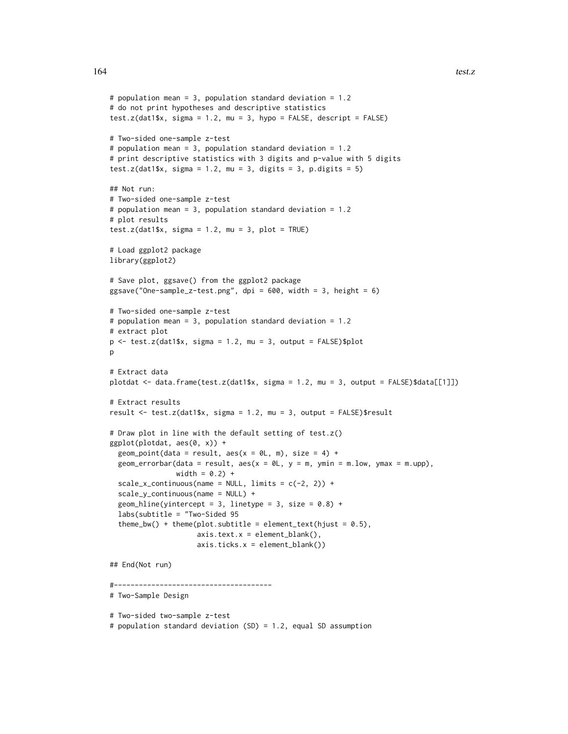```
# population mean = 3, population standard deviation = 1.2
# do not print hypotheses and descriptive statistics
test.z(dat1$x, sigma = 1.2, mu = 3, hypo = FALSE, descript = FALSE)
# Two-sided one-sample z-test
# population mean = 3, population standard deviation = 1.2
# print descriptive statistics with 3 digits and p-value with 5 digits
test.z(dat1$x, sigma = 1.2, mu = 3, digits = 3, p.digits = 5)
## Not run:
# Two-sided one-sample z-test
# population mean = 3, population standard deviation = 1.2
# plot results
test.z(dat1$x, sigma = 1.2, mu = 3, plot = TRUE)
# Load ggplot2 package
library(ggplot2)
# Save plot, ggsave() from the ggplot2 package
ggsave("One-sample_z-test.png", dpi = 600, width = 3, height = 6)
# Two-sided one-sample z-test
# population mean = 3, population standard deviation = 1.2
# extract plot
p \le - test.z(dat1$x, sigma = 1.2, mu = 3, output = FALSE)$plot
p
# Extract data
plotdat <- data.frame(test.z(dat1$x, sigma = 1.2, mu = 3, output = FALSE)$data[[1]])
# Extract results
result \le test.z(dat1$x, sigma = 1.2, mu = 3, output = FALSE)$result
# Draw plot in line with the default setting of test.z()
ggplot(plotdat, aes(0, x)) +
  geom_point(data = result, aes(x = 0L, m), size = 4) +
  geom_errorbar(data = result, aes(x = 0L, y = m, ymin = m.low, ymax = m.upp),
                width = 0.2) +
  scale_x_{continuous(name = NULL, limits = c(-2, 2)) +scale_y_continuous(name = NULL) +
  geom_hline(yintercept = 3, linetype = 3, size = 0.8) +
  labs(subtitle = "Two-Sided 95
  theme_bw() + theme(plot.subtitle = element_text(hjust = 0.5),
                     axis.text.x = element\_blank(),axis.ticks.x = element_blank())
## End(Not run)
#--------------------------------------
# Two-Sample Design
# Two-sided two-sample z-test
```
# population standard deviation (SD) = 1.2, equal SD assumption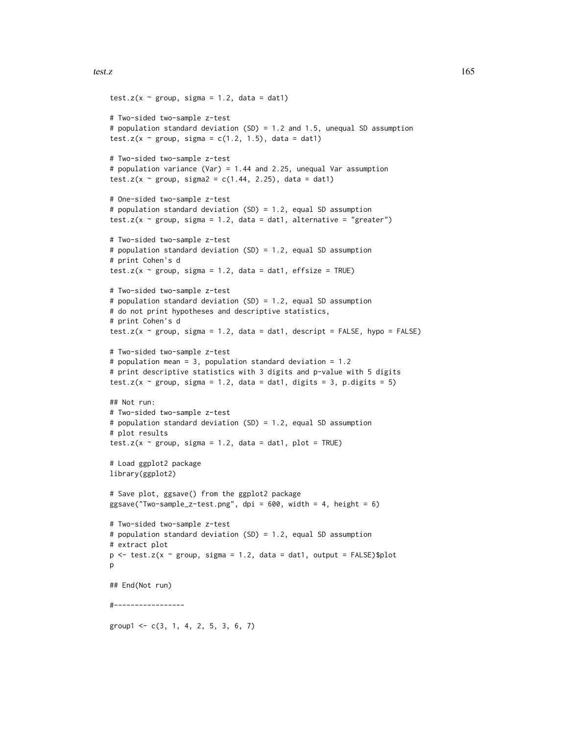```
test.z(x \sim group, sigma = 1.2, data = dat1)
# Two-sided two-sample z-test
# population standard deviation (SD) = 1.2 and 1.5, unequal SD assumption
test.z(x \sim group, sigma = c(1.2, 1.5), data = dat1)
# Two-sided two-sample z-test
# population variance (Var) = 1.44 and 2.25, unequal Var assumption
test.z(x \sim group, sigma2 = c(1.44, 2.25), data = dat1)
# One-sided two-sample z-test
# population standard deviation (SD) = 1.2, equal SD assumption
test.z(x \sim group, sigma = 1.2, data = dat1, alternative = "greater")
# Two-sided two-sample z-test
# population standard deviation (SD) = 1.2, equal SD assumption
# print Cohen's d
test.z(x \sim group, sigma = 1.2, data = dat1, effsize = TRUE)
# Two-sided two-sample z-test
# population standard deviation (SD) = 1.2, equal SD assumption
# do not print hypotheses and descriptive statistics,
# print Cohen's d
test.z(x \sim group, sigma = 1.2, data = dat1, descript = FALSE, hypo = FALSE)
# Two-sided two-sample z-test
# population mean = 3, population standard deviation = 1.2
# print descriptive statistics with 3 digits and p-value with 5 digits
test.z(x \sim group, sigma = 1.2, data = dat1, digits = 3, p.digits = 5)
## Not run:
# Two-sided two-sample z-test
# population standard deviation (SD) = 1.2, equal SD assumption
# plot results
test.z(x \sim group, sigma = 1.2, data = dat1, plot = TRUE)
# Load ggplot2 package
library(ggplot2)
# Save plot, ggsave() from the ggplot2 package
ggsave("Two-sample_z-test.png", dpi = 600, width = 4, height = 6)
# Two-sided two-sample z-test
# population standard deviation (SD) = 1.2, equal SD assumption
# extract plot
p \le - test.z(x ~ group, sigma = 1.2, data = dat1, output = FALSE)$plot
p
## End(Not run)
#-----------------
group1 < -c(3, 1, 4, 2, 5, 3, 6, 7)
```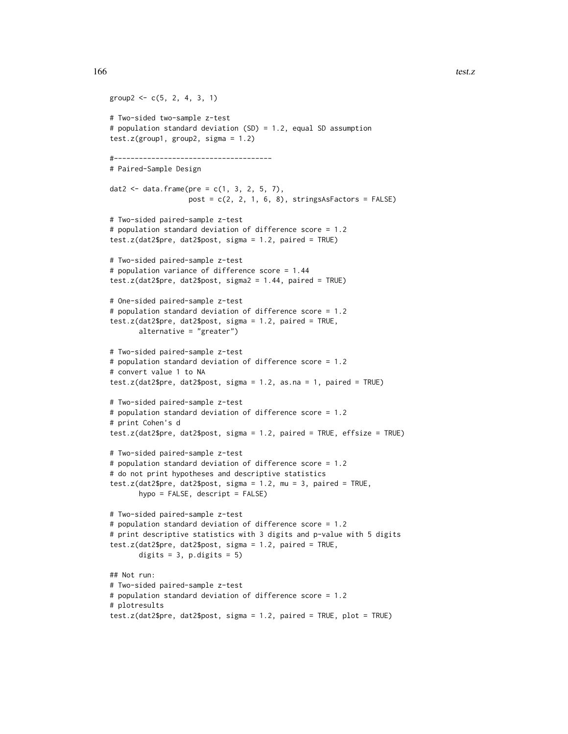```
group2 <- c(5, 2, 4, 3, 1)# Two-sided two-sample z-test
# population standard deviation (SD) = 1.2, equal SD assumption
test.z(group1, group2, sigma = 1.2)
#--------------------------------------
# Paired-Sample Design
dat2 <- data.frame(pre = c(1, 3, 2, 5, 7),
                   post = c(2, 2, 1, 6, 8), stringsAsFactors = FALSE)
# Two-sided paired-sample z-test
# population standard deviation of difference score = 1.2
test.z(dat2$pre, dat2$post, sigma = 1.2, paired = TRUE)
# Two-sided paired-sample z-test
# population variance of difference score = 1.44
test.z(dat2$pre, dat2$post, sigma2 = 1.44, paired = TRUE)
# One-sided paired-sample z-test
# population standard deviation of difference score = 1.2
test.z(dat2$pre, dat2$post, sigma = 1.2, paired = TRUE,
       alternative = "greater")
# Two-sided paired-sample z-test
# population standard deviation of difference score = 1.2
# convert value 1 to NA
test.z(dat2$pre, dat2$post, sigma = 1.2, as.na = 1, paired = TRUE)
# Two-sided paired-sample z-test
# population standard deviation of difference score = 1.2
# print Cohen's d
test.z(dat2$pre, dat2$post, sigma = 1.2, paired = TRUE, effsize = TRUE)
# Two-sided paired-sample z-test
# population standard deviation of difference score = 1.2
# do not print hypotheses and descriptive statistics
test.z(dat2$pre, dat2$post, sigma = 1.2, mu = 3, paired = TRUE,
       hypo = FALSE, descript = FALSE)
# Two-sided paired-sample z-test
# population standard deviation of difference score = 1.2
# print descriptive statistics with 3 digits and p-value with 5 digits
test.z(dat2$pre, dat2$post, sigma = 1.2, paired = TRUE,
       digits = 3, p.digits = 5)
## Not run:
# Two-sided paired-sample z-test
# population standard deviation of difference score = 1.2
# plotresults
test.z(dat2$pre, dat2$post, sigma = 1.2, paired = TRUE, plot = TRUE)
```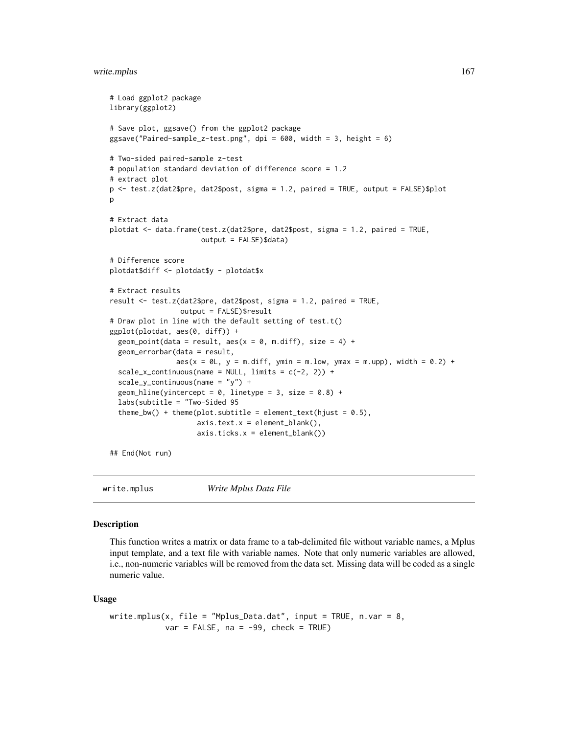#### <span id="page-166-0"></span>write.mplus 167

```
# Load ggplot2 package
library(ggplot2)
# Save plot, ggsave() from the ggplot2 package
ggsave("Paired-sample_z-test.png", dpi = 600, width = 3, height = 6)
# Two-sided paired-sample z-test
# population standard deviation of difference score = 1.2
# extract plot
p <- test.z(dat2$pre, dat2$post, sigma = 1.2, paired = TRUE, output = FALSE)$plot
p
# Extract data
plotdat <- data.frame(test.z(dat2$pre, dat2$post, sigma = 1.2, paired = TRUE,
                      output = FALSE)$data)
# Difference score
plotdat$diff <- plotdat$y - plotdat$x
# Extract results
result <- test.z(dat2$pre, dat2$post, sigma = 1.2, paired = TRUE,
                 output = FALSE)$result
# Draw plot in line with the default setting of test.t()
ggplot(plotdat, aes(0, diff)) +
 geom_point(data = result, aes(x = 0, m.diff), size = 4) +
 geom_errorbar(data = result,
                aes(x = 0L, y = m.diff, ymin = m.low, ymax = m.up), width = 0.2) +scale_x_{continuous(name = NULL, limits = c(-2, 2)) +scale_y_continuous(name = "y") +
 geom_hline(yintercept = 0, linetype = 3, size = 0.8) +
 labs(subtitle = "Two-Sided 95
 theme_bw() + theme(plot.subtitle = element_text(hjust = 0.5),
                     axis.text.x = element\_blank(),axis.ticks.x = element_blank())
```
## End(Not run)

write.mplus *Write Mplus Data File*

#### Description

This function writes a matrix or data frame to a tab-delimited file without variable names, a Mplus input template, and a text file with variable names. Note that only numeric variables are allowed, i.e., non-numeric variables will be removed from the data set. Missing data will be coded as a single numeric value.

#### Usage

```
write.mplus(x, file = "Mplus_Data.dat", input = TRUE, n.var = 8,
           var = FALSE, na = -99, check = TRUE)
```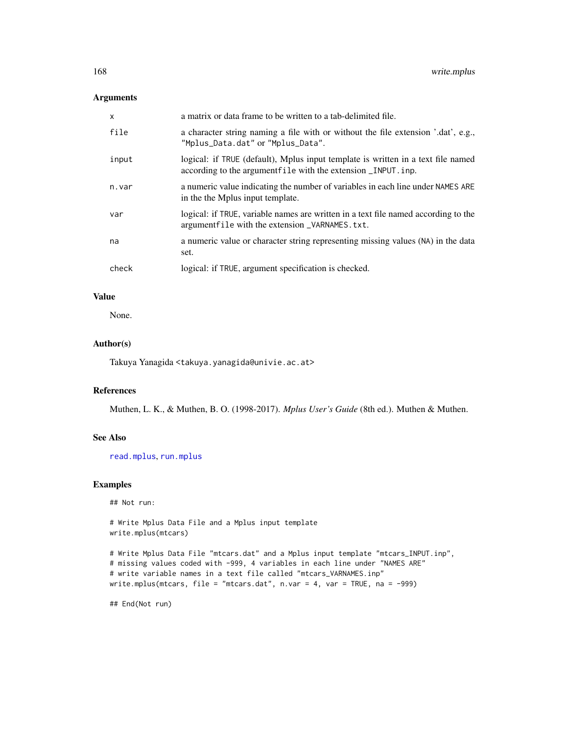## <span id="page-167-0"></span>Arguments

| x     | a matrix or data frame to be written to a tab-delimited file.                                                                                      |
|-------|----------------------------------------------------------------------------------------------------------------------------------------------------|
| file  | a character string naming a file with or without the file extension '.dat', e.g.,<br>"Mplus_Data.dat" or "Mplus_Data".                             |
| input | logical: if TRUE (default), Mplus input template is written in a text file named<br>according to the argument file with the extension _INPUT. inp. |
| n.var | a numeric value indicating the number of variables in each line under NAMES ARE<br>in the the Mplus input template.                                |
| var   | logical: if TRUE, variable names are written in a text file named according to the<br>argument file with the extension _VARNAMES. txt.             |
| na    | a numeric value or character string representing missing values (NA) in the data<br>set.                                                           |
| check | logical: if TRUE, argument specification is checked.                                                                                               |

## Value

None.

## Author(s)

Takuya Yanagida <takuya.yanagida@univie.ac.at>

## References

Muthen, L. K., & Muthen, B. O. (1998-2017). *Mplus User's Guide* (8th ed.). Muthen & Muthen.

## See Also

[read.mplus](#page-125-0), [run.mplus](#page-132-0)

## Examples

## Not run:

# Write Mplus Data File and a Mplus input template write.mplus(mtcars)

```
# Write Mplus Data File "mtcars.dat" and a Mplus input template "mtcars_INPUT.inp",
# missing values coded with -999, 4 variables in each line under "NAMES ARE"
# write variable names in a text file called "mtcars_VARNAMES.inp"
write.mplus(mtcars, file = "mtcars.dat", n.var = 4, var = TRUE, na = -999)
```
## End(Not run)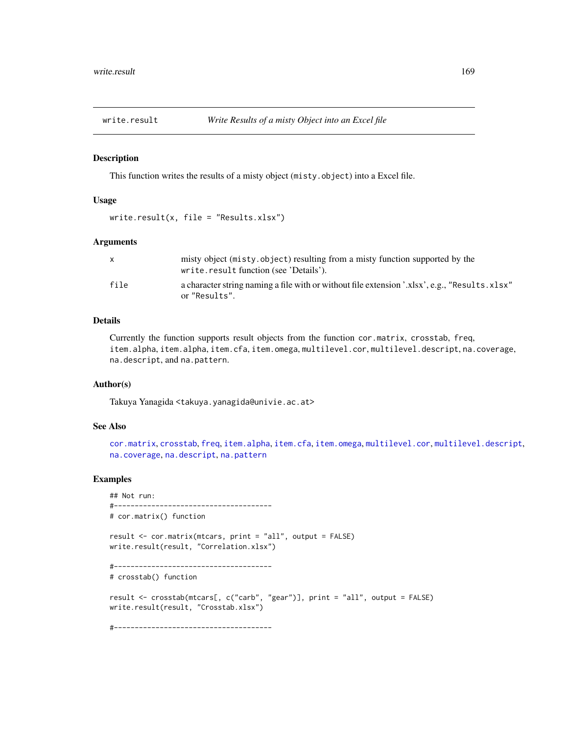<span id="page-168-0"></span>

#### Description

This function writes the results of a misty object (misty.object) into a Excel file.

#### Usage

 $write.readtt(x, file = "Results.xlsx")$ 

#### Arguments

|      | misty object (misty.object) resulting from a misty function supported by the<br>write.result function (see 'Details'). |
|------|------------------------------------------------------------------------------------------------------------------------|
| file | a character string naming a file with or without file extension '.xlsx', e.g., "Results.xlsx"<br>or "Results".         |

## Details

Currently the function supports result objects from the function cor.matrix, crosstab, freq, item.alpha, item.alpha, item.cfa, item.omega, multilevel.cor, multilevel.descript, na.coverage, na.descript, and na.pattern.

#### Author(s)

Takuya Yanagida <takuya.yanagida@univie.ac.at>

#### See Also

[cor.matrix](#page-47-0), [crosstab](#page-53-0), [freq](#page-69-0), [item.alpha](#page-75-0), [item.cfa](#page-78-0), [item.omega](#page-86-0), [multilevel.cor](#page-93-0), [multilevel.descript](#page-97-0), [na.coverage](#page-115-0), [na.descript](#page-116-0), [na.pattern](#page-119-0)

## Examples

```
## Not run:
#--------------------------------------
# cor.matrix() function
result <- cor.matrix(mtcars, print = "all", output = FALSE)
write.result(result, "Correlation.xlsx")
#--------------------------------------
# crosstab() function
result <- crosstab(mtcars[, c("carb", "gear")], print = "all", output = FALSE)
write.result(result, "Crosstab.xlsx")
#--------------------------------------
```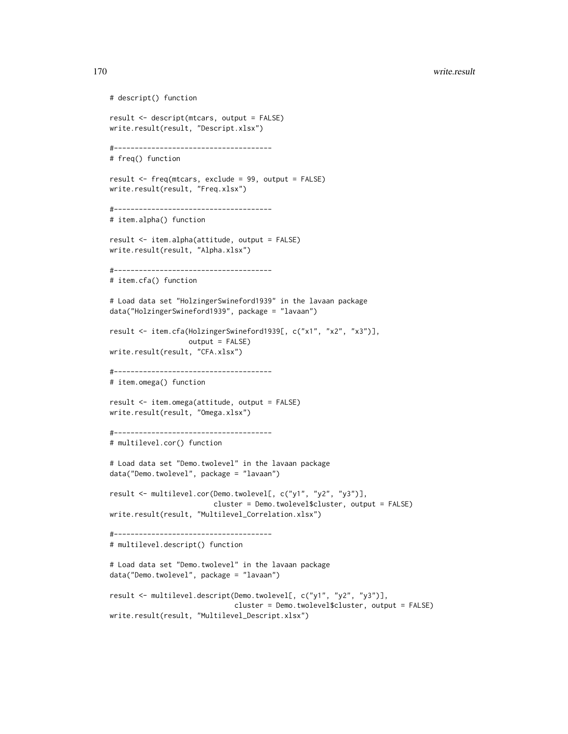#### 170 write.result

```
# descript() function
result <- descript(mtcars, output = FALSE)
write.result(result, "Descript.xlsx")
#--------------------------------------
# freq() function
result <- freq(mtcars, exclude = 99, output = FALSE)
write.result(result, "Freq.xlsx")
#--------------------------------------
# item.alpha() function
result <- item.alpha(attitude, output = FALSE)
write.result(result, "Alpha.xlsx")
#--------------------------------------
# item.cfa() function
# Load data set "HolzingerSwineford1939" in the lavaan package
data("HolzingerSwineford1939", package = "lavaan")
result <- item.cfa(HolzingerSwineford1939[, c("x1", "x2", "x3")],
                  output = FALSE)
write.result(result, "CFA.xlsx")
#--------------------------------------
# item.omega() function
result <- item.omega(attitude, output = FALSE)
write.result(result, "Omega.xlsx")
#--------------------------------------
# multilevel.cor() function
# Load data set "Demo.twolevel" in the lavaan package
data("Demo.twolevel", package = "lavaan")
result <- multilevel.cor(Demo.twolevel[, c("y1", "y2", "y3")],
                         cluster = Demo.twolevel$cluster, output = FALSE)
write.result(result, "Multilevel_Correlation.xlsx")
#--------------------------------------
# multilevel.descript() function
# Load data set "Demo.twolevel" in the lavaan package
data("Demo.twolevel", package = "lavaan")
result <- multilevel.descript(Demo.twolevel[, c("y1", "y2", "y3")],
                              cluster = Demo.twolevel$cluster, output = FALSE)
write.result(result, "Multilevel_Descript.xlsx")
```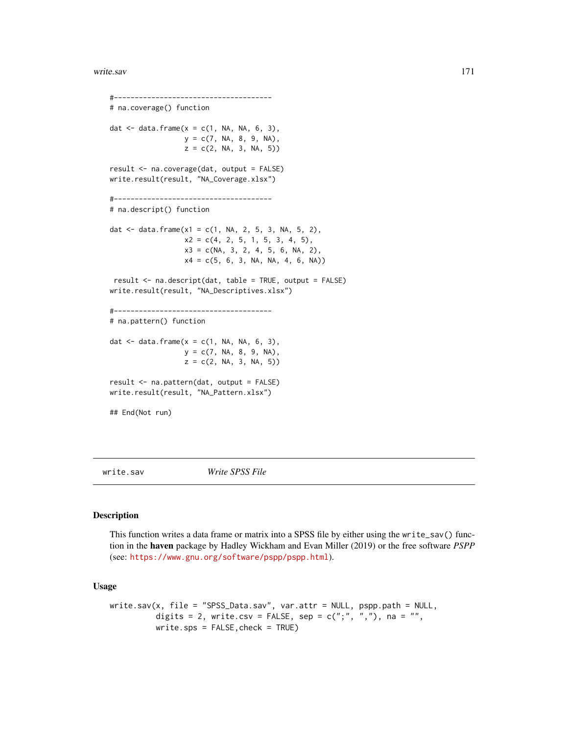#### <span id="page-170-0"></span>write.sav 171

#-------------------------------------- # na.coverage() function dat  $\leq$  data.frame(x = c(1, NA, NA, 6, 3),  $y = c(7, NA, 8, 9, NA)$ ,  $z = c(2, NA, 3, NA, 5))$ result <- na.coverage(dat, output = FALSE) write.result(result, "NA\_Coverage.xlsx") #-------------------------------------- # na.descript() function dat  $\le$  data.frame(x1 = c(1, NA, 2, 5, 3, NA, 5, 2),  $x2 = c(4, 2, 5, 1, 5, 3, 4, 5),$  $x3 = c(NA, 3, 2, 4, 5, 6, NA, 2),$  $x4 = c(5, 6, 3, NA, NA, 4, 6, NA))$ result <- na.descript(dat, table = TRUE, output = FALSE) write.result(result, "NA\_Descriptives.xlsx") #-------------------------------------- # na.pattern() function dat  $\leq$  data.frame(x = c(1, NA, NA, 6, 3),  $y = c(7, NA, 8, 9, NA),$  $z = c(2, NA, 3, NA, 5))$ result <- na.pattern(dat, output = FALSE) write.result(result, "NA\_Pattern.xlsx") ## End(Not run)

write.sav *Write SPSS File*

## Description

This function writes a data frame or matrix into a SPSS file by either using the write\_sav() function in the haven package by Hadley Wickham and Evan Miller (2019) or the free software *PSPP* (see: <https://www.gnu.org/software/pspp/pspp.html>).

#### Usage

```
write.sav(x, file = "SPSS_Data.sav", var.attr = NULL, pspp.path = NULL,
          digits = 2, write.csv = FALSE, sep = c(";", ","), na = "",
          write.\,sys = FALSE, check = TRUE)
```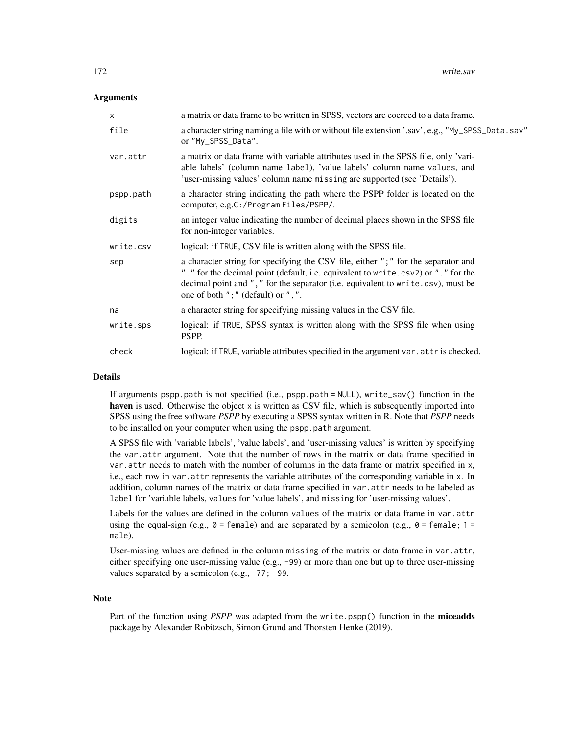#### **Arguments**

| X         | a matrix or data frame to be written in SPSS, vectors are coerced to a data frame.                                                                                                                                                                                                               |
|-----------|--------------------------------------------------------------------------------------------------------------------------------------------------------------------------------------------------------------------------------------------------------------------------------------------------|
| file      | a character string naming a file with or without file extension '.sav', e.g., "My_SPSS_Data.sav"<br>or "My_SPSS_Data".                                                                                                                                                                           |
| var.attr  | a matrix or data frame with variable attributes used in the SPSS file, only 'vari-<br>able labels' (column name label), 'value labels' column name values, and<br>'user-missing values' column name missing are supported (see 'Details').                                                       |
| pspp.path | a character string indicating the path where the PSPP folder is located on the<br>computer, e.g.C:/Program Files/PSPP/.                                                                                                                                                                          |
| digits    | an integer value indicating the number of decimal places shown in the SPSS file<br>for non-integer variables.                                                                                                                                                                                    |
| write.csv | logical: if TRUE, CSV file is written along with the SPSS file.                                                                                                                                                                                                                                  |
| sep       | a character string for specifying the CSV file, either "; " for the separator and<br>"." for the decimal point (default, i.e. equivalent to write.csv2) or "." for the<br>decimal point and "," for the separator (i.e. equivalent to write.csv), must be<br>one of both "; " (default) or ", ". |
| na        | a character string for specifying missing values in the CSV file.                                                                                                                                                                                                                                |
| write.sps | logical: if TRUE, SPSS syntax is written along with the SPSS file when using<br>PSPP.                                                                                                                                                                                                            |
| check     | logical: if TRUE, variable attributes specified in the argument var. attr is checked.                                                                                                                                                                                                            |

## Details

If arguments pspp.path is not specified (i.e., pspp.path = NULL), write\_sav() function in the haven is used. Otherwise the object x is written as CSV file, which is subsequently imported into SPSS using the free software *PSPP* by executing a SPSS syntax written in R. Note that *PSPP* needs to be installed on your computer when using the pspp.path argument.

A SPSS file with 'variable labels', 'value labels', and 'user-missing values' is written by specifying the var.attr argument. Note that the number of rows in the matrix or data frame specified in var.attr needs to match with the number of columns in the data frame or matrix specified in x, i.e., each row in var.attr represents the variable attributes of the corresponding variable in x. In addition, column names of the matrix or data frame specified in var.attr needs to be labeled as label for 'variable labels, values for 'value labels', and missing for 'user-missing values'.

Labels for the values are defined in the column values of the matrix or data frame in var.attr using the equal-sign (e.g.,  $\emptyset$  = female) and are separated by a semicolon (e.g.,  $\emptyset$  = female; 1 = male).

User-missing values are defined in the column missing of the matrix or data frame in var.attr, either specifying one user-missing value (e.g., -99) or more than one but up to three user-missing values separated by a semicolon (e.g., -77; -99.

#### Note

Part of the function using *PSPP* was adapted from the write.pspp() function in the **miceadds** package by Alexander Robitzsch, Simon Grund and Thorsten Henke (2019).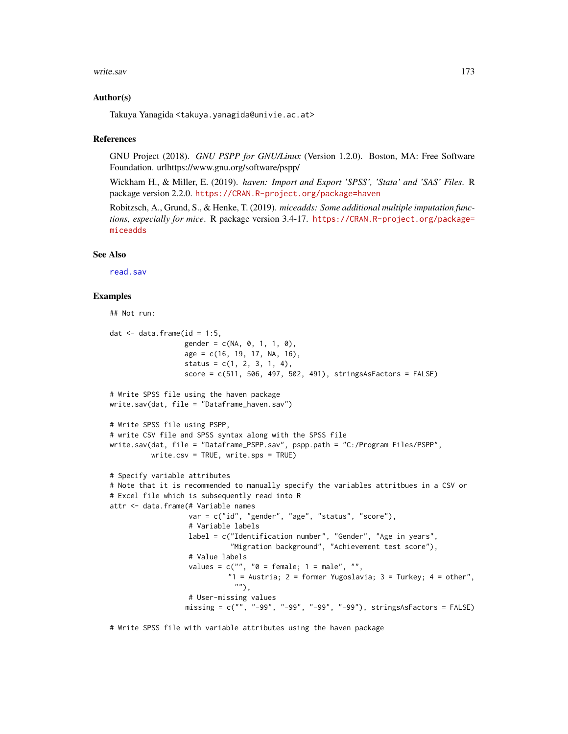#### <span id="page-172-0"></span>write.sav 173

#### Author(s)

Takuya Yanagida <takuya.yanagida@univie.ac.at>

#### References

GNU Project (2018). *GNU PSPP for GNU/Linux* (Version 1.2.0). Boston, MA: Free Software Foundation. urlhttps://www.gnu.org/software/pspp/

Wickham H., & Miller, E. (2019). *haven: Import and Export 'SPSS', 'Stata' and 'SAS' Files*. R package version 2.2.0. <https://CRAN.R-project.org/package=haven>

Robitzsch, A., Grund, S., & Henke, T. (2019). *miceadds: Some additional multiple imputation functions, especially for mice*. R package version 3.4-17. [https://CRAN.R-project.org/package=](https://CRAN.R-project.org/package=miceadds) [miceadds](https://CRAN.R-project.org/package=miceadds)

#### See Also

[read.sav](#page-126-0)

#### Examples

```
## Not run:
dat \leq data.frame(id = 1:5,
                  gender = c(NA, 0, 1, 1, 0),age = c(16, 19, 17, NA, 16),
                  status = c(1, 2, 3, 1, 4),
                  score = c(511, 506, 497, 502, 491), stringsAsFactors = FALSE)# Write SPSS file using the haven package
write.sav(dat, file = "Dataframe_haven.sav")
# Write SPSS file using PSPP,
# write CSV file and SPSS syntax along with the SPSS file
write.sav(dat, file = "Dataframe_PSPP.sav", pspp.path = "C:/Program Files/PSPP",
          write.csv = TRUE, write.sps = TRUE)
# Specify variable attributes
# Note that it is recommended to manually specify the variables attritbues in a CSV or
# Excel file which is subsequently read into R
attr <- data.frame(# Variable names
                   var = c("id", "gender", "age", "status", "score"),
                   # Variable labels
                   label = c("Identification number", "Gender", "Age in years",
                             "Migration background", "Achievement test score"),
                   # Value labels
                   values = c("", "0 = female; 1 = male", "","1 = Austria; 2 = former Yugoslavia; 3 = Turkey; 4 = other",
                              ""),
                   # User-missing values
                  missing = c("", "-99", "-99", "-99", "-99"), stringsAsFactors = FALSE)
```
# Write SPSS file with variable attributes using the haven package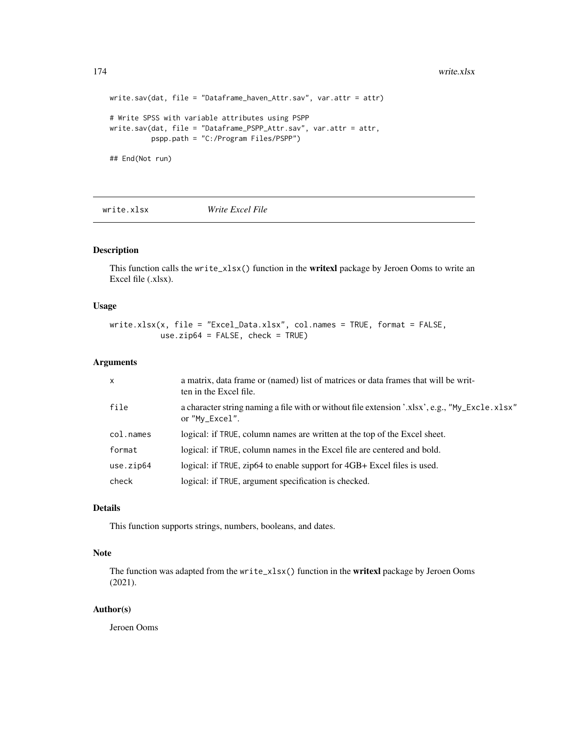```
write.sav(dat, file = "Dataframe_haven_Attr.sav", var.attr = attr)
# Write SPSS with variable attributes using PSPP
write.sav(dat, file = "Dataframe_PSPP_Attr.sav", var.attr = attr,
         pspp.path = "C:/Program Files/PSPP")
## End(Not run)
```
write.xlsx *Write Excel File*

## Description

This function calls the write $\angle x$ lsx() function in the **writexl** package by Jeroen Ooms to write an Excel file (.xlsx).

## Usage

write.xlsx(x, file = "Excel\_Data.xlsx", col.names = TRUE, format = FALSE, use.zip64 = FALSE, check = TRUE)

## Arguments

| $\mathsf{x}$ | a matrix, data frame or (named) list of matrices or data frames that will be writ-<br>ten in the Excel file.     |
|--------------|------------------------------------------------------------------------------------------------------------------|
| file         | a character string naming a file with or without file extension '.xlsx', e.g., "My_Excle.xlsx"<br>or "My_Excel". |
| col.names    | logical: if TRUE, column names are written at the top of the Excel sheet.                                        |
| format       | logical: if TRUE, column names in the Excel file are centered and bold.                                          |
| use.zip64    | logical: if TRUE, zip64 to enable support for 4GB+ Excel files is used.                                          |
| check        | logical: if TRUE, argument specification is checked.                                                             |

## Details

This function supports strings, numbers, booleans, and dates.

#### Note

The function was adapted from the write\_xlsx() function in the **writexl** package by Jeroen Ooms (2021).

#### Author(s)

Jeroen Ooms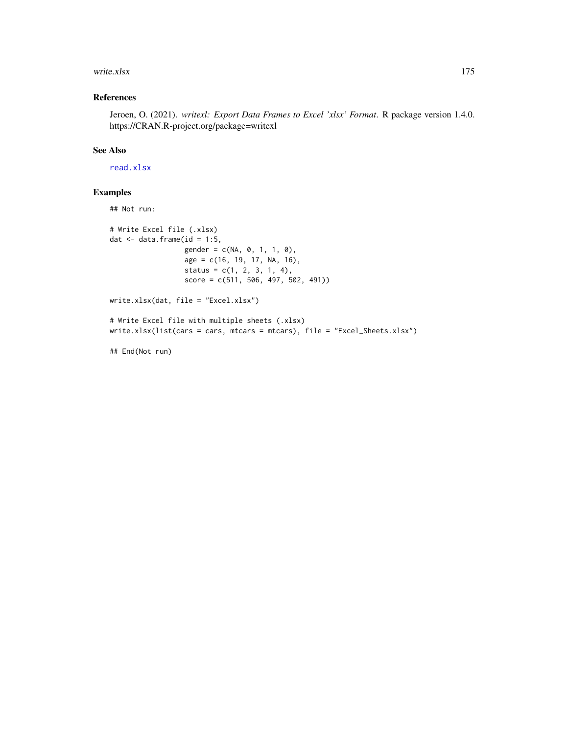#### <span id="page-174-0"></span>write.xlsx 175

## References

Jeroen, O. (2021). *writexl: Export Data Frames to Excel 'xlsx' Format*. R package version 1.4.0. https://CRAN.R-project.org/package=writexl

## See Also

[read.xlsx](#page-128-0)

## Examples

## Not run: # Write Excel file (.xlsx) dat  $\leq$  data.frame(id = 1:5, gender = c(NA, 0, 1, 1, 0), age = c(16, 19, 17, NA, 16),  $status = c(1, 2, 3, 1, 4),$ score = c(511, 506, 497, 502, 491)) write.xlsx(dat, file = "Excel.xlsx") # Write Excel file with multiple sheets (.xlsx) write.xlsx(list(cars = cars, mtcars = mtcars), file = "Excel\_Sheets.xlsx")

## End(Not run)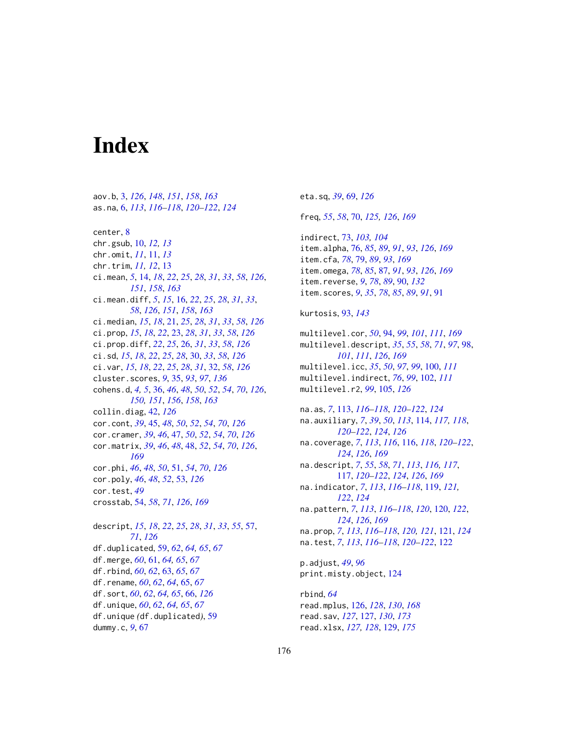# **Index**

aov.b, [3,](#page-2-1) *[126](#page-125-1)*, *[148](#page-147-0)*, *[151](#page-150-0)*, *[158](#page-157-0)*, *[163](#page-162-0)* as.na, [6,](#page-5-0) *[113](#page-112-0)*, *[116](#page-115-1)[–118](#page-117-0)*, *[120–](#page-119-1)[122](#page-121-0)*, *[124](#page-123-0)* center, [8](#page-7-0) chr.gsub, [10,](#page-9-0) *[12,](#page-11-0) [13](#page-12-0)* chr.omit, *[11](#page-10-0)*, [11,](#page-10-0) *[13](#page-12-0)* chr.trim, *[11,](#page-10-0) [12](#page-11-0)*, [13](#page-12-0) ci.mean, *[5](#page-4-0)*, [14,](#page-13-1) *[18](#page-17-0)*, *[22](#page-21-0)*, *[25](#page-24-0)*, *[28](#page-27-0)*, *[31](#page-30-0)*, *[33](#page-32-0)*, *[58](#page-57-0)*, *[126](#page-125-1)*, *[151](#page-150-0)*, *[158](#page-157-0)*, *[163](#page-162-0)* ci.mean.diff, *[5](#page-4-0)*, *[15](#page-14-0)*, [16,](#page-15-1) *[22](#page-21-0)*, *[25](#page-24-0)*, *[28](#page-27-0)*, *[31](#page-30-0)*, *[33](#page-32-0)*, *[58](#page-57-0)*, *[126](#page-125-1)*, *[151](#page-150-0)*, *[158](#page-157-0)*, *[163](#page-162-0)* ci.median, *[15](#page-14-0)*, *[18](#page-17-0)*, [21,](#page-20-0) *[25](#page-24-0)*, *[28](#page-27-0)*, *[31](#page-30-0)*, *[33](#page-32-0)*, *[58](#page-57-0)*, *[126](#page-125-1)* ci.prop, *[15](#page-14-0)*, *[18](#page-17-0)*, *[22](#page-21-0)*, [23,](#page-22-0) *[28](#page-27-0)*, *[31](#page-30-0)*, *[33](#page-32-0)*, *[58](#page-57-0)*, *[126](#page-125-1)* ci.prop.diff, *[22](#page-21-0)*, *[25](#page-24-0)*, [26,](#page-25-0) *[31](#page-30-0)*, *[33](#page-32-0)*, *[58](#page-57-0)*, *[126](#page-125-1)* ci.sd, *[15](#page-14-0)*, *[18](#page-17-0)*, *[22](#page-21-0)*, *[25](#page-24-0)*, *[28](#page-27-0)*, [30,](#page-29-0) *[33](#page-32-0)*, *[58](#page-57-0)*, *[126](#page-125-1)* ci.var, *[15](#page-14-0)*, *[18](#page-17-0)*, *[22](#page-21-0)*, *[25](#page-24-0)*, *[28](#page-27-0)*, *[31](#page-30-0)*, [32,](#page-31-0) *[58](#page-57-0)*, *[126](#page-125-1)* cluster.scores, *[9](#page-8-0)*, [35,](#page-34-0) *[93](#page-92-0)*, *[97](#page-96-0)*, *[136](#page-135-0)* cohens.d, *[4,](#page-3-0) [5](#page-4-0)*, [36,](#page-35-1) *[46](#page-45-0)*, *[48](#page-47-1)*, *[50](#page-49-0)*, *[52](#page-51-0)*, *[54](#page-53-1)*, *[70](#page-69-1)*, *[126](#page-125-1)*, *[150,](#page-149-0) [151](#page-150-0)*, *[156](#page-155-1)*, *[158](#page-157-0)*, *[163](#page-162-0)* collin.diag, [42,](#page-41-0) *[126](#page-125-1)* cor.cont, *[39](#page-38-0)*, [45,](#page-44-0) *[48](#page-47-1)*, *[50](#page-49-0)*, *[52](#page-51-0)*, *[54](#page-53-1)*, *[70](#page-69-1)*, *[126](#page-125-1)* cor.cramer, *[39](#page-38-0)*, *[46](#page-45-0)*, [47,](#page-46-0) *[50](#page-49-0)*, *[52](#page-51-0)*, *[54](#page-53-1)*, *[70](#page-69-1)*, *[126](#page-125-1)* cor.matrix, *[39](#page-38-0)*, *[46](#page-45-0)*, *[48](#page-47-1)*, [48,](#page-47-1) *[52](#page-51-0)*, *[54](#page-53-1)*, *[70](#page-69-1)*, *[126](#page-125-1)*, *[169](#page-168-0)* cor.phi, *[46](#page-45-0)*, *[48](#page-47-1)*, *[50](#page-49-0)*, [51,](#page-50-0) *[54](#page-53-1)*, *[70](#page-69-1)*, *[126](#page-125-1)* cor.poly, *[46](#page-45-0)*, *[48](#page-47-1)*, *[52](#page-51-0)*, [53,](#page-52-0) *[126](#page-125-1)* cor.test, *[49](#page-48-0)* crosstab, [54,](#page-53-1) *[58](#page-57-0)*, *[71](#page-70-0)*, *[126](#page-125-1)*, *[169](#page-168-0)* descript, *[15](#page-14-0)*, *[18](#page-17-0)*, *[22](#page-21-0)*, *[25](#page-24-0)*, *[28](#page-27-0)*, *[31](#page-30-0)*, *[33](#page-32-0)*, *[55](#page-54-0)*, [57,](#page-56-0) *[71](#page-70-0)*, *[126](#page-125-1)* df.duplicated, [59,](#page-58-0) *[62](#page-61-0)*, *[64,](#page-63-0) [65](#page-64-0)*, *[67](#page-66-0)* df.merge, *[60](#page-59-0)*, [61,](#page-60-0) *[64,](#page-63-0) [65](#page-64-0)*, *[67](#page-66-0)* df.rbind, *[60](#page-59-0)*, *[62](#page-61-0)*, [63,](#page-62-0) *[65](#page-64-0)*, *[67](#page-66-0)* df.rename, *[60](#page-59-0)*, *[62](#page-61-0)*, *[64](#page-63-0)*, [65,](#page-64-0) *[67](#page-66-0)* df.sort, *[60](#page-59-0)*, *[62](#page-61-0)*, *[64,](#page-63-0) [65](#page-64-0)*, [66,](#page-65-0) *[126](#page-125-1)* df.unique, *[60](#page-59-0)*, *[62](#page-61-0)*, *[64,](#page-63-0) [65](#page-64-0)*, *[67](#page-66-0)* df.unique *(*df.duplicated*)*, [59](#page-58-0) dummy.c, *[9](#page-8-0)*, [67](#page-66-0)

eta.sq, *[39](#page-38-0)*, [69,](#page-68-0) *[126](#page-125-1)* freq, *[55](#page-54-0)*, *[58](#page-57-0)*, [70,](#page-69-1) *[125,](#page-124-0) [126](#page-125-1)*, *[169](#page-168-0)* indirect, [73,](#page-72-0) *[103,](#page-102-0) [104](#page-103-0)* item.alpha, [76,](#page-75-1) *[85](#page-84-0)*, *[89](#page-88-0)*, *[91](#page-90-0)*, *[93](#page-92-0)*, *[126](#page-125-1)*, *[169](#page-168-0)* item.cfa, *[78](#page-77-0)*, [79,](#page-78-1) *[89](#page-88-0)*, *[93](#page-92-0)*, *[169](#page-168-0)* item.omega, *[78](#page-77-0)*, *[85](#page-84-0)*, [87,](#page-86-1) *[91](#page-90-0)*, *[93](#page-92-0)*, *[126](#page-125-1)*, *[169](#page-168-0)* item.reverse, *[9](#page-8-0)*, *[78](#page-77-0)*, *[89](#page-88-0)*, [90,](#page-89-0) *[132](#page-131-0)* item.scores, *[9](#page-8-0)*, *[35](#page-34-0)*, *[78](#page-77-0)*, *[85](#page-84-0)*, *[89](#page-88-0)*, *[91](#page-90-0)*, [91](#page-90-0) kurtosis, [93,](#page-92-0) *[143](#page-142-0)* multilevel.cor, *[50](#page-49-0)*, [94,](#page-93-1) *[99](#page-98-0)*, *[101](#page-100-0)*, *[111](#page-110-0)*, *[169](#page-168-0)* multilevel.descript, *[35](#page-34-0)*, *[55](#page-54-0)*, *[58](#page-57-0)*, *[71](#page-70-0)*, *[97](#page-96-0)*, [98,](#page-97-1) *[101](#page-100-0)*, *[111](#page-110-0)*, *[126](#page-125-1)*, *[169](#page-168-0)* multilevel.icc, *[35](#page-34-0)*, *[50](#page-49-0)*, *[97](#page-96-0)*, *[99](#page-98-0)*, [100,](#page-99-0) *[111](#page-110-0)* multilevel.indirect, *[76](#page-75-1)*, *[99](#page-98-0)*, [102,](#page-101-0) *[111](#page-110-0)* multilevel.r2, *[99](#page-98-0)*, [105,](#page-104-0) *[126](#page-125-1)* na.as, *[7](#page-6-0)*, [113,](#page-112-0) *[116](#page-115-1)[–118](#page-117-0)*, *[120](#page-119-1)[–122](#page-121-0)*, *[124](#page-123-0)* na.auxiliary, *[7](#page-6-0)*, *[39](#page-38-0)*, *[50](#page-49-0)*, *[113](#page-112-0)*, [114,](#page-113-0) *[117,](#page-116-1) [118](#page-117-0)*, *[120](#page-119-1)[–122](#page-121-0)*, *[124](#page-123-0)*, *[126](#page-125-1)* na.coverage, *[7](#page-6-0)*, *[113](#page-112-0)*, *[116](#page-115-1)*, [116,](#page-115-1) *[118](#page-117-0)*, *[120](#page-119-1)[–122](#page-121-0)*, *[124](#page-123-0)*, *[126](#page-125-1)*, *[169](#page-168-0)* na.descript, *[7](#page-6-0)*, *[55](#page-54-0)*, *[58](#page-57-0)*, *[71](#page-70-0)*, *[113](#page-112-0)*, *[116,](#page-115-1) [117](#page-116-1)*, [117,](#page-116-1) *[120](#page-119-1)[–122](#page-121-0)*, *[124](#page-123-0)*, *[126](#page-125-1)*, *[169](#page-168-0)* na.indicator, *[7](#page-6-0)*, *[113](#page-112-0)*, *[116](#page-115-1)[–118](#page-117-0)*, [119,](#page-118-0) *[121,](#page-120-0) [122](#page-121-0)*, *[124](#page-123-0)* na.pattern, *[7](#page-6-0)*, *[113](#page-112-0)*, *[116](#page-115-1)[–118](#page-117-0)*, *[120](#page-119-1)*, [120,](#page-119-1) *[122](#page-121-0)*, *[124](#page-123-0)*, *[126](#page-125-1)*, *[169](#page-168-0)* na.prop, *[7](#page-6-0)*, *[113](#page-112-0)*, *[116](#page-115-1)[–118](#page-117-0)*, *[120,](#page-119-1) [121](#page-120-0)*, [121,](#page-120-0) *[124](#page-123-0)* na.test, *[7](#page-6-0)*, *[113](#page-112-0)*, *[116](#page-115-1)[–118](#page-117-0)*, *[120](#page-119-1)[–122](#page-121-0)*, [122](#page-121-0) p.adjust, *[49](#page-48-0)*, *[96](#page-95-0)* print.misty.object, [124](#page-123-0) rbind, *[64](#page-63-0)* read.mplus, [126,](#page-125-1) *[128](#page-127-0)*, *[130](#page-129-0)*, *[168](#page-167-0)* read.sav, *[127](#page-126-1)*, [127,](#page-126-1) *[130](#page-129-0)*, *[173](#page-172-0)*

read.xlsx, *[127,](#page-126-1) [128](#page-127-0)*, [129,](#page-128-1) *[175](#page-174-0)*